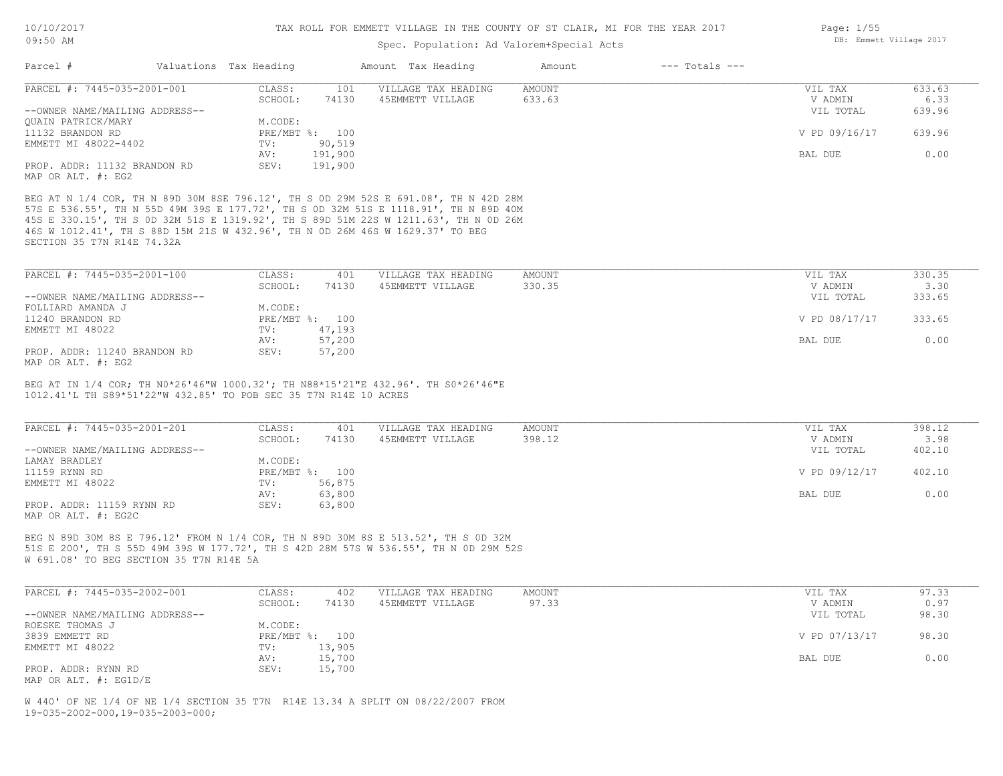### Spec. Population: Ad Valorem+Special Acts

| Parcel #                                           | Valuations Tax Heading |                | Amount Tax Heading  | Amount | $---$ Totals $---$ |               |        |
|----------------------------------------------------|------------------------|----------------|---------------------|--------|--------------------|---------------|--------|
| PARCEL #: 7445-035-2001-001                        | CLASS:                 | 101            | VILLAGE TAX HEADING | AMOUNT |                    | VIL TAX       | 633.63 |
|                                                    | SCHOOL:                | 74130          | 45EMMETT VILLAGE    | 633.63 |                    | V ADMIN       | 6.33   |
| --OWNER NAME/MAILING ADDRESS--                     |                        |                |                     |        |                    | VIL TOTAL     | 639.96 |
| OUAIN PATRICK/MARY                                 | M.CODE:                |                |                     |        |                    |               |        |
| 11132 BRANDON RD                                   |                        | PRE/MBT %: 100 |                     |        |                    | V PD 09/16/17 | 639.96 |
| EMMETT MI 48022-4402                               | TV:                    | 90,519         |                     |        |                    |               |        |
|                                                    | AV:                    | 191,900        |                     |        |                    | BAL DUE       | 0.00   |
| PROP. ADDR: 11132 BRANDON RD<br>MAP OR ALT. #: EG2 | SEV:                   | 191,900        |                     |        |                    |               |        |

SECTION 35 T7N R14E 74.32A 46S W 1012.41', TH S 88D 15M 21S W 432.96', TH N 0D 26M 46S W 1629.37' TO BEG 45S E 330.15', TH S 0D 32M 51S E 1319.92', TH S 89D 51M 22S W 1211.63', TH N 0D 26M 57S E 536.55', TH N 55D 49M 39S E 177.72', TH S 0D 32M 51S E 1118.91', TH N 89D 40M BEG AT N 1/4 COR, TH N 89D 30M 8SE 796.12', TH S 0D 29M 52S E 691.08', TH N 42D 28M

| PARCEL #: 7445-035-2001-100    | CLASS:  | 401            | VILLAGE TAX HEADING | AMOUNT | VIL TAX       | 330.35 |
|--------------------------------|---------|----------------|---------------------|--------|---------------|--------|
|                                | SCHOOL: | 74130          | 45EMMETT VILLAGE    | 330.35 | V ADMIN       | 3.30   |
| --OWNER NAME/MAILING ADDRESS-- |         |                |                     |        | VIL TOTAL     | 333.65 |
| FOLLIARD AMANDA J              | M.CODE: |                |                     |        |               |        |
| 11240 BRANDON RD               |         | PRE/MBT %: 100 |                     |        | V PD 08/17/17 | 333.65 |
| EMMETT MI 48022                | TV:     | 47,193         |                     |        |               |        |
|                                | AV:     | 57,200         |                     |        | BAL DUE       | 0.00   |
| PROP. ADDR: 11240 BRANDON RD   | SEV:    | 57,200         |                     |        |               |        |
|                                |         |                |                     |        |               |        |

MAP OR ALT. #: EG2

1012.41'L TH S89\*51'22"W 432.85' TO POB SEC 35 T7N R14E 10 ACRES BEG AT IN 1/4 COR; TH N0\*26'46"W 1000.32'; TH N88\*15'21"E 432.96'. TH S0\*26'46"E

| PARCEL #: 7445-035-2001-201                      | CLASS:  | 401            | VILLAGE TAX HEADING | AMOUNT | VIL TAX       | 398.12 |
|--------------------------------------------------|---------|----------------|---------------------|--------|---------------|--------|
|                                                  | SCHOOL: | 74130          | 45EMMETT VILLAGE    | 398.12 | V ADMIN       | 3.98   |
| --OWNER NAME/MAILING ADDRESS--                   |         |                |                     |        | VIL TOTAL     | 402.10 |
| LAMAY BRADLEY                                    | M.CODE: |                |                     |        |               |        |
| 11159 RYNN RD                                    |         | PRE/MBT %: 100 |                     |        | V PD 09/12/17 | 402.10 |
| EMMETT MI 48022                                  | TV:     | 56,875         |                     |        |               |        |
|                                                  | AV:     | 63,800         |                     |        | BAL DUE       | 0.00   |
| PROP. ADDR: 11159 RYNN RD<br>MAP OR ALT. #: EG2C | SEV:    | 63,800         |                     |        |               |        |

W 691.08' TO BEG SECTION 35 T7N R14E 5A 51S E 200', TH S 55D 49M 39S W 177.72', TH S 42D 28M 57S W 536.55', TH N 0D 29M 52S BEG N 89D 30M 8S E 796.12' FROM N 1/4 COR, TH N 89D 30M 8S E 513.52', TH S 0D 32M

| PARCEL #: 7445-035-2002-001    | CLASS:  | 402            | VILLAGE TAX HEADING | AMOUNT | VIL TAX       | 97.33 |
|--------------------------------|---------|----------------|---------------------|--------|---------------|-------|
|                                | SCHOOL: | 74130          | 45EMMETT VILLAGE    | 97.33  | V ADMIN       | 0.97  |
| --OWNER NAME/MAILING ADDRESS-- |         |                |                     |        | VIL TOTAL     | 98.30 |
| ROESKE THOMAS J                | M.CODE: |                |                     |        |               |       |
| 3839 EMMETT RD                 |         | PRE/MBT %: 100 |                     |        | V PD 07/13/17 | 98.30 |
| EMMETT MI 48022                | TV:     | 13,905         |                     |        |               |       |
|                                | AV:     | 15,700         |                     |        | BAL DUE       | 0.00  |
| PROP. ADDR: RYNN RD            | SEV:    | 15,700         |                     |        |               |       |
| MAP OR ALT. #: EG1D/E          |         |                |                     |        |               |       |

19-035-2002-000,19-035-2003-000; W 440' OF NE 1/4 OF NE 1/4 SECTION 35 T7N R14E 13.34 A SPLIT ON 08/22/2007 FROM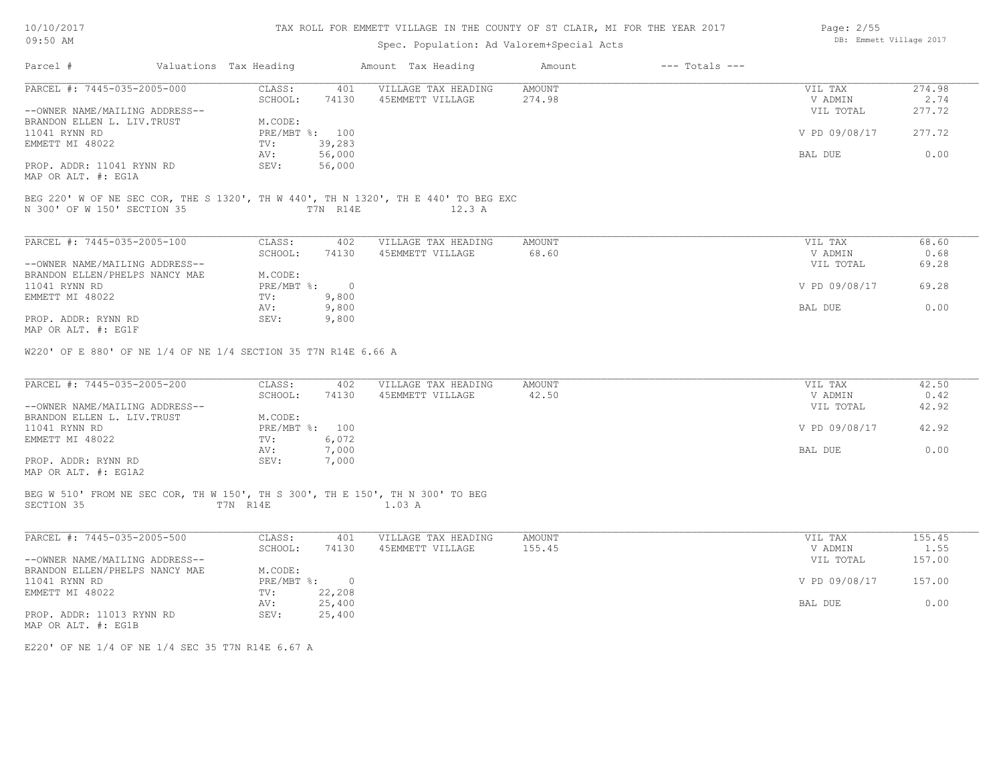| 10/10/2017 |  |
|------------|--|
| 09:50 AM   |  |

## Spec. Population: Ad Valorem+Special Acts

| Parcel #                                                                                    | Valuations Tax Heading |                             | Amount Tax Heading                                                                 | Amount           | $---$ Totals $---$ |                                 |                          |
|---------------------------------------------------------------------------------------------|------------------------|-----------------------------|------------------------------------------------------------------------------------|------------------|--------------------|---------------------------------|--------------------------|
| PARCEL #: 7445-035-2005-000<br>--OWNER NAME/MAILING ADDRESS--                               | CLASS:<br>SCHOOL:      | 401<br>74130                | VILLAGE TAX HEADING<br>45EMMETT VILLAGE                                            | AMOUNT<br>274.98 |                    | VIL TAX<br>V ADMIN<br>VIL TOTAL | 274.98<br>2.74<br>277.72 |
| BRANDON ELLEN L. LIV. TRUST                                                                 | M.CODE:                |                             |                                                                                    |                  |                    |                                 |                          |
| 11041 RYNN RD<br>EMMETT MI 48022                                                            | TV:                    | PRE/MBT %: 100<br>39,283    |                                                                                    |                  |                    | V PD 09/08/17                   | 277.72                   |
| PROP. ADDR: 11041 RYNN RD                                                                   | AV:<br>SEV:            | 56,000<br>56,000            |                                                                                    |                  |                    | BAL DUE                         | 0.00                     |
| MAP OR ALT. #: EG1A                                                                         |                        |                             |                                                                                    |                  |                    |                                 |                          |
|                                                                                             |                        |                             | BEG 220' W OF NE SEC COR, THE S 1320', TH W 440', TH N 1320', TH E 440' TO BEG EXC |                  |                    |                                 |                          |
| N 300' OF W 150' SECTION 35                                                                 |                        | T7N R14E                    | 12.3 A                                                                             |                  |                    |                                 |                          |
| PARCEL #: 7445-035-2005-100                                                                 | CLASS:                 | 402                         | VILLAGE TAX HEADING                                                                | AMOUNT           |                    | VIL TAX                         | 68.60                    |
|                                                                                             | SCHOOL:                | 74130                       | 45EMMETT VILLAGE                                                                   | 68.60            |                    | V ADMIN                         | 0.68                     |
| --OWNER NAME/MAILING ADDRESS--                                                              |                        |                             |                                                                                    |                  |                    | VIL TOTAL                       | 69.28                    |
| BRANDON ELLEN/PHELPS NANCY MAE<br>11041 RYNN RD                                             | M.CODE:                | PRE/MBT %: 0                |                                                                                    |                  |                    | V PD 09/08/17                   | 69.28                    |
| EMMETT MI 48022                                                                             | TV:                    | 9,800                       |                                                                                    |                  |                    |                                 |                          |
|                                                                                             | AV:                    | 9,800                       |                                                                                    |                  |                    | BAL DUE                         | 0.00                     |
| PROP. ADDR: RYNN RD<br>MAP OR ALT. #: EG1F                                                  | SEV:                   | 9,800                       |                                                                                    |                  |                    |                                 |                          |
| W220' OF E 880' OF NE 1/4 OF NE 1/4 SECTION 35 T7N R14E 6.66 A                              |                        |                             |                                                                                    |                  |                    |                                 |                          |
| PARCEL #: 7445-035-2005-200                                                                 | CLASS:<br>SCHOOL:      | 402<br>74130                | VILLAGE TAX HEADING<br>45EMMETT VILLAGE                                            | AMOUNT<br>42.50  |                    | VIL TAX<br>V ADMIN              | 42.50<br>0.42            |
| --OWNER NAME/MAILING ADDRESS--                                                              |                        |                             |                                                                                    |                  |                    | VIL TOTAL                       | 42.92                    |
| BRANDON ELLEN L. LIV. TRUST                                                                 | M.CODE:                |                             |                                                                                    |                  |                    |                                 |                          |
| 11041 RYNN RD<br>EMMETT MI 48022                                                            | TV:                    | PRE/MBT %: 100<br>6,072     |                                                                                    |                  |                    | V PD 09/08/17                   | 42.92                    |
|                                                                                             | AV:                    | 7,000                       |                                                                                    |                  |                    | BAL DUE                         | 0.00                     |
| PROP. ADDR: RYNN RD                                                                         | SEV:                   | 7,000                       |                                                                                    |                  |                    |                                 |                          |
| MAP OR ALT. #: EG1A2                                                                        |                        |                             |                                                                                    |                  |                    |                                 |                          |
| BEG W 510' FROM NE SEC COR, TH W 150', TH S 300', TH E 150', TH N 300' TO BEG<br>SECTION 35 | T7N R14E               |                             | 1.03 A                                                                             |                  |                    |                                 |                          |
|                                                                                             |                        |                             |                                                                                    |                  |                    |                                 |                          |
| PARCEL #: 7445-035-2005-500                                                                 | CLASS:                 | 401                         | VILLAGE TAX HEADING                                                                | AMOUNT           |                    | VIL TAX                         | 155.45                   |
|                                                                                             | SCHOOL:                | 74130                       | 45EMMETT VILLAGE                                                                   | 155.45           |                    | V ADMIN                         | 1.55                     |
| --OWNER NAME/MAILING ADDRESS--                                                              |                        |                             |                                                                                    |                  |                    | VIL TOTAL                       | 157.00                   |
| BRANDON ELLEN/PHELPS NANCY MAE<br>11041 RYNN RD                                             | M.CODE:                | $PRE/MBT$ $\frac{1}{6}$ : 0 |                                                                                    |                  |                    | V PD 09/08/17                   | 157.00                   |
| EMMETT MI 48022                                                                             | TV:                    | 22,208                      |                                                                                    |                  |                    |                                 |                          |
|                                                                                             | AV:                    | 25,400                      |                                                                                    |                  |                    | BAL DUE                         | 0.00                     |
| PROP. ADDR: 11013 RYNN RD<br>MAP OR ALT. #: EG1B                                            | SEV:                   | 25,400                      |                                                                                    |                  |                    |                                 |                          |
|                                                                                             |                        |                             |                                                                                    |                  |                    |                                 |                          |

E220' OF NE 1/4 OF NE 1/4 SEC 35 T7N R14E 6.67 A

DB: Emmett Village 2017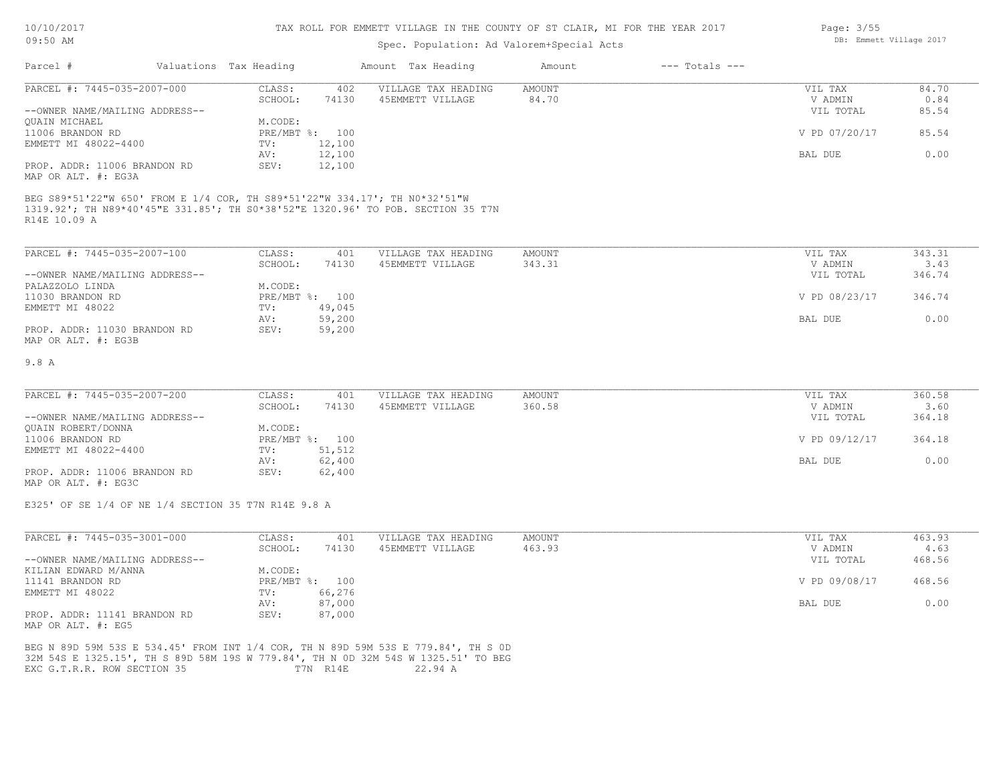#### TAX ROLL FOR EMMETT VILLAGE IN THE COUNTY OF ST CLAIR, MI FOR THE YEAR 2017

## Spec. Population: Ad Valorem+Special Acts

| Parcel #                                                                                   |  | Valuations Tax Heading |                | Amount Tax Heading                                                              | Amount | $---$ Totals $---$ |               |       |
|--------------------------------------------------------------------------------------------|--|------------------------|----------------|---------------------------------------------------------------------------------|--------|--------------------|---------------|-------|
| PARCEL #: 7445-035-2007-000                                                                |  | CLASS:                 | 402            | VILLAGE TAX HEADING                                                             | AMOUNT |                    | VIL TAX       | 84.70 |
|                                                                                            |  | SCHOOL:                | 74130          | 45EMMETT VILLAGE                                                                | 84.70  |                    | V ADMIN       | 0.84  |
| --OWNER NAME/MAILING ADDRESS--                                                             |  |                        |                |                                                                                 |        |                    | VIL TOTAL     | 85.54 |
| QUAIN MICHAEL                                                                              |  | M.CODE:                |                |                                                                                 |        |                    |               |       |
| 11006 BRANDON RD                                                                           |  |                        | PRE/MBT %: 100 |                                                                                 |        |                    | V PD 07/20/17 | 85.54 |
| EMMETT MI 48022-4400                                                                       |  | TV:                    | 12,100         |                                                                                 |        |                    |               |       |
|                                                                                            |  | AV:                    | 12,100         |                                                                                 |        |                    | BAL DUE       | 0.00  |
| PROP. ADDR: 11006 BRANDON RD<br>MAP OR ALT. #: EG3A                                        |  | SEV:                   | 12,100         |                                                                                 |        |                    |               |       |
| BEG S89*51'22"W 650' FROM E 1/4 COR, TH S89*51'22"W 334.17'; TH N0*32'51"W<br>R14E 10.09 A |  |                        |                | 1319.92'; TH N89*40'45"E 331.85'; TH S0*38'52"E 1320.96' TO POB. SECTION 35 T7N |        |                    |               |       |

| PARCEL #: 7445-035-2007-100    | CLASS:  | 401            | VILLAGE TAX HEADING | AMOUNT | VIL TAX       | 343.31 |
|--------------------------------|---------|----------------|---------------------|--------|---------------|--------|
|                                | SCHOOL: | 74130          | 45EMMETT VILLAGE    | 343.31 | V ADMIN       | 3.43   |
| --OWNER NAME/MAILING ADDRESS-- |         |                |                     |        | VIL TOTAL     | 346.74 |
| PALAZZOLO LINDA                | M.CODE: |                |                     |        |               |        |
| 11030 BRANDON RD               |         | PRE/MBT %: 100 |                     |        | V PD 08/23/17 | 346.74 |
| EMMETT MI 48022                | TV:     | 49,045         |                     |        |               |        |
|                                | AV:     | 59,200         |                     |        | BAL DUE       | 0.00   |
| PROP. ADDR: 11030 BRANDON RD   | SEV:    | 59,200         |                     |        |               |        |
| MAP OR ALT. #: EG3B            |         |                |                     |        |               |        |

#### 9.8 A

| PARCEL #: 7445-035-2007-200    | CLASS:         | 401    | VILLAGE TAX HEADING | AMOUNT | VIL TAX       | 360.58 |
|--------------------------------|----------------|--------|---------------------|--------|---------------|--------|
|                                | SCHOOL:        | 74130  | 45EMMETT VILLAGE    | 360.58 | V ADMIN       | 3.60   |
| --OWNER NAME/MAILING ADDRESS-- |                |        |                     |        | VIL TOTAL     | 364.18 |
| QUAIN ROBERT/DONNA             | M.CODE:        |        |                     |        |               |        |
| 11006 BRANDON RD               | PRE/MBT %: 100 |        |                     |        | V PD 09/12/17 | 364.18 |
| EMMETT MI 48022-4400           | TV:            | 51,512 |                     |        |               |        |
|                                | AV:            | 62,400 |                     |        | BAL DUE       | 0.00   |
| PROP. ADDR: 11006 BRANDON RD   | SEV:           | 62,400 |                     |        |               |        |
|                                |                |        |                     |        |               |        |

MAP OR ALT. #: EG3C

E325' OF SE 1/4 OF NE 1/4 SECTION 35 T7N R14E 9.8 A

| PARCEL #: 7445-035-3001-000    | CLASS:       | 401    | VILLAGE TAX HEADING | AMOUNT | VIL TAX       | 463.93 |
|--------------------------------|--------------|--------|---------------------|--------|---------------|--------|
|                                | SCHOOL:      | 74130  | 45EMMETT VILLAGE    | 463.93 | V ADMIN       | 4.63   |
| --OWNER NAME/MAILING ADDRESS-- |              |        |                     |        | VIL TOTAL     | 468.56 |
| KILIAN EDWARD M/ANNA           | M.CODE:      |        |                     |        |               |        |
| 11141 BRANDON RD               | $PRE/MBT$ %: | 100    |                     |        | V PD 09/08/17 | 468.56 |
| EMMETT MI 48022                | TV:          | 66,276 |                     |        |               |        |
|                                | AV:          | 87,000 |                     |        | BAL DUE       | 0.00   |
| PROP. ADDR: 11141 BRANDON RD   | SEV:         | 87,000 |                     |        |               |        |
| MAP OR ALT. #: EG5             |              |        |                     |        |               |        |

EXC G.T.R.R. ROW SECTION 35 T7N R14E 22.94 A 32M 54S E 1325.15', TH S 89D 58M 19S W 779.84', TH N 0D 32M 54S W 1325.51' TO BEG BEG N 89D 59M 53S E 534.45' FROM INT 1/4 COR, TH N 89D 59M 53S E 779.84', TH S 0D Page: 3/55 DB: Emmett Village 2017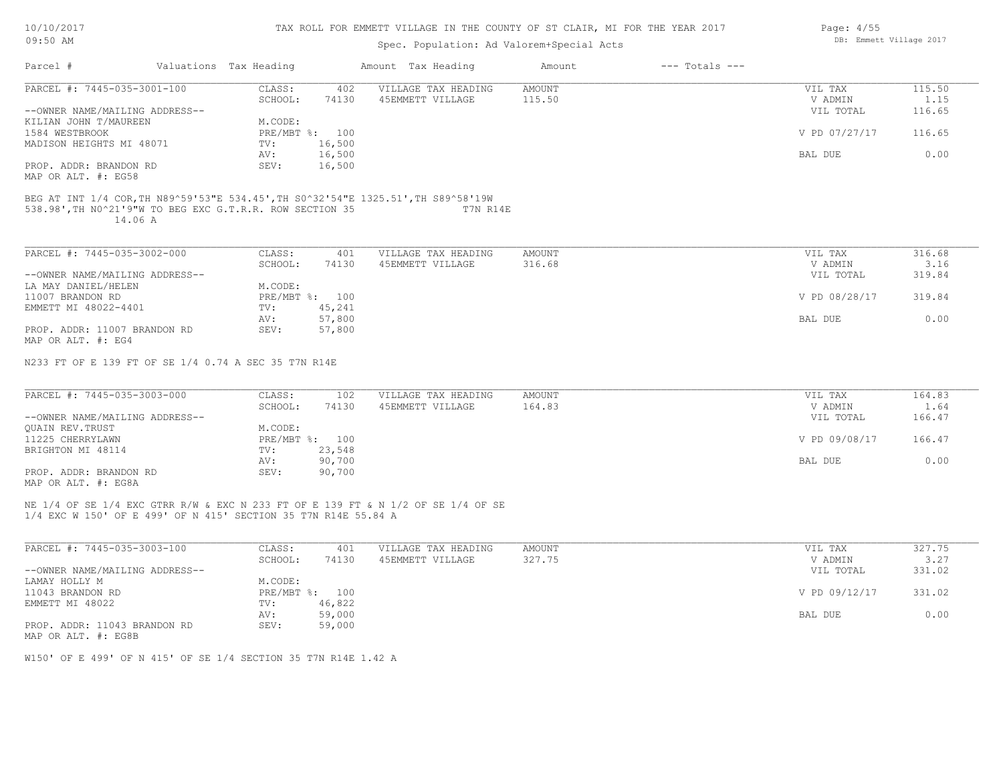|  |  |  | 10/10/2017 |
|--|--|--|------------|
|--|--|--|------------|

| 09:50 AM                                                                                                                                                 |  |                        | DB: Emmett Village 2017 |                                                                                  |               |                    |               |        |
|----------------------------------------------------------------------------------------------------------------------------------------------------------|--|------------------------|-------------------------|----------------------------------------------------------------------------------|---------------|--------------------|---------------|--------|
| Parcel #                                                                                                                                                 |  | Valuations Tax Heading |                         | Amount Tax Heading                                                               | Amount        | $---$ Totals $---$ |               |        |
| PARCEL #: 7445-035-3001-100                                                                                                                              |  | CLASS:                 | 402                     | VILLAGE TAX HEADING                                                              | <b>AMOUNT</b> |                    | VIL TAX       | 115.50 |
|                                                                                                                                                          |  | SCHOOL:                | 74130                   | 45EMMETT VILLAGE                                                                 | 115.50        |                    | V ADMIN       | 1.15   |
| --OWNER NAME/MAILING ADDRESS--                                                                                                                           |  |                        |                         |                                                                                  |               |                    | VIL TOTAL     | 116.65 |
| KILIAN JOHN T/MAUREEN                                                                                                                                    |  | M.CODE:                |                         |                                                                                  |               |                    |               |        |
| 1584 WESTBROOK                                                                                                                                           |  |                        | PRE/MBT %: 100          |                                                                                  |               |                    | V PD 07/27/17 | 116.65 |
| MADISON HEIGHTS MI 48071                                                                                                                                 |  | TV:                    | 16,500                  |                                                                                  |               |                    |               |        |
|                                                                                                                                                          |  | AV:                    | 16,500                  |                                                                                  |               |                    | BAL DUE       | 0.00   |
| PROP. ADDR: BRANDON RD                                                                                                                                   |  | SEV:                   | 16,500                  |                                                                                  |               |                    |               |        |
| MAP OR ALT. #: EG58                                                                                                                                      |  |                        |                         |                                                                                  |               |                    |               |        |
| BEG AT INT 1/4 COR, TH N89^59'53"E 534.45', TH S0^32'54"E 1325.51', TH S89^58'19W<br>538.98', TH NO^21'9"W TO BEG EXC G.T.R.R. ROW SECTION 35<br>14.06 A |  |                        |                         | T7N R14E                                                                         |               |                    |               |        |
| PARCEL #: 7445-035-3002-000                                                                                                                              |  | CLASS:                 | 401                     | VILLAGE TAX HEADING                                                              | <b>AMOUNT</b> |                    | VIL TAX       | 316.68 |
|                                                                                                                                                          |  | SCHOOL:                | 74130                   | 45EMMETT VILLAGE                                                                 | 316.68        |                    | V ADMIN       | 3.16   |
| --OWNER NAME/MAILING ADDRESS--                                                                                                                           |  |                        |                         |                                                                                  |               |                    | VIL TOTAL     | 319.84 |
| LA MAY DANIEL/HELEN                                                                                                                                      |  | M.CODE:                |                         |                                                                                  |               |                    |               |        |
| 11007 BRANDON RD                                                                                                                                         |  |                        | PRE/MBT %: 100          |                                                                                  |               |                    | V PD 08/28/17 | 319.84 |
| EMMETT MI 48022-4401                                                                                                                                     |  | TV:                    | 45,241                  |                                                                                  |               |                    |               |        |
|                                                                                                                                                          |  | AV:                    | 57,800                  |                                                                                  |               |                    | BAL DUE       | 0.00   |
| PROP. ADDR: 11007 BRANDON RD                                                                                                                             |  | SEV:                   | 57,800                  |                                                                                  |               |                    |               |        |
| MAP OR ALT. #: EG4                                                                                                                                       |  |                        |                         |                                                                                  |               |                    |               |        |
| N233 FT OF E 139 FT OF SE 1/4 0.74 A SEC 35 T7N R14E                                                                                                     |  |                        |                         |                                                                                  |               |                    |               |        |
| PARCEL #: 7445-035-3003-000                                                                                                                              |  | CLASS:                 | 102                     | VILLAGE TAX HEADING                                                              | AMOUNT        |                    | VIL TAX       | 164.83 |
|                                                                                                                                                          |  | SCHOOL:                | 74130                   | 45EMMETT VILLAGE                                                                 | 164.83        |                    | V ADMIN       | 1.64   |
| --OWNER NAME/MAILING ADDRESS--                                                                                                                           |  |                        |                         |                                                                                  |               |                    | VIL TOTAL     | 166.47 |
| <b>OUAIN REV. TRUST</b>                                                                                                                                  |  | M.CODE:                |                         |                                                                                  |               |                    |               |        |
| 11225 CHERRYLAWN                                                                                                                                         |  |                        | PRE/MBT %: 100          |                                                                                  |               |                    | V PD 09/08/17 | 166.47 |
| BRIGHTON MI 48114                                                                                                                                        |  | TV:                    | 23,548                  |                                                                                  |               |                    |               |        |
|                                                                                                                                                          |  | AV:                    | 90,700                  |                                                                                  |               |                    | BAL DUE       | 0.00   |
| PROP. ADDR: BRANDON RD                                                                                                                                   |  | SEV:                   | 90,700                  |                                                                                  |               |                    |               |        |
| MAP OR ALT. #: EG8A                                                                                                                                      |  |                        |                         |                                                                                  |               |                    |               |        |
| 1/4 EXC W 150' OF E 499' OF N 415' SECTION 35 T7N R14E 55.84 A                                                                                           |  |                        |                         | NE 1/4 OF SE 1/4 EXC GTRR R/W & EXC N 233 FT OF E 139 FT & N 1/2 OF SE 1/4 OF SE |               |                    |               |        |
| PARCEL #: 7445-035-3003-100                                                                                                                              |  | CLASS:                 | 401                     | VILLAGE TAX HEADING                                                              | AMOUNT        |                    | VIL TAX       | 327.75 |
|                                                                                                                                                          |  | SCHOOL:                | 74130                   | 45EMMETT VILLAGE                                                                 | 327.75        |                    | V ADMIN       | 3.27   |
| --OWNER NAME/MAILING ADDRESS--                                                                                                                           |  |                        |                         |                                                                                  |               |                    | VIL TOTAL     | 331.02 |
| LAMAY HOLLY M                                                                                                                                            |  | M.CODE:                |                         |                                                                                  |               |                    |               |        |
| 11043 BRANDON RD                                                                                                                                         |  |                        | PRE/MBT %: 100          |                                                                                  |               |                    | V PD 09/12/17 | 331.02 |
|                                                                                                                                                          |  |                        |                         |                                                                                  |               |                    |               |        |

| II043 BRANDON RD                                    | PRE/MBT %:    | TOO    | V PD 09/12/17 | 331.UZ |
|-----------------------------------------------------|---------------|--------|---------------|--------|
| EMMETT MI 48022                                     | 46,822<br>TTV |        |               |        |
|                                                     | AV:           | 59,000 | BAL DUE       | 0.00   |
| PROP. ADDR: 11043 BRANDON RD<br>MAP OR ALT. #: EG8B | SEV:          | 59,000 |               |        |

W150' OF E 499' OF N 415' OF SE 1/4 SECTION 35 T7N R14E 1.42 A

Page: 4/55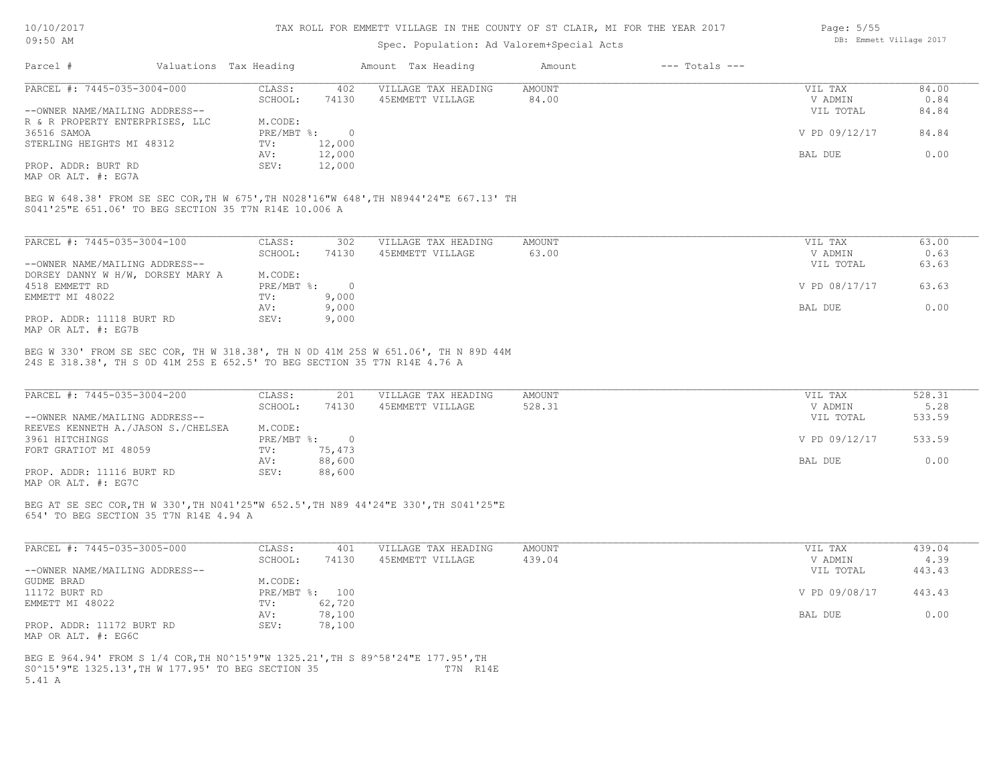#### TAX ROLL FOR EMMETT VILLAGE IN THE COUNTY OF ST CLAIR, MI FOR THE YEAR 2017

### Spec. Population: Ad Valorem+Special Acts

| Parcel #                        | Valuations Tax Heading |        | Amount Tax Heading  | Amount | $---$ Totals $---$ |               |       |
|---------------------------------|------------------------|--------|---------------------|--------|--------------------|---------------|-------|
| PARCEL #: 7445-035-3004-000     | CLASS:                 | 402    | VILLAGE TAX HEADING | AMOUNT |                    | VIL TAX       | 84.00 |
|                                 | SCHOOL:                | 74130  | 45EMMETT VILLAGE    | 84.00  |                    | V ADMIN       | 0.84  |
| --OWNER NAME/MAILING ADDRESS--  |                        |        |                     |        |                    | VIL TOTAL     | 84.84 |
| R & R PROPERTY ENTERPRISES, LLC | M.CODE:                |        |                     |        |                    |               |       |
| 36516 SAMOA                     | $PRE/MBT$ %:           |        |                     |        |                    | V PD 09/12/17 | 84.84 |
| STERLING HEIGHTS MI 48312       | TV:                    | 12,000 |                     |        |                    |               |       |
|                                 | AV:                    | 12,000 |                     |        |                    | BAL DUE       | 0.00  |
| PROP. ADDR: BURT RD             | SEV:                   | 12,000 |                     |        |                    |               |       |
|                                 |                        |        |                     |        |                    |               |       |

MAP OR ALT. #: EG7A

S041'25"E 651.06' TO BEG SECTION 35 T7N R14E 10.006 A BEG W 648.38' FROM SE SEC COR,TH W 675',TH N028'16"W 648',TH N8944'24"E 667.13' TH

| PARCEL #: 7445-035-3004-100       | CLASS:     | 302   | VILLAGE TAX HEADING | AMOUNT | VIL TAX       | 63.00 |
|-----------------------------------|------------|-------|---------------------|--------|---------------|-------|
|                                   | SCHOOL:    | 74130 | 45EMMETT VILLAGE    | 63.00  | V ADMIN       | 0.63  |
| --OWNER NAME/MAILING ADDRESS--    |            |       |                     |        | VIL TOTAL     | 63.63 |
| DORSEY DANNY W H/W, DORSEY MARY A | M.CODE:    |       |                     |        |               |       |
| 4518 EMMETT RD                    | PRE/MBT %: |       |                     |        | V PD 08/17/17 | 63.63 |
| EMMETT MI 48022                   | TV:        | 9,000 |                     |        |               |       |
|                                   | AV:        | 9,000 |                     |        | BAL DUE       | 0.00  |
| PROP. ADDR: 11118 BURT RD         | SEV:       | 9,000 |                     |        |               |       |
| MAP OR ALT. #: EG7B               |            |       |                     |        |               |       |

24S E 318.38', TH S 0D 41M 25S E 652.5' TO BEG SECTION 35 T7N R14E 4.76 A BEG W 330' FROM SE SEC COR, TH W 318.38', TH N 0D 41M 25S W 651.06', TH N 89D 44M

| PARCEL #: 7445-035-3004-200        | CLASS:     | 201    | VILLAGE TAX HEADING | AMOUNT | VIL TAX       | 528.31 |
|------------------------------------|------------|--------|---------------------|--------|---------------|--------|
|                                    | SCHOOL:    | 74130  | 45EMMETT VILLAGE    | 528.31 | V ADMIN       | 5.28   |
| --OWNER NAME/MAILING ADDRESS--     |            |        |                     |        | VIL TOTAL     | 533.59 |
| REEVES KENNETH A./JASON S./CHELSEA | M.CODE:    |        |                     |        |               |        |
| 3961 HITCHINGS                     | PRE/MBT %: |        |                     |        | V PD 09/12/17 | 533.59 |
| FORT GRATIOT MI 48059              | TV:        | 75,473 |                     |        |               |        |
|                                    | AV:        | 88,600 |                     |        | BAL DUE       | 0.00   |
| PROP. ADDR: 11116 BURT RD          | SEV:       | 88,600 |                     |        |               |        |
|                                    |            |        |                     |        |               |        |

MAP OR ALT. #: EG7C

654' TO BEG SECTION 35 T7N R14E 4.94 A BEG AT SE SEC COR,TH W 330',TH N041'25"W 652.5',TH N89 44'24"E 330',TH S041'25"E

| PARCEL #: 7445-035-3005-000    | CLASS:  | 401            | VILLAGE TAX HEADING | AMOUNT | VIL TAX       | 439.04 |
|--------------------------------|---------|----------------|---------------------|--------|---------------|--------|
|                                | SCHOOL: | 74130          | 45EMMETT VILLAGE    | 439.04 | V ADMIN       | 4.39   |
| --OWNER NAME/MAILING ADDRESS-- |         |                |                     |        | VIL TOTAL     | 443.43 |
| GUDME BRAD                     | M.CODE: |                |                     |        |               |        |
| 11172 BURT RD                  |         | PRE/MBT %: 100 |                     |        | V PD 09/08/17 | 443.43 |
| EMMETT MI 48022                | TV:     | 62,720         |                     |        |               |        |
|                                | AV:     | 78,100         |                     |        | BAL DUE       | 0.00   |
| PROP. ADDR: 11172 BURT RD      | SEV:    | 78,100         |                     |        |               |        |
| MAP OR ALT. #: EG6C            |         |                |                     |        |               |        |

5.41 A S0^15'9"E 1325.13',TH W 177.95' TO BEG SECTION 35 T7N R14E BEG E 964.94' FROM S 1/4 COR, TH NO^15'9"W 1325.21', TH S 89^58'24"E 177.95', TH

Page: 5/55 DB: Emmett Village 2017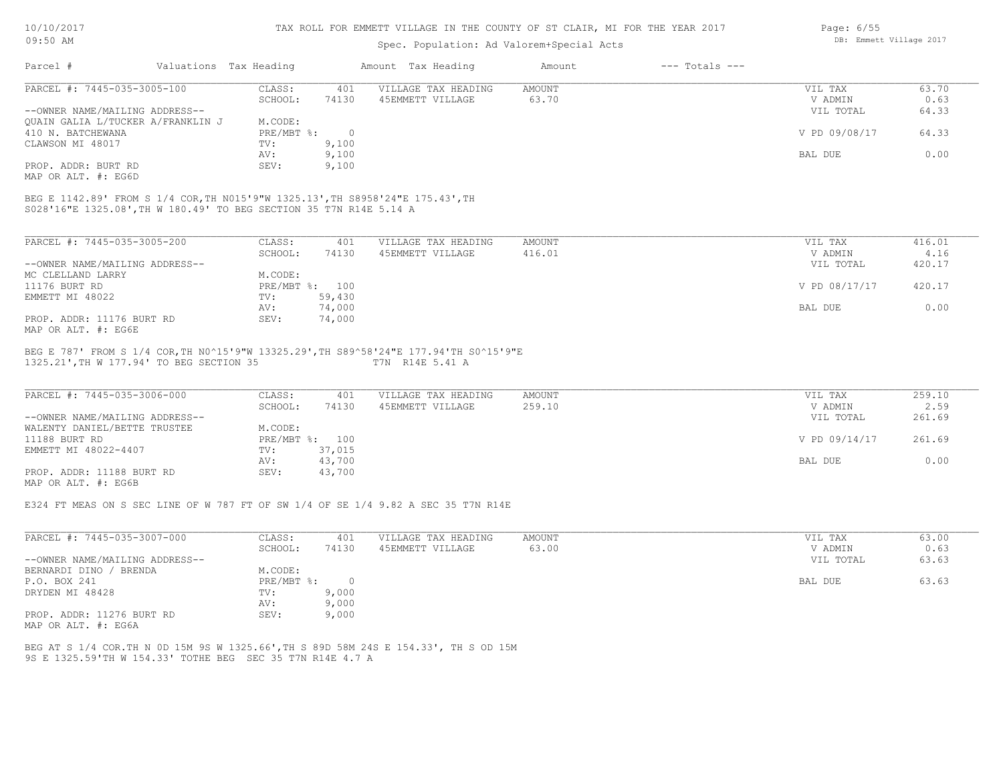| 10/10/2017 |  |
|------------|--|
| 09:50 AM   |  |

## Spec. Population: Ad Valorem+Special Acts

| Page: $6/55$ |                         |  |
|--------------|-------------------------|--|
|              | DB: Emmett Village 2017 |  |

| Parcel #                                                                                                                                             | Valuations Tax Heading |            |                | Amount Tax Heading                                                                                       | Amount | $---$ Totals $---$ |                |        |
|------------------------------------------------------------------------------------------------------------------------------------------------------|------------------------|------------|----------------|----------------------------------------------------------------------------------------------------------|--------|--------------------|----------------|--------|
| PARCEL #: 7445-035-3005-100                                                                                                                          |                        | CLASS:     | 401            | VILLAGE TAX HEADING                                                                                      | AMOUNT |                    | VIL TAX        | 63.70  |
|                                                                                                                                                      |                        | SCHOOL:    | 74130          | 45EMMETT VILLAGE                                                                                         | 63.70  |                    | V ADMIN        | 0.63   |
| --OWNER NAME/MAILING ADDRESS--                                                                                                                       |                        |            |                |                                                                                                          |        |                    | VIL TOTAL      | 64.33  |
| QUAIN GALIA L/TUCKER A/FRANKLIN J                                                                                                                    |                        | M.CODE:    |                |                                                                                                          |        |                    |                |        |
| 410 N. BATCHEWANA                                                                                                                                    |                        | PRE/MBT %: | $\overline{0}$ |                                                                                                          |        |                    | V PD 09/08/17  | 64.33  |
| CLAWSON MI 48017                                                                                                                                     |                        | TV:        | 9,100          |                                                                                                          |        |                    |                |        |
|                                                                                                                                                      |                        | AV:        | 9,100          |                                                                                                          |        |                    | BAL DUE        | 0.00   |
| PROP. ADDR: BURT RD                                                                                                                                  |                        | SEV:       | 9,100          |                                                                                                          |        |                    |                |        |
| MAP OR ALT. #: EG6D                                                                                                                                  |                        |            |                |                                                                                                          |        |                    |                |        |
| BEG E 1142.89' FROM S 1/4 COR, TH N015'9"W 1325.13', TH S8958'24"E 175.43', TH<br>S028'16"E 1325.08', TH W 180.49' TO BEG SECTION 35 T7N R14E 5.14 A |                        |            |                |                                                                                                          |        |                    |                |        |
| PARCEL #: 7445-035-3005-200                                                                                                                          |                        | CLASS:     | 401            | VILLAGE TAX HEADING                                                                                      | AMOUNT |                    | VIL TAX        | 416.01 |
|                                                                                                                                                      |                        | SCHOOL:    | 74130          | 45EMMETT VILLAGE                                                                                         | 416.01 |                    | V ADMIN        | 4.16   |
| --OWNER NAME/MAILING ADDRESS--                                                                                                                       |                        |            |                |                                                                                                          |        |                    | VIL TOTAL      | 420.17 |
| MC CLELLAND LARRY                                                                                                                                    |                        | M.CODE:    |                |                                                                                                          |        |                    |                |        |
| 11176 BURT RD                                                                                                                                        |                        |            | PRE/MBT %: 100 |                                                                                                          |        |                    | V PD 08/17/17  | 420.17 |
| EMMETT MI 48022                                                                                                                                      |                        | TV:        | 59,430         |                                                                                                          |        |                    |                |        |
|                                                                                                                                                      |                        | AV:        | 74,000         |                                                                                                          |        |                    | BAL DUE        | 0.00   |
| PROP. ADDR: 11176 BURT RD                                                                                                                            |                        | SEV:       | 74,000         |                                                                                                          |        |                    |                |        |
| MAP OR ALT. #: EG6E                                                                                                                                  |                        |            |                |                                                                                                          |        |                    |                |        |
| 1325.21', TH W 177.94' TO BEG SECTION 35                                                                                                             |                        |            |                | BEG E 787' FROM S 1/4 COR, TH N0^15'9"W 13325.29', TH S89^58'24"E 177.94'TH S0^15'9"E<br>T7N R14E 5.41 A |        |                    |                |        |
| PARCEL #: 7445-035-3006-000                                                                                                                          |                        | CLASS:     | 401            | VILLAGE TAX HEADING                                                                                      | AMOUNT |                    | VIL TAX        | 259.10 |
|                                                                                                                                                      |                        | SCHOOL:    | 74130          | 45EMMETT VILLAGE                                                                                         | 259.10 |                    | V ADMIN        | 2.59   |
| --OWNER NAME/MAILING ADDRESS--                                                                                                                       |                        |            |                |                                                                                                          |        |                    | VIL TOTAL      | 261.69 |
| WALENTY DANIEL/BETTE TRUSTEE                                                                                                                         |                        | M.CODE:    |                |                                                                                                          |        |                    |                |        |
| 11188 BURT RD                                                                                                                                        |                        |            | PRE/MBT %: 100 |                                                                                                          |        |                    | V PD 09/14/17  | 261.69 |
| EMMETT MI 48022-4407                                                                                                                                 |                        | TV:        | 37,015         |                                                                                                          |        |                    |                |        |
|                                                                                                                                                      |                        | AV:        | 43,700         |                                                                                                          |        |                    | <b>BAL DUE</b> | 0.00   |
| PROP. ADDR: 11188 BURT RD                                                                                                                            |                        | SEV:       | 43,700         |                                                                                                          |        |                    |                |        |
| MAP OR ALT. #: EG6B                                                                                                                                  |                        |            |                |                                                                                                          |        |                    |                |        |
|                                                                                                                                                      |                        |            |                |                                                                                                          |        |                    |                |        |
|                                                                                                                                                      |                        |            |                | E324 FT MEAS ON S SEC LINE OF W 787 FT OF SW 1/4 OF SE 1/4 9.82 A SEC 35 T7N R14E                        |        |                    |                |        |
|                                                                                                                                                      |                        |            |                |                                                                                                          |        |                    |                |        |
|                                                                                                                                                      |                        |            |                |                                                                                                          |        |                    |                |        |

| PARCEL #: 7445-035-3007-000    | CLASS:     | 401      | VILLAGE TAX HEADING | AMOUNT | VIL TAX   | 63.00 |
|--------------------------------|------------|----------|---------------------|--------|-----------|-------|
|                                | SCHOOL:    | 74130    | 45EMMETT VILLAGE    | 63.00  | V ADMIN   | 0.63  |
| --OWNER NAME/MAILING ADDRESS-- |            |          |                     |        | VIL TOTAL | 63.63 |
| BERNARDI DINO / BRENDA         | M.CODE:    |          |                     |        |           |       |
| P.O. BOX 241                   | PRE/MBT %: | $\Omega$ |                     |        | BAL DUE   | 63.63 |
| DRYDEN MI 48428                | TV:        | 9,000    |                     |        |           |       |
|                                | AV:        | 9,000    |                     |        |           |       |
| PROP. ADDR: 11276 BURT RD      | SEV:       | 9,000    |                     |        |           |       |
| MAP OR ALT. #: EG6A            |            |          |                     |        |           |       |

9S E 1325.59'TH W 154.33' TOTHE BEG SEC 35 T7N R14E 4.7 A BEG AT S 1/4 COR.TH N 0D 15M 9S W 1325.66',TH S 89D 58M 24S E 154.33', TH S OD 15M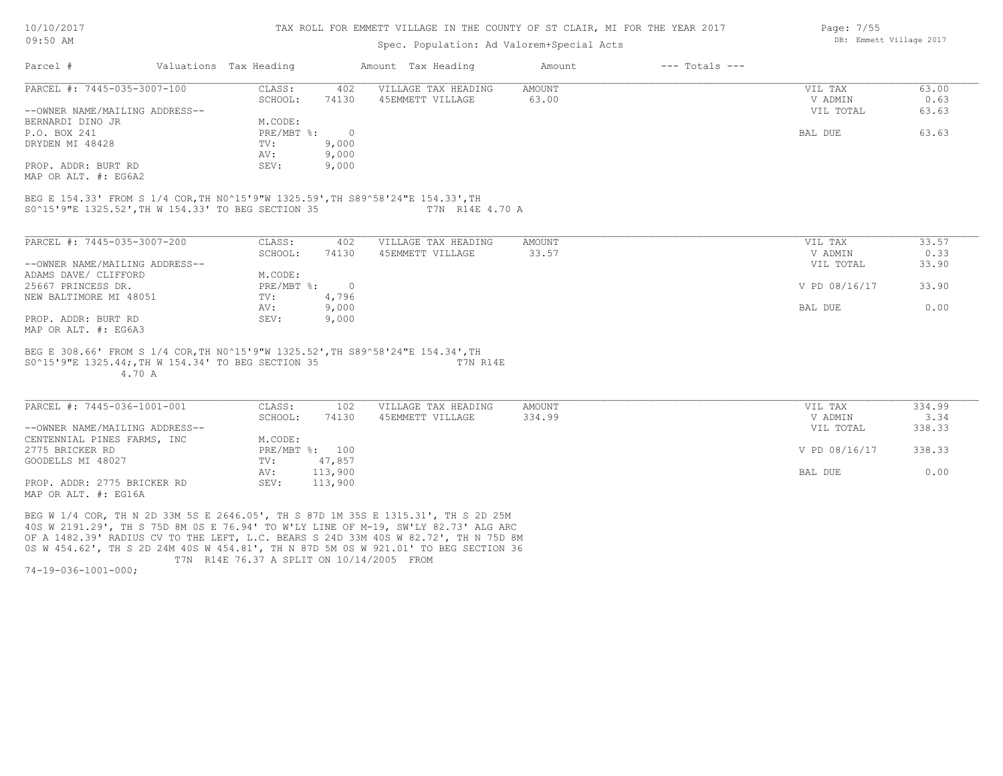#### TAX ROLL FOR EMMETT VILLAGE IN THE COUNTY OF ST CLAIR, MI FOR THE YEAR 2017

### Spec. Population: Ad Valorem+Special Acts

| Parcel #                       | Valuations Tax Heading |       | Amount Tax Heading  | Amount | $---$ Totals $---$ |           |       |
|--------------------------------|------------------------|-------|---------------------|--------|--------------------|-----------|-------|
| PARCEL #: 7445-035-3007-100    | CLASS:                 | 402   | VILLAGE TAX HEADING | AMOUNT |                    | VIL TAX   | 63.00 |
|                                | SCHOOL:                | 74130 | 45EMMETT VILLAGE    | 63.00  |                    | V ADMIN   | 0.63  |
| --OWNER NAME/MAILING ADDRESS-- |                        |       |                     |        |                    | VIL TOTAL | 63.63 |
| BERNARDI DINO JR               | M.CODE:                |       |                     |        |                    |           |       |
| P.O. BOX 241                   | PRE/MBT %:             |       |                     |        |                    | BAL DUE   | 63.63 |
| DRYDEN MI 48428                | TV:                    | 9,000 |                     |        |                    |           |       |
|                                | AV:                    | 9,000 |                     |        |                    |           |       |
| PROP. ADDR: BURT RD            | SEV:                   | 9,000 |                     |        |                    |           |       |
| MAP OR ALT. #: EG6A2           |                        |       |                     |        |                    |           |       |

S0^15'9"E 1325.52',TH W 154.33' TO BEG SECTION 35 T7N R14E 4.70 A BEG E 154.33' FROM S 1/4 COR,TH N0^15'9"W 1325.59',TH S89^58'24"E 154.33',TH

| PARCEL #: 7445-035-3007-200    | CLASS:     | 402    | VILLAGE TAX HEADING | AMOUNT | 33.57<br>VIL TAX       |
|--------------------------------|------------|--------|---------------------|--------|------------------------|
|                                | SCHOOL:    | 74130  | 45EMMETT VILLAGE    | 33.57  | 0.33<br>V ADMIN        |
| --OWNER NAME/MAILING ADDRESS-- |            |        |                     |        | 33.90<br>VIL TOTAL     |
| ADAMS DAVE/ CLIFFORD           | M.CODE:    |        |                     |        |                        |
| 25667 PRINCESS DR.             | PRE/MBT %: | $\cap$ |                     |        | V PD 08/16/17<br>33.90 |
| NEW BALTIMORE MI 48051         | TV:        | 4,796  |                     |        |                        |
|                                | AV:        | 9,000  |                     |        | 0.00<br>BAL DUE        |
| PROP. ADDR: BURT RD            | SEV:       | 9,000  |                     |        |                        |
| MAP OR ALT. #: EG6A3           |            |        |                     |        |                        |

 4.70 A S0^15'9"E 1325.44;,TH W 154.34' TO BEG SECTION 35 T7N R14E BEG E 308.66' FROM S 1/4 COR,TH N0^15'9"W 1325.52',TH S89^58'24"E 154.34',TH

| PARCEL #: 7445-036-1001-001    | CLASS:  | 102            | VILLAGE TAX HEADING | AMOUNT | VIL TAX       | 334.99 |
|--------------------------------|---------|----------------|---------------------|--------|---------------|--------|
|                                | SCHOOL: | 74130          | 45EMMETT VILLAGE    | 334.99 | V ADMIN       | 3.34   |
| --OWNER NAME/MAILING ADDRESS-- |         |                |                     |        | VIL TOTAL     | 338.33 |
| CENTENNIAL PINES FARMS, INC    | M.CODE: |                |                     |        |               |        |
| 2775 BRICKER RD                |         | PRE/MBT %: 100 |                     |        | V PD 08/16/17 | 338.33 |
| GOODELLS MI 48027              | TV:     | 47,857         |                     |        |               |        |
|                                | AV:     | 113,900        |                     |        | BAL DUE       | 0.00   |
| PROP. ADDR: 2775 BRICKER RD    | SEV:    | 113,900        |                     |        |               |        |
| MAP OR ALT. #: EG16A           |         |                |                     |        |               |        |

 T7N R14E 76.37 A SPLIT ON 10/14/2005 FROM 0S W 454.62', TH S 2D 24M 40S W 454.81', TH N 87D 5M 0S W 921.01' TO BEG SECTION 36 OF A 1482.39' RADIUS CV TO THE LEFT, L.C. BEARS S 24D 33M 40S W 82.72', TH N 75D 8M 40S W 2191.29', TH S 75D 8M 0S E 76.94' TO W'LY LINE OF M-19, SW'LY 82.73' ALG ARC BEG W 1/4 COR, TH N 2D 33M 5S E 2646.05', TH S 87D 1M 35S E 1315.31', TH S 2D 25M

74-19-036-1001-000;

DB: Emmett Village 2017

Page: 7/55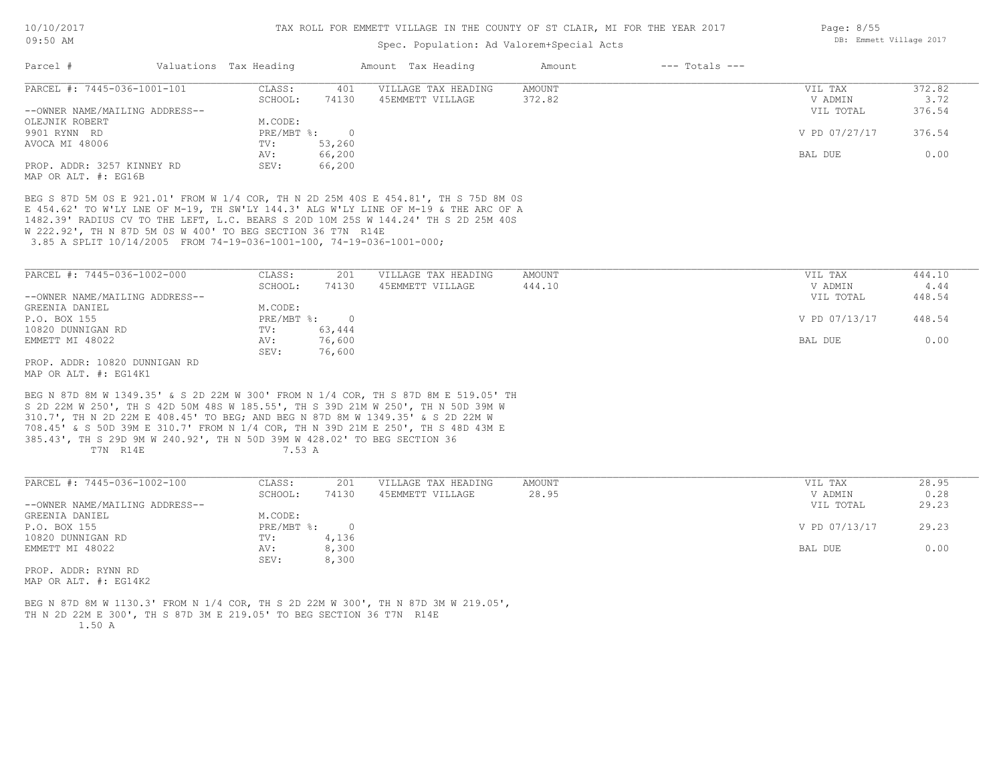### Spec. Population: Ad Valorem+Special Acts

| Parcel #                       | Valuations Tax Heading |        | Amount Tax Heading  | Amount | $---$ Totals $---$ |               |        |
|--------------------------------|------------------------|--------|---------------------|--------|--------------------|---------------|--------|
| PARCEL #: 7445-036-1001-101    | CLASS:                 | 401    | VILLAGE TAX HEADING | AMOUNT |                    | VIL TAX       | 372.82 |
|                                | SCHOOL:                | 74130  | 45EMMETT VILLAGE    | 372.82 |                    | V ADMIN       | 3.72   |
| --OWNER NAME/MAILING ADDRESS-- |                        |        |                     |        |                    | VIL TOTAL     | 376.54 |
| OLEJNIK ROBERT                 | M.CODE:                |        |                     |        |                    |               |        |
| 9901 RYNN RD                   | PRE/MBT %:             |        |                     |        |                    | V PD 07/27/17 | 376.54 |
| AVOCA MI 48006                 | TV:                    | 53,260 |                     |        |                    |               |        |
|                                | AV:                    | 66,200 |                     |        |                    | BAL DUE       | 0.00   |
| PROP. ADDR: 3257 KINNEY RD     | SEV:                   | 66,200 |                     |        |                    |               |        |
| MAP OR ALT. #: EG16B           |                        |        |                     |        |                    |               |        |

 3.85 A SPLIT 10/14/2005 FROM 74-19-036-1001-100, 74-19-036-1001-000; W 222.92', TH N 87D 5M 0S W 400' TO BEG SECTION 36 T7N R14E 1482.39' RADIUS CV TO THE LEFT, L.C. BEARS S 20D 10M 25S W 144.24' TH S 2D 25M 40S E 454.62' TO W'LY LNE OF M-19, TH SW'LY 144.3' ALG W'LY LINE OF M-19 & THE ARC OF A BEG S 87D 5M 0S E 921.01' FROM W 1/4 COR, TH N 2D 25M 40S E 454.81', TH S 75D 8M 0S

| PARCEL #: 7445-036-1002-000    | CLASS:     | 201    | VILLAGE TAX HEADING | AMOUNT | VIL TAX       | 444.10 |
|--------------------------------|------------|--------|---------------------|--------|---------------|--------|
|                                | SCHOOL:    | 74130  | 45EMMETT VILLAGE    | 444.10 | V ADMIN       | 4.44   |
| --OWNER NAME/MAILING ADDRESS-- |            |        |                     |        | VIL TOTAL     | 448.54 |
| GREENIA DANIEL                 | M.CODE:    |        |                     |        |               |        |
| P.O. BOX 155                   | PRE/MBT %: |        |                     |        | V PD 07/13/17 | 448.54 |
| 10820 DUNNIGAN RD              | TV:        | 63,444 |                     |        |               |        |
| EMMETT MI 48022                | AV:        | 76,600 |                     |        | BAL DUE       | 0.00   |
|                                | SEV:       | 76,600 |                     |        |               |        |
| PROP. ADDR: 10820 DUNNIGAN RD  |            |        |                     |        |               |        |

MAP OR ALT. #: EG14K1

T7N R14E 7.53 A 385.43', TH S 29D 9M W 240.92', TH N 50D 39M W 428.02' TO BEG SECTION 36 708.45' & S 50D 39M E 310.7' FROM N 1/4 COR, TH N 39D 21M E 250', TH S 48D 43M E 310.7', TH N 2D 22M E 408.45' TO BEG; AND BEG N 87D 8M W 1349.35' & S 2D 22M W S 2D 22M W 250', TH S 42D 50M 48S W 185.55', TH S 39D 21M W 250', TH N 50D 39M W BEG N 87D 8M W 1349.35' & S 2D 22M W 300' FROM N 1/4 COR, TH S 87D 8M E 519.05' TH

| PARCEL #: 7445-036-1002-100    | CLASS:       | 201   | VILLAGE TAX HEADING | AMOUNT | VIL TAX       | 28.95 |
|--------------------------------|--------------|-------|---------------------|--------|---------------|-------|
|                                | SCHOOL:      | 74130 | 45EMMETT VILLAGE    | 28.95  | V ADMIN       | 0.28  |
| --OWNER NAME/MAILING ADDRESS-- |              |       |                     |        | VIL TOTAL     | 29.23 |
| GREENIA DANIEL                 | M.CODE:      |       |                     |        |               |       |
| P.O. BOX 155                   | $PRE/MBT$ %: |       |                     |        | V PD 07/13/17 | 29.23 |
| 10820 DUNNIGAN RD              | TV:          | 4,136 |                     |        |               |       |
| EMMETT MI 48022                | AV:          | 8,300 |                     |        | BAL DUE       | 0.00  |
|                                | SEV:         | 8,300 |                     |        |               |       |
| PROP. ADDR: RYNN RD            |              |       |                     |        |               |       |

MAP OR ALT. #: EG14K2

 1.50 A TH N 2D 22M E 300', TH S 87D 3M E 219.05' TO BEG SECTION 36 T7N R14E BEG N 87D 8M W 1130.3' FROM N 1/4 COR, TH S 2D 22M W 300', TH N 87D 3M W 219.05', Page: 8/55 DB: Emmett Village 2017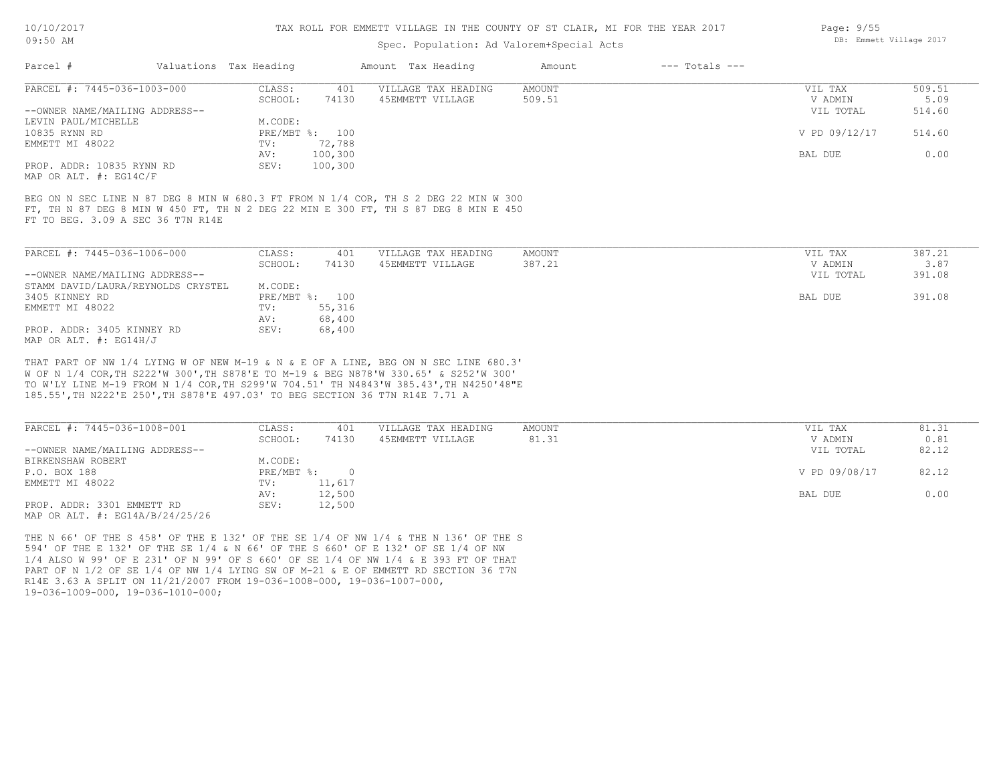#### TAX ROLL FOR EMMETT VILLAGE IN THE COUNTY OF ST CLAIR, MI FOR THE YEAR 2017

### Spec. Population: Ad Valorem+Special Acts

| PARCEL #: 7445-036-1003-000<br>509.51<br>AMOUNT<br>CLASS:<br>401<br>VILLAGE TAX HEADING<br>VIL TAX<br>74130<br>5.09<br>45EMMETT VILLAGE<br>509.51<br>SCHOOL:<br>V ADMIN<br>--OWNER NAME/MAILING ADDRESS--<br>514.60<br>VIL TOTAL<br>LEVIN PAUL/MICHELLE<br>M.CODE:<br>V PD 09/12/17<br>514.60<br>PRE/MBT %: 100<br>10835 RYNN RD<br>72,788<br>EMMETT MI 48022<br>TV:<br>0.00<br>100,300<br>BAL DUE<br>AV:<br>PROP. ADDR: 10835 RYNN RD<br>100,300<br>SEV:<br>MAP OR ALT. #: EG14C/F |
|-------------------------------------------------------------------------------------------------------------------------------------------------------------------------------------------------------------------------------------------------------------------------------------------------------------------------------------------------------------------------------------------------------------------------------------------------------------------------------------|
|                                                                                                                                                                                                                                                                                                                                                                                                                                                                                     |
|                                                                                                                                                                                                                                                                                                                                                                                                                                                                                     |
|                                                                                                                                                                                                                                                                                                                                                                                                                                                                                     |
|                                                                                                                                                                                                                                                                                                                                                                                                                                                                                     |
|                                                                                                                                                                                                                                                                                                                                                                                                                                                                                     |
|                                                                                                                                                                                                                                                                                                                                                                                                                                                                                     |
|                                                                                                                                                                                                                                                                                                                                                                                                                                                                                     |
|                                                                                                                                                                                                                                                                                                                                                                                                                                                                                     |
|                                                                                                                                                                                                                                                                                                                                                                                                                                                                                     |
|                                                                                                                                                                                                                                                                                                                                                                                                                                                                                     |

FT TO BEG. 3.09 A SEC 36 T7N R14E

| PARCEL #: 7445-036-1006-000        | CLASS:  | 401            | VILLAGE TAX HEADING | AMOUNT | VIL TAX   | 387.21 |
|------------------------------------|---------|----------------|---------------------|--------|-----------|--------|
|                                    | SCHOOL: | 74130          | 45EMMETT VILLAGE    | 387.21 | V ADMIN   | 3.87   |
| --OWNER NAME/MAILING ADDRESS--     |         |                |                     |        | VIL TOTAL | 391.08 |
| STAMM DAVID/LAURA/REYNOLDS CRYSTEL | M.CODE: |                |                     |        |           |        |
| 3405 KINNEY RD                     |         | PRE/MBT %: 100 |                     |        | BAL DUE   | 391.08 |
| EMMETT MI 48022                    | TV:     | 55,316         |                     |        |           |        |
|                                    | AV:     | 68,400         |                     |        |           |        |
| PROP. ADDR: 3405 KINNEY RD         | SEV:    | 68,400         |                     |        |           |        |
| MAP OR ALT. #: EG14H/J             |         |                |                     |        |           |        |

185.55',TH N222'E 250',TH S878'E 497.03' TO BEG SECTION 36 T7N R14E 7.71 A TO W'LY LINE M-19 FROM N 1/4 COR,TH S299'W 704.51' TH N4843'W 385.43',TH N4250'48"E W OF N 1/4 COR,TH S222'W 300',TH S878'E TO M-19 & BEG N878'W 330.65' & S252'W 300' THAT PART OF NW 1/4 LYING W OF NEW M-19 & N & E OF A LINE, BEG ON N SEC LINE 680.3'

| PARCEL #: 7445-036-1008-001         | CLASS:     | 401    | VILLAGE TAX HEADING | AMOUNT | VIL TAX       | 81.31 |
|-------------------------------------|------------|--------|---------------------|--------|---------------|-------|
|                                     | SCHOOL:    | 74130  | 45EMMETT VILLAGE    | 81.31  | V ADMIN       | 0.81  |
| --OWNER NAME/MAILING ADDRESS--      |            |        |                     |        | VIL TOTAL     | 82.12 |
| BIRKENSHAW ROBERT                   | M.CODE:    |        |                     |        |               |       |
| P.O. BOX 188                        | PRE/MBT %: |        |                     |        | V PD 09/08/17 | 82.12 |
| EMMETT MI 48022                     | TV:        | 11,617 |                     |        |               |       |
|                                     | AV:        | 12,500 |                     |        | BAL DUE       | 0.00  |
| PROP. ADDR: 3301 EMMETT RD          | SEV:       | 12,500 |                     |        |               |       |
| MAP OR ALT. $\#$ : EG14A/B/24/25/26 |            |        |                     |        |               |       |

19-036-1009-000, 19-036-1010-000; R14E 3.63 A SPLIT ON 11/21/2007 FROM 19-036-1008-000, 19-036-1007-000, PART OF N 1/2 OF SE 1/4 OF NW 1/4 LYING SW OF M-21 & E OF EMMETT RD SECTION 36 T7N 1/4 ALSO W 99' OF E 231' OF N 99' OF S 660' OF SE 1/4 OF NW 1/4 & E 393 FT OF THAT 594' OF THE E 132' OF THE SE 1/4 & N 66' OF THE S 660' OF E 132' OF SE 1/4 OF NW THE N 66' OF THE S 458' OF THE E 132' OF THE SE 1/4 OF NW 1/4 & THE N 136' OF THE S Page: 9/55 DB: Emmett Village 2017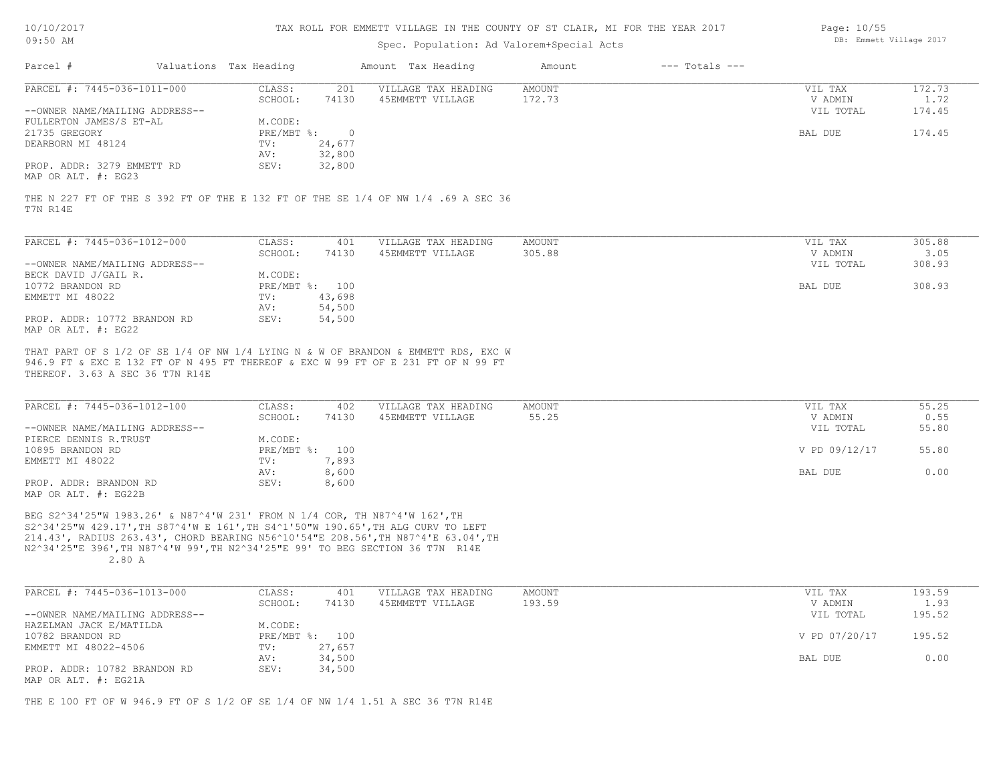| 10/10/2017 |  |
|------------|--|
| 09:50 AM   |  |

# Spec. Population: Ad Valorem+Special Acts

| Page: 10/55 |                         |  |
|-------------|-------------------------|--|
|             | DB: Emmett Village 2017 |  |

| Valuations Tax Heading<br>Amount Tax Heading<br>$---$ Totals $---$<br>Amount<br>172.73<br>CLASS:<br>201<br>VILLAGE TAX HEADING<br>AMOUNT<br>VIL TAX<br>74130<br>45EMMETT VILLAGE<br>172.73<br>SCHOOL:<br>V ADMIN<br>1.72<br>VIL TOTAL<br>174.45<br>M.CODE:<br>174.45<br>PRE/MBT %:<br>$\overline{0}$<br>BAL DUE<br>24,677<br>TV:<br>32,800<br>AV:<br>SEV:<br>32,800<br>THE N 227 FT OF THE S 392 FT OF THE E 132 FT OF THE SE 1/4 OF NW 1/4 .69 A SEC 36<br>PARCEL #: 7445-036-1012-000<br>CLASS:<br>305.88<br>401<br>VILLAGE TAX HEADING<br>AMOUNT<br>VIL TAX<br>SCHOOL:<br>45EMMETT VILLAGE<br>305.88<br>V ADMIN<br>3.05<br>74130<br>--OWNER NAME/MAILING ADDRESS--<br>VIL TOTAL<br>308.93<br>BECK DAVID J/GAIL R.<br>M.CODE:<br>308.93<br>PRE/MBT %: 100<br><b>BAL DUE</b><br>EMMETT MI 48022<br>43,698<br>TV:<br>54,500<br>AV:<br>PROP. ADDR: 10772 BRANDON RD<br>SEV:<br>54,500<br>MAP OR ALT. #: EG22<br>THAT PART OF S 1/2 OF SE 1/4 OF NW 1/4 LYING N & W OF BRANDON & EMMETT RDS, EXC W<br>946.9 FT & EXC E 132 FT OF N 495 FT THEREOF & EXC W 99 FT OF E 231 FT OF N 99 FT<br>PARCEL #: 7445-036-1012-100<br>CLASS:<br>VILLAGE TAX HEADING<br>AMOUNT<br>VIL TAX<br>55.25<br>402<br>55.25<br>74130<br>45EMMETT VILLAGE<br>V ADMIN<br>0.55<br>SCHOOL:<br>--OWNER NAME/MAILING ADDRESS--<br>VIL TOTAL<br>55.80<br>M.CODE:<br>10895 BRANDON RD<br>PRE/MBT %: 100<br>V PD 09/12/17<br>55.80<br>7,893<br>TV:<br>8,600<br><b>BAL DUE</b><br>0.00<br>AV:<br>SEV:<br>8,600<br>BEG S2^34'25"W 1983.26' & N87^4'W 231' FROM N 1/4 COR, TH N87^4'W 162', TH<br>S2^34'25"W 429.17', TH S87^4'W E 161', TH S4^1'50"W 190.65', TH ALG CURV TO LEFT<br>214.43', RADIUS 263.43', CHORD BEARING N56^10'54"E 208.56', TH N87^4'E 63.04', TH<br>N2^34'25"E 396', TH N87^4'W 99', TH N2^34'25"E 99' TO BEG SECTION 36 T7N R14E<br>2.80A<br>PARCEL #: 7445-036-1013-000<br>VILLAGE TAX HEADING<br>193.59<br>CLASS:<br>401<br>AMOUNT<br>VIL TAX<br>193.59<br>SCHOOL:<br>74130<br>45EMMETT VILLAGE<br>V ADMIN<br>1.93 |                                                | Spec. Population: Ad Valorem+Special Acts |  |  |
|---------------------------------------------------------------------------------------------------------------------------------------------------------------------------------------------------------------------------------------------------------------------------------------------------------------------------------------------------------------------------------------------------------------------------------------------------------------------------------------------------------------------------------------------------------------------------------------------------------------------------------------------------------------------------------------------------------------------------------------------------------------------------------------------------------------------------------------------------------------------------------------------------------------------------------------------------------------------------------------------------------------------------------------------------------------------------------------------------------------------------------------------------------------------------------------------------------------------------------------------------------------------------------------------------------------------------------------------------------------------------------------------------------------------------------------------------------------------------------------------------------------------------------------------------------------------------------------------------------------------------------------------------------------------------------------------------------------------------------------------------------------------------------------------------------------------------------------------------------------------------------------------------------------------------------------------------------------------------------------------------------|------------------------------------------------|-------------------------------------------|--|--|
|                                                                                                                                                                                                                                                                                                                                                                                                                                                                                                                                                                                                                                                                                                                                                                                                                                                                                                                                                                                                                                                                                                                                                                                                                                                                                                                                                                                                                                                                                                                                                                                                                                                                                                                                                                                                                                                                                                                                                                                                         | Parcel #                                       |                                           |  |  |
|                                                                                                                                                                                                                                                                                                                                                                                                                                                                                                                                                                                                                                                                                                                                                                                                                                                                                                                                                                                                                                                                                                                                                                                                                                                                                                                                                                                                                                                                                                                                                                                                                                                                                                                                                                                                                                                                                                                                                                                                         | PARCEL #: 7445-036-1011-000                    |                                           |  |  |
|                                                                                                                                                                                                                                                                                                                                                                                                                                                                                                                                                                                                                                                                                                                                                                                                                                                                                                                                                                                                                                                                                                                                                                                                                                                                                                                                                                                                                                                                                                                                                                                                                                                                                                                                                                                                                                                                                                                                                                                                         |                                                |                                           |  |  |
|                                                                                                                                                                                                                                                                                                                                                                                                                                                                                                                                                                                                                                                                                                                                                                                                                                                                                                                                                                                                                                                                                                                                                                                                                                                                                                                                                                                                                                                                                                                                                                                                                                                                                                                                                                                                                                                                                                                                                                                                         | --OWNER NAME/MAILING ADDRESS--                 |                                           |  |  |
|                                                                                                                                                                                                                                                                                                                                                                                                                                                                                                                                                                                                                                                                                                                                                                                                                                                                                                                                                                                                                                                                                                                                                                                                                                                                                                                                                                                                                                                                                                                                                                                                                                                                                                                                                                                                                                                                                                                                                                                                         | FULLERTON JAMES/S ET-AL                        |                                           |  |  |
|                                                                                                                                                                                                                                                                                                                                                                                                                                                                                                                                                                                                                                                                                                                                                                                                                                                                                                                                                                                                                                                                                                                                                                                                                                                                                                                                                                                                                                                                                                                                                                                                                                                                                                                                                                                                                                                                                                                                                                                                         | 21735 GREGORY                                  |                                           |  |  |
|                                                                                                                                                                                                                                                                                                                                                                                                                                                                                                                                                                                                                                                                                                                                                                                                                                                                                                                                                                                                                                                                                                                                                                                                                                                                                                                                                                                                                                                                                                                                                                                                                                                                                                                                                                                                                                                                                                                                                                                                         | DEARBORN MI 48124                              |                                           |  |  |
|                                                                                                                                                                                                                                                                                                                                                                                                                                                                                                                                                                                                                                                                                                                                                                                                                                                                                                                                                                                                                                                                                                                                                                                                                                                                                                                                                                                                                                                                                                                                                                                                                                                                                                                                                                                                                                                                                                                                                                                                         |                                                |                                           |  |  |
|                                                                                                                                                                                                                                                                                                                                                                                                                                                                                                                                                                                                                                                                                                                                                                                                                                                                                                                                                                                                                                                                                                                                                                                                                                                                                                                                                                                                                                                                                                                                                                                                                                                                                                                                                                                                                                                                                                                                                                                                         | PROP. ADDR: 3279 EMMETT RD                     |                                           |  |  |
|                                                                                                                                                                                                                                                                                                                                                                                                                                                                                                                                                                                                                                                                                                                                                                                                                                                                                                                                                                                                                                                                                                                                                                                                                                                                                                                                                                                                                                                                                                                                                                                                                                                                                                                                                                                                                                                                                                                                                                                                         | MAP OR ALT. #: EG23                            |                                           |  |  |
|                                                                                                                                                                                                                                                                                                                                                                                                                                                                                                                                                                                                                                                                                                                                                                                                                                                                                                                                                                                                                                                                                                                                                                                                                                                                                                                                                                                                                                                                                                                                                                                                                                                                                                                                                                                                                                                                                                                                                                                                         | T7N R14E                                       |                                           |  |  |
|                                                                                                                                                                                                                                                                                                                                                                                                                                                                                                                                                                                                                                                                                                                                                                                                                                                                                                                                                                                                                                                                                                                                                                                                                                                                                                                                                                                                                                                                                                                                                                                                                                                                                                                                                                                                                                                                                                                                                                                                         |                                                |                                           |  |  |
|                                                                                                                                                                                                                                                                                                                                                                                                                                                                                                                                                                                                                                                                                                                                                                                                                                                                                                                                                                                                                                                                                                                                                                                                                                                                                                                                                                                                                                                                                                                                                                                                                                                                                                                                                                                                                                                                                                                                                                                                         |                                                |                                           |  |  |
|                                                                                                                                                                                                                                                                                                                                                                                                                                                                                                                                                                                                                                                                                                                                                                                                                                                                                                                                                                                                                                                                                                                                                                                                                                                                                                                                                                                                                                                                                                                                                                                                                                                                                                                                                                                                                                                                                                                                                                                                         |                                                |                                           |  |  |
|                                                                                                                                                                                                                                                                                                                                                                                                                                                                                                                                                                                                                                                                                                                                                                                                                                                                                                                                                                                                                                                                                                                                                                                                                                                                                                                                                                                                                                                                                                                                                                                                                                                                                                                                                                                                                                                                                                                                                                                                         |                                                |                                           |  |  |
|                                                                                                                                                                                                                                                                                                                                                                                                                                                                                                                                                                                                                                                                                                                                                                                                                                                                                                                                                                                                                                                                                                                                                                                                                                                                                                                                                                                                                                                                                                                                                                                                                                                                                                                                                                                                                                                                                                                                                                                                         | 10772 BRANDON RD                               |                                           |  |  |
|                                                                                                                                                                                                                                                                                                                                                                                                                                                                                                                                                                                                                                                                                                                                                                                                                                                                                                                                                                                                                                                                                                                                                                                                                                                                                                                                                                                                                                                                                                                                                                                                                                                                                                                                                                                                                                                                                                                                                                                                         |                                                |                                           |  |  |
|                                                                                                                                                                                                                                                                                                                                                                                                                                                                                                                                                                                                                                                                                                                                                                                                                                                                                                                                                                                                                                                                                                                                                                                                                                                                                                                                                                                                                                                                                                                                                                                                                                                                                                                                                                                                                                                                                                                                                                                                         |                                                |                                           |  |  |
|                                                                                                                                                                                                                                                                                                                                                                                                                                                                                                                                                                                                                                                                                                                                                                                                                                                                                                                                                                                                                                                                                                                                                                                                                                                                                                                                                                                                                                                                                                                                                                                                                                                                                                                                                                                                                                                                                                                                                                                                         |                                                |                                           |  |  |
|                                                                                                                                                                                                                                                                                                                                                                                                                                                                                                                                                                                                                                                                                                                                                                                                                                                                                                                                                                                                                                                                                                                                                                                                                                                                                                                                                                                                                                                                                                                                                                                                                                                                                                                                                                                                                                                                                                                                                                                                         |                                                |                                           |  |  |
|                                                                                                                                                                                                                                                                                                                                                                                                                                                                                                                                                                                                                                                                                                                                                                                                                                                                                                                                                                                                                                                                                                                                                                                                                                                                                                                                                                                                                                                                                                                                                                                                                                                                                                                                                                                                                                                                                                                                                                                                         | THEREOF. 3.63 A SEC 36 T7N R14E                |                                           |  |  |
|                                                                                                                                                                                                                                                                                                                                                                                                                                                                                                                                                                                                                                                                                                                                                                                                                                                                                                                                                                                                                                                                                                                                                                                                                                                                                                                                                                                                                                                                                                                                                                                                                                                                                                                                                                                                                                                                                                                                                                                                         |                                                |                                           |  |  |
|                                                                                                                                                                                                                                                                                                                                                                                                                                                                                                                                                                                                                                                                                                                                                                                                                                                                                                                                                                                                                                                                                                                                                                                                                                                                                                                                                                                                                                                                                                                                                                                                                                                                                                                                                                                                                                                                                                                                                                                                         |                                                |                                           |  |  |
|                                                                                                                                                                                                                                                                                                                                                                                                                                                                                                                                                                                                                                                                                                                                                                                                                                                                                                                                                                                                                                                                                                                                                                                                                                                                                                                                                                                                                                                                                                                                                                                                                                                                                                                                                                                                                                                                                                                                                                                                         |                                                |                                           |  |  |
|                                                                                                                                                                                                                                                                                                                                                                                                                                                                                                                                                                                                                                                                                                                                                                                                                                                                                                                                                                                                                                                                                                                                                                                                                                                                                                                                                                                                                                                                                                                                                                                                                                                                                                                                                                                                                                                                                                                                                                                                         | PIERCE DENNIS R.TRUST                          |                                           |  |  |
|                                                                                                                                                                                                                                                                                                                                                                                                                                                                                                                                                                                                                                                                                                                                                                                                                                                                                                                                                                                                                                                                                                                                                                                                                                                                                                                                                                                                                                                                                                                                                                                                                                                                                                                                                                                                                                                                                                                                                                                                         |                                                |                                           |  |  |
|                                                                                                                                                                                                                                                                                                                                                                                                                                                                                                                                                                                                                                                                                                                                                                                                                                                                                                                                                                                                                                                                                                                                                                                                                                                                                                                                                                                                                                                                                                                                                                                                                                                                                                                                                                                                                                                                                                                                                                                                         |                                                |                                           |  |  |
|                                                                                                                                                                                                                                                                                                                                                                                                                                                                                                                                                                                                                                                                                                                                                                                                                                                                                                                                                                                                                                                                                                                                                                                                                                                                                                                                                                                                                                                                                                                                                                                                                                                                                                                                                                                                                                                                                                                                                                                                         | EMMETT MI 48022                                |                                           |  |  |
|                                                                                                                                                                                                                                                                                                                                                                                                                                                                                                                                                                                                                                                                                                                                                                                                                                                                                                                                                                                                                                                                                                                                                                                                                                                                                                                                                                                                                                                                                                                                                                                                                                                                                                                                                                                                                                                                                                                                                                                                         |                                                |                                           |  |  |
| 195.52<br>--OWNER NAME/MAILING ADDRESS--<br>VIL TOTAL                                                                                                                                                                                                                                                                                                                                                                                                                                                                                                                                                                                                                                                                                                                                                                                                                                                                                                                                                                                                                                                                                                                                                                                                                                                                                                                                                                                                                                                                                                                                                                                                                                                                                                                                                                                                                                                                                                                                                   | PROP. ADDR: BRANDON RD<br>MAP OR ALT. #: EG22B |                                           |  |  |

| HAZELMAN JACK E/MATILDA      | M.CODE: |                |               |        |
|------------------------------|---------|----------------|---------------|--------|
| 10782 BRANDON RD             |         | PRE/MBT %: 100 | V PD 07/20/17 | 195.52 |
| EMMETT MI 48022-4506         | TV:     | 27,657         |               |        |
|                              | AV:     | 34,500         | BAL DUE       | 0.00   |
| PROP. ADDR: 10782 BRANDON RD | SEV:    | 34,500         |               |        |

MAP OR ALT. #: EG21A

THE E 100 FT OF W 946.9 FT OF S 1/2 OF SE 1/4 OF NW 1/4 1.51 A SEC 36 T7N R14E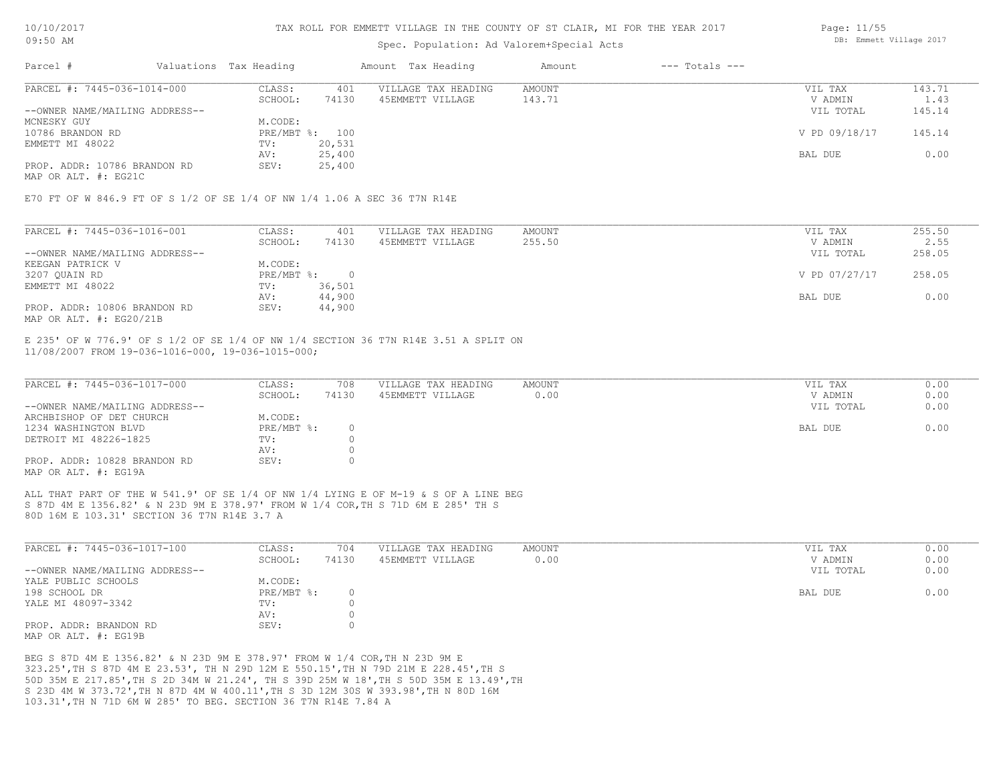### Spec. Population: Ad Valorem+Special Acts

| Parcel #                       | Valuations Tax Heading |                | Amount Tax Heading  | Amount | $---$ Totals $---$ |               |        |
|--------------------------------|------------------------|----------------|---------------------|--------|--------------------|---------------|--------|
| PARCEL #: 7445-036-1014-000    | CLASS:                 | 401            | VILLAGE TAX HEADING | AMOUNT |                    | VIL TAX       | 143.71 |
|                                | SCHOOL:                | 74130          | 45EMMETT VILLAGE    | 143.71 |                    | V ADMIN       | 1.43   |
| --OWNER NAME/MAILING ADDRESS-- |                        |                |                     |        |                    | VIL TOTAL     | 145.14 |
| MCNESKY GUY                    | M.CODE:                |                |                     |        |                    |               |        |
| 10786 BRANDON RD               |                        | PRE/MBT %: 100 |                     |        |                    | V PD 09/18/17 | 145.14 |
| EMMETT MI 48022                | TV:                    | 20,531         |                     |        |                    |               |        |
|                                | AV:                    | 25,400         |                     |        |                    | BAL DUE       | 0.00   |
| PROP. ADDR: 10786 BRANDON RD   | SEV:                   | 25,400         |                     |        |                    |               |        |
|                                |                        |                |                     |        |                    |               |        |

MAP OR ALT. #: EG21C

E70 FT OF W 846.9 FT OF S 1/2 OF SE 1/4 OF NW 1/4 1.06 A SEC 36 T7N R14E

| PARCEL #: 7445-036-1016-001    | CLASS:     | 401    | VILLAGE TAX HEADING | AMOUNT | VIL TAX       | 255.50 |
|--------------------------------|------------|--------|---------------------|--------|---------------|--------|
|                                | SCHOOL:    | 74130  | 45EMMETT VILLAGE    | 255.50 | V ADMIN       | 2.55   |
| --OWNER NAME/MAILING ADDRESS-- |            |        |                     |        | VIL TOTAL     | 258.05 |
| KEEGAN PATRICK V               | M.CODE:    |        |                     |        |               |        |
| 3207 QUAIN RD                  | PRE/MBT %: |        |                     |        | V PD 07/27/17 | 258.05 |
| EMMETT MI 48022                | TV:        | 36,501 |                     |        |               |        |
|                                | AV:        | 44,900 |                     |        | BAL DUE       | 0.00   |
| PROP. ADDR: 10806 BRANDON RD   | SEV:       | 44,900 |                     |        |               |        |
| MAP OR ALT. $\#$ : EG20/21B    |            |        |                     |        |               |        |

11/08/2007 FROM 19-036-1016-000, 19-036-1015-000; E 235' OF W 776.9' OF S 1/2 OF SE 1/4 OF NW 1/4 SECTION 36 T7N R14E 3.51 A SPLIT ON

| PARCEL #: 7445-036-1017-000    | CLASS:     | 708   | VILLAGE TAX HEADING | AMOUNT | VIL TAX   | 0.00 |
|--------------------------------|------------|-------|---------------------|--------|-----------|------|
|                                | SCHOOL:    | 74130 | 45EMMETT VILLAGE    | 0.00   | V ADMIN   | 0.00 |
| --OWNER NAME/MAILING ADDRESS-- |            |       |                     |        | VIL TOTAL | 0.00 |
| ARCHBISHOP OF DET CHURCH       | M.CODE:    |       |                     |        |           |      |
| 1234 WASHINGTON BLVD           | PRE/MBT %: |       |                     |        | BAL DUE   | 0.00 |
| DETROIT MI 48226-1825          | TV:        |       |                     |        |           |      |
|                                | AV:        |       |                     |        |           |      |
| PROP. ADDR: 10828 BRANDON RD   | SEV:       |       |                     |        |           |      |
| MAP OR ALT. #: EG19A           |            |       |                     |        |           |      |

80D 16M E 103.31' SECTION 36 T7N R14E 3.7 A S 87D 4M E 1356.82' & N 23D 9M E 378.97' FROM W 1/4 COR,TH S 71D 6M E 285' TH S ALL THAT PART OF THE W 541.9' OF SE 1/4 OF NW 1/4 LYING E OF M-19 & S OF A LINE BEG

| PARCEL #: 7445-036-1017-100    | CLASS:       | 704   | VILLAGE TAX HEADING | AMOUNT | VIL TAX   | 0.00 |
|--------------------------------|--------------|-------|---------------------|--------|-----------|------|
|                                | SCHOOL:      | 74130 | 45EMMETT VILLAGE    | 0.00   | V ADMIN   | 0.00 |
| --OWNER NAME/MAILING ADDRESS-- |              |       |                     |        | VIL TOTAL | 0.00 |
| YALE PUBLIC SCHOOLS            | M.CODE:      |       |                     |        |           |      |
| 198 SCHOOL DR                  | $PRE/MBT$ %: |       |                     |        | BAL DUE   | 0.00 |
| YALE MI 48097-3342             | TV:          |       |                     |        |           |      |
|                                | AV:          |       |                     |        |           |      |
| PROP. ADDR: BRANDON RD         | SEV:         |       |                     |        |           |      |
| MAP OR ALT, #: EG19B           |              |       |                     |        |           |      |

103.31',TH N 71D 6M W 285' TO BEG. SECTION 36 T7N R14E 7.84 A S 23D 4M W 373.72',TH N 87D 4M W 400.11',TH S 3D 12M 30S W 393.98',TH N 80D 16M 50D 35M E 217.85',TH S 2D 34M W 21.24', TH S 39D 25M W 18',TH S 50D 35M E 13.49',TH 323.25',TH S 87D 4M E 23.53', TH N 29D 12M E 550.15',TH N 79D 21M E 228.45',TH S BEG S 87D 4M E 1356.82' & N 23D 9M E 378.97' FROM W 1/4 COR,TH N 23D 9M E

Page: 11/55 DB: Emmett Village 2017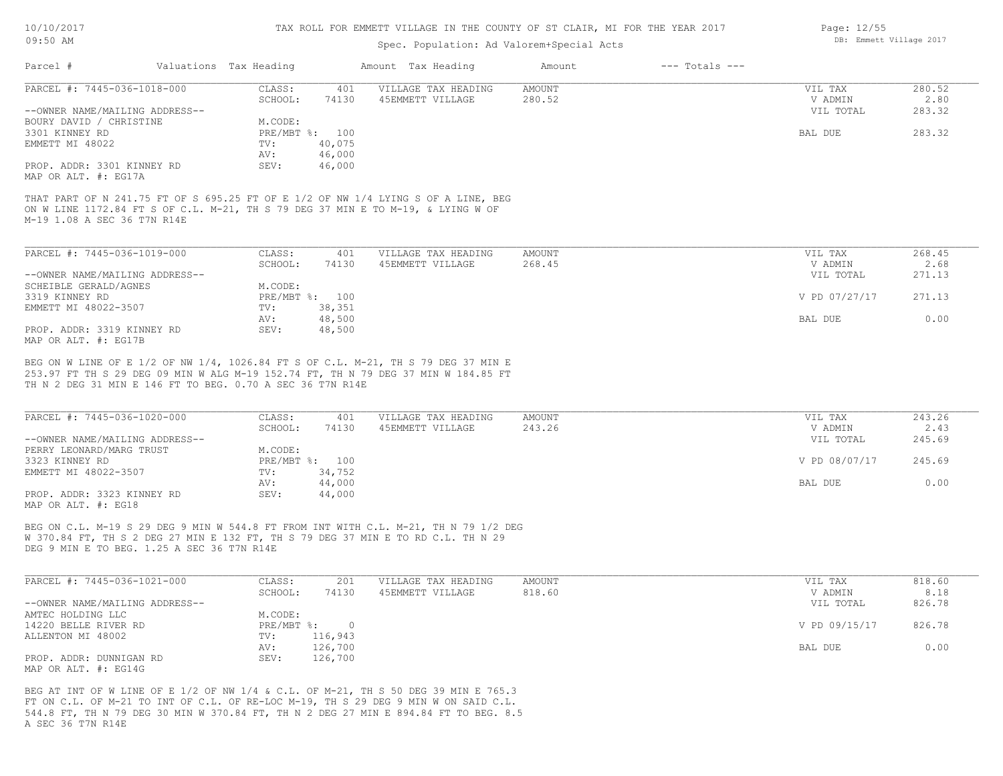### Spec. Population: Ad Valorem+Special Acts

| Parcel #                       | Valuations Tax Heading |        | Amount Tax Heading  | Amount | $---$ Totals $---$ |           |        |
|--------------------------------|------------------------|--------|---------------------|--------|--------------------|-----------|--------|
| PARCEL #: 7445-036-1018-000    | CLASS:                 | 401    | VILLAGE TAX HEADING | AMOUNT |                    | VIL TAX   | 280.52 |
|                                | SCHOOL:                | 74130  | 45EMMETT VILLAGE    | 280.52 |                    | V ADMIN   | 2.80   |
| --OWNER NAME/MAILING ADDRESS-- |                        |        |                     |        |                    | VIL TOTAL | 283.32 |
| BOURY DAVID / CHRISTINE        | M.CODE:                |        |                     |        |                    |           |        |
| 3301 KINNEY RD                 | PRE/MBT %: 100         |        |                     |        |                    | BAL DUE   | 283.32 |
| EMMETT MI 48022                | TV:                    | 40,075 |                     |        |                    |           |        |
|                                | AV:                    | 46,000 |                     |        |                    |           |        |
| PROP. ADDR: 3301 KINNEY RD     | SEV:                   | 46,000 |                     |        |                    |           |        |
| MAP OR ALT. #: EG17A           |                        |        |                     |        |                    |           |        |

M-19 1.08 A SEC 36 T7N R14E ON W LINE 1172.84 FT S OF C.L. M-21, TH S 79 DEG 37 MIN E TO M-19, & LYING W OF THAT PART OF N 241.75 FT OF S 695.25 FT OF E 1/2 OF NW 1/4 LYING S OF A LINE, BEG

| PARCEL #: 7445-036-1019-000    | CLASS:  | 401            | VILLAGE TAX HEADING | AMOUNT | VIL TAX       | 268.45 |
|--------------------------------|---------|----------------|---------------------|--------|---------------|--------|
|                                | SCHOOL: | 74130          | 45EMMETT VILLAGE    | 268.45 | V ADMIN       | 2.68   |
| --OWNER NAME/MAILING ADDRESS-- |         |                |                     |        | VIL TOTAL     | 271.13 |
| SCHEIBLE GERALD/AGNES          | M.CODE: |                |                     |        |               |        |
| 3319 KINNEY RD                 |         | PRE/MBT %: 100 |                     |        | V PD 07/27/17 | 271.13 |
| EMMETT MI 48022-3507           | TV:     | 38,351         |                     |        |               |        |
|                                | AV:     | 48,500         |                     |        | BAL DUE       | 0.00   |
| PROP. ADDR: 3319 KINNEY RD     | SEV:    | 48,500         |                     |        |               |        |
| MAP OR ALT. #: EG17B           |         |                |                     |        |               |        |

TH N 2 DEG 31 MIN E 146 FT TO BEG. 0.70 A SEC 36 T7N R14E 253.97 FT TH S 29 DEG 09 MIN W ALG M-19 152.74 FT, TH N 79 DEG 37 MIN W 184.85 FT BEG ON W LINE OF E 1/2 OF NW 1/4, 1026.84 FT S OF C.L. M-21, TH S 79 DEG 37 MIN E

| PARCEL #: 7445-036-1020-000    | CLASS:  | 401            | VILLAGE TAX HEADING | AMOUNT | VIL TAX       | 243.26 |
|--------------------------------|---------|----------------|---------------------|--------|---------------|--------|
|                                | SCHOOL: | 74130          | 45EMMETT VILLAGE    | 243.26 | V ADMIN       | 2.43   |
| --OWNER NAME/MAILING ADDRESS-- |         |                |                     |        | VIL TOTAL     | 245.69 |
| PERRY LEONARD/MARG TRUST       | M.CODE: |                |                     |        |               |        |
| 3323 KINNEY RD                 |         | PRE/MBT %: 100 |                     |        | V PD 08/07/17 | 245.69 |
| EMMETT MI 48022-3507           | TV:     | 34,752         |                     |        |               |        |
|                                | AV:     | 44,000         |                     |        | BAL DUE       | 0.00   |
| PROP. ADDR: 3323 KINNEY RD     | SEV:    | 44,000         |                     |        |               |        |
| MAP OR ALT. #: EG18            |         |                |                     |        |               |        |

DEG 9 MIN E TO BEG. 1.25 A SEC 36 T7N R14E W 370.84 FT, TH S 2 DEG 27 MIN E 132 FT, TH S 79 DEG 37 MIN E TO RD C.L. TH N 29 BEG ON C.L. M-19 S 29 DEG 9 MIN W 544.8 FT FROM INT WITH C.L. M-21, TH N 79 1/2 DEG

| PARCEL #: 7445-036-1021-000    | CLASS:     | 201     | VILLAGE TAX HEADING | AMOUNT | VIL TAX       | 818.60 |
|--------------------------------|------------|---------|---------------------|--------|---------------|--------|
|                                | SCHOOL:    | 74130   | 45EMMETT VILLAGE    | 818.60 | V ADMIN       | 8.18   |
| --OWNER NAME/MAILING ADDRESS-- |            |         |                     |        | VIL TOTAL     | 826.78 |
| AMTEC HOLDING LLC              | M.CODE:    |         |                     |        |               |        |
| 14220 BELLE RIVER RD           | PRE/MBT %: |         |                     |        | V PD 09/15/17 | 826.78 |
| ALLENTON MI 48002              | TV:        | 116,943 |                     |        |               |        |
|                                | AV:        | 126,700 |                     |        | BAL DUE       | 0.00   |
| PROP. ADDR: DUNNIGAN RD        | SEV:       | 126,700 |                     |        |               |        |
| MAP OR ALT. $\#$ : EG14G       |            |         |                     |        |               |        |

A SEC 36 T7N R14E 544.8 FT, TH N 79 DEG 30 MIN W 370.84 FT, TH N 2 DEG 27 MIN E 894.84 FT TO BEG. 8.5 FT ON C.L. OF M-21 TO INT OF C.L. OF RE-LOC M-19, TH S 29 DEG 9 MIN W ON SAID C.L. BEG AT INT OF W LINE OF E 1/2 OF NW 1/4 & C.L. OF M-21, TH S 50 DEG 39 MIN E 765.3

Page: 12/55 DB: Emmett Village 2017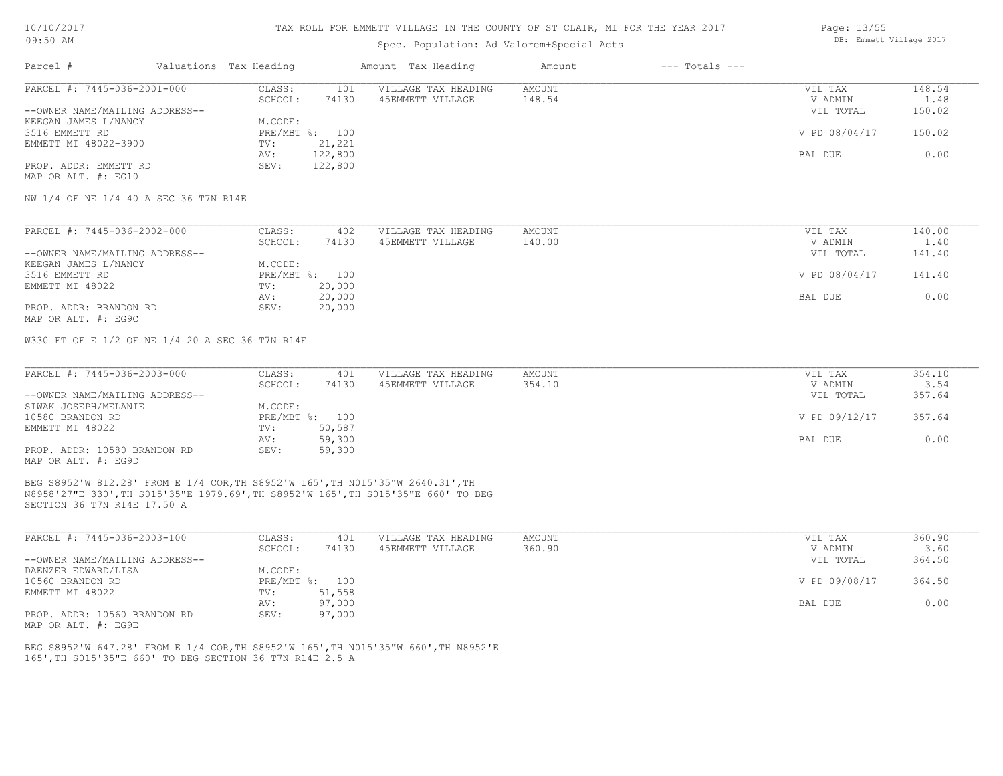#### TAX ROLL FOR EMMETT VILLAGE IN THE COUNTY OF ST CLAIR, MI FOR THE YEAR 2017

### Spec. Population: Ad Valorem+Special Acts

| Parcel #                       | Valuations Tax Heading |                | Amount Tax Heading  | Amount | $---$ Totals $---$ |               |        |
|--------------------------------|------------------------|----------------|---------------------|--------|--------------------|---------------|--------|
| PARCEL #: 7445-036-2001-000    | CLASS:                 | 101            | VILLAGE TAX HEADING | AMOUNT |                    | VIL TAX       | 148.54 |
|                                | SCHOOL:                | 74130          | 45EMMETT VILLAGE    | 148.54 |                    | V ADMIN       | 1.48   |
| --OWNER NAME/MAILING ADDRESS-- |                        |                |                     |        |                    | VIL TOTAL     | 150.02 |
| KEEGAN JAMES L/NANCY           | M.CODE:                |                |                     |        |                    |               |        |
| 3516 EMMETT RD                 |                        | PRE/MBT %: 100 |                     |        |                    | V PD 08/04/17 | 150.02 |
| EMMETT MI 48022-3900           | TV:                    | 21,221         |                     |        |                    |               |        |
|                                | AV:                    | 122,800        |                     |        |                    | BAL DUE       | 0.00   |
| PROP. ADDR: EMMETT RD          | SEV:                   | 122,800        |                     |        |                    |               |        |
| MAP OR ALT. #: EG10            |                        |                |                     |        |                    |               |        |

NW 1/4 OF NE 1/4 40 A SEC 36 T7N R14E

| PARCEL #: 7445-036-2002-000    | CLASS:  | 402            | VILLAGE TAX HEADING | AMOUNT | VIL TAX       | 140.00 |
|--------------------------------|---------|----------------|---------------------|--------|---------------|--------|
|                                | SCHOOL: | 74130          | 45EMMETT VILLAGE    | 140.00 | V ADMIN       | 1.40   |
| --OWNER NAME/MAILING ADDRESS-- |         |                |                     |        | VIL TOTAL     | 141.40 |
| KEEGAN JAMES L/NANCY           | M.CODE: |                |                     |        |               |        |
| 3516 EMMETT RD                 |         | PRE/MBT %: 100 |                     |        | V PD 08/04/17 | 141.40 |
| EMMETT MI 48022                | TV:     | 20,000         |                     |        |               |        |
|                                | AV:     | 20,000         |                     |        | BAL DUE       | 0.00   |
| PROP. ADDR: BRANDON RD         | SEV:    | 20,000         |                     |        |               |        |
| MAP OR ALT. #: EG9C            |         |                |                     |        |               |        |

W330 FT OF E 1/2 OF NE 1/4 20 A SEC 36 T7N R14E

| PARCEL #: 7445-036-2003-000    | CLASS:  | 401            | VILLAGE TAX HEADING | AMOUNT | VIL TAX       | 354.10 |
|--------------------------------|---------|----------------|---------------------|--------|---------------|--------|
|                                | SCHOOL: | 74130          | 45EMMETT VILLAGE    | 354.10 | V ADMIN       | 3.54   |
| --OWNER NAME/MAILING ADDRESS-- |         |                |                     |        | VIL TOTAL     | 357.64 |
| SIWAK JOSEPH/MELANIE           | M.CODE: |                |                     |        |               |        |
| 10580 BRANDON RD               |         | PRE/MBT %: 100 |                     |        | V PD 09/12/17 | 357.64 |
| EMMETT MI 48022                | TV:     | 50,587         |                     |        |               |        |
|                                | AV:     | 59,300         |                     |        | BAL DUE       | 0.00   |
| PROP. ADDR: 10580 BRANDON RD   | SEV:    | 59,300         |                     |        |               |        |
| MAP OR ALT. #: EG9D            |         |                |                     |        |               |        |

SECTION 36 T7N R14E 17.50 A N8958'27"E 330',TH S015'35"E 1979.69',TH S8952'W 165',TH S015'35"E 660' TO BEG BEG S8952'W 812.28' FROM E 1/4 COR,TH S8952'W 165',TH N015'35"W 2640.31',TH

| PARCEL #: 7445-036-2003-100    | CLASS:       | 401    | VILLAGE TAX HEADING | AMOUNT | VIL TAX       | 360.90 |
|--------------------------------|--------------|--------|---------------------|--------|---------------|--------|
|                                | SCHOOL:      | 74130  | 45EMMETT VILLAGE    | 360.90 | V ADMIN       | 3.60   |
| --OWNER NAME/MAILING ADDRESS-- |              |        |                     |        | VIL TOTAL     | 364.50 |
| DAENZER EDWARD/LISA            | M.CODE:      |        |                     |        |               |        |
| 10560 BRANDON RD               | $PRE/MBT$ %: | 100    |                     |        | V PD 09/08/17 | 364.50 |
| EMMETT MI 48022                | TV:          | 51,558 |                     |        |               |        |
|                                | AV:          | 97,000 |                     |        | BAL DUE       | 0.00   |
| PROP. ADDR: 10560 BRANDON RD   | SEV:         | 97,000 |                     |        |               |        |

MAP OR ALT. #: EG9E

165',TH S015'35"E 660' TO BEG SECTION 36 T7N R14E 2.5 A BEG S8952'W 647.28' FROM E 1/4 COR,TH S8952'W 165',TH N015'35"W 660',TH N8952'E Page: 13/55 DB: Emmett Village 2017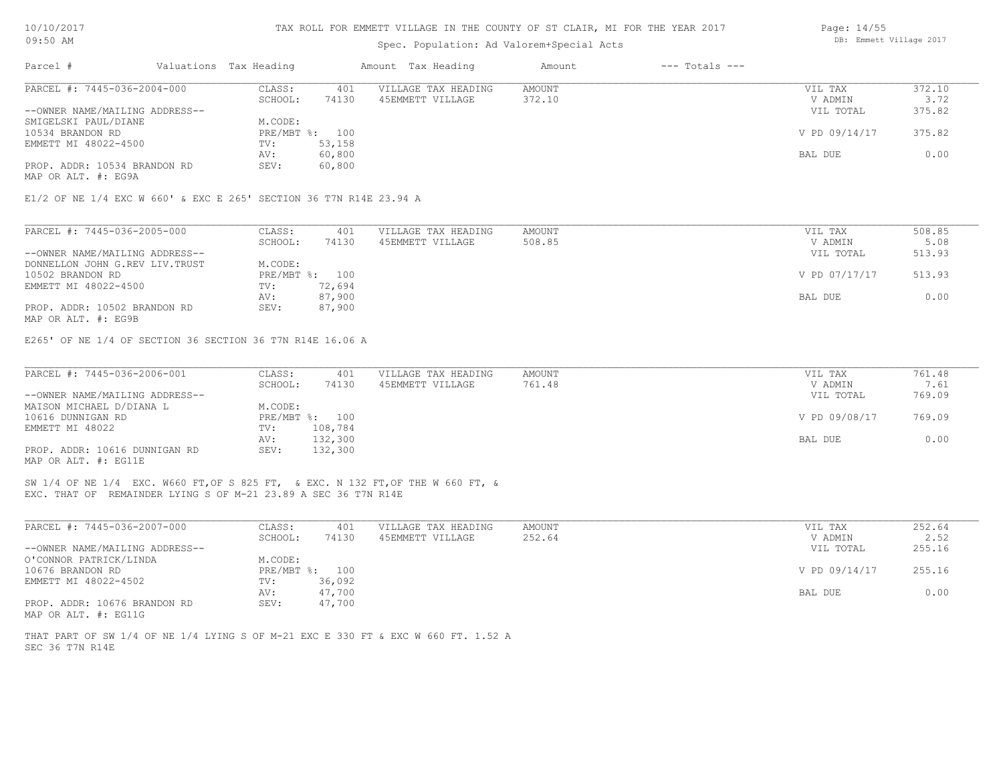| 10/10/2017 |  |
|------------|--|
| 09:50 AM   |  |

### Spec. Population: Ad Valorem+Special Acts

| Parcel #                       | Valuations Tax Heading |        | Amount Tax Heading  | Amount | $---$ Totals $---$ |               |        |
|--------------------------------|------------------------|--------|---------------------|--------|--------------------|---------------|--------|
| PARCEL #: 7445-036-2004-000    | CLASS:                 | 401    | VILLAGE TAX HEADING | AMOUNT |                    | VIL TAX       | 372.10 |
|                                | SCHOOL:                | 74130  | 45EMMETT VILLAGE    | 372.10 |                    | V ADMIN       | 3.72   |
| --OWNER NAME/MAILING ADDRESS-- |                        |        |                     |        |                    | VIL TOTAL     | 375.82 |
| SMIGELSKI PAUL/DIANE           | M.CODE:                |        |                     |        |                    |               |        |
| 10534 BRANDON RD               | PRE/MBT %: 100         |        |                     |        |                    | V PD 09/14/17 | 375.82 |
| EMMETT MI 48022-4500           | TV:                    | 53,158 |                     |        |                    |               |        |
|                                | AV:                    | 60,800 |                     |        |                    | BAL DUE       | 0.00   |
| PROP. ADDR: 10534 BRANDON RD   | SEV:                   | 60,800 |                     |        |                    |               |        |
| MAP OR ALT. #: EG9A            |                        |        |                     |        |                    |               |        |

| PARCEL #: 7445-036-2005-000    | CLASS:     | 401    | VILLAGE TAX HEADING | AMOUNT | VIL TAX       | 508.85 |
|--------------------------------|------------|--------|---------------------|--------|---------------|--------|
|                                | SCHOOL:    | 74130  | 45EMMETT VILLAGE    | 508.85 | V ADMIN       | 5.08   |
| --OWNER NAME/MAILING ADDRESS-- |            |        |                     |        | VIL TOTAL     | 513.93 |
| DONNELLON JOHN G.REV LIV.TRUST | M.CODE:    |        |                     |        |               |        |
| 10502 BRANDON RD               | PRE/MBT %: | 100    |                     |        | V PD 07/17/17 | 513.93 |
| EMMETT MI 48022-4500           | TV:        | 72,694 |                     |        |               |        |
|                                | AV:        | 87,900 |                     |        | BAL DUE       | 0.00   |
| PROP. ADDR: 10502 BRANDON RD   | SEV:       | 87,900 |                     |        |               |        |
| MAP OR ALT. #: EG9B            |            |        |                     |        |               |        |

E265' OF NE 1/4 OF SECTION 36 SECTION 36 T7N R14E 16.06 A

| PARCEL #: 7445-036-2006-001    | CLASS:  | 401            | VILLAGE TAX HEADING | AMOUNT | VIL TAX       | 761.48 |
|--------------------------------|---------|----------------|---------------------|--------|---------------|--------|
|                                | SCHOOL: | 74130          | 45EMMETT VILLAGE    | 761.48 | V ADMIN       | 7.61   |
| --OWNER NAME/MAILING ADDRESS-- |         |                |                     |        | VIL TOTAL     | 769.09 |
| MAISON MICHAEL D/DIANA L       | M.CODE: |                |                     |        |               |        |
| 10616 DUNNIGAN RD              |         | PRE/MBT %: 100 |                     |        | V PD 09/08/17 | 769.09 |
| EMMETT MI 48022                | TV:     | 108,784        |                     |        |               |        |
|                                | AV:     | 132,300        |                     |        | BAL DUE       | 0.00   |
| PROP. ADDR: 10616 DUNNIGAN RD  | SEV:    | 132,300        |                     |        |               |        |
| MAP OR ALT. #: EG11E           |         |                |                     |        |               |        |

EXC. THAT OF REMAINDER LYING S OF M-21 23.89 A SEC 36 T7N R14E SW 1/4 OF NE 1/4 EXC. W660 FT,OF S 825 FT, & EXC. N 132 FT,OF THE W 660 FT, &

| PARCEL #: 7445-036-2007-000    | CLASS:  | 401            | VILLAGE TAX HEADING | AMOUNT | VIL TAX       | 252.64 |
|--------------------------------|---------|----------------|---------------------|--------|---------------|--------|
|                                | SCHOOL: | 74130          | 45EMMETT VILLAGE    | 252.64 | V ADMIN       | 2.52   |
| --OWNER NAME/MAILING ADDRESS-- |         |                |                     |        | VIL TOTAL     | 255.16 |
| O'CONNOR PATRICK/LINDA         | M.CODE: |                |                     |        |               |        |
| 10676 BRANDON RD               |         | PRE/MBT %: 100 |                     |        | V PD 09/14/17 | 255.16 |
| EMMETT MI 48022-4502           | TV:     | 36,092         |                     |        |               |        |
|                                | AV:     | 47,700         |                     |        | BAL DUE       | 0.00   |
| PROP. ADDR: 10676 BRANDON RD   | SEV:    | 47,700         |                     |        |               |        |
| MAP OR ALT. #: EG11G           |         |                |                     |        |               |        |

SEC 36 T7N R14E THAT PART OF SW 1/4 OF NE 1/4 LYING S OF M-21 EXC E 330 FT & EXC W 660 FT. 1.52 A Page: 14/55 DB: Emmett Village 2017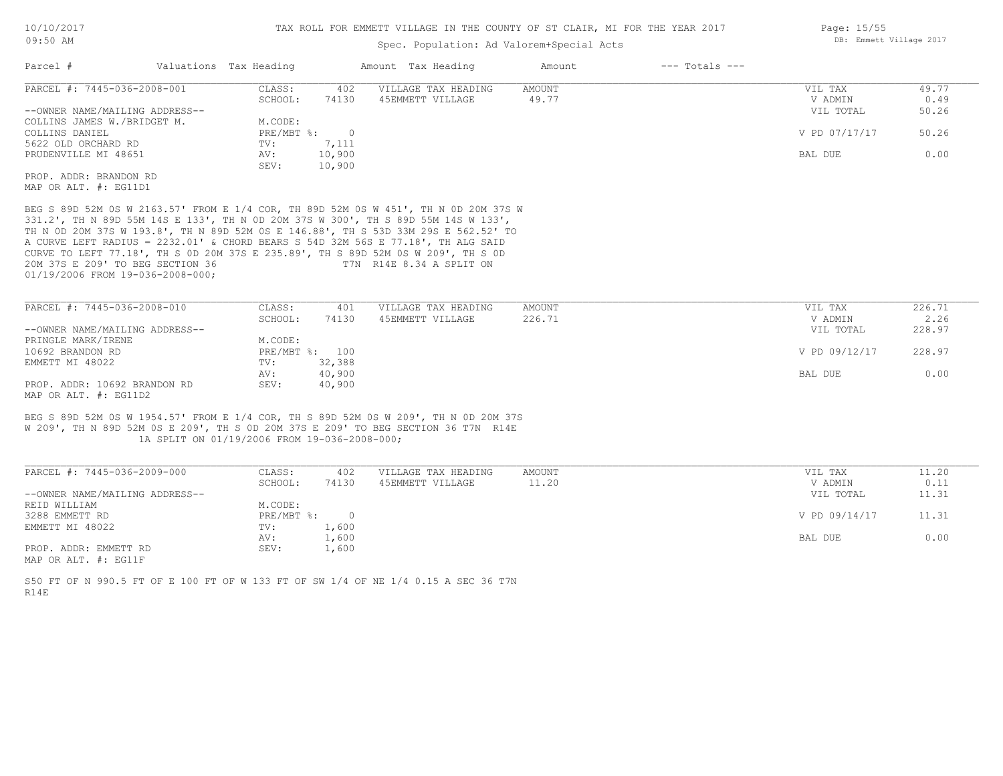### Spec. Population: Ad Valorem+Special Acts

| Parcel #                       | Valuations Tax Heading    |        | Amount Tax Heading  | Amount | $---$ Totals $---$ |               |       |
|--------------------------------|---------------------------|--------|---------------------|--------|--------------------|---------------|-------|
| PARCEL #: 7445-036-2008-001    | CLASS:                    | 402    | VILLAGE TAX HEADING | AMOUNT |                    | VIL TAX       | 49.77 |
|                                | SCHOOL:                   | 74130  | 45EMMETT VILLAGE    | 49.77  |                    | V ADMIN       | 0.49  |
| --OWNER NAME/MAILING ADDRESS-- |                           |        |                     |        |                    | VIL TOTAL     | 50.26 |
| COLLINS JAMES W./BRIDGET M.    | M.CODE:                   |        |                     |        |                    |               |       |
| COLLINS DANIEL                 | $PRE/MBT$ $\frac{1}{6}$ : |        |                     |        |                    | V PD 07/17/17 | 50.26 |
| 5622 OLD ORCHARD RD            | TV:                       | 7,111  |                     |        |                    |               |       |
| PRUDENVILLE MI 48651           | AV:                       | 10,900 |                     |        |                    | BAL DUE       | 0.00  |
|                                | SEV:                      | 10,900 |                     |        |                    |               |       |
| PROP. ADDR: BRANDON RD         |                           |        |                     |        |                    |               |       |
|                                |                           |        |                     |        |                    |               |       |

MAP OR ALT. #: EG11D1

01/19/2006 FROM 19-036-2008-000; 20M 37S E 209' TO BEG SECTION 36 T7N R14E 8.34 A SPLIT ON CURVE TO LEFT 77.18', TH S 0D 20M 37S E 235.89', TH S 89D 52M 0S W 209', TH S 0D A CURVE LEFT RADIUS = 2232.01' & CHORD BEARS S 54D 32M 56S E 77.18', TH ALG SAID TH N 0D 20M 37S W 193.8', TH N 89D 52M 0S E 146.88', TH S 53D 33M 29S E 562.52' TO 331.2', TH N 89D 55M 14S E 133', TH N 0D 20M 37S W 300', TH S 89D 55M 14S W 133', BEG S 89D 52M 0S W 2163.57' FROM E 1/4 COR, TH 89D 52M 0S W 451', TH N 0D 20M 37S W

| PARCEL #: 7445-036-2008-010    | CLASS:  | 401            | VILLAGE TAX HEADING | AMOUNT | VIL TAX       | 226.71 |
|--------------------------------|---------|----------------|---------------------|--------|---------------|--------|
|                                | SCHOOL: | 74130          | 45EMMETT VILLAGE    | 226.71 | V ADMIN       | 2.26   |
| --OWNER NAME/MAILING ADDRESS-- |         |                |                     |        | VIL TOTAL     | 228.97 |
| PRINGLE MARK/IRENE             | M.CODE: |                |                     |        |               |        |
| 10692 BRANDON RD               |         | PRE/MBT %: 100 |                     |        | V PD 09/12/17 | 228.97 |
| EMMETT MI 48022                | TV:     | 32,388         |                     |        |               |        |
|                                | AV:     | 40,900         |                     |        | BAL DUE       | 0.00   |
| PROP. ADDR: 10692 BRANDON RD   | SEV:    | 40,900         |                     |        |               |        |
| MAP OR ALT. #: EG11D2          |         |                |                     |        |               |        |

 1A SPLIT ON 01/19/2006 FROM 19-036-2008-000; W 209', TH N 89D 52M 0S E 209', TH S 0D 20M 37S E 209' TO BEG SECTION 36 T7N R14E BEG S 89D 52M 0S W 1954.57' FROM E 1/4 COR, TH S 89D 52M 0S W 209', TH N 0D 20M 37S

| PARCEL #: 7445-036-2009-000                  | CLASS:     | 402   | VILLAGE TAX HEADING | AMOUNT | VIL TAX       | 11.20 |
|----------------------------------------------|------------|-------|---------------------|--------|---------------|-------|
|                                              | SCHOOL:    | 74130 | 45EMMETT VILLAGE    | 11.20  | V ADMIN       | 0.11  |
| --OWNER NAME/MAILING ADDRESS--               |            |       |                     |        | VIL TOTAL     | 11.31 |
| REID WILLIAM                                 | M.CODE:    |       |                     |        |               |       |
| 3288 EMMETT RD                               | PRE/MBT %: |       |                     |        | V PD 09/14/17 | 11.31 |
| EMMETT MI 48022                              | TV:        | 1,600 |                     |        |               |       |
|                                              | AV:        | 1,600 |                     |        | BAL DUE       | 0.00  |
| PROP. ADDR: EMMETT RD                        | SEV:       | 1,600 |                     |        |               |       |
| $\cdots$ $\cdots$ $\cdots$ $\cdots$ $\cdots$ |            |       |                     |        |               |       |

MAP OR ALT. #: EG11F

R14E S50 FT OF N 990.5 FT OF E 100 FT OF W 133 FT OF SW 1/4 OF NE 1/4 0.15 A SEC 36 T7N Page: 15/55 DB: Emmett Village 2017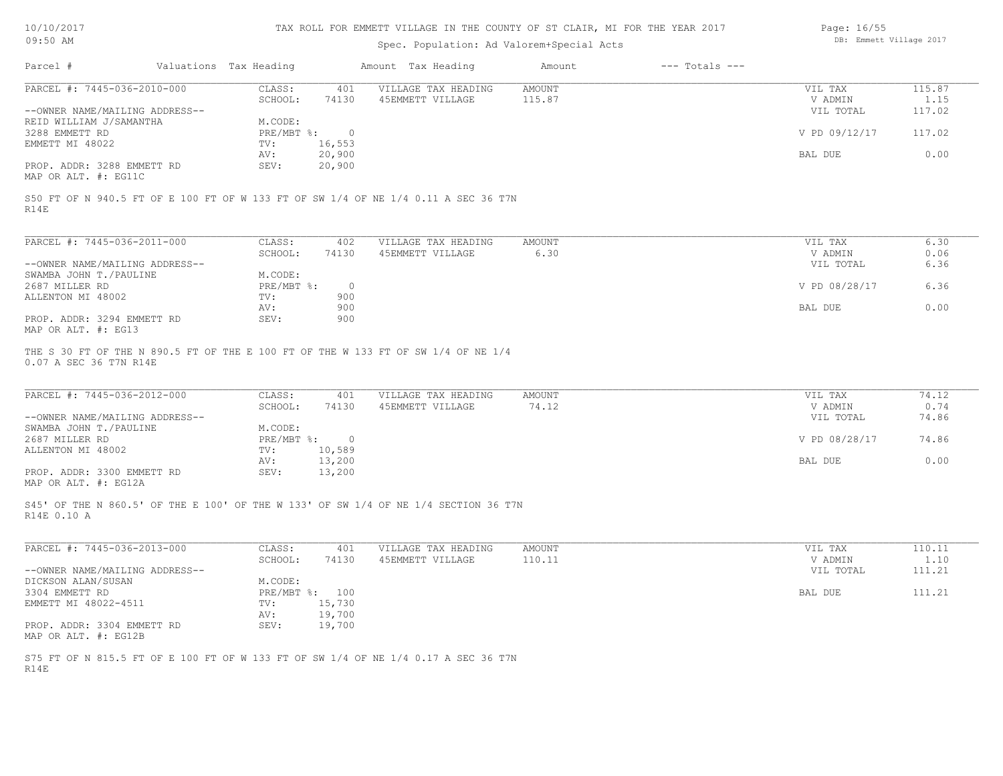|  | 10/10/2017 |
|--|------------|
|--|------------|

| Page: 16/55 |                        |  |
|-------------|------------------------|--|
|             | DB: Emmett Village 201 |  |

| 09:50 AM                                                      |  |                        | Spec. Population: Ad Valorem+Special Acts | DB: Emmett Village 2017                                                             |                 |                    |                                 |                        |
|---------------------------------------------------------------|--|------------------------|-------------------------------------------|-------------------------------------------------------------------------------------|-----------------|--------------------|---------------------------------|------------------------|
| Parcel #                                                      |  | Valuations Tax Heading |                                           | Amount Tax Heading                                                                  | Amount          | $---$ Totals $---$ |                                 |                        |
| PARCEL #: 7445-036-2010-000                                   |  | CLASS:                 | 401                                       | VILLAGE TAX HEADING                                                                 | AMOUNT          |                    | VIL TAX                         | 115.87                 |
|                                                               |  | SCHOOL:                | 74130                                     | 45EMMETT VILLAGE                                                                    | 115.87          |                    | V ADMIN                         | 1.15                   |
| --OWNER NAME/MAILING ADDRESS--                                |  |                        |                                           |                                                                                     |                 |                    | VIL TOTAL                       | 117.02                 |
| REID WILLIAM J/SAMANTHA                                       |  | M.CODE:                |                                           |                                                                                     |                 |                    |                                 |                        |
| 3288 EMMETT RD                                                |  | $PRE/MBT$ %:           | $\overline{0}$                            |                                                                                     |                 |                    | V PD 09/12/17                   | 117.02                 |
| EMMETT MI 48022                                               |  | TV:                    | 16,553                                    |                                                                                     |                 |                    |                                 |                        |
|                                                               |  | AV:                    | 20,900                                    |                                                                                     |                 |                    | BAL DUE                         | 0.00                   |
| PROP. ADDR: 3288 EMMETT RD                                    |  | SEV:                   | 20,900                                    |                                                                                     |                 |                    |                                 |                        |
| MAP OR ALT. #: EG11C                                          |  |                        |                                           |                                                                                     |                 |                    |                                 |                        |
| R14E                                                          |  |                        |                                           | S50 FT OF N 940.5 FT OF E 100 FT OF W 133 FT OF SW 1/4 OF NE 1/4 0.11 A SEC 36 T7N  |                 |                    |                                 |                        |
| PARCEL #: 7445-036-2011-000                                   |  | CLASS:                 | 402                                       | VILLAGE TAX HEADING                                                                 | AMOUNT          |                    | VIL TAX                         | 6.30                   |
|                                                               |  | SCHOOL:                | 74130                                     | 45EMMETT VILLAGE                                                                    | 6.30            |                    | V ADMIN                         | 0.06                   |
| --OWNER NAME/MAILING ADDRESS--                                |  |                        |                                           |                                                                                     |                 |                    | VIL TOTAL                       | 6.36                   |
| SWAMBA JOHN T./PAULINE                                        |  | M.CODE:                |                                           |                                                                                     |                 |                    |                                 |                        |
| 2687 MILLER RD                                                |  | PRE/MBT %:             | $\overline{0}$                            |                                                                                     |                 |                    | V PD 08/28/17                   | 6.36                   |
|                                                               |  | TV:                    | 900                                       |                                                                                     |                 |                    |                                 |                        |
| ALLENTON MI 48002                                             |  |                        |                                           |                                                                                     |                 |                    |                                 |                        |
|                                                               |  | AV:                    | 900                                       |                                                                                     |                 |                    | BAL DUE                         | 0.00                   |
| PROP. ADDR: 3294 EMMETT RD                                    |  | SEV:                   | 900                                       |                                                                                     |                 |                    |                                 |                        |
| MAP OR ALT. #: EG13                                           |  |                        |                                           |                                                                                     |                 |                    |                                 |                        |
| PARCEL #: 7445-036-2012-000<br>--OWNER NAME/MAILING ADDRESS-- |  | CLASS:<br>SCHOOL:      | 401<br>74130                              | VILLAGE TAX HEADING<br>45EMMETT VILLAGE                                             | AMOUNT<br>74.12 |                    | VIL TAX<br>V ADMIN<br>VIL TOTAL | 74.12<br>0.74<br>74.86 |
| SWAMBA JOHN T./PAULINE                                        |  | M.CODE:                |                                           |                                                                                     |                 |                    |                                 |                        |
| 2687 MILLER RD                                                |  | PRE/MBT %:             | $\overline{0}$                            |                                                                                     |                 |                    | V PD 08/28/17                   | 74.86                  |
| ALLENTON MI 48002                                             |  | TV:                    | 10,589                                    |                                                                                     |                 |                    |                                 |                        |
|                                                               |  | AV:                    | 13,200                                    |                                                                                     |                 |                    | BAL DUE                         | 0.00                   |
| PROP. ADDR: 3300 EMMETT RD<br>MAP OR ALT. #: EG12A            |  | SEV:                   | 13,200                                    |                                                                                     |                 |                    |                                 |                        |
| R14E 0.10 A                                                   |  |                        |                                           | S45' OF THE N 860.5' OF THE E 100' OF THE W 133' OF SW 1/4 OF NE 1/4 SECTION 36 T7N |                 |                    |                                 |                        |
| PARCEL #: 7445-036-2013-000                                   |  | CLASS:                 | 401                                       | VILLAGE TAX HEADING                                                                 | AMOUNT          |                    | VIL TAX                         | 110.11                 |
|                                                               |  | SCHOOL:                | 74130                                     | 45EMMETT VILLAGE                                                                    | 110.11          |                    | V ADMIN                         | 1.10                   |
| --OWNER NAME/MAILING ADDRESS--                                |  |                        |                                           |                                                                                     |                 |                    | VIL TOTAL                       | 111.21                 |
| DICKSON ALAN/SUSAN                                            |  | M.CODE:                |                                           |                                                                                     |                 |                    |                                 |                        |
| 3304 EMMETT RD                                                |  |                        | PRE/MBT %: 100                            |                                                                                     |                 |                    | BAL DUE                         | 111.21                 |
| EMMETT MI 48022-4511                                          |  | TV:                    | 15,730                                    |                                                                                     |                 |                    |                                 |                        |
|                                                               |  |                        |                                           |                                                                                     |                 |                    |                                 |                        |
|                                                               |  | AV:                    | 19,700                                    |                                                                                     |                 |                    |                                 |                        |
| PROP. ADDR: 3304 EMMETT RD                                    |  | SEV:                   | 19,700                                    |                                                                                     |                 |                    |                                 |                        |
| MAP OR ALT. #: EG12B                                          |  |                        |                                           |                                                                                     |                 |                    |                                 |                        |
|                                                               |  |                        |                                           | S75 FT OF N 815.5 FT OF E 100 FT OF W 133 FT OF SW 1/4 OF NE 1/4 0.17 A SEC 36 T7N  |                 |                    |                                 |                        |
|                                                               |  |                        |                                           |                                                                                     |                 |                    |                                 |                        |
| R14E                                                          |  |                        |                                           |                                                                                     |                 |                    |                                 |                        |
|                                                               |  |                        |                                           |                                                                                     |                 |                    |                                 |                        |
|                                                               |  |                        |                                           |                                                                                     |                 |                    |                                 |                        |
|                                                               |  |                        |                                           |                                                                                     |                 |                    |                                 |                        |
|                                                               |  |                        |                                           |                                                                                     |                 |                    |                                 |                        |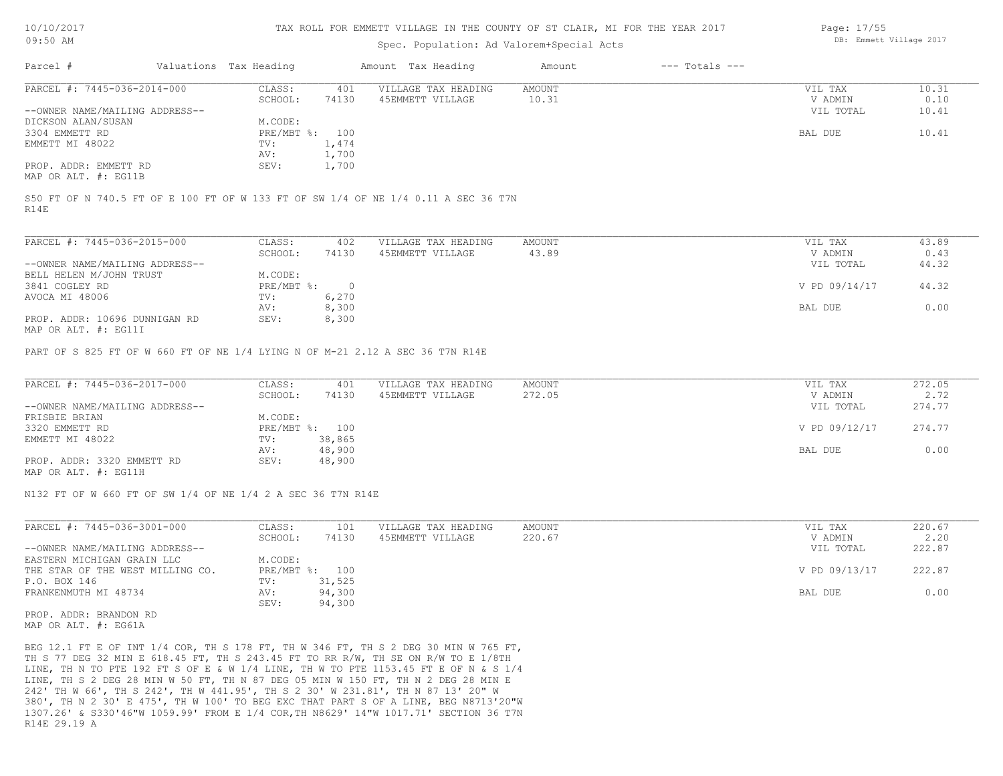#### TAX ROLL FOR EMMETT VILLAGE IN THE COUNTY OF ST CLAIR, MI FOR THE YEAR 2017

### Spec. Population: Ad Valorem+Special Acts

| Parcel #                       | Valuations Tax Heading |       | Amount Tax Heading  | Amount | $---$ Totals $---$ |           |       |
|--------------------------------|------------------------|-------|---------------------|--------|--------------------|-----------|-------|
| PARCEL #: 7445-036-2014-000    | CLASS:                 | 401   | VILLAGE TAX HEADING | AMOUNT |                    | VIL TAX   | 10.31 |
|                                | SCHOOL:                | 74130 | 45EMMETT VILLAGE    | 10.31  |                    | V ADMIN   | 0.10  |
| --OWNER NAME/MAILING ADDRESS-- |                        |       |                     |        |                    | VIL TOTAL | 10.41 |
| DICKSON ALAN/SUSAN             | M.CODE:                |       |                     |        |                    |           |       |
| 3304 EMMETT RD                 | PRE/MBT %: 100         |       |                     |        |                    | BAL DUE   | 10.41 |
| EMMETT MI 48022                | TV:                    | 1,474 |                     |        |                    |           |       |
|                                | AV:                    | 1,700 |                     |        |                    |           |       |
| PROP. ADDR: EMMETT RD          | SEV:                   | 1,700 |                     |        |                    |           |       |
| תוריאת .4. חזו תהוא            |                        |       |                     |        |                    |           |       |

MAP OR ALT. #: EG11B

R14E S50 FT OF N 740.5 FT OF E 100 FT OF W 133 FT OF SW 1/4 OF NE 1/4 0.11 A SEC 36 T7N

| PARCEL #: 7445-036-2015-000    | CLASS:     | 402    | VILLAGE TAX HEADING | AMOUNT | VIL TAX       | 43.89 |
|--------------------------------|------------|--------|---------------------|--------|---------------|-------|
|                                | SCHOOL:    | 74130  | 45EMMETT VILLAGE    | 43.89  | V ADMIN       | 0.43  |
| --OWNER NAME/MAILING ADDRESS-- |            |        |                     |        | VIL TOTAL     | 44.32 |
| BELL HELEN M/JOHN TRUST        | M.CODE:    |        |                     |        |               |       |
| 3841 COGLEY RD                 | PRE/MBT %: | $\cap$ |                     |        | V PD 09/14/17 | 44.32 |
| AVOCA MI 48006                 | TV:        | 6,270  |                     |        |               |       |
|                                | AV:        | 8,300  |                     |        | BAL DUE       | 0.00  |
| PROP. ADDR: 10696 DUNNIGAN RD  | SEV:       | 8,300  |                     |        |               |       |
| $\frac{1}{2}$                  |            |        |                     |        |               |       |

MAP OR ALT. #: EG11I

PART OF S 825 FT OF W 660 FT OF NE 1/4 LYING N OF M-21 2.12 A SEC 36 T7N R14E

| PARCEL #: 7445-036-2017-000    | CLASS:  | 401            | VILLAGE TAX HEADING | AMOUNT | VIL TAX       | 272.05 |
|--------------------------------|---------|----------------|---------------------|--------|---------------|--------|
|                                | SCHOOL: | 74130          | 45EMMETT VILLAGE    | 272.05 | V ADMIN       | 2.72   |
| --OWNER NAME/MAILING ADDRESS-- |         |                |                     |        | VIL TOTAL     | 274.77 |
| FRISBIE BRIAN                  | M.CODE: |                |                     |        |               |        |
| 3320 EMMETT RD                 |         | PRE/MBT %: 100 |                     |        | V PD 09/12/17 | 274.77 |
| EMMETT MI 48022                | TV:     | 38,865         |                     |        |               |        |
|                                | AV:     | 48,900         |                     |        | BAL DUE       | 0.00   |
| PROP. ADDR: 3320 EMMETT RD     | SEV:    | 48,900         |                     |        |               |        |
| MAP OR ALT. #: EG11H           |         |                |                     |        |               |        |

N132 FT OF W 660 FT OF SW 1/4 OF NE 1/4 2 A SEC 36 T7N R14E

| PARCEL #: 7445-036-3001-000      | CLASS:  | 101            | VILLAGE TAX HEADING | AMOUNT | VIL TAX       | 220.67 |
|----------------------------------|---------|----------------|---------------------|--------|---------------|--------|
|                                  | SCHOOL: | 74130          | 45EMMETT VILLAGE    | 220.67 | V ADMIN       | 2.20   |
| --OWNER NAME/MAILING ADDRESS--   |         |                |                     |        | VIL TOTAL     | 222.87 |
| EASTERN MICHIGAN GRAIN LLC       | M.CODE: |                |                     |        |               |        |
| THE STAR OF THE WEST MILLING CO. |         | PRE/MBT %: 100 |                     |        | V PD 09/13/17 | 222.87 |
| P.O. BOX 146                     | TV:     | 31,525         |                     |        |               |        |
| FRANKENMUTH MI 48734             | AV:     | 94,300         |                     |        | BAL DUE       | 0.00   |
|                                  | SEV:    | 94,300         |                     |        |               |        |

MAP OR ALT. #: EG61A PROP. ADDR: BRANDON RD

R14E 29.19 A 1307.26' & S330'46"W 1059.99' FROM E 1/4 COR,TH N8629' 14"W 1017.71' SECTION 36 T7N 380', TH N 2 30' E 475', TH W 100' TO BEG EXC THAT PART S OF A LINE, BEG N8713'20"W 242' TH W 66', TH S 242', TH W 441.95', TH S 2 30' W 231.81', TH N 87 13' 20" W LINE, TH S 2 DEG 28 MIN W 50 FT, TH N 87 DEG 05 MIN W 150 FT, TH N 2 DEG 28 MIN E LINE, TH N TO PTE 192 FT S OF E & W 1/4 LINE, TH W TO PTE 1153.45 FT E OF N & S 1/4 TH S 77 DEG 32 MIN E 618.45 FT, TH S 243.45 FT TO RR R/W, TH SE ON R/W TO E 1/8TH BEG 12.1 FT E OF INT 1/4 COR, TH S 178 FT, TH W 346 FT, TH S 2 DEG 30 MIN W 765 FT, Page: 17/55 DB: Emmett Village 2017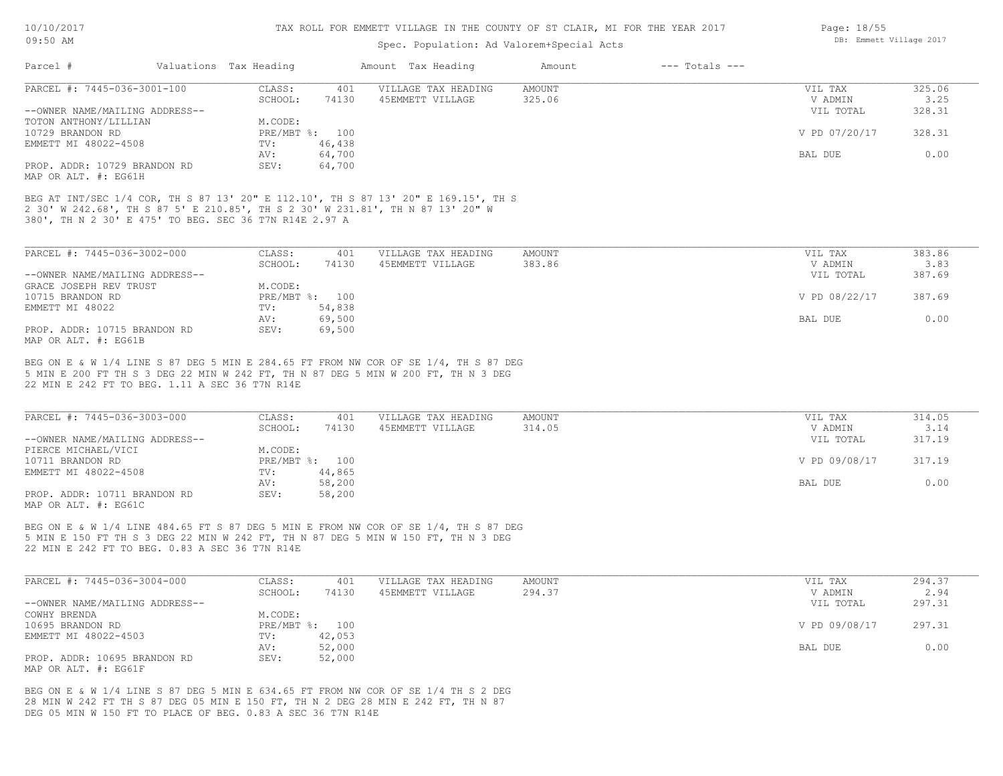## Spec. Population: Ad Valorem+Special Acts

| Parcel #                                                                                                                                                                                                                       | Valuations Tax Heading                                               |                                            | Amount Tax Heading                      | Amount           | $---$ Totals $---$ |                                                             |                                            |
|--------------------------------------------------------------------------------------------------------------------------------------------------------------------------------------------------------------------------------|----------------------------------------------------------------------|--------------------------------------------|-----------------------------------------|------------------|--------------------|-------------------------------------------------------------|--------------------------------------------|
| PARCEL #: 7445-036-3001-100                                                                                                                                                                                                    | CLASS:<br>SCHOOL:                                                    | 401<br>74130                               | VILLAGE TAX HEADING<br>45EMMETT VILLAGE | AMOUNT<br>325.06 |                    | VIL TAX<br>V ADMIN                                          | 325.06<br>3.25                             |
| --OWNER NAME/MAILING ADDRESS--                                                                                                                                                                                                 |                                                                      |                                            |                                         |                  |                    | VIL TOTAL                                                   | 328.31                                     |
| TOTON ANTHONY/LILLIAN                                                                                                                                                                                                          | M.CODE:                                                              |                                            |                                         |                  |                    |                                                             |                                            |
| 10729 BRANDON RD                                                                                                                                                                                                               | PRE/MBT %: 100                                                       |                                            |                                         |                  |                    | V PD 07/20/17                                               | 328.31                                     |
| EMMETT MI 48022-4508                                                                                                                                                                                                           | TV:<br>AV:                                                           | 46,438<br>64,700                           |                                         |                  |                    | BAL DUE                                                     | 0.00                                       |
| PROP. ADDR: 10729 BRANDON RD                                                                                                                                                                                                   | SEV:                                                                 | 64,700                                     |                                         |                  |                    |                                                             |                                            |
| MAP OR ALT. #: EG61H                                                                                                                                                                                                           |                                                                      |                                            |                                         |                  |                    |                                                             |                                            |
| BEG AT INT/SEC 1/4 COR, TH S 87 13' 20" E 112.10', TH S 87 13' 20" E 169.15', TH S<br>2 30' W 242.68', TH S 87 5' E 210.85', TH S 2 30' W 231.81', TH N 87 13' 20" W<br>380', TH N 2 30' E 475' TO BEG. SEC 36 T7N R14E 2.97 A |                                                                      |                                            |                                         |                  |                    |                                                             |                                            |
|                                                                                                                                                                                                                                |                                                                      |                                            |                                         |                  |                    |                                                             |                                            |
| PARCEL #: 7445-036-3002-000                                                                                                                                                                                                    | CLASS:                                                               | 401                                        | VILLAGE TAX HEADING                     | AMOUNT           |                    | VIL TAX                                                     | 383.86                                     |
| --OWNER NAME/MAILING ADDRESS--                                                                                                                                                                                                 | SCHOOL:                                                              | 74130                                      | 45EMMETT VILLAGE                        | 383.86           |                    | V ADMIN<br>VIL TOTAL                                        | 3.83<br>387.69                             |
| GRACE JOSEPH REV TRUST                                                                                                                                                                                                         | M.CODE:                                                              |                                            |                                         |                  |                    |                                                             |                                            |
| 10715 BRANDON RD                                                                                                                                                                                                               | PRE/MBT %: 100                                                       |                                            |                                         |                  |                    | V PD 08/22/17                                               | 387.69                                     |
| EMMETT MI 48022                                                                                                                                                                                                                | $\texttt{TV}$ :                                                      | 54,838                                     |                                         |                  |                    |                                                             |                                            |
|                                                                                                                                                                                                                                | AV:                                                                  | 69,500                                     |                                         |                  |                    | BAL DUE                                                     | 0.00                                       |
| PROP. ADDR: 10715 BRANDON RD<br>MAP OR ALT. #: EG61B                                                                                                                                                                           | SEV:                                                                 | 69,500                                     |                                         |                  |                    |                                                             |                                            |
| PARCEL #: 7445-036-3003-000<br>--OWNER NAME/MAILING ADDRESS--<br>PIERCE MICHAEL/VICI<br>10711 BRANDON RD<br>EMMETT MI 48022-4508<br>PROP. ADDR: 10711 BRANDON RD<br>MAP OR ALT. #: EG61C                                       | CLASS:<br>SCHOOL:<br>M.CODE:<br>PRE/MBT %: 100<br>TV:<br>AV:<br>SEV: | 401<br>74130<br>44,865<br>58,200<br>58,200 | VILLAGE TAX HEADING<br>45EMMETT VILLAGE | AMOUNT<br>314.05 |                    | VIL TAX<br>V ADMIN<br>VIL TOTAL<br>V PD 09/08/17<br>BAL DUE | 314.05<br>3.14<br>317.19<br>317.19<br>0.00 |
| BEG ON E & W 1/4 LINE 484.65 FT S 87 DEG 5 MIN E FROM NW COR OF SE 1/4, TH S 87 DEG<br>5 MIN E 150 FT TH S 3 DEG 22 MIN W 242 FT, TH N 87 DEG 5 MIN W 150 FT, TH N 3 DEG<br>22 MIN E 242 FT TO BEG. 0.83 A SEC 36 T7N R14E     |                                                                      |                                            |                                         |                  |                    |                                                             |                                            |
| PARCEL #: 7445-036-3004-000                                                                                                                                                                                                    | CLASS:                                                               | 401                                        | VILLAGE TAX HEADING                     | AMOUNT           |                    | VIL TAX                                                     | 294.37                                     |
|                                                                                                                                                                                                                                | SCHOOL:                                                              | 74130                                      | 45EMMETT VILLAGE                        | 294.37           |                    | V ADMIN                                                     | 2.94                                       |
| --OWNER NAME/MAILING ADDRESS--<br>COWHY BRENDA                                                                                                                                                                                 | M.CODE:                                                              |                                            |                                         |                  |                    | VIL TOTAL                                                   | 297.31                                     |
| 10695 BRANDON RD                                                                                                                                                                                                               | PRE/MBT %: 100                                                       |                                            |                                         |                  |                    | V PD 09/08/17                                               | 297.31                                     |
| EMMETT MI 48022-4503                                                                                                                                                                                                           | TV:                                                                  | 42,053                                     |                                         |                  |                    |                                                             |                                            |
|                                                                                                                                                                                                                                | AV:                                                                  | 52,000                                     |                                         |                  |                    | BAL DUE                                                     | 0.00                                       |
| PROP. ADDR: 10695 BRANDON RD                                                                                                                                                                                                   | SEV:                                                                 | 52,000                                     |                                         |                  |                    |                                                             |                                            |
| MAP OR ALT. #: EG61F                                                                                                                                                                                                           |                                                                      |                                            |                                         |                  |                    |                                                             |                                            |
| BEG ON E & W 1/4 LINE S 87 DEG 5 MIN E 634.65 FT FROM NW COR OF SE 1/4 TH S 2 DEG                                                                                                                                              |                                                                      |                                            |                                         |                  |                    |                                                             |                                            |
| 28 MIN W 242 FT TH S 87 DEG 05 MIN E 150 FT, TH N 2 DEG 28 MIN E 242 FT, TH N 87                                                                                                                                               |                                                                      |                                            |                                         |                  |                    |                                                             |                                            |
| DEG 05 MIN W 150 FT TO PLACE OF BEG. 0.83 A SEC 36 T7N R14E                                                                                                                                                                    |                                                                      |                                            |                                         |                  |                    |                                                             |                                            |
|                                                                                                                                                                                                                                |                                                                      |                                            |                                         |                  |                    |                                                             |                                            |

DB: Emmett Village 2017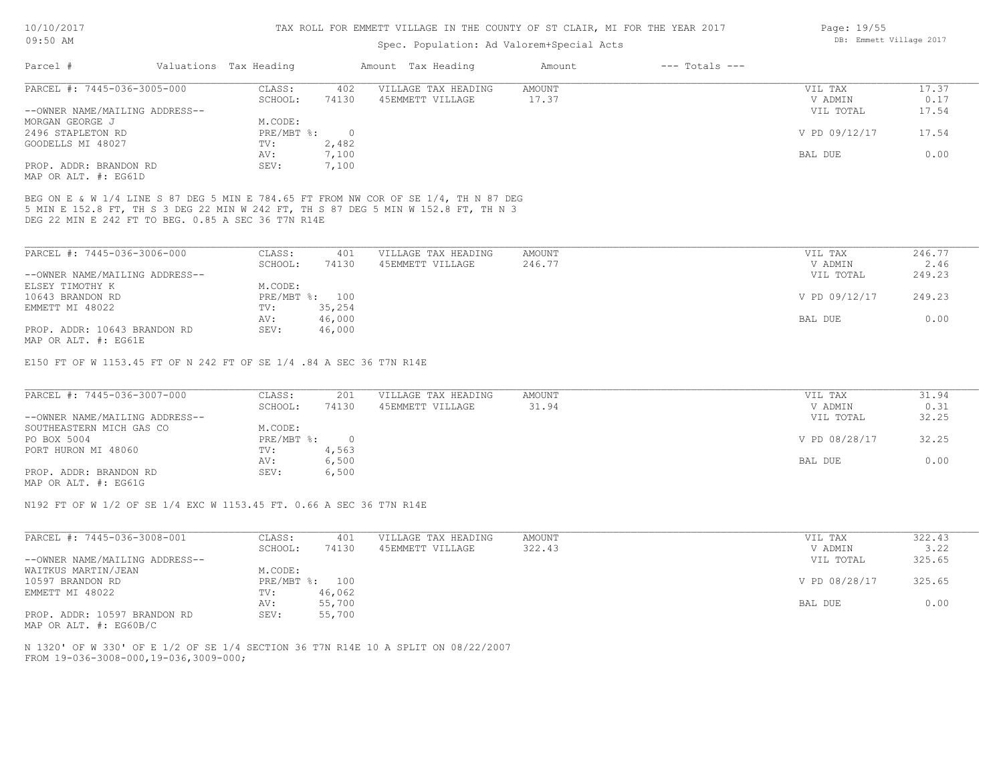### Spec. Population: Ad Valorem+Special Acts

| Parcel #                       | Valuations Tax Heading |       | Amount Tax Heading  | Amount | $---$ Totals $---$ |               |       |
|--------------------------------|------------------------|-------|---------------------|--------|--------------------|---------------|-------|
| PARCEL #: 7445-036-3005-000    | CLASS:                 | 402   | VILLAGE TAX HEADING | AMOUNT |                    | VIL TAX       | 17.37 |
|                                | SCHOOL:                | 74130 | 45EMMETT VILLAGE    | 17.37  |                    | V ADMIN       | 0.17  |
| --OWNER NAME/MAILING ADDRESS-- |                        |       |                     |        |                    | VIL TOTAL     | 17.54 |
| MORGAN GEORGE J                | M.CODE:                |       |                     |        |                    |               |       |
| 2496 STAPLETON RD              | PRE/MBT %:             |       |                     |        |                    | V PD 09/12/17 | 17.54 |
| GOODELLS MI 48027              | TV:                    | 2,482 |                     |        |                    |               |       |
|                                | AV:                    | 7,100 |                     |        |                    | BAL DUE       | 0.00  |
| PROP. ADDR: BRANDON RD         | SEV:                   | 7,100 |                     |        |                    |               |       |
| MAP OR ALT. #: EG61D           |                        |       |                     |        |                    |               |       |

DEG 22 MIN E 242 FT TO BEG. 0.85 A SEC 36 T7N R14E 5 MIN E 152.8 FT, TH S 3 DEG 22 MIN W 242 FT, TH S 87 DEG 5 MIN W 152.8 FT, TH N 3 BEG ON E & W 1/4 LINE S 87 DEG 5 MIN E 784.65 FT FROM NW COR OF SE 1/4, TH N 87 DEG

| PARCEL #: 7445-036-3006-000    | CLASS:  | 401            | VILLAGE TAX HEADING | AMOUNT | VIL TAX       | 246.77 |
|--------------------------------|---------|----------------|---------------------|--------|---------------|--------|
|                                | SCHOOL: | 74130          | 45EMMETT VILLAGE    | 246.77 | V ADMIN       | 2.46   |
| --OWNER NAME/MAILING ADDRESS-- |         |                |                     |        | VIL TOTAL     | 249.23 |
| ELSEY TIMOTHY K                | M.CODE: |                |                     |        |               |        |
| 10643 BRANDON RD               |         | PRE/MBT %: 100 |                     |        | V PD 09/12/17 | 249.23 |
| EMMETT MI 48022                | TV:     | 35,254         |                     |        |               |        |
|                                | AV:     | 46,000         |                     |        | BAL DUE       | 0.00   |
| PROP. ADDR: 10643 BRANDON RD   | SEV:    | 46,000         |                     |        |               |        |
| MAP OR ALT. #: EG61E           |         |                |                     |        |               |        |

E150 FT OF W 1153.45 FT OF N 242 FT OF SE 1/4 .84 A SEC 36 T7N R14E

| PARCEL #: 7445-036-3007-000    | CLASS:     | 201   | VILLAGE TAX HEADING | AMOUNT | VIL TAX       | 31.94 |
|--------------------------------|------------|-------|---------------------|--------|---------------|-------|
|                                | SCHOOL:    | 74130 | 45EMMETT VILLAGE    | 31.94  | V ADMIN       | 0.31  |
| --OWNER NAME/MAILING ADDRESS-- |            |       |                     |        | VIL TOTAL     | 32.25 |
| SOUTHEASTERN MICH GAS CO       | M.CODE:    |       |                     |        |               |       |
| PO BOX 5004                    | PRE/MBT %: |       |                     |        | V PD 08/28/17 | 32.25 |
| PORT HURON MI 48060            | TV:        | 4,563 |                     |        |               |       |
|                                | AV:        | 6,500 |                     |        | BAL DUE       | 0.00  |
| PROP. ADDR: BRANDON RD         | SEV:       | 6,500 |                     |        |               |       |
| MAP OR ALT. #: EG61G           |            |       |                     |        |               |       |

N192 FT OF W 1/2 OF SE 1/4 EXC W 1153.45 FT. 0.66 A SEC 36 T7N R14E

| PARCEL #: 7445-036-3008-001    | CLASS:     | 401    | VILLAGE TAX HEADING | AMOUNT | VIL TAX       | 322.43 |
|--------------------------------|------------|--------|---------------------|--------|---------------|--------|
|                                | SCHOOL:    | 74130  | 45EMMETT VILLAGE    | 322.43 | V ADMIN       | 3.22   |
| --OWNER NAME/MAILING ADDRESS-- |            |        |                     |        | VIL TOTAL     | 325.65 |
| WAITKUS MARTIN/JEAN            | M.CODE:    |        |                     |        |               |        |
| 10597 BRANDON RD               | PRE/MBT %: | 100    |                     |        | V PD 08/28/17 | 325.65 |
| EMMETT MI 48022                | TV:        | 46,062 |                     |        |               |        |
|                                | AV:        | 55,700 |                     |        | BAL DUE       | 0.00   |
| PROP. ADDR: 10597 BRANDON RD   | SEV:       | 55,700 |                     |        |               |        |

MAP OR ALT. #: EG60B/C

FROM 19-036-3008-000,19-036,3009-000; N 1320' OF W 330' OF E 1/2 OF SE 1/4 SECTION 36 T7N R14E 10 A SPLIT ON 08/22/2007 Page: 19/55 DB: Emmett Village 2017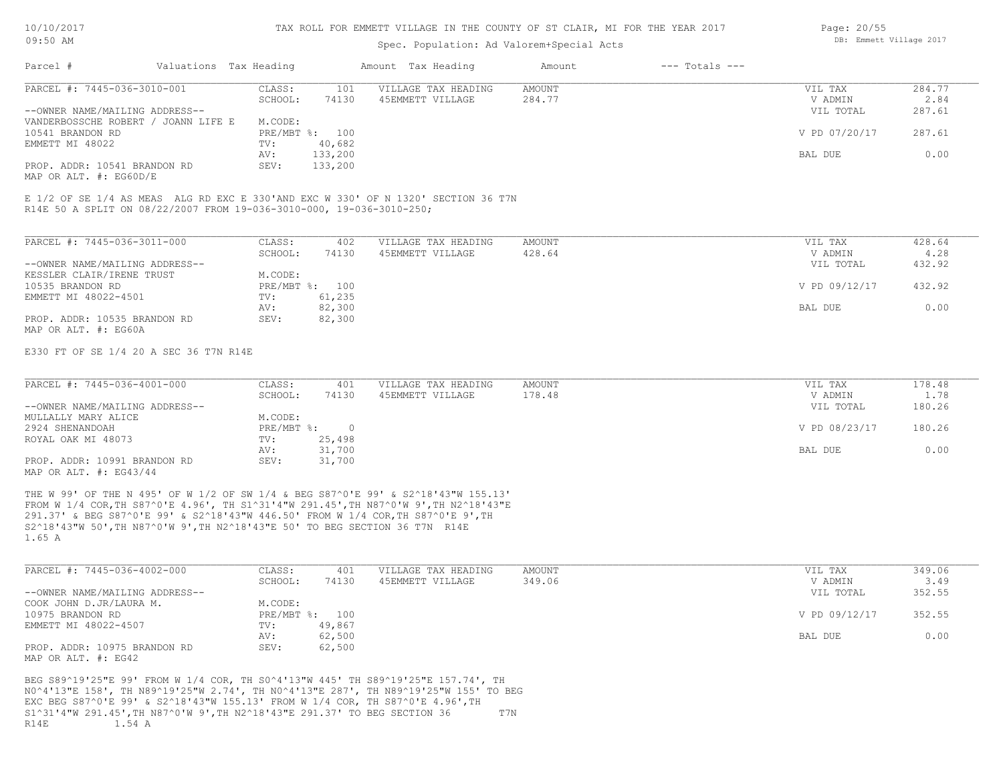### Spec. Population: Ad Valorem+Special Acts

| Page: 20/55 |                         |  |
|-------------|-------------------------|--|
|             | DB: Emmett Village 2017 |  |

| Parcel #                            | Valuations Tax Heading |         |                | Amount Tax Heading                                                                | Amount | $---$ Totals $---$ |               |        |
|-------------------------------------|------------------------|---------|----------------|-----------------------------------------------------------------------------------|--------|--------------------|---------------|--------|
| PARCEL #: 7445-036-3010-001         |                        | CLASS:  | 101            | VILLAGE TAX HEADING                                                               | AMOUNT |                    | VIL TAX       | 284.77 |
|                                     |                        | SCHOOL: | 74130          | 45EMMETT VILLAGE                                                                  | 284.77 |                    | V ADMIN       | 2.84   |
| --OWNER NAME/MAILING ADDRESS--      |                        |         |                |                                                                                   |        |                    | VIL TOTAL     | 287.61 |
| VANDERBOSSCHE ROBERT / JOANN LIFE E |                        | M.CODE: |                |                                                                                   |        |                    |               |        |
| 10541 BRANDON RD                    |                        |         | PRE/MBT %: 100 |                                                                                   |        |                    | V PD 07/20/17 | 287.61 |
| EMMETT MI 48022                     |                        | TV:     | 40,682         |                                                                                   |        |                    |               |        |
|                                     |                        | AV:     | 133,200        |                                                                                   |        |                    | BAL DUE       | 0.00   |
| PROP. ADDR: 10541 BRANDON RD        |                        | SEV:    | 133,200        |                                                                                   |        |                    |               |        |
| MAP OR ALT. $\#$ : EG60D/E          |                        |         |                |                                                                                   |        |                    |               |        |
|                                     |                        |         |                |                                                                                   |        |                    |               |        |
|                                     |                        |         |                | E 1/2 OF SE 1/4 AS MEAS ALG RD EXC E 330'AND EXC W 330' OF N 1320' SECTION 36 T7N |        |                    |               |        |

R14E 50 A SPLIT ON 08/22/2007 FROM 19-036-3010-000, 19-036-3010-250;

| PARCEL #: 7445-036-3011-000    | CLASS:       | 402    | VILLAGE TAX HEADING | AMOUNT | VIL TAX       | 428.64 |
|--------------------------------|--------------|--------|---------------------|--------|---------------|--------|
|                                | SCHOOL:      | 74130  | 45EMMETT VILLAGE    | 428.64 | V ADMIN       | 4.28   |
| --OWNER NAME/MAILING ADDRESS-- |              |        |                     |        | VIL TOTAL     | 432.92 |
| KESSLER CLAIR/IRENE TRUST      | M.CODE:      |        |                     |        |               |        |
| 10535 BRANDON RD               | $PRE/MBT$ %: | 100    |                     |        | V PD 09/12/17 | 432.92 |
| EMMETT MI 48022-4501           | TV:          | 61,235 |                     |        |               |        |
|                                | AV:          | 82,300 |                     |        | BAL DUE       | 0.00   |
| PROP. ADDR: 10535 BRANDON RD   | SEV:         | 82,300 |                     |        |               |        |
| MAP OR ALT. #: EG60A           |              |        |                     |        |               |        |

E330 FT OF SE 1/4 20 A SEC 36 T7N R14E

| PARCEL #: 7445-036-4001-000    | CLASS:     | 401    | VILLAGE TAX HEADING | AMOUNT | VIL TAX       | 178.48 |
|--------------------------------|------------|--------|---------------------|--------|---------------|--------|
|                                | SCHOOL:    | 74130  | 45EMMETT VILLAGE    | 178.48 | V ADMIN       | 1.78   |
| --OWNER NAME/MAILING ADDRESS-- |            |        |                     |        | VIL TOTAL     | 180.26 |
| MULLALLY MARY ALICE            | M.CODE:    |        |                     |        |               |        |
| 2924 SHENANDOAH                | PRE/MBT %: |        |                     |        | V PD 08/23/17 | 180.26 |
| ROYAL OAK MI 48073             | TV:        | 25,498 |                     |        |               |        |
|                                | AV:        | 31,700 |                     |        | BAL DUE       | 0.00   |
| PROP. ADDR: 10991 BRANDON RD   | SEV:       | 31,700 |                     |        |               |        |
| MAP OR ALT. $\#$ : EG43/44     |            |        |                     |        |               |        |

1.65 A S2^18'43"W 50',TH N87^0'W 9',TH N2^18'43"E 50' TO BEG SECTION 36 T7N R14E 291.37' & BEG S87^0'E 99' & S2^18'43"W 446.50' FROM W 1/4 COR,TH S87^0'E 9',TH FROM W 1/4 COR,TH S87^0'E 4.96', TH S1^31'4"W 291.45',TH N87^0'W 9',TH N2^18'43"E THE W 99' OF THE N 495' OF W 1/2 OF SW 1/4 & BEG S87^0'E 99' & S2^18'43"W 155.13'

| PARCEL #: 7445-036-4002-000    | CLASS:  | 401            | VILLAGE TAX HEADING | AMOUNT | VIL TAX       | 349.06 |
|--------------------------------|---------|----------------|---------------------|--------|---------------|--------|
|                                | SCHOOL: | 74130          | 45EMMETT VILLAGE    | 349.06 | V ADMIN       | 3.49   |
| --OWNER NAME/MAILING ADDRESS-- |         |                |                     |        | VIL TOTAL     | 352.55 |
| COOK JOHN D.JR/LAURA M.        | M.CODE: |                |                     |        |               |        |
| 10975 BRANDON RD               |         | PRE/MBT %: 100 |                     |        | V PD 09/12/17 | 352.55 |
| EMMETT MI 48022-4507           | TV:     | 49,867         |                     |        |               |        |
|                                | AV:     | 62,500         |                     |        | BAL DUE       | 0.00   |
| PROP. ADDR: 10975 BRANDON RD   | SEV:    | 62,500         |                     |        |               |        |
| MAP OR ALT. #: EG42            |         |                |                     |        |               |        |

R14E 1.54 A S1^31'4"W 291.45',TH N87^0'W 9',TH N2^18'43"E 291.37' TO BEG SECTION 36 T7N EXC BEG S87^0'E 99' & S2^18'43"W 155.13' FROM W 1/4 COR, TH S87^0'E 4.96',TH N0^4'13"E 158', TH N89^19'25"W 2.74', TH N0^4'13"E 287', TH N89^19'25"W 155' TO BEG BEG S89^19'25"E 99' FROM W 1/4 COR, TH S0^4'13"W 445' TH S89^19'25"E 157.74', TH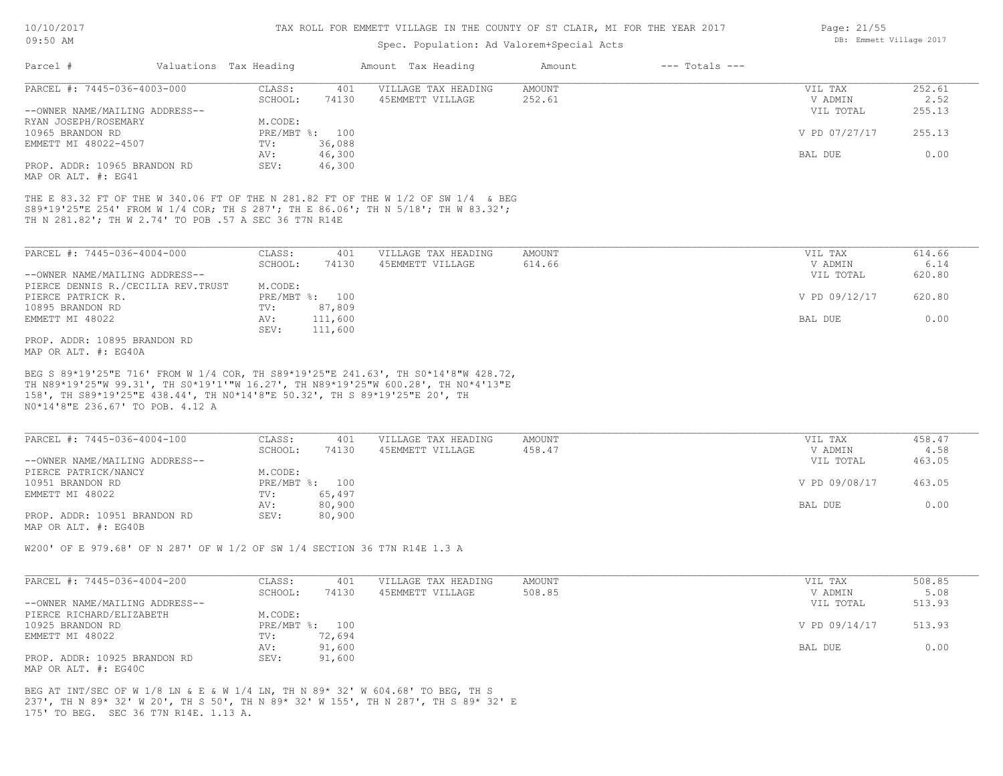## Spec. Population: Ad Valorem+Special Acts

|                                                                                                                                                                                                                                 |                                   | spec. ropulation. Ad valorem special Acts |                  |                    |                    |                |
|---------------------------------------------------------------------------------------------------------------------------------------------------------------------------------------------------------------------------------|-----------------------------------|-------------------------------------------|------------------|--------------------|--------------------|----------------|
| Parcel #<br>Valuations Tax Heading                                                                                                                                                                                              |                                   | Amount Tax Heading                        | Amount           | $---$ Totals $---$ |                    |                |
| PARCEL #: 7445-036-4003-000                                                                                                                                                                                                     | CLASS:<br>401<br>SCHOOL:<br>74130 | VILLAGE TAX HEADING<br>45EMMETT VILLAGE   | AMOUNT<br>252.61 |                    | VIL TAX<br>V ADMIN | 252.61<br>2.52 |
| --OWNER NAME/MAILING ADDRESS--                                                                                                                                                                                                  |                                   |                                           |                  |                    | VIL TOTAL          | 255.13         |
| RYAN JOSEPH/ROSEMARY                                                                                                                                                                                                            | M.CODE:                           |                                           |                  |                    |                    |                |
| 10965 BRANDON RD                                                                                                                                                                                                                | PRE/MBT %: 100                    |                                           |                  |                    | V PD 07/27/17      | 255.13         |
| EMMETT MI 48022-4507                                                                                                                                                                                                            | 36,088<br>TV:                     |                                           |                  |                    |                    |                |
|                                                                                                                                                                                                                                 | AV:<br>46,300                     |                                           |                  |                    | BAL DUE            | 0.00           |
| PROP. ADDR: 10965 BRANDON RD<br>MAP OR ALT. #: EG41                                                                                                                                                                             | SEV:<br>46,300                    |                                           |                  |                    |                    |                |
| THE E 83.32 FT OF THE W 340.06 FT OF THE N 281.82 FT OF THE W 1/2 OF SW 1/4 & BEG<br>S89*19'25"E 254' FROM W 1/4 COR; TH S 287'; TH E 86.06'; TH N 5/18'; TH W 83.32';<br>TH N 281.82'; TH W 2.74' TO POB .57 A SEC 36 T7N R14E |                                   |                                           |                  |                    |                    |                |
| PARCEL #: 7445-036-4004-000                                                                                                                                                                                                     | CLASS:<br>401                     | VILLAGE TAX HEADING                       | AMOUNT           |                    | VIL TAX            | 614.66         |
|                                                                                                                                                                                                                                 | 74130<br>SCHOOL:                  | 45EMMETT VILLAGE                          | 614.66           |                    | V ADMIN            | 6.14           |
| --OWNER NAME/MAILING ADDRESS--                                                                                                                                                                                                  |                                   |                                           |                  |                    | VIL TOTAL          | 620.80         |
| PIERCE DENNIS R./CECILIA REV.TRUST                                                                                                                                                                                              | M.CODE:                           |                                           |                  |                    |                    |                |
| PIERCE PATRICK R.                                                                                                                                                                                                               | PRE/MBT %: 100                    |                                           |                  |                    | V PD 09/12/17      | 620.80         |
| 10895 BRANDON RD                                                                                                                                                                                                                | 87,809<br>TV:                     |                                           |                  |                    |                    |                |
| EMMETT MI 48022                                                                                                                                                                                                                 | AV:<br>111,600                    |                                           |                  |                    | BAL DUE            | 0.00           |
| PROP. ADDR: 10895 BRANDON RD<br>MAP OR ALT. #: EG40A                                                                                                                                                                            | SEV:<br>111,600                   |                                           |                  |                    |                    |                |
| N0*14'8"E 236.67' TO POB. 4.12 A<br>PARCEL #: 7445-036-4004-100                                                                                                                                                                 | 401<br>CLASS:<br>SCHOOL:<br>74130 | VILLAGE TAX HEADING<br>45EMMETT VILLAGE   | AMOUNT<br>458.47 |                    | VIL TAX<br>V ADMIN | 458.47<br>4.58 |
| --OWNER NAME/MAILING ADDRESS--                                                                                                                                                                                                  |                                   |                                           |                  |                    | VIL TOTAL          | 463.05         |
| PIERCE PATRICK/NANCY                                                                                                                                                                                                            | M.CODE:                           |                                           |                  |                    |                    |                |
| 10951 BRANDON RD                                                                                                                                                                                                                | PRE/MBT %: 100                    |                                           |                  |                    | V PD 09/08/17      | 463.05         |
| EMMETT MI 48022                                                                                                                                                                                                                 | 65,497<br>TV:                     |                                           |                  |                    |                    |                |
|                                                                                                                                                                                                                                 | 80,900<br>AV:                     |                                           |                  |                    | BAL DUE            | 0.00           |
| PROP. ADDR: 10951 BRANDON RD<br>MAP OR ALT. #: EG40B                                                                                                                                                                            | SEV:<br>80,900                    |                                           |                  |                    |                    |                |
| W200' OF E 979.68' OF N 287' OF W 1/2 OF SW 1/4 SECTION 36 T7N R14E 1.3 A                                                                                                                                                       |                                   |                                           |                  |                    |                    |                |
| PARCEL #: 7445-036-4004-200                                                                                                                                                                                                     | CLASS:<br>401                     | VILLAGE TAX HEADING                       | <b>AMOUNT</b>    |                    | VIL TAX            | 508.85         |
|                                                                                                                                                                                                                                 | SCHOOL:<br>74130                  | 45EMMETT VILLAGE                          | 508.85           |                    | V ADMIN            | 5.08           |
| --OWNER NAME/MAILING ADDRESS--                                                                                                                                                                                                  |                                   |                                           |                  |                    | VIL TOTAL          | 513.93         |
| PIERCE RICHARD/ELIZABETH                                                                                                                                                                                                        | M.CODE:                           |                                           |                  |                    |                    |                |
| 10925 BRANDON RD                                                                                                                                                                                                                | PRE/MBT %: 100                    |                                           |                  |                    | V PD 09/14/17      | 513.93         |
| EMMETT MI 48022                                                                                                                                                                                                                 | TV:<br>72,694                     |                                           |                  |                    |                    |                |
|                                                                                                                                                                                                                                 | 91,600<br>AV:                     |                                           |                  |                    | BAL DUE            | 0.00           |
| PROP. ADDR: 10925 BRANDON RD<br>MAP OR ALT. #: EG40C                                                                                                                                                                            | 91,600<br>SEV:                    |                                           |                  |                    |                    |                |
|                                                                                                                                                                                                                                 |                                   |                                           |                  |                    |                    |                |

175' TO BEG. SEC 36 T7N R14E. 1.13 A. 237', TH N 89\* 32' W 20', TH S 50', TH N 89\* 32' W 155', TH N 287', TH S 89\* 32' E BEG AT INT/SEC OF W 1/8 LN & E & W 1/4 LN, TH N 89\* 32' W 604.68' TO BEG, TH S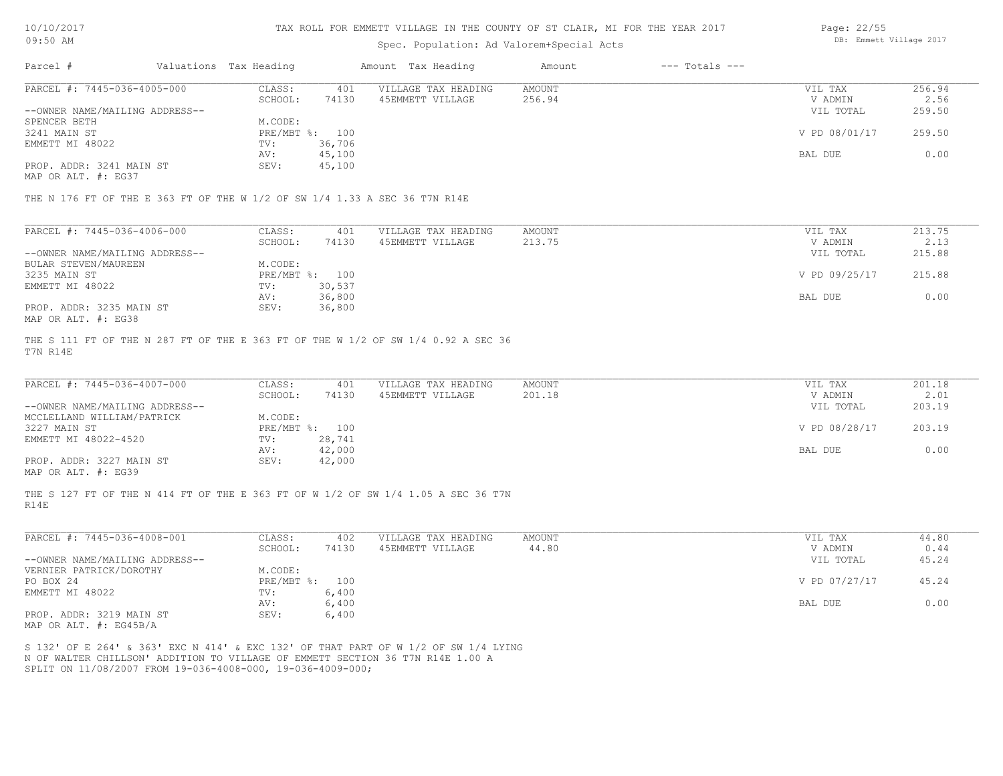#### TAX ROLL FOR EMMETT VILLAGE IN THE COUNTY OF ST CLAIR, MI FOR THE YEAR 2017

### Spec. Population: Ad Valorem+Special Acts

| Page: 22/55 |                         |  |
|-------------|-------------------------|--|
|             | DB: Emmett Village 2017 |  |

| Parcel #                       | Valuations Tax Heading |        | Amount Tax Heading  | Amount | $---$ Totals $---$ |               |        |
|--------------------------------|------------------------|--------|---------------------|--------|--------------------|---------------|--------|
| PARCEL #: 7445-036-4005-000    | CLASS:                 | 401    | VILLAGE TAX HEADING | AMOUNT |                    | VIL TAX       | 256.94 |
|                                | SCHOOL:                | 74130  | 45EMMETT VILLAGE    | 256.94 |                    | V ADMIN       | 2.56   |
| --OWNER NAME/MAILING ADDRESS-- |                        |        |                     |        |                    | VIL TOTAL     | 259.50 |
| SPENCER BETH                   | M.CODE:                |        |                     |        |                    |               |        |
| 3241 MAIN ST                   | PRE/MBT %: 100         |        |                     |        |                    | V PD 08/01/17 | 259.50 |
| EMMETT MI 48022                | TV:                    | 36,706 |                     |        |                    |               |        |
|                                | AV:                    | 45,100 |                     |        |                    | BAL DUE       | 0.00   |
| PROP. ADDR: 3241 MAIN ST       | SEV:                   | 45,100 |                     |        |                    |               |        |
|                                |                        |        |                     |        |                    |               |        |

MAP OR ALT. #: EG37

THE N 176 FT OF THE E 363 FT OF THE W 1/2 OF SW 1/4 1.33 A SEC 36 T7N R14E

| PARCEL #: 7445-036-4006-000    | CLASS:  | 401            | VILLAGE TAX HEADING | AMOUNT | VIL TAX       | 213.75 |
|--------------------------------|---------|----------------|---------------------|--------|---------------|--------|
|                                | SCHOOL: | 74130          | 45EMMETT VILLAGE    | 213.75 | V ADMIN       | 2.13   |
| --OWNER NAME/MAILING ADDRESS-- |         |                |                     |        | VIL TOTAL     | 215.88 |
| BULAR STEVEN/MAUREEN           | M.CODE: |                |                     |        |               |        |
| 3235 MAIN ST                   |         | PRE/MBT %: 100 |                     |        | V PD 09/25/17 | 215.88 |
| EMMETT MI 48022                | TV:     | 30,537         |                     |        |               |        |
|                                | AV:     | 36,800         |                     |        | BAL DUE       | 0.00   |
| PROP. ADDR: 3235 MAIN ST       | SEV:    | 36,800         |                     |        |               |        |
| MAP OR ALT. #: EG38            |         |                |                     |        |               |        |

T7N R14E THE S 111 FT OF THE N 287 FT OF THE E 363 FT OF THE W 1/2 OF SW 1/4 0.92 A SEC 36

| PARCEL #: 7445-036-4007-000                           | CLASS:         | 401    | VILLAGE TAX HEADING | AMOUNT | VIL TAX       | 201.18 |
|-------------------------------------------------------|----------------|--------|---------------------|--------|---------------|--------|
|                                                       | SCHOOL:        | 74130  | 45EMMETT VILLAGE    | 201.18 | V ADMIN       | 2.01   |
| --OWNER NAME/MAILING ADDRESS--                        |                |        |                     |        | VIL TOTAL     | 203.19 |
| MCCLELLAND WILLIAM/PATRICK                            | M.CODE:        |        |                     |        |               |        |
| 3227 MAIN ST                                          | PRE/MBT %: 100 |        |                     |        | V PD 08/28/17 | 203.19 |
| EMMETT MI 48022-4520                                  | TV:            | 28,741 |                     |        |               |        |
|                                                       | AV:            | 42,000 |                     |        | BAL DUE       | 0.00   |
| PROP. ADDR: 3227 MAIN ST                              | SEV:           | 42,000 |                     |        |               |        |
| $\cdots$ $\cdots$ $\cdots$ $\cdots$ $\cdots$ $\cdots$ |                |        |                     |        |               |        |

MAP OR ALT. #: EG39

R14E THE S 127 FT OF THE N 414 FT OF THE E 363 FT OF W 1/2 OF SW 1/4 1.05 A SEC 36 T7N

| PARCEL #: 7445-036-4008-001    | CLASS:           | 402   | VILLAGE TAX HEADING | AMOUNT | VIL TAX       | 44.80 |
|--------------------------------|------------------|-------|---------------------|--------|---------------|-------|
|                                | SCHOOL:          | 74130 | 45EMMETT VILLAGE    | 44.80  | V ADMIN       | 0.44  |
| --OWNER NAME/MAILING ADDRESS-- |                  |       |                     |        | VIL TOTAL     | 45.24 |
| VERNIER PATRICK/DOROTHY        | M.CODE:          |       |                     |        |               |       |
| PO BOX 24                      | $PRE/MBT$ $\div$ | 100   |                     |        | V PD 07/27/17 | 45.24 |
| EMMETT MI 48022                | TV:              | 6,400 |                     |        |               |       |
|                                | AV:              | 6,400 |                     |        | BAL DUE       | 0.00  |
| PROP. ADDR: 3219 MAIN ST       | SEV:             | 6,400 |                     |        |               |       |
| $\frac{1}{2}$                  |                  |       |                     |        |               |       |

MAP OR ALT. #: EG45B/A

SPLIT ON 11/08/2007 FROM 19-036-4008-000, 19-036-4009-000; N OF WALTER CHILLSON' ADDITION TO VILLAGE OF EMMETT SECTION 36 T7N R14E 1.00 A S 132' OF E 264' & 363' EXC N 414' & EXC 132' OF THAT PART OF W 1/2 OF SW 1/4 LYING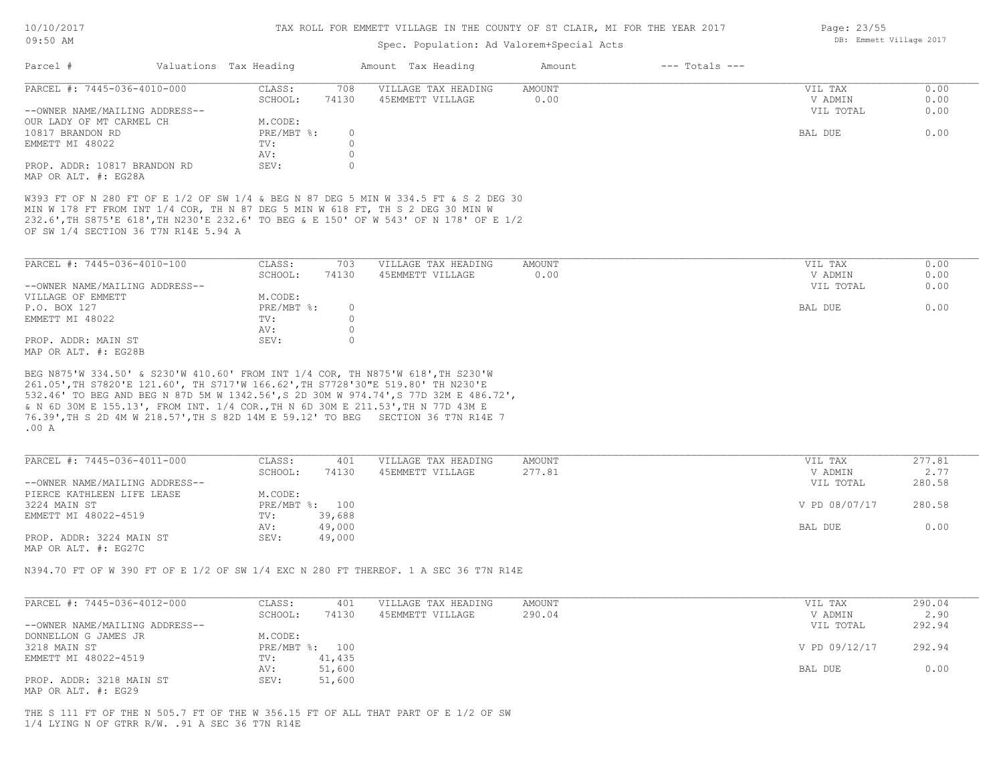| 10/10/2017 |  |
|------------|--|
| 09:50 AM   |  |

Page: 23/55

DB: Emmett Village 2017

## Spec. Population: Ad Valorem+Special Acts

| Parcel #                                                                                                                                                                                                                                                                                               | Valuations Tax Heading |                                        | Amount Tax Heading                                                                | Amount           | $---$ Totals $---$ |                                 |                      |
|--------------------------------------------------------------------------------------------------------------------------------------------------------------------------------------------------------------------------------------------------------------------------------------------------------|------------------------|----------------------------------------|-----------------------------------------------------------------------------------|------------------|--------------------|---------------------------------|----------------------|
| PARCEL #: 7445-036-4010-000<br>--OWNER NAME/MAILING ADDRESS--                                                                                                                                                                                                                                          | CLASS:                 | 708<br>SCHOOL:<br>74130                | VILLAGE TAX HEADING<br>45EMMETT VILLAGE                                           | AMOUNT<br>0.00   |                    | VIL TAX<br>V ADMIN<br>VIL TOTAL | 0.00<br>0.00<br>0.00 |
| OUR LADY OF MT CARMEL CH                                                                                                                                                                                                                                                                               |                        | M.CODE:                                |                                                                                   |                  |                    |                                 |                      |
| 10817 BRANDON RD                                                                                                                                                                                                                                                                                       |                        | PRE/MBT %:<br>$\circ$                  |                                                                                   |                  |                    | BAL DUE                         | 0.00                 |
| EMMETT MI 48022                                                                                                                                                                                                                                                                                        | TV:                    | $\circ$                                |                                                                                   |                  |                    |                                 |                      |
|                                                                                                                                                                                                                                                                                                        | AV:                    | $\circ$                                |                                                                                   |                  |                    |                                 |                      |
| PROP. ADDR: 10817 BRANDON RD<br>MAP OR ALT. #: EG28A                                                                                                                                                                                                                                                   | SEV:                   | $\circ$                                |                                                                                   |                  |                    |                                 |                      |
| W393 FT OF N 280 FT OF E 1/2 OF SW 1/4 & BEG N 87 DEG 5 MIN W 334.5 FT & S 2 DEG 30<br>MIN W 178 FT FROM INT 1/4 COR, TH N 87 DEG 5 MIN W 618 FT, TH S 2 DEG 30 MIN W<br>232.6', TH S875'E 618', TH N230'E 232.6' TO BEG & E 150' OF W 543' OF N 178' OF E 1/2<br>OF SW 1/4 SECTION 36 T7N R14E 5.94 A |                        |                                        |                                                                                   |                  |                    |                                 |                      |
| PARCEL #: 7445-036-4010-100                                                                                                                                                                                                                                                                            | CLASS:                 | 703                                    | VILLAGE TAX HEADING                                                               | AMOUNT           |                    | VIL TAX                         | 0.00                 |
|                                                                                                                                                                                                                                                                                                        |                        | SCHOOL:<br>74130                       | 45EMMETT VILLAGE                                                                  | 0.00             |                    | V ADMIN                         | 0.00                 |
| --OWNER NAME/MAILING ADDRESS--                                                                                                                                                                                                                                                                         |                        |                                        |                                                                                   |                  |                    | VIL TOTAL                       | 0.00                 |
| VILLAGE OF EMMETT                                                                                                                                                                                                                                                                                      |                        | M.CODE:                                |                                                                                   |                  |                    |                                 |                      |
| P.O. BOX 127<br>EMMETT MI 48022                                                                                                                                                                                                                                                                        | TV:                    | $PRE/MBT$ $\div$<br>$\circ$<br>$\circ$ |                                                                                   |                  |                    | BAL DUE                         | 0.00                 |
|                                                                                                                                                                                                                                                                                                        | AV:                    | $\circ$                                |                                                                                   |                  |                    |                                 |                      |
| PROP. ADDR: MAIN ST<br>MAP OR ALT. #: EG28B                                                                                                                                                                                                                                                            | SEV:                   | $\circ$                                |                                                                                   |                  |                    |                                 |                      |
| 76.39', TH S 2D 4M W 218.57', TH S 82D 14M E 59.12' TO BEG SECTION 36 T7N R14E 7<br>.00 A                                                                                                                                                                                                              |                        |                                        |                                                                                   |                  |                    |                                 |                      |
| PARCEL #: 7445-036-4011-000                                                                                                                                                                                                                                                                            | CLASS:                 | 401<br>SCHOOL:<br>74130                | VILLAGE TAX HEADING<br>45EMMETT VILLAGE                                           | AMOUNT<br>277.81 |                    | VIL TAX<br>V ADMIN              | 277.81<br>2.77       |
| --OWNER NAME/MAILING ADDRESS--                                                                                                                                                                                                                                                                         |                        |                                        |                                                                                   |                  |                    | VIL TOTAL                       | 280.58               |
| PIERCE KATHLEEN LIFE LEASE                                                                                                                                                                                                                                                                             |                        | M.CODE:                                |                                                                                   |                  |                    |                                 |                      |
| 3224 MAIN ST                                                                                                                                                                                                                                                                                           |                        | PRE/MBT %: 100                         |                                                                                   |                  |                    | V PD 08/07/17                   | 280.58               |
| EMMETT MI 48022-4519                                                                                                                                                                                                                                                                                   | TV:                    | 39,688                                 |                                                                                   |                  |                    | BAL DUE                         | 0.00                 |
| PROP. ADDR: 3224 MAIN ST<br>MAP OR ALT. #: EG27C                                                                                                                                                                                                                                                       | AV:<br>SEV:            | 49,000<br>49,000                       |                                                                                   |                  |                    |                                 |                      |
| N394.70 FT OF W 390 FT OF E 1/2 OF SW 1/4 EXC N 280 FT THEREOF. 1 A SEC 36 T7N R14E                                                                                                                                                                                                                    |                        |                                        |                                                                                   |                  |                    |                                 |                      |
| PARCEL #: 7445-036-4012-000                                                                                                                                                                                                                                                                            | CLASS:                 | 401                                    | VILLAGE TAX HEADING                                                               | AMOUNT           |                    | VIL TAX                         | 290.04               |
|                                                                                                                                                                                                                                                                                                        |                        | SCHOOL:<br>74130                       | 45EMMETT VILLAGE                                                                  | 290.04           |                    | V ADMIN                         | 2.90                 |
| --OWNER NAME/MAILING ADDRESS--                                                                                                                                                                                                                                                                         |                        |                                        |                                                                                   |                  |                    | VIL TOTAL                       | 292.94               |
| DONNELLON G JAMES JR                                                                                                                                                                                                                                                                                   |                        | M.CODE:                                |                                                                                   |                  |                    |                                 |                      |
| 3218 MAIN ST                                                                                                                                                                                                                                                                                           |                        | PRE/MBT %: 100<br>41,435               |                                                                                   |                  |                    | V PD 09/12/17                   | 292.94               |
| EMMETT MI 48022-4519                                                                                                                                                                                                                                                                                   | TV:<br>AV:             | 51,600                                 |                                                                                   |                  |                    | BAL DUE                         | 0.00                 |
| PROP. ADDR: 3218 MAIN ST<br>MAP OR ALT. #: EG29                                                                                                                                                                                                                                                        | SEV:                   | 51,600                                 |                                                                                   |                  |                    |                                 |                      |
| $1/4$ LYING N OF GTRR R/W. . 91 A SEC 36 T7N R14E                                                                                                                                                                                                                                                      |                        |                                        | THE S 111 FT OF THE N 505.7 FT OF THE W 356.15 FT OF ALL THAT PART OF E 1/2 OF SW |                  |                    |                                 |                      |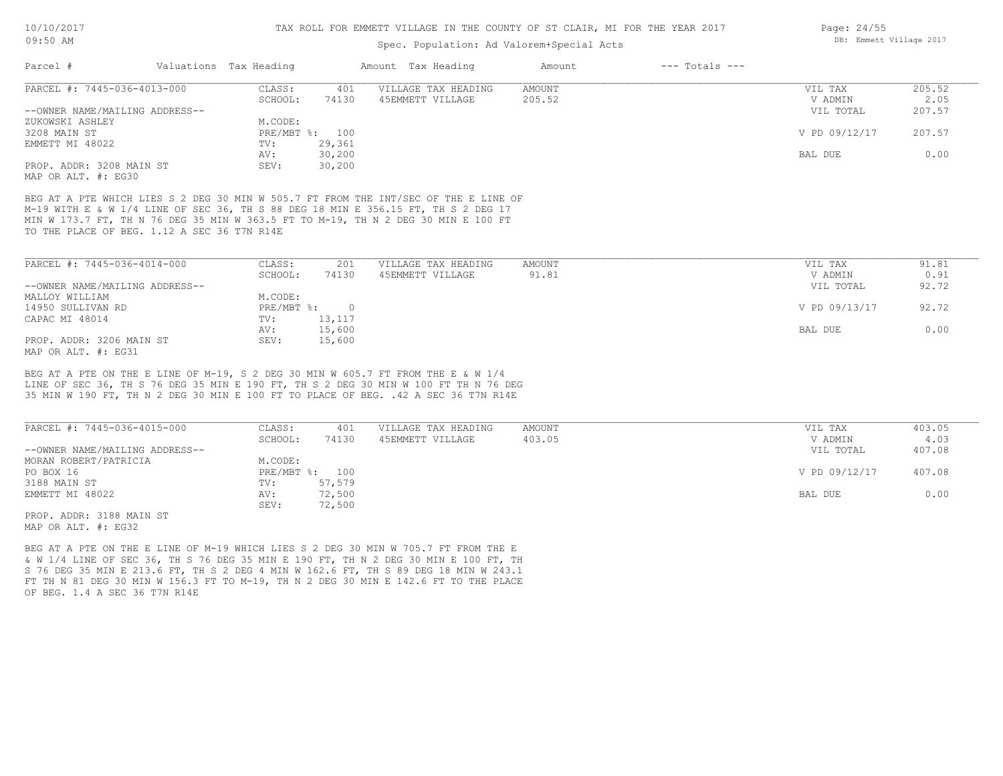### Spec. Population: Ad Valorem+Special Acts

| Parcel #                       | Valuations Tax Heading |        | Amount Tax Heading  | Amount | $---$ Totals $---$ |               |        |
|--------------------------------|------------------------|--------|---------------------|--------|--------------------|---------------|--------|
| PARCEL #: 7445-036-4013-000    | CLASS:                 | 401    | VILLAGE TAX HEADING | AMOUNT |                    | VIL TAX       | 205.52 |
|                                | SCHOOL:                | 74130  | 45EMMETT VILLAGE    | 205.52 |                    | V ADMIN       | 2.05   |
| --OWNER NAME/MAILING ADDRESS-- |                        |        |                     |        |                    | VIL TOTAL     | 207.57 |
| ZUKOWSKI ASHLEY                | M.CODE:                |        |                     |        |                    |               |        |
| 3208 MAIN ST                   | PRE/MBT %: 100         |        |                     |        |                    | V PD 09/12/17 | 207.57 |
| EMMETT MI 48022                | TV:                    | 29,361 |                     |        |                    |               |        |
|                                | AV:                    | 30,200 |                     |        |                    | BAL DUE       | 0.00   |
| PROP. ADDR: 3208 MAIN ST       | SEV:                   | 30,200 |                     |        |                    |               |        |
| MAP OR ALT. #: EG30            |                        |        |                     |        |                    |               |        |

TO THE PLACE OF BEG. 1.12 A SEC 36 T7N R14E MIN W 173.7 FT, TH N 76 DEG 35 MIN W 363.5 FT TO M-19, TH N 2 DEG 30 MIN E 100 FT M-19 WITH E & W 1/4 LINE OF SEC 36, TH S 88 DEG 18 MIN E 356.15 FT, TH S 2 DEG 17 BEG AT A PTE WHICH LIES S 2 DEG 30 MIN W 505.7 FT FROM THE INT/SEC OF THE E LINE OF

| PARCEL #: 7445-036-4014-000    | CLASS:     | 201       | VILLAGE TAX HEADING | AMOUNT | VIL TAX       | 91.81 |
|--------------------------------|------------|-----------|---------------------|--------|---------------|-------|
|                                | SCHOOL:    | 74130     | 45EMMETT VILLAGE    | 91.81  | V ADMIN       | 0.91  |
| --OWNER NAME/MAILING ADDRESS-- |            |           |                     |        | VIL TOTAL     | 92.72 |
| MALLOY WILLIAM                 | M.CODE:    |           |                     |        |               |       |
| 14950 SULLIVAN RD              | PRE/MBT %: | $\bigcap$ |                     |        | V PD 09/13/17 | 92.72 |
| CAPAC MI 48014                 | TV:        | 13,117    |                     |        |               |       |
|                                | AV:        | 15,600    |                     |        | BAL DUE       | 0.00  |
| PROP. ADDR: 3206 MAIN ST       | SEV:       | 15,600    |                     |        |               |       |
| MAP OR ALT. #: EG31            |            |           |                     |        |               |       |

35 MIN W 190 FT, TH N 2 DEG 30 MIN E 100 FT TO PLACE OF BEG. .42 A SEC 36 T7N R14E LINE OF SEC 36, TH S 76 DEG 35 MIN E 190 FT, TH S 2 DEG 30 MIN W 100 FT TH N 76 DEG BEG AT A PTE ON THE E LINE OF M-19, S 2 DEG 30 MIN W 605.7 FT FROM THE E & W 1/4

| PARCEL #: 7445-036-4015-000    | CLASS:  | 401            | VILLAGE TAX HEADING | AMOUNT | VIL TAX       | 403.05 |
|--------------------------------|---------|----------------|---------------------|--------|---------------|--------|
|                                | SCHOOL: | 74130          | 45EMMETT VILLAGE    | 403.05 | V ADMIN       | 4.03   |
| --OWNER NAME/MAILING ADDRESS-- |         |                |                     |        | VIL TOTAL     | 407.08 |
| MORAN ROBERT/PATRICIA          | M.CODE: |                |                     |        |               |        |
| PO BOX 16                      |         | PRE/MBT %: 100 |                     |        | V PD 09/12/17 | 407.08 |
| 3188 MAIN ST                   | TV:     | 57,579         |                     |        |               |        |
| EMMETT MI 48022                | AV:     | 72,500         |                     |        | BAL DUE       | 0.00   |
|                                | SEV:    | 72,500         |                     |        |               |        |
| PROP. ADDR: 3188 MAIN ST       |         |                |                     |        |               |        |

MAP OR ALT. #: EG32

OF BEG. 1.4 A SEC 36 T7N R14E FT TH N 81 DEG 30 MIN W 156.3 FT TO M-19, TH N 2 DEG 30 MIN E 142.6 FT TO THE PLACE S 76 DEG 35 MIN E 213.6 FT, TH S 2 DEG 4 MIN W 162.6 FT, TH S 89 DEG 18 MIN W 243.1 & W 1/4 LINE OF SEC 36, TH S 76 DEG 35 MIN E 190 FT, TH N 2 DEG 30 MIN E 100 FT, TH BEG AT A PTE ON THE E LINE OF M-19 WHICH LIES S 2 DEG 30 MIN W 705.7 FT FROM THE E

Page: 24/55 DB: Emmett Village 2017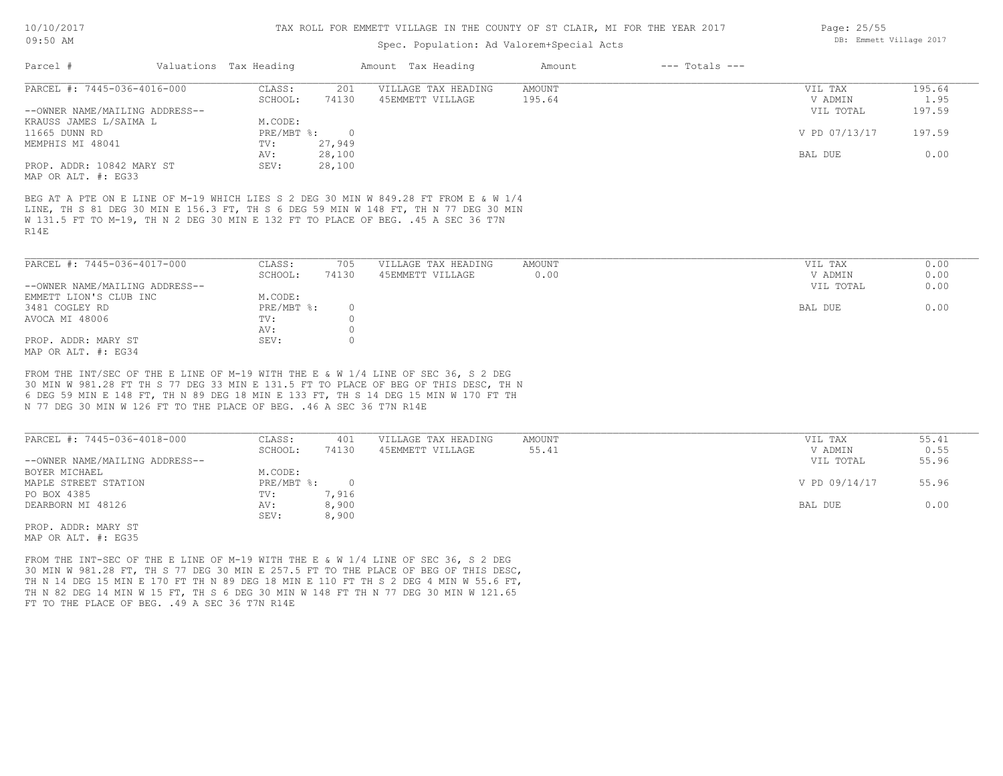### Spec. Population: Ad Valorem+Special Acts

| Parcel #                       | Valuations Tax Heading |        | Amount Tax Heading  | Amount | $---$ Totals $---$ |               |        |
|--------------------------------|------------------------|--------|---------------------|--------|--------------------|---------------|--------|
| PARCEL #: 7445-036-4016-000    | CLASS:                 | 201    | VILLAGE TAX HEADING | AMOUNT |                    | VIL TAX       | 195.64 |
|                                | SCHOOL:                | 74130  | 45EMMETT VILLAGE    | 195.64 |                    | V ADMIN       | 1.95   |
| --OWNER NAME/MAILING ADDRESS-- |                        |        |                     |        |                    | VIL TOTAL     | 197.59 |
| KRAUSS JAMES L/SAIMA L         | M.CODE:                |        |                     |        |                    |               |        |
| 11665 DUNN RD                  | PRE/MBT %:             |        |                     |        |                    | V PD 07/13/17 | 197.59 |
| MEMPHIS MI 48041               | TV:                    | 27,949 |                     |        |                    |               |        |
|                                | AV:                    | 28,100 |                     |        |                    | BAL DUE       | 0.00   |
| PROP. ADDR: 10842 MARY ST      | SEV:                   | 28,100 |                     |        |                    |               |        |
| MAP OR ALT. #: EG33            |                        |        |                     |        |                    |               |        |

R14E W 131.5 FT TO M-19, TH N 2 DEG 30 MIN E 132 FT TO PLACE OF BEG. .45 A SEC 36 T7N LINE, TH S 81 DEG 30 MIN E 156.3 FT, TH S 6 DEG 59 MIN W 148 FT, TH N 77 DEG 30 MIN BEG AT A PTE ON E LINE OF M-19 WHICH LIES S 2 DEG 30 MIN W 849.28 FT FROM E & W 1/4

| PARCEL #: 7445-036-4017-000    | CLASS:     | 705   | VILLAGE TAX HEADING | AMOUNT | VIL TAX   | 0.00 |
|--------------------------------|------------|-------|---------------------|--------|-----------|------|
|                                | SCHOOL:    | 74130 | 45EMMETT VILLAGE    | 0.00   | V ADMIN   | 0.00 |
| --OWNER NAME/MAILING ADDRESS-- |            |       |                     |        | VIL TOTAL | 0.00 |
| EMMETT LION'S CLUB INC         | M.CODE:    |       |                     |        |           |      |
| 3481 COGLEY RD                 | PRE/MBT %: |       |                     |        | BAL DUE   | 0.00 |
| AVOCA MI 48006                 | TV:        |       |                     |        |           |      |
|                                | AV:        |       |                     |        |           |      |
| PROP. ADDR: MARY ST            | SEV:       |       |                     |        |           |      |
| MAP OR ALT. #: EG34            |            |       |                     |        |           |      |

N 77 DEG 30 MIN W 126 FT TO THE PLACE OF BEG. .46 A SEC 36 T7N R14E 6 DEG 59 MIN E 148 FT, TH N 89 DEG 18 MIN E 133 FT, TH S 14 DEG 15 MIN W 170 FT TH 30 MIN W 981.28 FT TH S 77 DEG 33 MIN E 131.5 FT TO PLACE OF BEG OF THIS DESC, TH N FROM THE INT/SEC OF THE E LINE OF M-19 WITH THE E & W 1/4 LINE OF SEC 36, S 2 DEG

| PARCEL #: 7445-036-4018-000    | CLASS:     | 401   | VILLAGE TAX HEADING | AMOUNT | VIL TAX       | 55.41 |
|--------------------------------|------------|-------|---------------------|--------|---------------|-------|
|                                | SCHOOL:    | 74130 | 45EMMETT VILLAGE    | 55.41  | V ADMIN       | 0.55  |
| --OWNER NAME/MAILING ADDRESS-- |            |       |                     |        | VIL TOTAL     | 55.96 |
| BOYER MICHAEL                  | M.CODE:    |       |                     |        |               |       |
| MAPLE STREET STATION           | PRE/MBT %: |       |                     |        | V PD 09/14/17 | 55.96 |
| PO BOX 4385                    | TV:        | 7,916 |                     |        |               |       |
| DEARBORN MI 48126              | AV:        | 8,900 |                     |        | BAL DUE       | 0.00  |
|                                | SEV:       | 8,900 |                     |        |               |       |
| PROP. ADDR: MARY ST            |            |       |                     |        |               |       |

MAP OR ALT. #: EG35

FT TO THE PLACE OF BEG. . 49 A SEC 36 T7N R14E TH N 82 DEG 14 MIN W 15 FT, TH S 6 DEG 30 MIN W 148 FT TH N 77 DEG 30 MIN W 121.65 TH N 14 DEG 15 MIN E 170 FT TH N 89 DEG 18 MIN E 110 FT TH S 2 DEG 4 MIN W 55.6 FT, 30 MIN W 981.28 FT, TH S 77 DEG 30 MIN E 257.5 FT TO THE PLACE OF BEG OF THIS DESC, FROM THE INT-SEC OF THE E LINE OF M-19 WITH THE E & W 1/4 LINE OF SEC 36, S 2 DEG

Page: 25/55 DB: Emmett Village 2017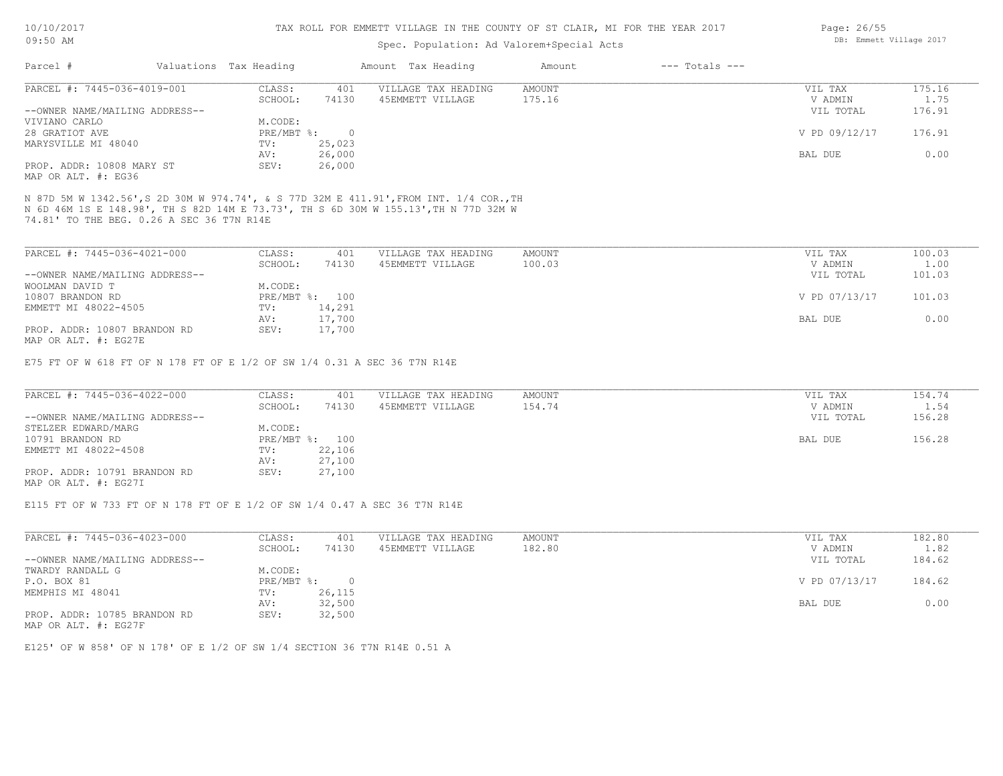#### TAX ROLL FOR EMMETT VILLAGE IN THE COUNTY OF ST CLAIR, MI FOR THE YEAR 2017

### Spec. Population: Ad Valorem+Special Acts

| Parcel #                       | Valuations Tax Heading |        | Amount Tax Heading  | Amount | $---$ Totals $---$ |               |        |
|--------------------------------|------------------------|--------|---------------------|--------|--------------------|---------------|--------|
| PARCEL #: 7445-036-4019-001    | CLASS:                 | 401    | VILLAGE TAX HEADING | AMOUNT |                    | VIL TAX       | 175.16 |
|                                | SCHOOL:                | 74130  | 45EMMETT VILLAGE    | 175.16 |                    | V ADMIN       | 1.75   |
| --OWNER NAME/MAILING ADDRESS-- |                        |        |                     |        |                    | VIL TOTAL     | 176.91 |
| VIVIANO CARLO                  | M.CODE:                |        |                     |        |                    |               |        |
| 28 GRATIOT AVE                 | $PRE/MBT$ %:           |        |                     |        |                    | V PD 09/12/17 | 176.91 |
| MARYSVILLE MI 48040            | TV:                    | 25,023 |                     |        |                    |               |        |
|                                | AV:                    | 26,000 |                     |        |                    | BAL DUE       | 0.00   |
| PROP. ADDR: 10808 MARY ST      | SEV:                   | 26,000 |                     |        |                    |               |        |
|                                |                        |        |                     |        |                    |               |        |

MAP OR ALT. #: EG36

74.81' TO THE BEG. 0.26 A SEC 36 T7N R14E N 6D 46M 1S E 148.98', TH S 82D 14M E 73.73', TH S 6D 30M W 155.13',TH N 77D 32M W N 87D 5M W 1342.56',S 2D 30M W 974.74', & S 77D 32M E 411.91',FROM INT. 1/4 COR.,TH

| PARCEL #: 7445-036-4021-000    | CLASS:  | 401            | VILLAGE TAX HEADING | AMOUNT | VIL TAX       | 100.03 |
|--------------------------------|---------|----------------|---------------------|--------|---------------|--------|
|                                | SCHOOL: | 74130          | 45EMMETT VILLAGE    | 100.03 | V ADMIN       | 1.00   |
| --OWNER NAME/MAILING ADDRESS-- |         |                |                     |        | VIL TOTAL     | 101.03 |
| WOOLMAN DAVID T                | M.CODE: |                |                     |        |               |        |
| 10807 BRANDON RD               |         | PRE/MBT %: 100 |                     |        | V PD 07/13/17 | 101.03 |
| EMMETT MI 48022-4505           | TV:     | 14,291         |                     |        |               |        |
|                                | AV:     | 17,700         |                     |        | BAL DUE       | 0.00   |
| PROP. ADDR: 10807 BRANDON RD   | SEV:    | 17,700         |                     |        |               |        |
| MAP OR ALT. #: EG27E           |         |                |                     |        |               |        |

E75 FT OF W 618 FT OF N 178 FT OF E 1/2 OF SW 1/4 0.31 A SEC 36 T7N R14E

| PARCEL #: 7445-036-4022-000    | CLASS:  | 401            | VILLAGE TAX HEADING | AMOUNT | VIL TAX   | 154.74 |
|--------------------------------|---------|----------------|---------------------|--------|-----------|--------|
|                                | SCHOOL: | 74130          | 45EMMETT VILLAGE    | 154.74 | V ADMIN   | 1.54   |
| --OWNER NAME/MAILING ADDRESS-- |         |                |                     |        | VIL TOTAL | 156.28 |
| STELZER EDWARD/MARG            | M.CODE: |                |                     |        |           |        |
| 10791 BRANDON RD               |         | PRE/MBT %: 100 |                     |        | BAL DUE   | 156.28 |
| EMMETT MI 48022-4508           | TV:     | 22,106         |                     |        |           |        |
|                                | AV:     | 27,100         |                     |        |           |        |
| PROP. ADDR: 10791 BRANDON RD   | SEV:    | 27,100         |                     |        |           |        |
| MAP OR ALT. #: EG27I           |         |                |                     |        |           |        |

E115 FT OF W 733 FT OF N 178 FT OF E 1/2 OF SW 1/4 0.47 A SEC 36 T7N R14E

| PARCEL #: 7445-036-4023-000    | CLASS:     | 401    | VILLAGE TAX HEADING | AMOUNT | VIL TAX       | 182.80 |
|--------------------------------|------------|--------|---------------------|--------|---------------|--------|
|                                | SCHOOL:    | 74130  | 45EMMETT VILLAGE    | 182.80 | V ADMIN       | 1.82   |
| --OWNER NAME/MAILING ADDRESS-- |            |        |                     |        | VIL TOTAL     | 184.62 |
| TWARDY RANDALL G               | M.CODE:    |        |                     |        |               |        |
| P.O. BOX 81                    | PRE/MBT %: |        |                     |        | V PD 07/13/17 | 184.62 |
| MEMPHIS MI 48041               | TV:        | 26,115 |                     |        |               |        |
|                                | AV:        | 32,500 |                     |        | BAL DUE       | 0.00   |
| PROP. ADDR: 10785 BRANDON RD   | SEV:       | 32,500 |                     |        |               |        |

MAP OR ALT. #: EG27F

E125' OF W 858' OF N 178' OF E 1/2 OF SW 1/4 SECTION 36 T7N R14E 0.51 A

Page: 26/55 DB: Emmett Village 2017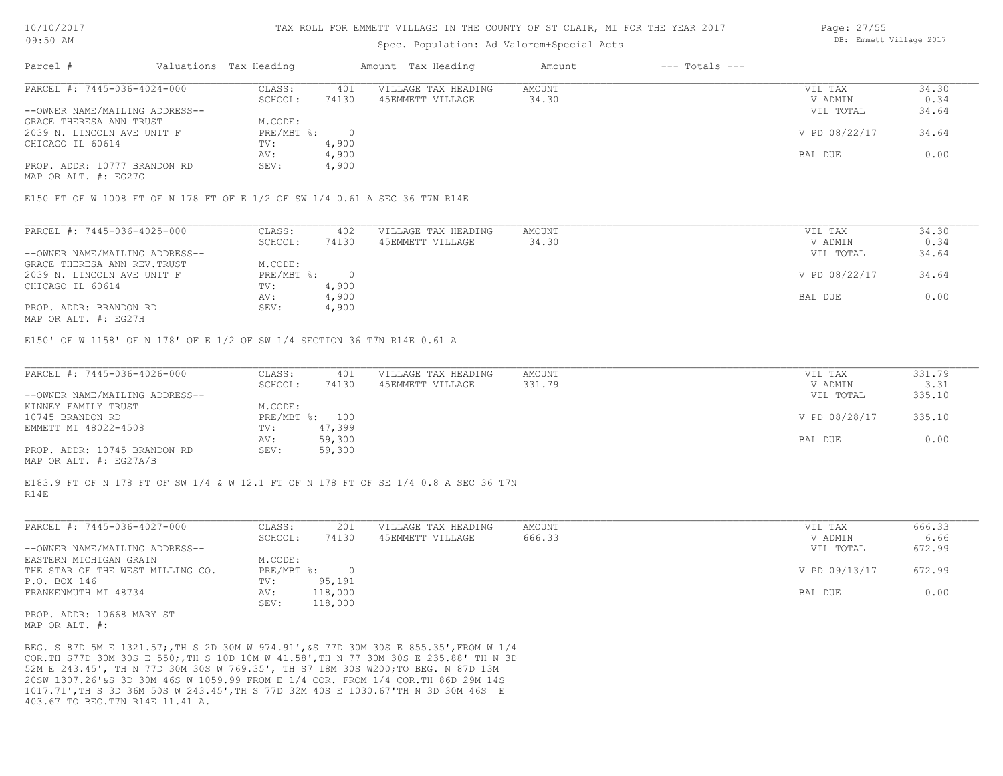### Spec. Population: Ad Valorem+Special Acts

| Parcel #                       | Valuations Tax Heading |       | Amount Tax Heading  | Amount | $---$ Totals $---$ |               |       |
|--------------------------------|------------------------|-------|---------------------|--------|--------------------|---------------|-------|
| PARCEL #: 7445-036-4024-000    | CLASS:                 | 401   | VILLAGE TAX HEADING | AMOUNT |                    | VIL TAX       | 34.30 |
|                                | SCHOOL:                | 74130 | 45EMMETT VILLAGE    | 34.30  |                    | V ADMIN       | 0.34  |
| --OWNER NAME/MAILING ADDRESS-- |                        |       |                     |        |                    | VIL TOTAL     | 34.64 |
| GRACE THERESA ANN TRUST        | M.CODE:                |       |                     |        |                    |               |       |
| 2039 N. LINCOLN AVE UNIT F     | PRE/MBT %:             |       |                     |        |                    | V PD 08/22/17 | 34.64 |
| CHICAGO IL 60614               | TV:                    | 4,900 |                     |        |                    |               |       |
|                                | AV:                    | 4,900 |                     |        |                    | BAL DUE       | 0.00  |
| PROP. ADDR: 10777 BRANDON RD   | SEV:                   | 4,900 |                     |        |                    |               |       |
|                                |                        |       |                     |        |                    |               |       |

MAP OR ALT. #: EG27G

#### E150 FT OF W 1008 FT OF N 178 FT OF E 1/2 OF SW 1/4 0.61 A SEC 36 T7N R14E

| PARCEL #: 7445-036-4025-000    | CLASS:     | 402   | VILLAGE TAX HEADING | AMOUNT | VIL TAX       | 34.30 |
|--------------------------------|------------|-------|---------------------|--------|---------------|-------|
|                                | SCHOOL:    | 74130 | 45EMMETT VILLAGE    | 34.30  | V ADMIN       | 0.34  |
| --OWNER NAME/MAILING ADDRESS-- |            |       |                     |        | VIL TOTAL     | 34.64 |
| GRACE THERESA ANN REV. TRUST   | M.CODE:    |       |                     |        |               |       |
| 2039 N. LINCOLN AVE UNIT F     | PRE/MBT %: |       |                     |        | V PD 08/22/17 | 34.64 |
| CHICAGO IL 60614               | TV:        | 4,900 |                     |        |               |       |
|                                | AV:        | 4,900 |                     |        | BAL DUE       | 0.00  |
| PROP. ADDR: BRANDON RD         | SEV:       | 4,900 |                     |        |               |       |
|                                |            |       |                     |        |               |       |

MAP OR ALT. #: EG27H

E150' OF W 1158' OF N 178' OF E 1/2 OF SW 1/4 SECTION 36 T7N R14E 0.61 A

| PARCEL #: 7445-036-4026-000    | CLASS:  | 401            | VILLAGE TAX HEADING | AMOUNT | VIL TAX       | 331.79 |
|--------------------------------|---------|----------------|---------------------|--------|---------------|--------|
|                                | SCHOOL: | 74130          | 45EMMETT VILLAGE    | 331.79 | V ADMIN       | 3.31   |
| --OWNER NAME/MAILING ADDRESS-- |         |                |                     |        | VIL TOTAL     | 335.10 |
| KINNEY FAMILY TRUST            | M.CODE: |                |                     |        |               |        |
| 10745 BRANDON RD               |         | PRE/MBT %: 100 |                     |        | V PD 08/28/17 | 335.10 |
| EMMETT MI 48022-4508           | TV:     | 47,399         |                     |        |               |        |
|                                | AV:     | 59,300         |                     |        | BAL DUE       | 0.00   |
| PROP. ADDR: 10745 BRANDON RD   | SEV:    | 59,300         |                     |        |               |        |
| ---- -- --- " ---- "           |         |                |                     |        |               |        |

MAP OR ALT. #: EG27A/B

R14E E183.9 FT OF N 178 FT OF SW 1/4 & W 12.1 FT OF N 178 FT OF SE 1/4 0.8 A SEC 36 T7N

| PARCEL #: 7445-036-4027-000      | CLASS:     | 201     | VILLAGE TAX HEADING | AMOUNT | VIL TAX       | 666.33 |
|----------------------------------|------------|---------|---------------------|--------|---------------|--------|
|                                  | SCHOOL:    | 74130   | 45EMMETT VILLAGE    | 666.33 | V ADMIN       | 6.66   |
| --OWNER NAME/MAILING ADDRESS--   |            |         |                     |        | VIL TOTAL     | 672.99 |
| EASTERN MICHIGAN GRAIN           | M.CODE:    |         |                     |        |               |        |
| THE STAR OF THE WEST MILLING CO. | PRE/MBT %: |         |                     |        | V PD 09/13/17 | 672.99 |
| P.O. BOX 146                     | TV:        | 95,191  |                     |        |               |        |
| FRANKENMUTH MI 48734             | AV:        | 118,000 |                     |        | BAL DUE       | 0.00   |
|                                  | SEV:       | 118,000 |                     |        |               |        |

MAP OR ALT. #: PROP. ADDR: 10668 MARY ST

403.67 TO BEG.T7N R14E 11.41 A. 1017.71',TH S 3D 36M 50S W 243.45',TH S 77D 32M 40S E 1030.67'TH N 3D 30M 46S E 20SW 1307.26'&S 3D 30M 46S W 1059.99 FROM E 1/4 COR. FROM 1/4 COR.TH 86D 29M 14S 52M E 243.45', TH N 77D 30M 30S W 769.35', TH S7 18M 30S W200;TO BEG. N 87D 13M COR.TH S77D 30M 30S E 550;,TH S 10D 10M W 41.58',TH N 77 30M 30S E 235.88' TH N 3D BEG. S 87D 5M E 1321.57;,TH S 2D 30M W 974.91',&S 77D 30M 30S E 855.35',FROM W 1/4 Page: 27/55 DB: Emmett Village 2017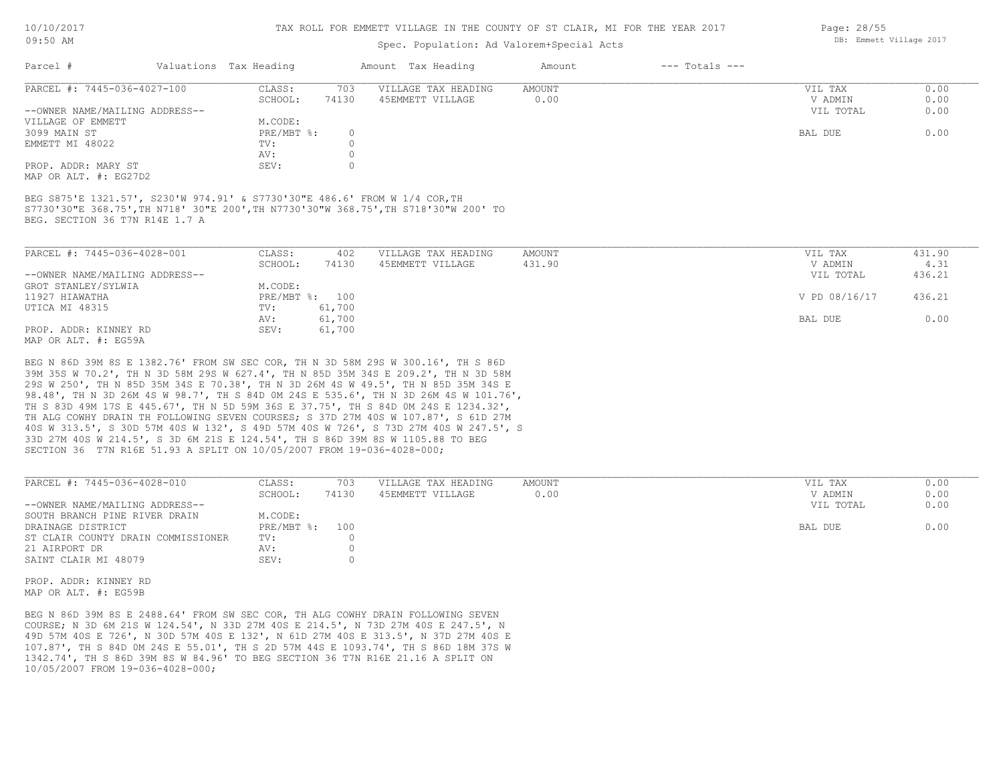#### TAX ROLL FOR EMMETT VILLAGE IN THE COUNTY OF ST CLAIR, MI FOR THE YEAR 2017

## Spec. Population: Ad Valorem+Special Acts

| Parcel #                       | Valuations Tax Heading |       | Amount Tax Heading  | Amount | $---$ Totals $---$ |           |      |
|--------------------------------|------------------------|-------|---------------------|--------|--------------------|-----------|------|
| PARCEL #: 7445-036-4027-100    | CLASS:                 | 703   | VILLAGE TAX HEADING | AMOUNT |                    | VIL TAX   | 0.00 |
|                                | SCHOOL:                | 74130 | 45EMMETT VILLAGE    | 0.00   |                    | V ADMIN   | 0.00 |
| --OWNER NAME/MAILING ADDRESS-- |                        |       |                     |        |                    | VIL TOTAL | 0.00 |
| VILLAGE OF EMMETT              | M.CODE:                |       |                     |        |                    |           |      |
| 3099 MAIN ST                   | PRE/MBT %:             |       |                     |        |                    | BAL DUE   | 0.00 |
| EMMETT MI 48022                | TV:                    |       |                     |        |                    |           |      |
|                                | AV:                    |       |                     |        |                    |           |      |
| PROP. ADDR: MARY ST            | SEV:                   |       |                     |        |                    |           |      |
|                                |                        |       |                     |        |                    |           |      |

MAP OR ALT. #: EG27D2

BEG. SECTION 36 T7N R14E 1.7 A S7730'30"E 368.75',TH N718' 30"E 200',TH N7730'30"W 368.75',TH S718'30"W 200' TO BEG S875'E 1321.57', S230'W 974.91' & S7730'30"E 486.6' FROM W 1/4 COR,TH

| PARCEL #: 7445-036-4028-001                                      | CLASS:         | 402    | VILLAGE TAX HEADING | AMOUNT | VIL TAX       | 431.90 |
|------------------------------------------------------------------|----------------|--------|---------------------|--------|---------------|--------|
|                                                                  | SCHOOL:        | 74130  | 45EMMETT VILLAGE    | 431.90 | V ADMIN       | 4.31   |
| --OWNER NAME/MAILING ADDRESS--                                   |                |        |                     |        | VIL TOTAL     | 436.21 |
| GROT STANLEY/SYLWIA                                              | M.CODE:        |        |                     |        |               |        |
| 11927 HIAWATHA                                                   | PRE/MBT %: 100 |        |                     |        | V PD 08/16/17 | 436.21 |
| UTICA MI 48315                                                   | TV:            | 61,700 |                     |        |               |        |
|                                                                  | AV:            | 61,700 |                     |        | BAL DUE       | 0.00   |
| PROP. ADDR: KINNEY RD                                            | SEV:           | 61,700 |                     |        |               |        |
| $M \land D$ $\land D \land T$ $m$ $\#$ , $D \land E \land \land$ |                |        |                     |        |               |        |

MAP OR ALT. #: EG59A

SECTION 36 T7N R16E 51.93 A SPLIT ON 10/05/2007 FROM 19-036-4028-000; 33D 27M 40S W 214.5', S 3D 6M 21S E 124.54', TH S 86D 39M 8S W 1105.88 TO BEG 40S W 313.5', S 30D 57M 40S W 132', S 49D 57M 40S W 726', S 73D 27M 40S W 247.5', S TH ALG COWHY DRAIN TH FOLLOWING SEVEN COURSES; S 37D 27M 40S W 107.87', S 61D 27M TH S 83D 49M 17S E 445.67', TH N 5D 59M 36S E 37.75', TH S 84D 0M 24S E 1234.32', 98.48', TH N 3D 26M 4S W 98.7', TH S 84D 0M 24S E 535.6', TH N 3D 26M 4S W 101.76', 29S W 250', TH N 85D 35M 34S E 70.38', TH N 3D 26M 4S W 49.5', TH N 85D 35M 34S E 39M 35S W 70.2', TH N 3D 58M 29S W 627.4', TH N 85D 35M 34S E 209.2', TH N 3D 58M BEG N 86D 39M 8S E 1382.76' FROM SW SEC COR, TH N 3D 58M 29S W 300.16', TH S 86D

| PARCEL #: 7445-036-4028-010        | CLASS:       | 703   | VILLAGE TAX HEADING | AMOUNT |         | VIL TAX   | 0.00 |
|------------------------------------|--------------|-------|---------------------|--------|---------|-----------|------|
|                                    | SCHOOL:      | 74130 | 45EMMETT VILLAGE    | 0.00   |         | V ADMIN   | 0.00 |
| --OWNER NAME/MAILING ADDRESS--     |              |       |                     |        |         | VIL TOTAL | 0.00 |
| SOUTH BRANCH PINE RIVER DRAIN      | M.CODE:      |       |                     |        |         |           |      |
| DRAINAGE DISTRICT                  | $PRE/MBT$ %: | 100   |                     |        | BAL DUE |           | 0.00 |
| ST CLAIR COUNTY DRAIN COMMISSIONER | TV:          |       |                     |        |         |           |      |
| 21 AIRPORT DR                      | AV:          |       |                     |        |         |           |      |
| SAINT CLAIR MI 48079               | SEV:         |       |                     |        |         |           |      |
|                                    |              |       |                     |        |         |           |      |

 $\_$  , and the state of the state of the state of the state of the state of the state of the state of the state of the state of the state of the state of the state of the state of the state of the state of the state of the

MAP OR ALT. #: EG59B PROP. ADDR: KINNEY RD

10/05/2007 FROM 19-036-4028-000; 1342.74', TH S 86D 39M 8S W 84.96' TO BEG SECTION 36 T7N R16E 21.16 A SPLIT ON 107.87', TH S 84D 0M 24S E 55.01', TH S 2D 57M 44S E 1093.74', TH S 86D 18M 37S W 49D 57M 40S E 726', N 30D 57M 40S E 132', N 61D 27M 40S E 313.5', N 37D 27M 40S E COURSE; N 3D 6M 21S W 124.54', N 33D 27M 40S E 214.5', N 73D 27M 40S E 247.5', N BEG N 86D 39M 8S E 2488.64' FROM SW SEC COR, TH ALG COWHY DRAIN FOLLOWING SEVEN

Page: 28/55 DB: Emmett Village 2017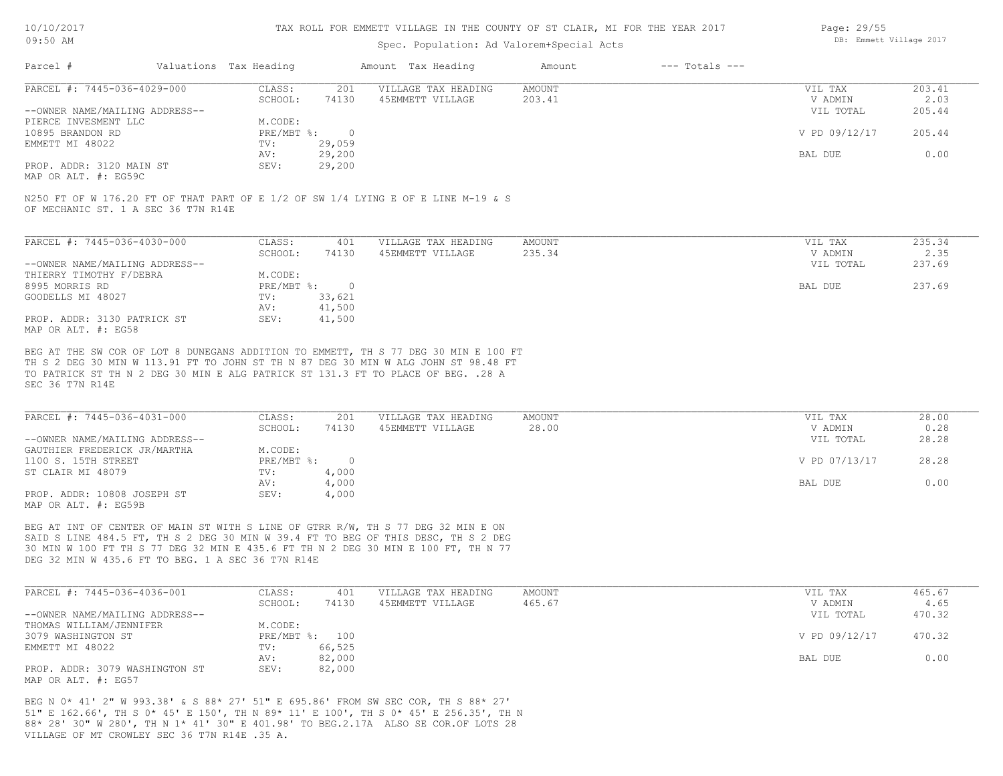#### TAX ROLL FOR EMMETT VILLAGE IN THE COUNTY OF ST CLAIR, MI FOR THE YEAR 2017

### Spec. Population: Ad Val

|        | OF ST CLAIR, MI FOR THE YEAR 2017 |                |  | Page: 29/55             |
|--------|-----------------------------------|----------------|--|-------------------------|
|        | orem+Special Acts.                |                |  | DB: Emmett Village 2017 |
| Amount |                                   | --- Totals --- |  |                         |

| PARCEL #: 7445-036-4029-000    | CLASS:     | 201    | VILLAGE TAX HEADING | AMOUNT | VIL TAX       | 203.41 |
|--------------------------------|------------|--------|---------------------|--------|---------------|--------|
|                                | SCHOOL:    | 74130  | 45EMMETT VILLAGE    | 203.41 | V ADMIN       | 2.03   |
| --OWNER NAME/MAILING ADDRESS-- |            |        |                     |        | VIL TOTAL     | 205.44 |
| PIERCE INVESMENT LLC           | M.CODE:    |        |                     |        |               |        |
| 10895 BRANDON RD               | PRE/MBT %: |        |                     |        | V PD 09/12/17 | 205.44 |
| EMMETT MI 48022                | TV:        | 29,059 |                     |        |               |        |
|                                | AV:        | 29,200 |                     |        | BAL DUE       | 0.00   |
| PROP. ADDR: 3120 MAIN ST       | SEV:       | 29,200 |                     |        |               |        |
|                                |            |        |                     |        |               |        |

MAP OR ALT. #: EG59C

OF MECHANIC ST. 1 A SEC 36 T7N R14E N250 FT OF W 176.20 FT OF THAT PART OF E 1/2 OF SW 1/4 LYING E OF E LINE M-19 & S

Parcel # Valuations Tax Heading Amount Tax Heading

| PARCEL #: 7445-036-4030-000    | CLASS:     | 401    | VILLAGE TAX HEADING | AMOUNT | VIL TAX   | 235.34 |
|--------------------------------|------------|--------|---------------------|--------|-----------|--------|
|                                | SCHOOL:    | 74130  | 45EMMETT VILLAGE    | 235.34 | V ADMIN   | 2.35   |
| --OWNER NAME/MAILING ADDRESS-- |            |        |                     |        | VIL TOTAL | 237.69 |
| THIERRY TIMOTHY F/DEBRA        | M.CODE:    |        |                     |        |           |        |
| 8995 MORRIS RD                 | PRE/MBT %: | $\Box$ |                     |        | BAL DUE   | 237.69 |
| GOODELLS MI 48027              | TV:        | 33,621 |                     |        |           |        |
|                                | AV:        | 41,500 |                     |        |           |        |
| PROP. ADDR: 3130 PATRICK ST    | SEV:       | 41,500 |                     |        |           |        |
| MAP OR ALT. #: EG58            |            |        |                     |        |           |        |

SEC 36 T7N R14E TO PATRICK ST TH N 2 DEG 30 MIN E ALG PATRICK ST 131.3 FT TO PLACE OF BEG. .28 A TH S 2 DEG 30 MIN W 113.91 FT TO JOHN ST TH N 87 DEG 30 MIN W ALG JOHN ST 98.48 FT BEG AT THE SW COR OF LOT 8 DUNEGANS ADDITION TO EMMETT, TH S 77 DEG 30 MIN E 100 FT

| PARCEL #: 7445-036-4031-000    | CLASS:       | 201   | VILLAGE TAX HEADING | AMOUNT | VIL TAX       | 28.00 |
|--------------------------------|--------------|-------|---------------------|--------|---------------|-------|
|                                | SCHOOL:      | 74130 | 45EMMETT VILLAGE    | 28.00  | V ADMIN       | 0.28  |
| --OWNER NAME/MAILING ADDRESS-- |              |       |                     |        | VIL TOTAL     | 28.28 |
| GAUTHIER FREDERICK JR/MARTHA   | M.CODE:      |       |                     |        |               |       |
| 1100 S. 15TH STREET            | $PRE/MBT$ %: |       |                     |        | V PD 07/13/17 | 28.28 |
| ST CLAIR MI 48079              | TV:          | 4,000 |                     |        |               |       |
|                                | AV:          | 4,000 |                     |        | BAL DUE       | 0.00  |
| PROP. ADDR: 10808 JOSEPH ST    | SEV:         | 4,000 |                     |        |               |       |
| MAP OR ALT. #: EG59B           |              |       |                     |        |               |       |

DEG 32 MIN W 435.6 FT TO BEG. 1 A SEC 36 T7N R14E 30 MIN W 100 FT TH S 77 DEG 32 MIN E 435.6 FT TH N 2 DEG 30 MIN E 100 FT, TH N 77 SAID S LINE 484.5 FT, TH S 2 DEG 30 MIN W 39.4 FT TO BEG OF THIS DESC, TH S 2 DEG BEG AT INT OF CENTER OF MAIN ST WITH S LINE OF GTRR R/W, TH S 77 DEG 32 MIN E ON

| PARCEL #: 7445-036-4036-001    | CLASS:  | 401            | VILLAGE TAX HEADING | AMOUNT | VIL TAX       | 465.67 |
|--------------------------------|---------|----------------|---------------------|--------|---------------|--------|
|                                | SCHOOL: | 74130          | 45EMMETT VILLAGE    | 465.67 | V ADMIN       | 4.65   |
| --OWNER NAME/MAILING ADDRESS-- |         |                |                     |        | VIL TOTAL     | 470.32 |
| THOMAS WILLIAM/JENNIFER        | M.CODE: |                |                     |        |               |        |
| 3079 WASHINGTON ST             |         | PRE/MBT %: 100 |                     |        | V PD 09/12/17 | 470.32 |
| EMMETT MI 48022                | TV:     | 66,525         |                     |        |               |        |
|                                | AV:     | 82,000         |                     |        | BAL DUE       | 0.00   |
| PROP. ADDR: 3079 WASHINGTON ST | SEV:    | 82,000         |                     |        |               |        |
| MAP OR ALT. #: EG57            |         |                |                     |        |               |        |

VILLAGE OF MT CROWLEY SEC 36 T7N R14E .35 A. 88\* 28' 30" W 280', TH N 1\* 41' 30" E 401.98' TO BEG.2.17A ALSO SE COR.OF LOTS 28 51" E 162.66', TH S 0\* 45' E 150', TH N 89\* 11' E 100', TH S 0\* 45' E 256.35', TH N BEG N 0\* 41' 2" W 993.38' & S 88\* 27' 51" E 695.86' FROM SW SEC COR, TH S 88\* 27'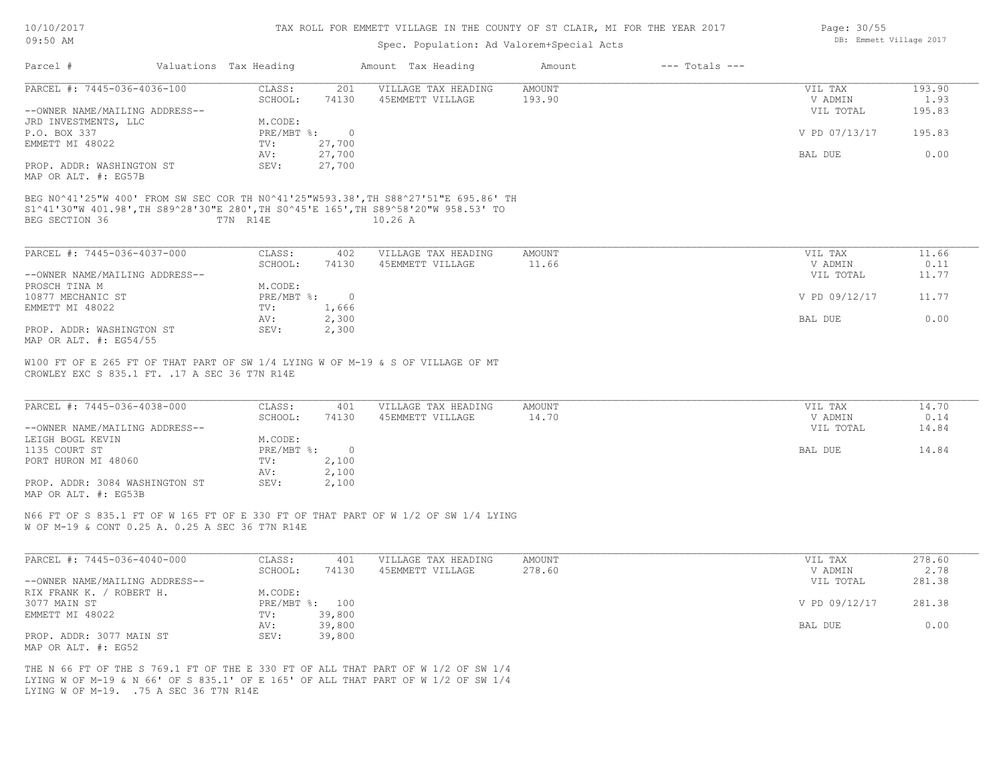| 10/10/2017 |  |
|------------|--|
| 09:50 AM   |  |

#### Spec. Population: Ad Valorem+Special Acts

| PARCEL #: 7445-036-4036-100                                                                                                                                                                                                                            | CLASS:<br>201                | VILLAGE TAX HEADING | <b>AMOUNT</b> | VIL TAX        | 193.90 |
|--------------------------------------------------------------------------------------------------------------------------------------------------------------------------------------------------------------------------------------------------------|------------------------------|---------------------|---------------|----------------|--------|
|                                                                                                                                                                                                                                                        | SCHOOL:<br>74130             | 45EMMETT VILLAGE    | 193.90        | V ADMIN        | 1.93   |
| --OWNER NAME/MAILING ADDRESS--                                                                                                                                                                                                                         |                              |                     |               | VIL TOTAL      | 195.83 |
| JRD INVESTMENTS, LLC                                                                                                                                                                                                                                   | M.CODE:                      |                     |               |                |        |
| P.O. BOX 337                                                                                                                                                                                                                                           | PRE/MBT %:<br>$\overline{0}$ |                     |               | V PD 07/13/17  | 195.83 |
| EMMETT MI 48022                                                                                                                                                                                                                                        | 27,700<br>TV:                |                     |               |                |        |
|                                                                                                                                                                                                                                                        | 27,700<br>AV:                |                     |               | <b>BAL DUE</b> | 0.00   |
| PROP. ADDR: WASHINGTON ST<br>MAP OR ALT. #: EG57B                                                                                                                                                                                                      | 27,700<br>SEV:               |                     |               |                |        |
| BEG N0^41'25"W 400' FROM SW SEC COR TH N0^41'25"W593.38', TH S88^27'51"E 695.86' TH<br>S1^41'30"W 401.98', TH S89^28'30"E 280', TH S0^45'E 165', TH S89^58'20"W 958.53' TO                                                                             |                              |                     |               |                |        |
| BEG SECTION 36                                                                                                                                                                                                                                         | T7N R14E                     | 10.26A              |               |                |        |
|                                                                                                                                                                                                                                                        |                              |                     |               |                |        |
|                                                                                                                                                                                                                                                        |                              |                     |               |                |        |
| PARCEL #: 7445-036-4037-000                                                                                                                                                                                                                            | CLASS:<br>402                | VILLAGE TAX HEADING | AMOUNT        | VIL TAX        | 11.66  |
|                                                                                                                                                                                                                                                        | 74130<br>SCHOOL:             | 45EMMETT VILLAGE    | 11.66         | V ADMIN        | 0.11   |
| --OWNER NAME/MAILING ADDRESS--                                                                                                                                                                                                                         |                              |                     |               | VIL TOTAL      | 11.77  |
|                                                                                                                                                                                                                                                        |                              |                     |               |                |        |
| PROSCH TINA M                                                                                                                                                                                                                                          | M.CODE:                      |                     |               |                |        |
| 10877 MECHANIC ST                                                                                                                                                                                                                                      | PRE/MBT %:<br>$\overline{0}$ |                     |               | V PD 09/12/17  | 11.77  |
| EMMETT MI 48022                                                                                                                                                                                                                                        | TV:<br>1,666                 |                     |               |                |        |
|                                                                                                                                                                                                                                                        |                              |                     |               | BAL DUE        | 0.00   |
|                                                                                                                                                                                                                                                        | 2,300<br>AV:                 |                     |               |                |        |
|                                                                                                                                                                                                                                                        | SEV:<br>2,300                |                     |               |                |        |
|                                                                                                                                                                                                                                                        |                              |                     |               |                |        |
|                                                                                                                                                                                                                                                        |                              |                     |               |                |        |
|                                                                                                                                                                                                                                                        |                              |                     |               |                |        |
|                                                                                                                                                                                                                                                        |                              |                     |               |                |        |
|                                                                                                                                                                                                                                                        |                              |                     |               |                |        |
|                                                                                                                                                                                                                                                        | CLASS:<br>401                | VILLAGE TAX HEADING | <b>AMOUNT</b> | VIL TAX        | 14.70  |
|                                                                                                                                                                                                                                                        | SCHOOL:<br>74130             | 45EMMETT VILLAGE    | 14.70         | V ADMIN        | 0.14   |
|                                                                                                                                                                                                                                                        |                              |                     |               | VIL TOTAL      | 14.84  |
|                                                                                                                                                                                                                                                        | M.CODE:                      |                     |               |                |        |
|                                                                                                                                                                                                                                                        | PRE/MBT %:<br>$\sim$ 0       |                     |               | BAL DUE        | 14.84  |
| PROP. ADDR: WASHINGTON ST<br>--OWNER NAME/MAILING ADDRESS--                                                                                                                                                                                            | 2,100<br>TV:                 |                     |               |                |        |
| MAP OR ALT. #: EG54/55<br>W100 FT OF E 265 FT OF THAT PART OF SW 1/4 LYING W OF M-19 & S OF VILLAGE OF MT<br>CROWLEY EXC S 835.1 FT. . 17 A SEC 36 T7N R14E<br>PARCEL #: 7445-036-4038-000<br>LEIGH BOGL KEVIN<br>1135 COURT ST<br>PORT HURON MI 48060 | 2,100<br>AV:                 |                     |               |                |        |

W OF M-19 & CONT 0.25 A. 0.25 A SEC 36 T7N R14E

| PARCEL #: 7445-036-4040-000    | CLASS:       | 401    | VILLAGE TAX HEADING | AMOUNT | VIL TAX       | 278.60 |
|--------------------------------|--------------|--------|---------------------|--------|---------------|--------|
|                                | SCHOOL:      | 74130  | 45EMMETT VILLAGE    | 278.60 | V ADMIN       | 2.78   |
| --OWNER NAME/MAILING ADDRESS-- |              |        |                     |        | VIL TOTAL     | 281.38 |
| RIX FRANK K. /<br>ROBERT H.    | M.CODE:      |        |                     |        |               |        |
| 3077 MAIN ST                   | $PRE/MBT$ %: | 100    |                     |        | V PD 09/12/17 | 281.38 |
| EMMETT MI 48022                | TV:          | 39,800 |                     |        |               |        |
|                                | AV:          | 39,800 |                     |        | BAL DUE       | 0.00   |
| PROP. ADDR: 3077 MAIN ST       | SEV:         | 39,800 |                     |        |               |        |
| MAP OR ALT. #: EG52            |              |        |                     |        |               |        |

LYING W OF M-19. .75 A SEC 36 T7N R14E LYING W OF M-19 & N 66' OF S 835.1' OF E 165' OF ALL THAT PART OF W 1/2 OF SW 1/4 THE N 66 FT OF THE S 769.1 FT OF THE E 330 FT OF ALL THAT PART OF W 1/2 OF SW 1/4 Page: 30/55 DB: Emmett Village 2017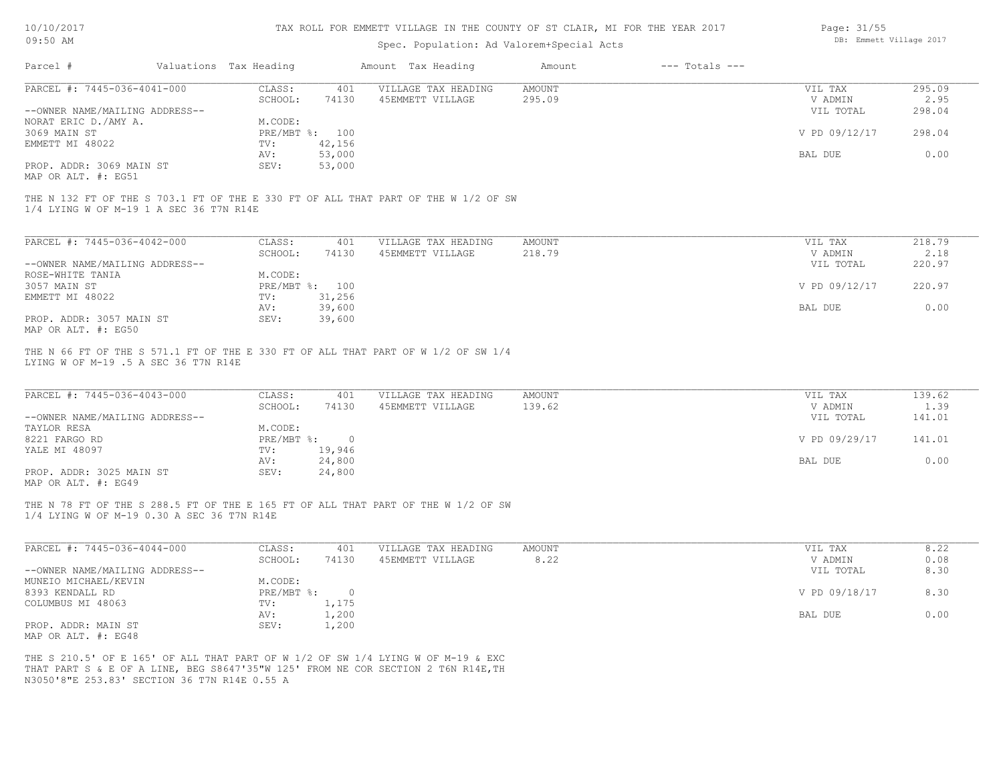| 10/10/2017 |  |
|------------|--|
| $09:50$ AM |  |

# Spec. Population: Ad Valorem+Special Acts

| Page: 31/55 |                         |  |
|-------------|-------------------------|--|
|             | DB: Emmett Village 2017 |  |

|                                                                                                                                 |                        |                | Spec. Population: Ad Valorem+Special Acts |               |                    |               |        |
|---------------------------------------------------------------------------------------------------------------------------------|------------------------|----------------|-------------------------------------------|---------------|--------------------|---------------|--------|
| Parcel #                                                                                                                        | Valuations Tax Heading |                | Amount Tax Heading                        | Amount        | $---$ Totals $---$ |               |        |
| PARCEL #: 7445-036-4041-000                                                                                                     | CLASS:                 | 401            | VILLAGE TAX HEADING                       | <b>AMOUNT</b> |                    | VIL TAX       | 295.09 |
|                                                                                                                                 | SCHOOL:                | 74130          | 45EMMETT VILLAGE                          | 295.09        |                    | V ADMIN       | 2.95   |
| --OWNER NAME/MAILING ADDRESS--                                                                                                  |                        |                |                                           |               |                    | VIL TOTAL     | 298.04 |
| NORAT ERIC D./AMY A.                                                                                                            | M.CODE:                |                |                                           |               |                    |               |        |
| 3069 MAIN ST                                                                                                                    |                        | PRE/MBT %: 100 |                                           |               |                    | V PD 09/12/17 | 298.04 |
| EMMETT MI 48022                                                                                                                 | TV:                    | 42,156         |                                           |               |                    |               |        |
|                                                                                                                                 | AV:                    | 53,000         |                                           |               |                    | BAL DUE       | 0.00   |
| PROP. ADDR: 3069 MAIN ST                                                                                                        | SEV:                   | 53,000         |                                           |               |                    |               |        |
| MAP OR ALT. #: EG51                                                                                                             |                        |                |                                           |               |                    |               |        |
| THE N 132 FT OF THE S 703.1 FT OF THE E 330 FT OF ALL THAT PART OF THE W 1/2 OF SW<br>1/4 LYING W OF M-19 1 A SEC 36 T7N R14E   |                        |                |                                           |               |                    |               |        |
|                                                                                                                                 |                        |                |                                           |               |                    |               |        |
| PARCEL #: 7445-036-4042-000                                                                                                     | CLASS:                 | 401            | VILLAGE TAX HEADING                       | AMOUNT        |                    | VIL TAX       | 218.79 |
|                                                                                                                                 | SCHOOL:                | 74130          | 45EMMETT VILLAGE                          | 218.79        |                    | V ADMIN       | 2.18   |
| --OWNER NAME/MAILING ADDRESS--                                                                                                  |                        |                |                                           |               |                    | VIL TOTAL     | 220.97 |
| ROSE-WHITE TANIA                                                                                                                | M.CODE:                |                |                                           |               |                    |               |        |
| 3057 MAIN ST                                                                                                                    |                        | PRE/MBT %: 100 |                                           |               |                    | V PD 09/12/17 | 220.97 |
| EMMETT MI 48022                                                                                                                 | TV:                    | 31,256         |                                           |               |                    |               |        |
|                                                                                                                                 | AV:                    | 39,600         |                                           |               |                    | BAL DUE       | 0.00   |
| PROP. ADDR: 3057 MAIN ST                                                                                                        | SEV:                   | 39,600         |                                           |               |                    |               |        |
| MAP OR ALT. #: EG50                                                                                                             |                        |                |                                           |               |                    |               |        |
| THE N 66 FT OF THE S 571.1 FT OF THE E 330 FT OF ALL THAT PART OF W 1/2 OF SW 1/4<br>LYING W OF M-19 .5 A SEC 36 T7N R14E       |                        |                |                                           |               |                    |               |        |
| PARCEL #: 7445-036-4043-000                                                                                                     | CLASS:                 | 401            | VILLAGE TAX HEADING                       | <b>AMOUNT</b> |                    | VIL TAX       | 139.62 |
|                                                                                                                                 | SCHOOL:                | 74130          | 45EMMETT VILLAGE                          | 139.62        |                    | V ADMIN       | 1.39   |
| --OWNER NAME/MAILING ADDRESS--                                                                                                  |                        |                |                                           |               |                    | VIL TOTAL     | 141.01 |
| TAYLOR RESA                                                                                                                     | M.CODE:                |                |                                           |               |                    |               |        |
| 8221 FARGO RD                                                                                                                   | $PRE/MBT$ $\div$       | $\overline{0}$ |                                           |               |                    | V PD 09/29/17 | 141.01 |
| YALE MI 48097                                                                                                                   | TV:                    | 19,946         |                                           |               |                    |               |        |
|                                                                                                                                 | AV:                    | 24,800         |                                           |               |                    | BAL DUE       | 0.00   |
| PROP. ADDR: 3025 MAIN ST<br>MAP OR ALT. #: EG49                                                                                 | SEV:                   | 24,800         |                                           |               |                    |               |        |
|                                                                                                                                 |                        |                |                                           |               |                    |               |        |
| THE N 78 FT OF THE S 288.5 FT OF THE E 165 FT OF ALL THAT PART OF THE W 1/2 OF SW<br>1/4 LYING W OF M-19 0.30 A SEC 36 T7N R14E |                        |                |                                           |               |                    |               |        |
| PARCEL #: 7445-036-4044-000                                                                                                     | CLASS:                 | 401            | VILLAGE TAX HEADING                       | <b>AMOUNT</b> |                    | VIL TAX       | 8.22   |
|                                                                                                                                 | SCHOOL:                | 74130          | 45EMMETT VILLAGE                          | 8.22          |                    | V ADMIN       | 0.08   |
| --OWNER NAME/MAILING ADDRESS--                                                                                                  |                        |                |                                           |               |                    | VIL TOTAL     | 8.30   |
| MUNEIO MICHAEL/KEVIN                                                                                                            | M.CODE:                |                |                                           |               |                    |               |        |
| 8393 KENDALL RD                                                                                                                 |                        | PRE/MBT %: 0   |                                           |               |                    | V PD 09/18/17 | 8.30   |
| COLUMBUS MI 48063                                                                                                               | TV:                    | 1,175          |                                           |               |                    |               |        |
|                                                                                                                                 | AV:                    | 1,200          |                                           |               |                    | BAL DUE       | 0.00   |
| PROP. ADDR: MAIN ST                                                                                                             | SEV:                   | 1,200          |                                           |               |                    |               |        |
| MAP OR ALT. #: EG48                                                                                                             |                        |                |                                           |               |                    |               |        |
|                                                                                                                                 |                        |                |                                           |               |                    |               |        |
| THE S 210.5' OF E 165' OF ALL THAT PART OF W 1/2 OF SW 1/4 LYING W OF M-19 & EXC                                                |                        |                |                                           |               |                    |               |        |
| THAT PART S & E OF A LINE, BEG S8647'35"W 125' FROM NE COR SECTION 2 T6N R14E, TH                                               |                        |                |                                           |               |                    |               |        |
| N3050'8"E 253.83' SECTION 36 T7N R14E 0.55 A                                                                                    |                        |                |                                           |               |                    |               |        |
|                                                                                                                                 |                        |                |                                           |               |                    |               |        |
|                                                                                                                                 |                        |                |                                           |               |                    |               |        |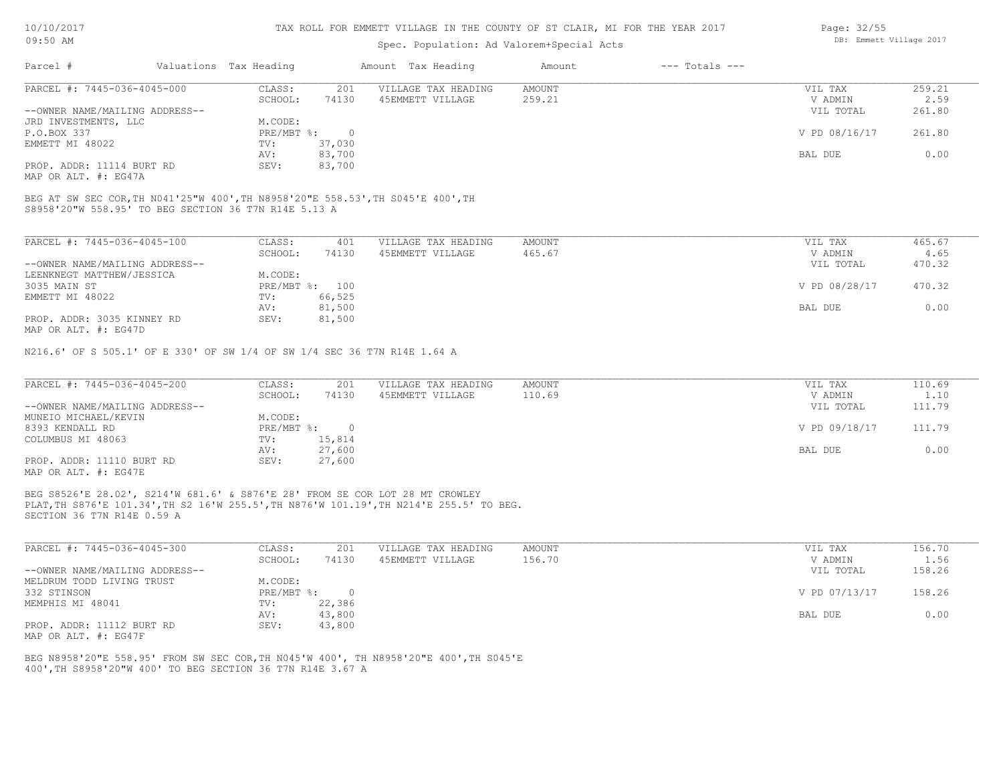#### TAX ROLL FOR EMMETT VILLAGE IN THE COUNTY OF ST CLAIR, MI FOR THE YEAR 2017

### Spec. Population: Ad Valorem+Special Acts

| Parcel #                       | Valuations Tax Heading |        | Amount Tax Heading  | Amount | $---$ Totals $---$ |               |        |
|--------------------------------|------------------------|--------|---------------------|--------|--------------------|---------------|--------|
| PARCEL #: 7445-036-4045-000    | CLASS:                 | 201    | VILLAGE TAX HEADING | AMOUNT |                    | VIL TAX       | 259.21 |
|                                | SCHOOL:                | 74130  | 45EMMETT VILLAGE    | 259.21 |                    | V ADMIN       | 2.59   |
| --OWNER NAME/MAILING ADDRESS-- |                        |        |                     |        |                    | VIL TOTAL     | 261.80 |
| JRD INVESTMENTS, LLC           | M.CODE:                |        |                     |        |                    |               |        |
| P.O.BOX 337                    | PRE/MBT %:             |        |                     |        |                    | V PD 08/16/17 | 261.80 |
| EMMETT MI 48022                | TV:                    | 37,030 |                     |        |                    |               |        |
|                                | AV:                    | 83,700 |                     |        |                    | BAL DUE       | 0.00   |
| PROP. ADDR: 11114 BURT RD      | SEV:                   | 83,700 |                     |        |                    |               |        |

MAP OR ALT. #: EG47A

S8958'20"W 558.95' TO BEG SECTION 36 T7N R14E 5.13 A BEG AT SW SEC COR,TH N041'25"W 400',TH N8958'20"E 558.53',TH S045'E 400',TH

| PARCEL #: 7445-036-4045-100    | CLASS:       | 401    | VILLAGE TAX HEADING | AMOUNT | 465.67<br>VIL TAX       |      |
|--------------------------------|--------------|--------|---------------------|--------|-------------------------|------|
|                                | SCHOOL:      | 74130  | 45EMMETT VILLAGE    | 465.67 | V ADMIN                 | 4.65 |
| --OWNER NAME/MAILING ADDRESS-- |              |        |                     |        | 470.32<br>VIL TOTAL     |      |
| LEENKNEGT MATTHEW/JESSICA      | M.CODE:      |        |                     |        |                         |      |
| 3035 MAIN ST                   | $PRE/MBT$ %: | 100    |                     |        | V PD 08/28/17<br>470.32 |      |
| EMMETT MI 48022                | TV:          | 66,525 |                     |        |                         |      |
|                                | AV:          | 81,500 |                     |        | BAL DUE                 | 0.00 |
| PROP. ADDR: 3035 KINNEY RD     | SEV:         | 81,500 |                     |        |                         |      |
| MAP OR ALT. #: EG47D           |              |        |                     |        |                         |      |

N216.6' OF S 505.1' OF E 330' OF SW 1/4 OF SW 1/4 SEC 36 T7N R14E 1.64 A

| PARCEL #: 7445-036-4045-200    | CLASS:     | 201    | VILLAGE TAX HEADING | AMOUNT | VIL TAX       | 110.69 |
|--------------------------------|------------|--------|---------------------|--------|---------------|--------|
|                                | SCHOOL:    | 74130  | 45EMMETT VILLAGE    | 110.69 | V ADMIN       | 1.10   |
| --OWNER NAME/MAILING ADDRESS-- |            |        |                     |        | VIL TOTAL     | 111.79 |
| MUNEIO MICHAEL/KEVIN           | M.CODE:    |        |                     |        |               |        |
| 8393 KENDALL RD                | PRE/MBT %: |        |                     |        | V PD 09/18/17 | 111.79 |
| COLUMBUS MI 48063              | TV:        | 15,814 |                     |        |               |        |
|                                | AV:        | 27,600 |                     |        | BAL DUE       | 0.00   |
| PROP. ADDR: 11110 BURT RD      | SEV:       | 27,600 |                     |        |               |        |
| MAP OR ALT. #: EG47E           |            |        |                     |        |               |        |

SECTION 36 T7N R14E 0.59 A PLAT,TH S876'E 101.34',TH S2 16'W 255.5',TH N876'W 101.19',TH N214'E 255.5' TO BEG. BEG S8526'E 28.02', S214'W 681.6' & S876'E 28' FROM SE COR LOT 28 MT CROWLEY

| PARCEL #: 7445-036-4045-300    | CLASS:       | 201    | VILLAGE TAX HEADING | AMOUNT | VIL TAX       | 156.70 |
|--------------------------------|--------------|--------|---------------------|--------|---------------|--------|
|                                | SCHOOL:      | 74130  | 45EMMETT VILLAGE    | 156.70 | V ADMIN       | 1.56   |
| --OWNER NAME/MAILING ADDRESS-- |              |        |                     |        | VIL TOTAL     | 158.26 |
| MELDRUM TODD LIVING TRUST      | M.CODE:      |        |                     |        |               |        |
| 332 STINSON                    | $PRE/MBT$ %: |        |                     |        | V PD 07/13/17 | 158.26 |
| MEMPHIS MI 48041               | TV:          | 22,386 |                     |        |               |        |
|                                | AV:          | 43,800 |                     |        | BAL DUE       | 0.00   |
| PROP. ADDR: 11112 BURT RD      | SEV:         | 43,800 |                     |        |               |        |
| MAP OR ALT. #: EG47F           |              |        |                     |        |               |        |

400',TH S8958'20"W 400' TO BEG SECTION 36 T7N R14E 3.67 A BEG N8958'20"E 558.95' FROM SW SEC COR,TH N045'W 400', TH N8958'20"E 400',TH S045'E Page: 32/55 DB: Emmett Village 2017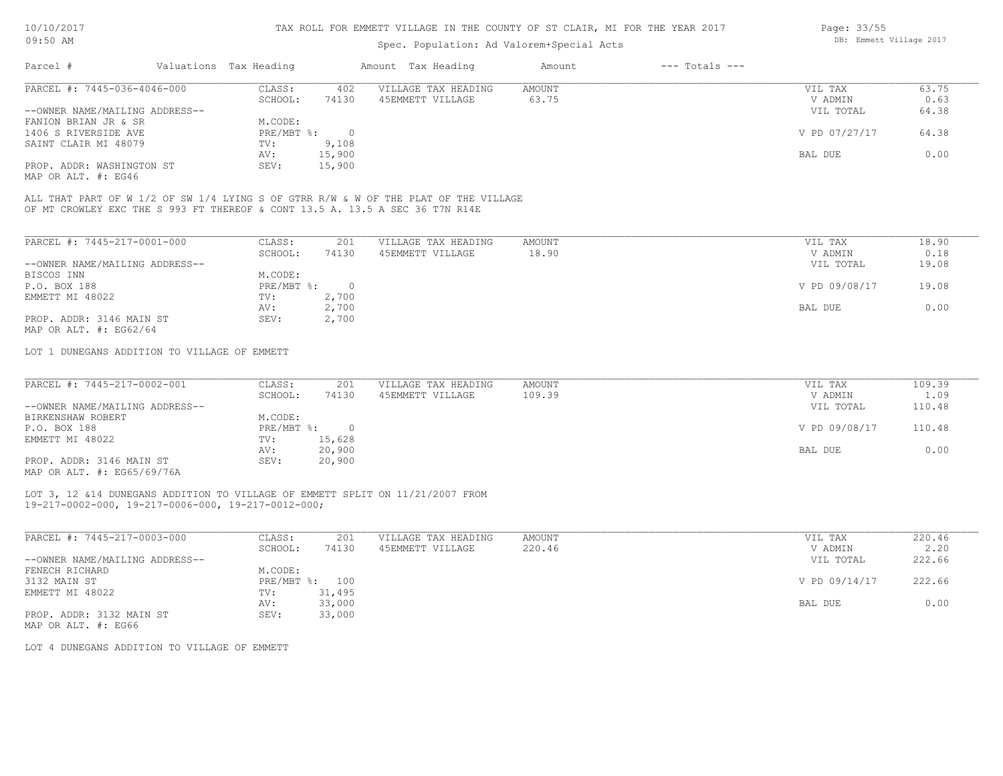### Spec. Population: Ad Valorem+Special Acts

| Page: 33/55 |                         |  |
|-------------|-------------------------|--|
|             | DB: Emmett Village 2017 |  |

| Parcel #                       | Valuations Tax Heading |        | Amount Tax Heading  | Amount | $---$ Totals $---$ |               |       |
|--------------------------------|------------------------|--------|---------------------|--------|--------------------|---------------|-------|
| PARCEL #: 7445-036-4046-000    | CLASS:                 | 402    | VILLAGE TAX HEADING | AMOUNT |                    | VIL TAX       | 63.75 |
|                                | SCHOOL:                | 74130  | 45EMMETT VILLAGE    | 63.75  |                    | V ADMIN       | 0.63  |
| --OWNER NAME/MAILING ADDRESS-- |                        |        |                     |        |                    | VIL TOTAL     | 64.38 |
| FANION BRIAN JR & SR           | M.CODE:                |        |                     |        |                    |               |       |
| 1406 S RIVERSIDE AVE           | PRE/MBT %:             |        |                     |        |                    | V PD 07/27/17 | 64.38 |
| SAINT CLAIR MI 48079           | TV:                    | 9,108  |                     |        |                    |               |       |
|                                | AV:                    | 15,900 |                     |        |                    | BAL DUE       | 0.00  |
| PROP. ADDR: WASHINGTON ST      | SEV:                   | 15,900 |                     |        |                    |               |       |
|                                |                        |        |                     |        |                    |               |       |

MAP OR ALT. #: EG46

OF MT CROWLEY EXC THE S 993 FT THEREOF & CONT 13.5 A. 13.5 A SEC 36 T7N R14E ALL THAT PART OF W 1/2 OF SW 1/4 LYING S OF GTRR R/W & W OF THE PLAT OF THE VILLAGE

| PARCEL #: 7445-217-0001-000    | CLASS:     | 201    | VILLAGE TAX HEADING | AMOUNT | 18.90<br>VIL TAX       |
|--------------------------------|------------|--------|---------------------|--------|------------------------|
|                                | SCHOOL:    | 74130  | 45EMMETT VILLAGE    | 18.90  | 0.18<br>V ADMIN        |
| --OWNER NAME/MAILING ADDRESS-- |            |        |                     |        | 19.08<br>VIL TOTAL     |
| BISCOS INN                     | M.CODE:    |        |                     |        |                        |
| P.O. BOX 188                   | PRE/MBT %: | $\cap$ |                     |        | V PD 09/08/17<br>19.08 |
| EMMETT MI 48022                | TV:        | 2,700  |                     |        |                        |
|                                | AV:        | 2,700  |                     |        | 0.00<br>BAL DUE        |
| PROP. ADDR: 3146 MAIN ST       | SEV:       | 2,700  |                     |        |                        |
| MAP OR ALT. $\#$ : EG62/64     |            |        |                     |        |                        |

LOT 1 DUNEGANS ADDITION TO VILLAGE OF EMMETT

| PARCEL #: 7445-217-0002-001                                                                                                                                                                                                                                                                                                                  | CLASS:       | 201    | VILLAGE TAX HEADING | AMOUNT | VIL TAX       | 109.39 |
|----------------------------------------------------------------------------------------------------------------------------------------------------------------------------------------------------------------------------------------------------------------------------------------------------------------------------------------------|--------------|--------|---------------------|--------|---------------|--------|
|                                                                                                                                                                                                                                                                                                                                              | SCHOOL:      | 74130  | 45EMMETT VILLAGE    | 109.39 | V ADMIN       | 1.09   |
| --OWNER NAME/MAILING ADDRESS--                                                                                                                                                                                                                                                                                                               |              |        |                     |        | VIL TOTAL     | 110.48 |
| BIRKENSHAW ROBERT                                                                                                                                                                                                                                                                                                                            | M.CODE:      |        |                     |        |               |        |
| P.O. BOX 188                                                                                                                                                                                                                                                                                                                                 | $PRE/MBT$ %: |        |                     |        | V PD 09/08/17 | 110.48 |
| EMMETT MI 48022                                                                                                                                                                                                                                                                                                                              | TV:          | 15,628 |                     |        |               |        |
|                                                                                                                                                                                                                                                                                                                                              | AV:          | 20,900 |                     |        | BAL DUE       | 0.00   |
| PROP. ADDR: 3146 MAIN ST                                                                                                                                                                                                                                                                                                                     | SEV:         | 20,900 |                     |        |               |        |
| $\cdots$ $\cdots$ $\cdots$ $\cdots$ $\cdots$ $\cdots$ $\cdots$ $\cdots$ $\cdots$ $\cdots$ $\cdots$ $\cdots$ $\cdots$ $\cdots$ $\cdots$ $\cdots$ $\cdots$ $\cdots$ $\cdots$ $\cdots$ $\cdots$ $\cdots$ $\cdots$ $\cdots$ $\cdots$ $\cdots$ $\cdots$ $\cdots$ $\cdots$ $\cdots$ $\cdots$ $\cdots$ $\cdots$ $\cdots$ $\cdots$ $\cdots$ $\cdots$ |              |        |                     |        |               |        |

MAP OR ALT. #: EG65/69/76A

#### 19-217-0002-000, 19-217-0006-000, 19-217-0012-000; LOT 3, 12 &14 DUNEGANS ADDITION TO VILLAGE OF EMMETT SPLIT ON 11/21/2007 FROM

| PARCEL #: 7445-217-0003-000    | CLASS:       | 201    | VILLAGE TAX HEADING | AMOUNT | VIL TAX       | 220.46 |
|--------------------------------|--------------|--------|---------------------|--------|---------------|--------|
|                                | SCHOOL:      | 74130  | 45EMMETT VILLAGE    | 220.46 | V ADMIN       | 2.20   |
| --OWNER NAME/MAILING ADDRESS-- |              |        |                     |        | VIL TOTAL     | 222.66 |
| FENECH RICHARD                 | M.CODE:      |        |                     |        |               |        |
| 3132 MAIN ST                   | $PRE/MBT$ %: | 100    |                     |        | V PD 09/14/17 | 222.66 |
| EMMETT MI 48022                | TV:          | 31,495 |                     |        |               |        |
|                                | AV:          | 33,000 |                     |        | BAL DUE       | 0.00   |
| PROP. ADDR: 3132 MAIN ST       | SEV:         | 33,000 |                     |        |               |        |

MAP OR ALT. #: EG66

LOT 4 DUNEGANS ADDITION TO VILLAGE OF EMMETT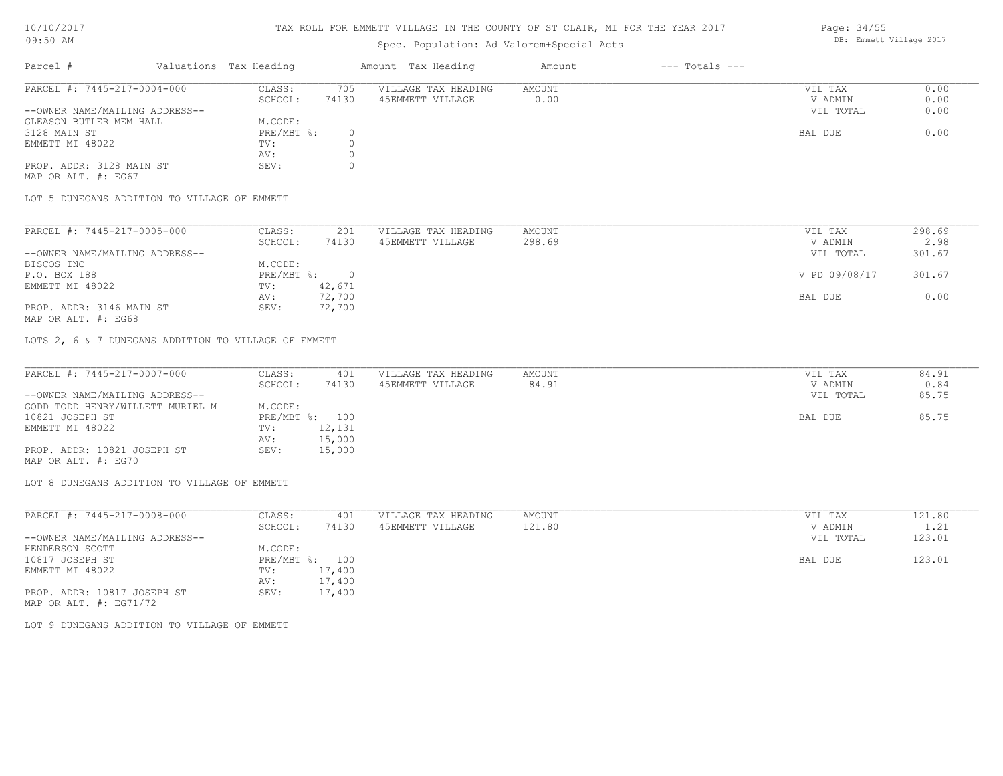#### TAX ROLL FOR EMMETT VILLAGE IN THE COUNTY OF ST CLAIR, MI FOR THE YEAR 2017

## Spec. Population: Ad Valorem+Special Acts

| Parcel #                       | Valuations Tax Heading |       | Amount Tax Heading  | Amount | $---$ Totals $---$ |           |      |
|--------------------------------|------------------------|-------|---------------------|--------|--------------------|-----------|------|
| PARCEL #: 7445-217-0004-000    | CLASS:                 | 705   | VILLAGE TAX HEADING | AMOUNT |                    | VIL TAX   | 0.00 |
|                                | SCHOOL:                | 74130 | 45EMMETT VILLAGE    | 0.00   |                    | V ADMIN   | 0.00 |
| --OWNER NAME/MAILING ADDRESS-- |                        |       |                     |        |                    | VIL TOTAL | 0.00 |
| GLEASON BUTLER MEM HALL        | M.CODE:                |       |                     |        |                    |           |      |
| 3128 MAIN ST                   | PRE/MBT %:             |       |                     |        |                    | BAL DUE   | 0.00 |
| EMMETT MI 48022                | TV:                    |       |                     |        |                    |           |      |
|                                | AV:                    |       |                     |        |                    |           |      |
| PROP. ADDR: 3128 MAIN ST       | SEV:                   |       |                     |        |                    |           |      |

MAP OR ALT. #: EG67

LOT 5 DUNEGANS ADDITION TO VILLAGE OF EMMETT

| PARCEL #: 7445-217-0005-000    | CLASS:     | 201    | VILLAGE TAX HEADING | AMOUNT | VIL TAX       | 298.69 |
|--------------------------------|------------|--------|---------------------|--------|---------------|--------|
|                                | SCHOOL:    | 74130  | 45EMMETT VILLAGE    | 298.69 | V ADMIN       | 2.98   |
| --OWNER NAME/MAILING ADDRESS-- |            |        |                     |        | VIL TOTAL     | 301.67 |
| BISCOS INC                     | M.CODE:    |        |                     |        |               |        |
| P.O. BOX 188                   | PRE/MBT %: |        |                     |        | V PD 09/08/17 | 301.67 |
| EMMETT MI 48022                | TV:        | 42,671 |                     |        |               |        |
|                                | AV:        | 72,700 |                     |        | BAL DUE       | 0.00   |
| PROP. ADDR: 3146 MAIN ST       | SEV:       | 72,700 |                     |        |               |        |

MAP OR ALT. #: EG68

LOTS 2, 6 & 7 DUNEGANS ADDITION TO VILLAGE OF EMMETT

| PARCEL #: 7445-217-0007-000      | CLASS:  | 401            | VILLAGE TAX HEADING | AMOUNT | VIL TAX   | 84.91 |
|----------------------------------|---------|----------------|---------------------|--------|-----------|-------|
|                                  | SCHOOL: | 74130          | 45EMMETT VILLAGE    | 84.91  | V ADMIN   | 0.84  |
| --OWNER NAME/MAILING ADDRESS--   |         |                |                     |        | VIL TOTAL | 85.75 |
| GODD TODD HENRY/WILLETT MURIEL M | M.CODE: |                |                     |        |           |       |
| 10821 JOSEPH ST                  |         | PRE/MBT %: 100 |                     |        | BAL DUE   | 85.75 |
| EMMETT MI 48022                  | TV:     | 12,131         |                     |        |           |       |
|                                  | AV:     | 15,000         |                     |        |           |       |
| PROP. ADDR: 10821 JOSEPH ST      | SEV:    | 15,000         |                     |        |           |       |
| MAP OR ALT. #: EG70              |         |                |                     |        |           |       |

LOT 8 DUNEGANS ADDITION TO VILLAGE OF EMMETT

| PARCEL #: 7445-217-0008-000    | CLASS:                    | 401     | VILLAGE TAX HEADING | AMOUNT | VIL TAX   | 121.80 |
|--------------------------------|---------------------------|---------|---------------------|--------|-----------|--------|
|                                | SCHOOL:                   | 74130   | 45EMMETT VILLAGE    | 121.80 | V ADMIN   | 1.21   |
| --OWNER NAME/MAILING ADDRESS-- |                           |         |                     |        | VIL TOTAL | 123.01 |
| HENDERSON SCOTT                | M.CODE:                   |         |                     |        |           |        |
| 10817 JOSEPH ST                | $PRE/MBT$ $\frac{1}{6}$ : | $100 -$ |                     |        | BAL DUE   | 123.01 |
| EMMETT MI 48022                | TV:                       | 17,400  |                     |        |           |        |
|                                | AV:                       | 17,400  |                     |        |           |        |
| PROP. ADDR: 10817 JOSEPH ST    | SEV:                      | 17,400  |                     |        |           |        |
| MAP OR ALT. $\#$ : EG71/72     |                           |         |                     |        |           |        |

LOT 9 DUNEGANS ADDITION TO VILLAGE OF EMMETT

Page: 34/55 DB: Emmett Village 2017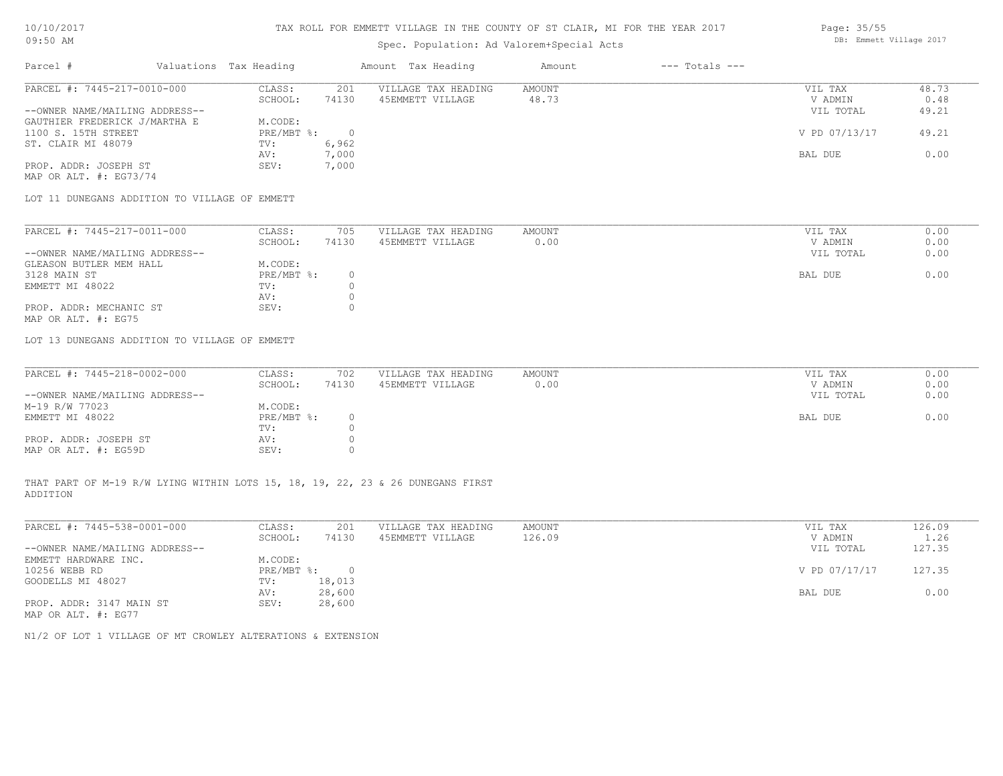## Spec. Population: Ad Valorem+Special Acts

| Parcel #                       | Valuations Tax Heading |       | Amount Tax Heading  | Amount | $---$ Totals $---$ |               |       |
|--------------------------------|------------------------|-------|---------------------|--------|--------------------|---------------|-------|
| PARCEL #: 7445-217-0010-000    | CLASS:                 | 201   | VILLAGE TAX HEADING | AMOUNT |                    | VIL TAX       | 48.73 |
|                                | SCHOOL:                | 74130 | 45EMMETT VILLAGE    | 48.73  |                    | V ADMIN       | 0.48  |
| --OWNER NAME/MAILING ADDRESS-- |                        |       |                     |        |                    | VIL TOTAL     | 49.21 |
| GAUTHIER FREDERICK J/MARTHA E  | M.CODE:                |       |                     |        |                    |               |       |
| 1100 S. 15TH STREET            | PRE/MBT %:             |       |                     |        |                    | V PD 07/13/17 | 49.21 |
| ST. CLAIR MI 48079             | TV:                    | 6,962 |                     |        |                    |               |       |
|                                | AV:                    | 7,000 |                     |        |                    | BAL DUE       | 0.00  |
| PROP. ADDR: JOSEPH ST          | SEV:                   | 7,000 |                     |        |                    |               |       |

MAP OR ALT. #: EG73/74

LOT 11 DUNEGANS ADDITION TO VILLAGE OF EMMETT

| PARCEL #: 7445-217-0011-000    | CLASS:     | 705   | VILLAGE TAX HEADING | AMOUNT | VIL TAX   | 0.00 |
|--------------------------------|------------|-------|---------------------|--------|-----------|------|
|                                | SCHOOL:    | 74130 | 45EMMETT VILLAGE    | 0.00   | V ADMIN   | 0.00 |
| --OWNER NAME/MAILING ADDRESS-- |            |       |                     |        | VIL TOTAL | 0.00 |
| GLEASON BUTLER MEM HALL        | M.CODE:    |       |                     |        |           |      |
| 3128 MAIN ST                   | PRE/MBT %: |       |                     |        | BAL DUE   | 0.00 |
| EMMETT MI 48022                | TV:        |       |                     |        |           |      |
|                                | AV:        |       |                     |        |           |      |
| PROP. ADDR: MECHANIC ST        | SEV:       |       |                     |        |           |      |
| MAP OR ALT. #: EG75            |            |       |                     |        |           |      |

LOT 13 DUNEGANS ADDITION TO VILLAGE OF EMMETT

| PARCEL #: 7445-218-0002-000    | CLASS:       | 702   | VILLAGE TAX HEADING | AMOUNT | VIL TAX   | 0.00 |
|--------------------------------|--------------|-------|---------------------|--------|-----------|------|
|                                | SCHOOL:      | 74130 | 45EMMETT VILLAGE    | 0.00   | V ADMIN   | 0.00 |
| --OWNER NAME/MAILING ADDRESS-- |              |       |                     |        | VIL TOTAL | 0.00 |
| M-19 R/W 77023                 | M.CODE:      |       |                     |        |           |      |
| EMMETT MI 48022                | $PRE/MBT$ %: |       |                     |        | BAL DUE   | 0.00 |
|                                | TV:          |       |                     |        |           |      |
| PROP. ADDR: JOSEPH ST          | AV:          |       |                     |        |           |      |
| MAP OR ALT. #: EG59D           | SEV:         |       |                     |        |           |      |

ADDITION THAT PART OF M-19 R/W LYING WITHIN LOTS 15, 18, 19, 22, 23 & 26 DUNEGANS FIRST

| PARCEL #: 7445-538-0001-000    | CLASS:     | 201    | VILLAGE TAX HEADING | AMOUNT | VIL TAX       | 126.09 |
|--------------------------------|------------|--------|---------------------|--------|---------------|--------|
|                                | SCHOOL:    | 74130  | 45EMMETT VILLAGE    | 126.09 | V ADMIN       | 1.26   |
| --OWNER NAME/MAILING ADDRESS-- |            |        |                     |        | VIL TOTAL     | 127.35 |
| EMMETT HARDWARE INC.           | M.CODE:    |        |                     |        |               |        |
| 10256 WEBB RD                  | PRE/MBT %: | $\Box$ |                     |        | V PD 07/17/17 | 127.35 |
| GOODELLS MI 48027              | TV:        | 18,013 |                     |        |               |        |
|                                | AV:        | 28,600 |                     |        | BAL DUE       | 0.00   |
| PROP. ADDR: 3147 MAIN ST       | SEV:       | 28,600 |                     |        |               |        |
| MAP OR ALT. #: EG77            |            |        |                     |        |               |        |

 $\_$  , and the state of the state of the state of the state of the state of the state of the state of the state of the state of the state of the state of the state of the state of the state of the state of the state of the

N1/2 OF LOT 1 VILLAGE OF MT CROWLEY ALTERATIONS & EXTENSION

Page: 35/55 DB: Emmett Village 2017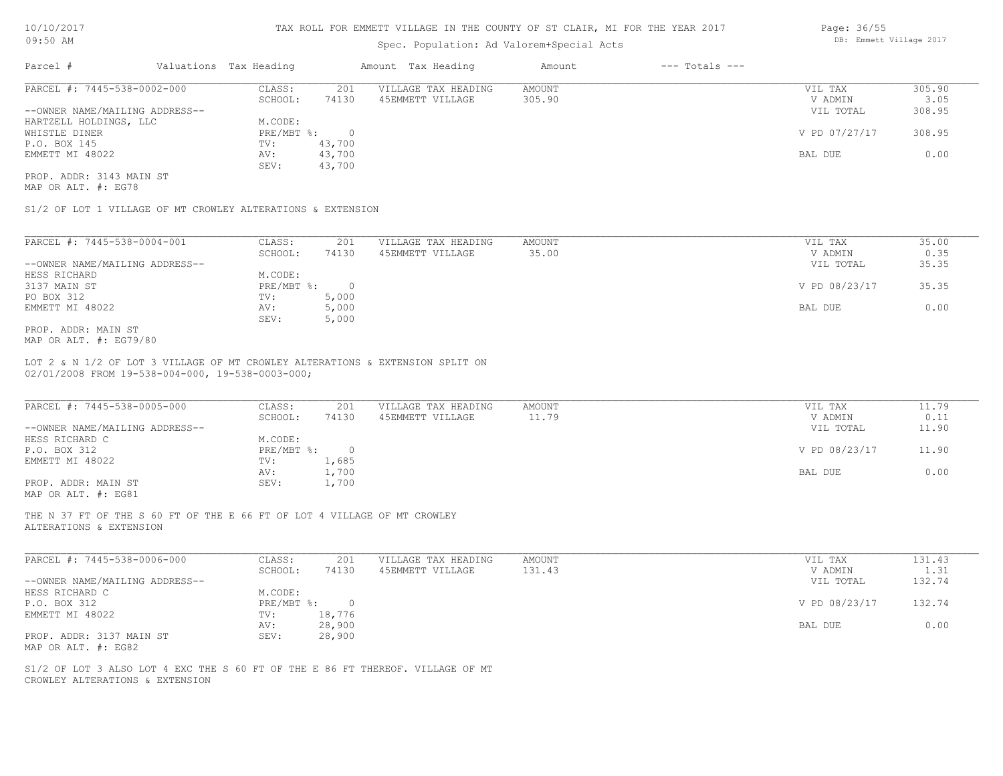### Spec. Population: Ad Valorem+Special Acts

| Parcel #                       | Valuations Tax Heading |        | Amount Tax Heading  | Amount | $---$ Totals $---$ |               |        |
|--------------------------------|------------------------|--------|---------------------|--------|--------------------|---------------|--------|
| PARCEL #: 7445-538-0002-000    | CLASS:                 | 201    | VILLAGE TAX HEADING | AMOUNT |                    | VIL TAX       | 305.90 |
|                                | SCHOOL:                | 74130  | 45EMMETT VILLAGE    | 305.90 |                    | V ADMIN       | 3.05   |
| --OWNER NAME/MAILING ADDRESS-- |                        |        |                     |        |                    | VIL TOTAL     | 308.95 |
| HARTZELL HOLDINGS, LLC         | M.CODE:                |        |                     |        |                    |               |        |
| WHISTLE DINER                  | PRE/MBT %:             |        |                     |        |                    | V PD 07/27/17 | 308.95 |
| P.O. BOX 145                   | TV:                    | 43,700 |                     |        |                    |               |        |
| EMMETT MI 48022                | AV:                    | 43,700 |                     |        |                    | BAL DUE       | 0.00   |
|                                | SEV:                   | 43,700 |                     |        |                    |               |        |
|                                |                        |        |                     |        |                    |               |        |

MAP OR ALT. #: EG78 PROP. ADDR: 3143 MAIN ST

S1/2 OF LOT 1 VILLAGE OF MT CROWLEY ALTERATIONS & EXTENSION

| PARCEL #: 7445-538-0004-001    | CLASS:     | 201    | VILLAGE TAX HEADING | AMOUNT | VIL TAX       | 35.00 |
|--------------------------------|------------|--------|---------------------|--------|---------------|-------|
|                                | SCHOOL:    | 74130  | 45EMMETT VILLAGE    | 35.00  | V ADMIN       | 0.35  |
| --OWNER NAME/MAILING ADDRESS-- |            |        |                     |        | VIL TOTAL     | 35.35 |
| HESS RICHARD                   | M.CODE:    |        |                     |        |               |       |
| 3137 MAIN ST                   | PRE/MBT %: | $\cap$ |                     |        | V PD 08/23/17 | 35.35 |
| PO BOX 312                     | TV:        | 5,000  |                     |        |               |       |
| EMMETT MI 48022                | AV:        | 5,000  |                     |        | BAL DUE       | 0.00  |
|                                | SEV:       | 5,000  |                     |        |               |       |
| PROP. ADDR: MAIN ST            |            |        |                     |        |               |       |

MAP OR ALT. #: EG79/80

02/01/2008 FROM 19-538-004-000, 19-538-0003-000; LOT 2 & N 1/2 OF LOT 3 VILLAGE OF MT CROWLEY ALTERATIONS & EXTENSION SPLIT ON

| PARCEL #: 7445-538-0005-000                           | CLASS:     | 201    | VILLAGE TAX HEADING | AMOUNT | VIL TAX       | 11.79 |
|-------------------------------------------------------|------------|--------|---------------------|--------|---------------|-------|
|                                                       | SCHOOL:    | 74130  | 45EMMETT VILLAGE    | 11.79  | V ADMIN       | 0.11  |
| --OWNER NAME/MAILING ADDRESS--                        |            |        |                     |        | VIL TOTAL     | 11.90 |
| HESS RICHARD C                                        | M.CODE:    |        |                     |        |               |       |
| P.O. BOX 312                                          | PRE/MBT %: | $\cap$ |                     |        | V PD 08/23/17 | 11.90 |
| EMMETT MI 48022                                       | TV:        | 1,685  |                     |        |               |       |
|                                                       | AV:        | 1,700  |                     |        | BAL DUE       | 0.00  |
| PROP. ADDR: MAIN ST                                   | SEV:       | 1,700  |                     |        |               |       |
| $\cdots$ $\cdots$ $\cdots$ $\cdots$ $\cdots$ $\cdots$ |            |        |                     |        |               |       |

 $\_$  , and the state of the state of the state of the state of the state of the state of the state of the state of the state of the state of the state of the state of the state of the state of the state of the state of the

MAP OR ALT. #: EG81

ALTERATIONS & EXTENSION THE N 37 FT OF THE S 60 FT OF THE E 66 FT OF LOT 4 VILLAGE OF MT CROWLEY

| PARCEL #: 7445-538-0006-000    | CLASS:       | 201    | VILLAGE TAX HEADING | AMOUNT | VIL TAX       | 131.43 |
|--------------------------------|--------------|--------|---------------------|--------|---------------|--------|
|                                | SCHOOL:      | 74130  | 45EMMETT VILLAGE    | 131.43 | V ADMIN       | 1.31   |
| --OWNER NAME/MAILING ADDRESS-- |              |        |                     |        | VIL TOTAL     | 132.74 |
| HESS RICHARD C                 | M.CODE:      |        |                     |        |               |        |
| P.O. BOX 312                   | $PRE/MBT$ %: |        |                     |        | V PD 08/23/17 | 132.74 |
| EMMETT MI 48022                | TV:          | 18,776 |                     |        |               |        |
|                                | AV:          | 28,900 |                     |        | BAL DUE       | 0.00   |
| PROP. ADDR: 3137 MAIN ST       | SEV:         | 28,900 |                     |        |               |        |
| MAP OR ALT. #: EG82            |              |        |                     |        |               |        |

CROWLEY ALTERATIONS & EXTENSION S1/2 OF LOT 3 ALSO LOT 4 EXC THE S 60 FT OF THE E 86 FT THEREOF. VILLAGE OF MT Page: 36/55 DB: Emmett Village 2017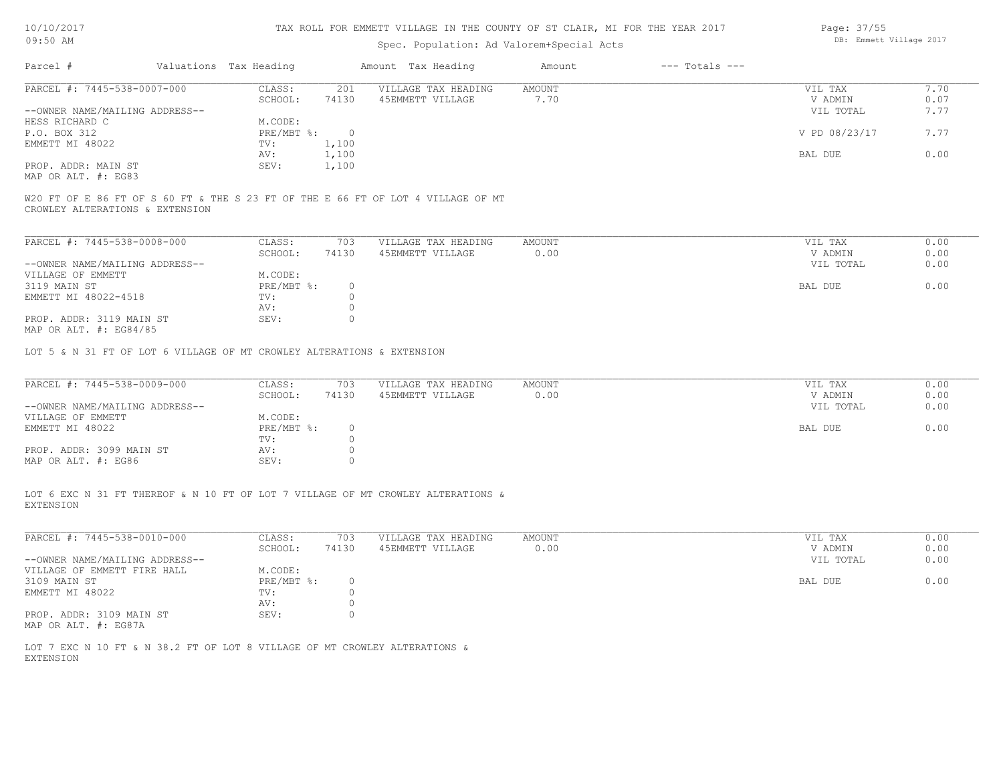| 10/10/2017 |  |
|------------|--|
| 09:50 AM   |  |

### Spec. Population: Ad Valorem+Special Acts

| Parcel #                       | Valuations Tax Heading |       | Amount Tax Heading  | Amount | $---$ Totals $---$ |               |      |
|--------------------------------|------------------------|-------|---------------------|--------|--------------------|---------------|------|
| PARCEL #: 7445-538-0007-000    | CLASS:                 | 201   | VILLAGE TAX HEADING | AMOUNT |                    | VIL TAX       | 7.70 |
|                                | SCHOOL:                | 74130 | 45EMMETT VILLAGE    | 7.70   |                    | V ADMIN       | 0.07 |
| --OWNER NAME/MAILING ADDRESS-- |                        |       |                     |        |                    | VIL TOTAL     | 7.77 |
| HESS RICHARD C                 | M.CODE:                |       |                     |        |                    |               |      |
| P.O. BOX 312                   | PRE/MBT %:             | - 0   |                     |        |                    | V PD 08/23/17 | 7.77 |
| EMMETT MI 48022                | TV:                    | 1,100 |                     |        |                    |               |      |
|                                | AV:                    | 1,100 |                     |        |                    | BAL DUE       | 0.00 |
| PROP. ADDR: MAIN ST            | SEV:                   | 1,100 |                     |        |                    |               |      |
| MAP OR ALT. #: EG83            |                        |       |                     |        |                    |               |      |

CROWLEY ALTERATIONS & EXTENSION W20 FT OF E 86 FT OF S 60 FT & THE S 23 FT OF THE E 66 FT OF LOT 4 VILLAGE OF MT

| PARCEL #: 7445-538-0008-000    | CLASS:     | 703   | VILLAGE TAX HEADING | AMOUNT | VIL TAX   | 0.00 |
|--------------------------------|------------|-------|---------------------|--------|-----------|------|
|                                | SCHOOL:    | 74130 | 45EMMETT VILLAGE    | 0.00   | V ADMIN   | 0.00 |
| --OWNER NAME/MAILING ADDRESS-- |            |       |                     |        | VIL TOTAL | 0.00 |
| VILLAGE OF EMMETT              | M.CODE:    |       |                     |        |           |      |
| 3119 MAIN ST                   | PRE/MBT %: |       |                     |        | BAL DUE   | 0.00 |
| EMMETT MI 48022-4518           | TV:        |       |                     |        |           |      |
|                                | AV:        |       |                     |        |           |      |
| PROP. ADDR: 3119 MAIN ST       | SEV:       |       |                     |        |           |      |
| MAP OR ALT. $\#$ : EG84/85     |            |       |                     |        |           |      |

LOT 5 & N 31 FT OF LOT 6 VILLAGE OF MT CROWLEY ALTERATIONS & EXTENSION

| PARCEL #: 7445-538-0009-000    | CLASS:     | 703   | VILLAGE TAX HEADING | AMOUNT | VIL TAX   | 0.00 |
|--------------------------------|------------|-------|---------------------|--------|-----------|------|
|                                | SCHOOL:    | 74130 | 45EMMETT VILLAGE    | 0.00   | V ADMIN   | 0.00 |
| --OWNER NAME/MAILING ADDRESS-- |            |       |                     |        | VIL TOTAL | 0.00 |
| VILLAGE OF EMMETT              | M.CODE:    |       |                     |        |           |      |
| EMMETT MI 48022                | PRE/MBT %: |       |                     |        | BAL DUE   | 0.00 |
|                                | TV:        |       |                     |        |           |      |
| PROP. ADDR: 3099 MAIN ST       | AV:        |       |                     |        |           |      |
| MAP OR ALT. #: EG86            | SEV:       |       |                     |        |           |      |

EXTENSION LOT 6 EXC N 31 FT THEREOF & N 10 FT OF LOT 7 VILLAGE OF MT CROWLEY ALTERATIONS &

| PARCEL #: 7445-538-0010-000    | CLASS:     | 703   | VILLAGE TAX HEADING | AMOUNT | VIL TAX   | 0.00 |
|--------------------------------|------------|-------|---------------------|--------|-----------|------|
|                                | SCHOOL:    | 74130 | 45EMMETT VILLAGE    | 0.00   | V ADMIN   | 0.00 |
| --OWNER NAME/MAILING ADDRESS-- |            |       |                     |        | VIL TOTAL | 0.00 |
| VILLAGE OF EMMETT FIRE HALL    | M.CODE:    |       |                     |        |           |      |
| 3109 MAIN ST                   | PRE/MBT %: |       |                     |        | BAL DUE   | 0.00 |
| EMMETT MI 48022                | TV:        |       |                     |        |           |      |
|                                | AV:        |       |                     |        |           |      |
| PROP. ADDR: 3109 MAIN ST       | SEV:       |       |                     |        |           |      |
| MAP OR ALT. #: EG87A           |            |       |                     |        |           |      |

EXTENSION LOT 7 EXC N 10 FT & N 38.2 FT OF LOT 8 VILLAGE OF MT CROWLEY ALTERATIONS & Page: 37/55 DB: Emmett Village 2017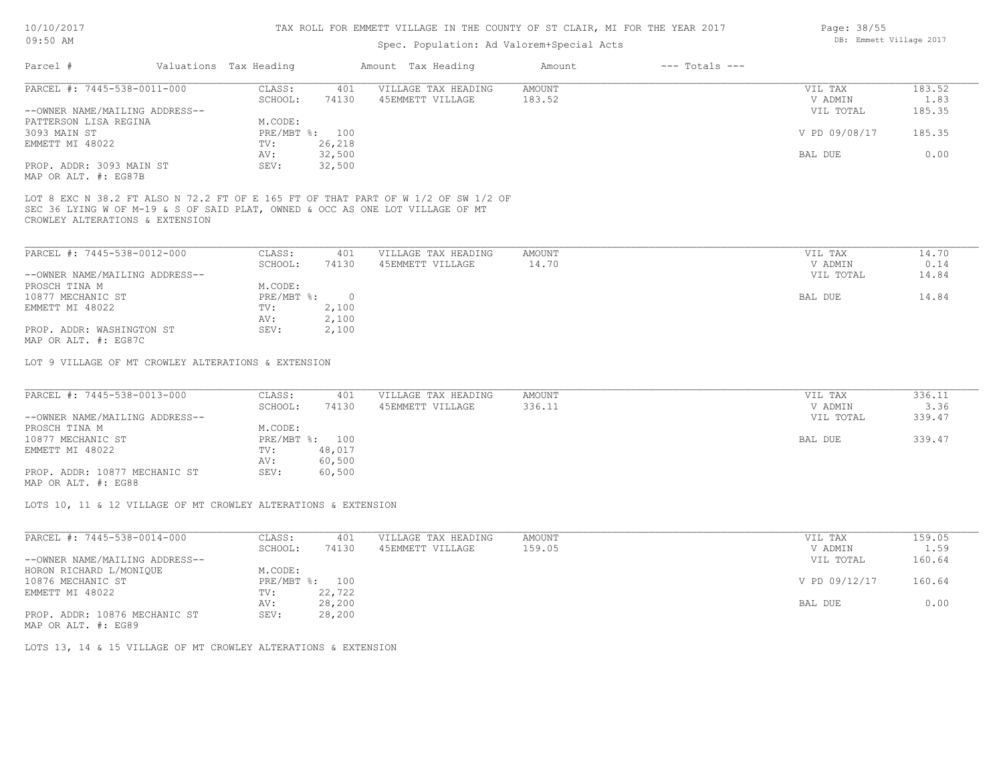### Spec. Population: Ad Valorem+Special Acts

| Parcel #                       | Valuations Tax Heading |                | Amount Tax Heading  | Amount | $---$ Totals $---$ |               |        |
|--------------------------------|------------------------|----------------|---------------------|--------|--------------------|---------------|--------|
| PARCEL #: 7445-538-0011-000    | CLASS:                 | 401            | VILLAGE TAX HEADING | AMOUNT |                    | VIL TAX       | 183.52 |
|                                | SCHOOL:                | 74130          | 45EMMETT VILLAGE    | 183.52 |                    | V ADMIN       | 1.83   |
| --OWNER NAME/MAILING ADDRESS-- |                        |                |                     |        |                    | VIL TOTAL     | 185.35 |
| PATTERSON LISA REGINA          | M.CODE:                |                |                     |        |                    |               |        |
| 3093 MAIN ST                   |                        | PRE/MBT %: 100 |                     |        |                    | V PD 09/08/17 | 185.35 |
| EMMETT MI 48022                | TV:                    | 26,218         |                     |        |                    |               |        |
|                                | AV:                    | 32,500         |                     |        |                    | BAL DUE       | 0.00   |
| PROP. ADDR: 3093 MAIN ST       | SEV:                   | 32,500         |                     |        |                    |               |        |
|                                |                        |                |                     |        |                    |               |        |

MAP OR ALT. #: EG87B

CROWLEY ALTERATIONS & EXTENSION SEC 36 LYING W OF M-19 & S OF SAID PLAT, OWNED & OCC AS ONE LOT VILLAGE OF MT LOT 8 EXC N 38.2 FT ALSO N 72.2 FT OF E 165 FT OF THAT PART OF W 1/2 OF SW 1/2 OF

| PARCEL #: 7445-538-0012-000    | CLASS:       | 401   | VILLAGE TAX HEADING | AMOUNT | VIL TAX   | 14.70 |
|--------------------------------|--------------|-------|---------------------|--------|-----------|-------|
|                                | SCHOOL:      | 74130 | 45EMMETT VILLAGE    | 14.70  | V ADMIN   | 0.14  |
| --OWNER NAME/MAILING ADDRESS-- |              |       |                     |        | VIL TOTAL | 14.84 |
| PROSCH TINA M                  | M.CODE:      |       |                     |        |           |       |
| 10877 MECHANIC ST              | $PRE/MBT$ %: |       |                     |        | BAL DUE   | 14.84 |
| EMMETT MI 48022                | TV:          | 2,100 |                     |        |           |       |
|                                | AV:          | 2,100 |                     |        |           |       |
| PROP. ADDR: WASHINGTON ST      | SEV:         | 2,100 |                     |        |           |       |
| MAP OR ALT. #: EG87C           |              |       |                     |        |           |       |

LOT 9 VILLAGE OF MT CROWLEY ALTERATIONS & EXTENSION

| PARCEL #: 7445-538-0013-000    | CLASS:  | 401            | VILLAGE TAX HEADING | AMOUNT | VIL TAX   | 336.11 |
|--------------------------------|---------|----------------|---------------------|--------|-----------|--------|
|                                | SCHOOL: | 74130          | 45EMMETT VILLAGE    | 336.11 | V ADMIN   | 3.36   |
| --OWNER NAME/MAILING ADDRESS-- |         |                |                     |        | VIL TOTAL | 339.47 |
| PROSCH TINA M                  | M.CODE: |                |                     |        |           |        |
| 10877 MECHANIC ST              |         | PRE/MBT %: 100 |                     |        | BAL DUE   | 339.47 |
| EMMETT MI 48022                | TV:     | 48,017         |                     |        |           |        |
|                                | AV:     | 60,500         |                     |        |           |        |
| PROP. ADDR: 10877 MECHANIC ST  | SEV:    | 60,500         |                     |        |           |        |
|                                |         |                |                     |        |           |        |

MAP OR ALT. #: EG88

LOTS 10, 11 & 12 VILLAGE OF MT CROWLEY ALTERATIONS & EXTENSION

| PARCEL #: 7445-538-0014-000    | CLASS:       | 401    | VILLAGE TAX HEADING | AMOUNT | VIL TAX       | 159.05 |
|--------------------------------|--------------|--------|---------------------|--------|---------------|--------|
|                                | SCHOOL:      | 74130  | 45EMMETT VILLAGE    | 159.05 | V ADMIN       | 1.59   |
| --OWNER NAME/MAILING ADDRESS-- |              |        |                     |        | VIL TOTAL     | 160.64 |
| HORON RICHARD L/MONIQUE        | M.CODE:      |        |                     |        |               |        |
| 10876 MECHANIC ST              | $PRE/MBT$ %: | 100    |                     |        | V PD 09/12/17 | 160.64 |
| EMMETT MI 48022                | TV:          | 22,722 |                     |        |               |        |
|                                | AV:          | 28,200 |                     |        | BAL DUE       | 0.00   |
| PROP. ADDR: 10876 MECHANIC ST  | SEV:         | 28,200 |                     |        |               |        |
|                                |              |        |                     |        |               |        |

MAP OR ALT. #: EG89

LOTS 13, 14 & 15 VILLAGE OF MT CROWLEY ALTERATIONS & EXTENSION

Page: 38/55 DB: Emmett Village 2017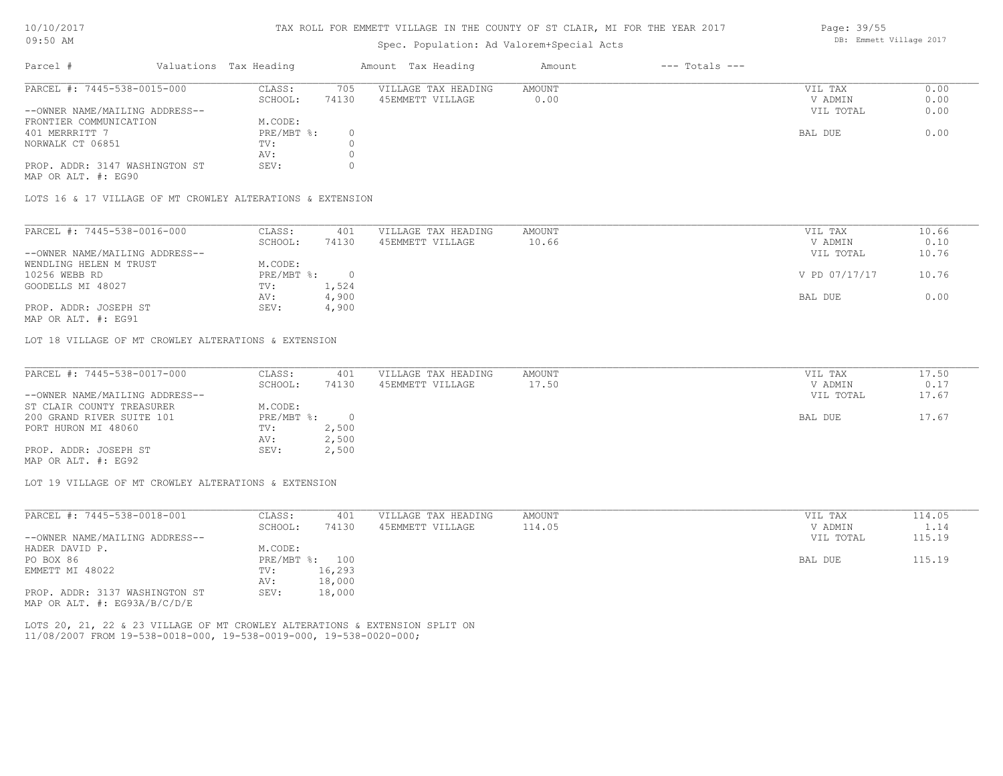#### TAX ROLL FOR EMMETT VILLAGE IN THE COUNTY OF ST CLAIR, MI FOR THE YEAR 2017

### Spec. Population: Ad Valorem+Special Acts

| Parcel #                       | Valuations Tax Heading |       | Amount Tax Heading  | Amount | $---$ Totals $---$ |           |      |
|--------------------------------|------------------------|-------|---------------------|--------|--------------------|-----------|------|
| PARCEL #: 7445-538-0015-000    | CLASS:                 | 705   | VILLAGE TAX HEADING | AMOUNT |                    | VIL TAX   | 0.00 |
|                                | SCHOOL:                | 74130 | 45EMMETT VILLAGE    | 0.00   |                    | V ADMIN   | 0.00 |
| --OWNER NAME/MAILING ADDRESS-- |                        |       |                     |        |                    | VIL TOTAL | 0.00 |
| FRONTIER COMMUNICATION         | M.CODE:                |       |                     |        |                    |           |      |
| 401 MERRRITT 7                 | PRE/MBT %:             |       |                     |        |                    | BAL DUE   | 0.00 |
| NORWALK CT 06851               | TV:                    |       |                     |        |                    |           |      |
|                                | AV:                    |       |                     |        |                    |           |      |
| PROP. ADDR: 3147 WASHINGTON ST | SEV:                   |       |                     |        |                    |           |      |

MAP OR ALT. #: EG90

LOTS 16 & 17 VILLAGE OF MT CROWLEY ALTERATIONS & EXTENSION

| PARCEL #: 7445-538-0016-000    | CLASS:     | 401   | VILLAGE TAX HEADING | AMOUNT | VIL TAX       | 10.66 |
|--------------------------------|------------|-------|---------------------|--------|---------------|-------|
|                                | SCHOOL:    | 74130 | 45EMMETT VILLAGE    | 10.66  | V ADMIN       | 0.10  |
| --OWNER NAME/MAILING ADDRESS-- |            |       |                     |        | VIL TOTAL     | 10.76 |
| WENDLING HELEN M TRUST         | M.CODE:    |       |                     |        |               |       |
| 10256 WEBB RD                  | PRE/MBT %: |       |                     |        | V PD 07/17/17 | 10.76 |
| GOODELLS MI 48027              | TV:        | 1,524 |                     |        |               |       |
|                                | AV:        | 4,900 |                     |        | BAL DUE       | 0.00  |
| PROP. ADDR: JOSEPH ST          | SEV:       | 4,900 |                     |        |               |       |
|                                |            |       |                     |        |               |       |

MAP OR ALT. #: EG91

LOT 18 VILLAGE OF MT CROWLEY ALTERATIONS & EXTENSION

| PARCEL #: 7445-538-0017-000    | CLASS:     | 401   | VILLAGE TAX HEADING | AMOUNT | VIL TAX   | 17.50 |
|--------------------------------|------------|-------|---------------------|--------|-----------|-------|
|                                | SCHOOL:    | 74130 | 45EMMETT VILLAGE    | 17.50  | V ADMIN   | 0.17  |
| --OWNER NAME/MAILING ADDRESS-- |            |       |                     |        | VIL TOTAL | 17.67 |
| ST CLAIR COUNTY TREASURER      | M.CODE:    |       |                     |        |           |       |
| 200 GRAND RIVER SUITE 101      | PRE/MBT %: |       |                     |        | BAL DUE   | 17.67 |
| PORT HURON MI 48060            | TV:        | 2,500 |                     |        |           |       |
|                                | AV:        | 2,500 |                     |        |           |       |
| PROP. ADDR: JOSEPH ST          | SEV:       | 2,500 |                     |        |           |       |
| MAP OR ALT. #: EG92            |            |       |                     |        |           |       |

LOT 19 VILLAGE OF MT CROWLEY ALTERATIONS & EXTENSION

| PARCEL #: 7445-538-0018-001    | CLASS:       | 401    | VILLAGE TAX HEADING | AMOUNT | VIL TAX   | 114.05 |
|--------------------------------|--------------|--------|---------------------|--------|-----------|--------|
|                                | SCHOOL:      | 74130  | 45EMMETT VILLAGE    | 114.05 | V ADMIN   | 1.14   |
| --OWNER NAME/MAILING ADDRESS-- |              |        |                     |        | VIL TOTAL | 115.19 |
| HADER DAVID P.                 | M.CODE:      |        |                     |        |           |        |
| PO BOX 86                      | $PRE/MBT$ %: | 100    |                     |        | BAL DUE   | 115.19 |
| EMMETT MI 48022                | TV:          | 16,293 |                     |        |           |        |
|                                | AV:          | 18,000 |                     |        |           |        |
| PROP. ADDR: 3137 WASHINGTON ST | SEV:         | 18,000 |                     |        |           |        |
| MAP OR ALT. #: EG93A/B/C/D/E   |              |        |                     |        |           |        |

11/08/2007 FROM 19-538-0018-000, 19-538-0019-000, 19-538-0020-000; LOTS 20, 21, 22 & 23 VILLAGE OF MT CROWLEY ALTERATIONS & EXTENSION SPLIT ON Page: 39/55 DB: Emmett Village 2017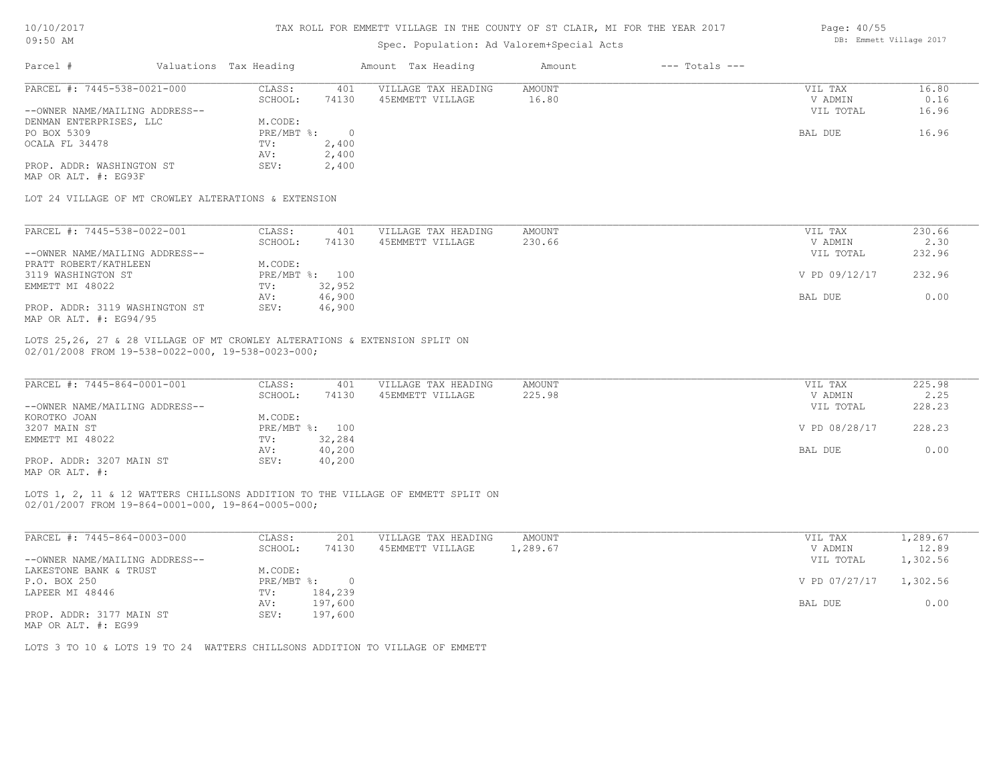| 10/10/2017 |  |
|------------|--|
| 09:50 AM   |  |

## Spec. Population: Ad Valorem+Special Acts

| Page: 40/55 |                         |  |
|-------------|-------------------------|--|
|             | DB: Emmett Village 2017 |  |

| Parcel #                                             | Valuations Tax Heading |                  | Amount Tax Heading  | Amount        | $---$ Totals $---$ |               |        |
|------------------------------------------------------|------------------------|------------------|---------------------|---------------|--------------------|---------------|--------|
| PARCEL #: 7445-538-0021-000                          | CLASS:                 | 401              | VILLAGE TAX HEADING | AMOUNT        |                    | VIL TAX       | 16.80  |
|                                                      | SCHOOL:                | 74130            | 45EMMETT VILLAGE    | 16.80         |                    | V ADMIN       | 0.16   |
| --OWNER NAME/MAILING ADDRESS--                       |                        |                  |                     |               |                    | VIL TOTAL     | 16.96  |
| DENMAN ENTERPRISES, LLC                              | M.CODE:                |                  |                     |               |                    |               |        |
| PO BOX 5309                                          | PRE/MBT %:             | $\Omega$         |                     |               |                    | BAL DUE       | 16.96  |
| OCALA FL 34478                                       | TV:                    | 2,400            |                     |               |                    |               |        |
|                                                      | AV:                    | 2,400            |                     |               |                    |               |        |
| PROP. ADDR: WASHINGTON ST                            | SEV:                   | 2,400            |                     |               |                    |               |        |
| MAP OR ALT. #: EG93F                                 |                        |                  |                     |               |                    |               |        |
| LOT 24 VILLAGE OF MT CROWLEY ALTERATIONS & EXTENSION |                        |                  |                     |               |                    |               |        |
|                                                      |                        |                  |                     |               |                    |               |        |
|                                                      |                        |                  |                     |               |                    |               |        |
| PARCEL #: 7445-538-0022-001                          | CLASS:                 | 401              | VILLAGE TAX HEADING | <b>AMOUNT</b> |                    | VIL TAX       | 230.66 |
|                                                      | SCHOOL:                | 74130            | 45EMMETT VILLAGE    | 230.66        |                    | V ADMIN       | 2.30   |
| --OWNER NAME/MAILING ADDRESS--                       |                        |                  |                     |               |                    | VIL TOTAL     | 232.96 |
| PRATT ROBERT/KATHLEEN                                | M.CODE:                |                  |                     |               |                    |               |        |
| 3119 WASHINGTON ST                                   | PRE/MBT %: 100<br>TV:  |                  |                     |               |                    | V PD 09/12/17 | 232.96 |
| EMMETT MI 48022                                      |                        | 32,952           |                     |               |                    |               |        |
| PROP. ADDR: 3119 WASHINGTON ST                       | AV:<br>SEV:            | 46,900<br>46,900 |                     |               |                    | BAL DUE       | 0.00   |

| PARCEL #: 7445-864-0001-001    | CLASS:       | 401    | VILLAGE TAX HEADING | AMOUNT | VIL TAX       | 225.98 |
|--------------------------------|--------------|--------|---------------------|--------|---------------|--------|
|                                | SCHOOL:      | 74130  | 45EMMETT VILLAGE    | 225.98 | V ADMIN       | 2.25   |
| --OWNER NAME/MAILING ADDRESS-- |              |        |                     |        | VIL TOTAL     | 228.23 |
| KOROTKO JOAN                   | M.CODE:      |        |                     |        |               |        |
| 3207 MAIN ST                   | $PRE/MBT$ %: | 100    |                     |        | V PD 08/28/17 | 228.23 |
| EMMETT MI 48022                | TV:          | 32,284 |                     |        |               |        |
|                                | AV:          | 40,200 |                     |        | BAL DUE       | 0.00   |
| PROP. ADDR: 3207 MAIN ST       | SEV:         | 40,200 |                     |        |               |        |
| MAP OR ALT. #:                 |              |        |                     |        |               |        |

02/01/2007 FROM 19-864-0001-000, 19-864-0005-000; LOTS 1, 2, 11 & 12 WATTERS CHILLSONS ADDITION TO THE VILLAGE OF EMMETT SPLIT ON

| PARCEL #: 7445-864-0003-000    | CLASS:     | 201     | VILLAGE TAX HEADING | AMOUNT   | VIL TAX       | .,289.67 |
|--------------------------------|------------|---------|---------------------|----------|---------------|----------|
|                                | SCHOOL:    | 74130   | 45EMMETT VILLAGE    | 1,289.67 | V ADMIN       | 12.89    |
| --OWNER NAME/MAILING ADDRESS-- |            |         |                     |          | VIL TOTAL     | 1,302.56 |
| LAKESTONE BANK & TRUST         | M.CODE:    |         |                     |          |               |          |
| P.O. BOX 250                   | PRE/MBT %: |         |                     |          | V PD 07/27/17 | 1,302.56 |
| LAPEER MI 48446                | TV:        | 184,239 |                     |          |               |          |
|                                | AV:        | 197,600 |                     |          | BAL DUE       | 0.00     |
| PROP. ADDR: 3177 MAIN ST       | SEV:       | 197,600 |                     |          |               |          |

MAP OR ALT. #: EG99

LOTS 3 TO 10 & LOTS 19 TO 24 WATTERS CHILLSONS ADDITION TO VILLAGE OF EMMETT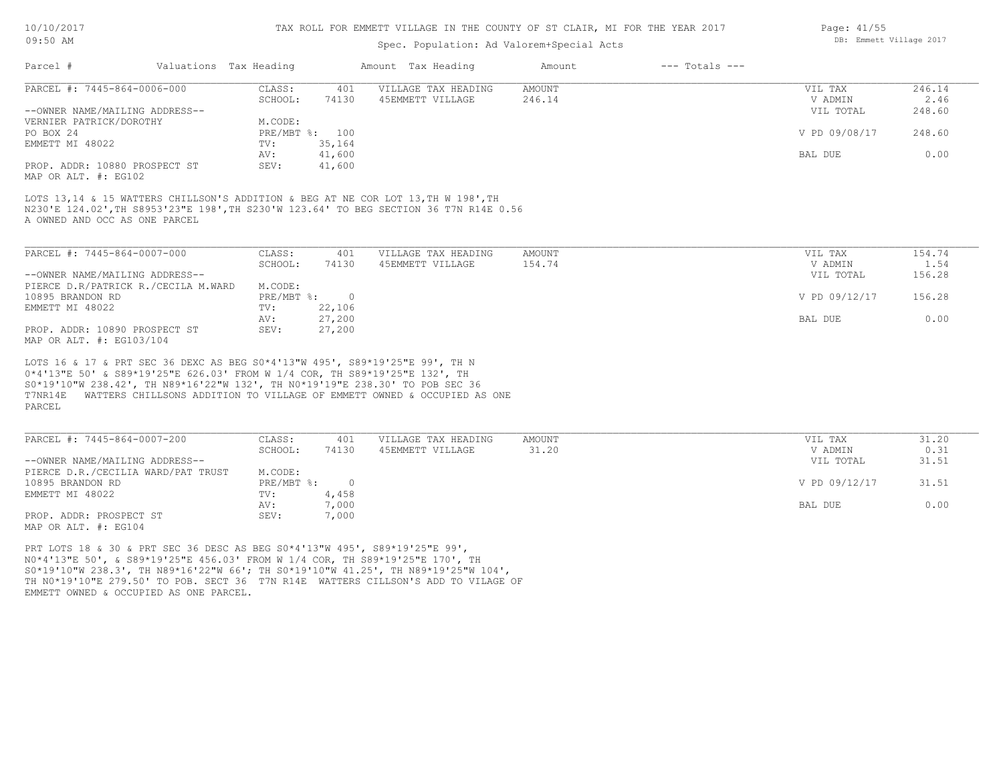#### TAX ROLL FOR EMMETT VILLAGE IN THE COUNTY OF ST CLAIR, MI FOR THE YEAR 2017

### Spec. Population: Ad Valorem+Special Acts

| Parcel #                       | Valuations Tax Heading |                | Amount Tax Heading  | Amount | $---$ Totals $---$ |               |        |
|--------------------------------|------------------------|----------------|---------------------|--------|--------------------|---------------|--------|
| PARCEL #: 7445-864-0006-000    | CLASS:                 | 401            | VILLAGE TAX HEADING | AMOUNT |                    | VIL TAX       | 246.14 |
|                                | SCHOOL:                | 74130          | 45EMMETT VILLAGE    | 246.14 |                    | V ADMIN       | 2.46   |
| --OWNER NAME/MAILING ADDRESS-- |                        |                |                     |        |                    | VIL TOTAL     | 248.60 |
| VERNIER PATRICK/DOROTHY        | M.CODE:                |                |                     |        |                    |               |        |
| PO BOX 24                      |                        | PRE/MBT %: 100 |                     |        |                    | V PD 09/08/17 | 248.60 |
| EMMETT MI 48022                | TV:                    | 35,164         |                     |        |                    |               |        |
|                                | AV:                    | 41,600         |                     |        |                    | BAL DUE       | 0.00   |
| PROP. ADDR: 10880 PROSPECT ST  | SEV:                   | 41,600         |                     |        |                    |               |        |
| MAP OR ALT. #: EG102           |                        |                |                     |        |                    |               |        |

A OWNED AND OCC AS ONE PARCEL N230'E 124.02',TH S8953'23"E 198',TH S230'W 123.64' TO BEG SECTION 36 T7N R14E 0.56 LOTS 13,14 & 15 WATTERS CHILLSON'S ADDITION & BEG AT NE COR LOT 13, TH W 198', TH

| PARCEL #: 7445-864-0007-000         | CLASS:     | 401    | VILLAGE TAX HEADING | AMOUNT | VIL TAX       | 154.74 |
|-------------------------------------|------------|--------|---------------------|--------|---------------|--------|
|                                     | SCHOOL:    | 74130  | 45EMMETT VILLAGE    | 154.74 | V ADMIN       | 1.54   |
| --OWNER NAME/MAILING ADDRESS--      |            |        |                     |        | VIL TOTAL     | 156.28 |
| PIERCE D.R/PATRICK R./CECILA M.WARD | M.CODE:    |        |                     |        |               |        |
| 10895 BRANDON RD                    | PRE/MBT %: |        |                     |        | V PD 09/12/17 | 156.28 |
| EMMETT MI 48022                     | TV:        | 22,106 |                     |        |               |        |
|                                     | AV:        | 27,200 |                     |        | BAL DUE       | 0.00   |
| PROP. ADDR: 10890 PROSPECT ST       | SEV:       | 27,200 |                     |        |               |        |
| MAP OR ALT. #: EG103/104            |            |        |                     |        |               |        |

PARCEL T7NR14E WATTERS CHILLSONS ADDITION TO VILLAGE OF EMMETT OWNED & OCCUPIED AS ONE S0\*19'10"W 238.42', TH N89\*16'22"W 132', TH N0\*19'19"E 238.30' TO POB SEC 36 0\*4'13"E 50' & S89\*19'25"E 626.03' FROM W 1/4 COR, TH S89\*19'25"E 132', TH LOTS 16 & 17 & PRT SEC 36 DEXC AS BEG S0\*4'13"W 495', S89\*19'25"E 99', TH N

| PARCEL #: 7445-864-0007-200        | CLASS:     | 401   | VILLAGE TAX HEADING | AMOUNT | VIL TAX       | 31.20 |
|------------------------------------|------------|-------|---------------------|--------|---------------|-------|
|                                    | SCHOOL:    | 74130 | 45EMMETT VILLAGE    | 31.20  | V ADMIN       | 0.31  |
| --OWNER NAME/MAILING ADDRESS--     |            |       |                     |        | VIL TOTAL     | 31.51 |
| PIERCE D.R./CECILIA WARD/PAT TRUST | M.CODE:    |       |                     |        |               |       |
| 10895 BRANDON RD                   | PRE/MBT %: |       |                     |        | V PD 09/12/17 | 31.51 |
| EMMETT MI 48022                    | TV:        | 4,458 |                     |        |               |       |
|                                    | AV:        | 7,000 |                     |        | BAL DUE       | 0.00  |
| PROP. ADDR: PROSPECT ST            | SEV:       | 7,000 |                     |        |               |       |
| MAP OR ALT. #: EG104               |            |       |                     |        |               |       |

EMMETT OWNED & OCCUPIED AS ONE PARCEL. TH N0\*19'10"E 279.50' TO POB. SECT 36 T7N R14E WATTERS CILLSON'S ADD TO VILAGE OF S0\*19'10"W 238.3', TH N89\*16'22"W 66'; TH S0\*19'10"W 41.25', TH N89\*19'25"W 104', N0\*4'13"E 50', & S89\*19'25"E 456.03' FROM W 1/4 COR, TH S89\*19'25"E 170', TH PRT LOTS 18 & 30 & PRT SEC 36 DESC AS BEG S0\*4'13"W 495', S89\*19'25"E 99',

Page: 41/55 DB: Emmett Village 2017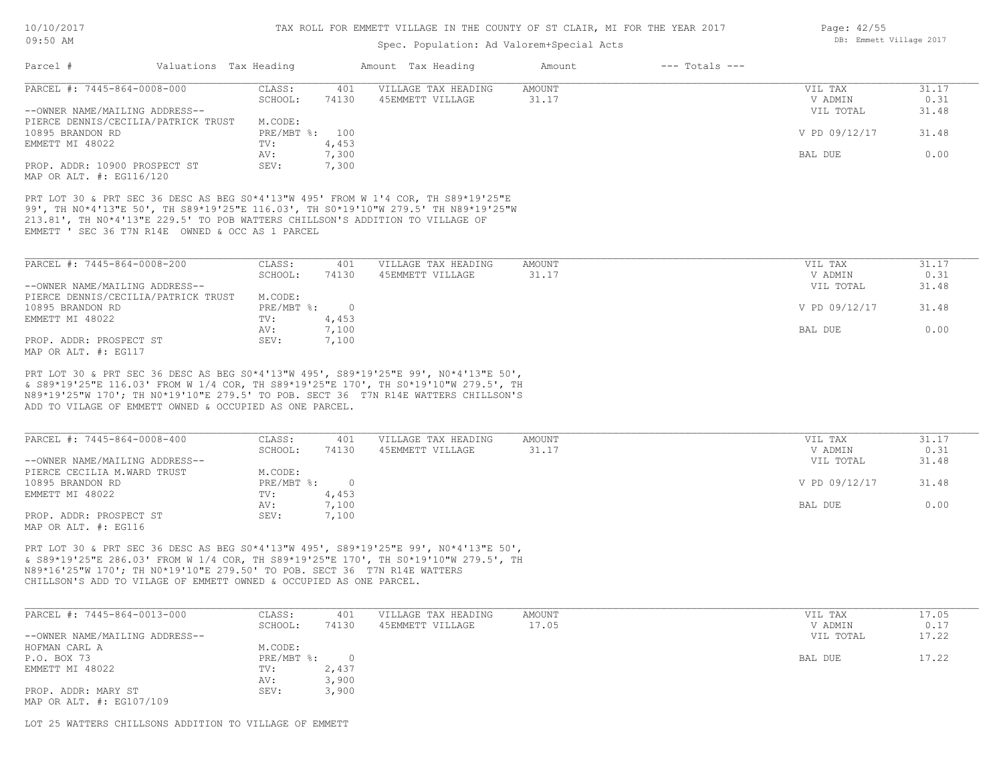| UYIJU ALMI                                                                                                                                                                                                                                                                                                                  |                   | Spec. Population: Ad Valorem+Special Acts |                                         |                        |                    |                    |               |
|-----------------------------------------------------------------------------------------------------------------------------------------------------------------------------------------------------------------------------------------------------------------------------------------------------------------------------|-------------------|-------------------------------------------|-----------------------------------------|------------------------|--------------------|--------------------|---------------|
| Parcel #<br>Valuations Tax Heading                                                                                                                                                                                                                                                                                          |                   |                                           | Amount Tax Heading                      | Amount                 | $---$ Totals $---$ |                    |               |
| PARCEL #: 7445-864-0008-000                                                                                                                                                                                                                                                                                                 | CLASS:<br>SCHOOL: | 401<br>74130                              | VILLAGE TAX HEADING<br>45EMMETT VILLAGE | <b>AMOUNT</b><br>31.17 |                    | VIL TAX<br>V ADMIN | 31.17<br>0.31 |
| --OWNER NAME/MAILING ADDRESS--                                                                                                                                                                                                                                                                                              |                   |                                           |                                         |                        |                    | VIL TOTAL          | 31.48         |
| PIERCE DENNIS/CECILIA/PATRICK TRUST                                                                                                                                                                                                                                                                                         | M.CODE:           |                                           |                                         |                        |                    |                    |               |
| 10895 BRANDON RD                                                                                                                                                                                                                                                                                                            | PRE/MBT %: 100    |                                           |                                         |                        |                    | V PD 09/12/17      | 31.48         |
| EMMETT MI 48022                                                                                                                                                                                                                                                                                                             | TV:               | 4,453                                     |                                         |                        |                    |                    |               |
|                                                                                                                                                                                                                                                                                                                             | AV:               | 7,300                                     |                                         |                        |                    | BAL DUE            | 0.00          |
| PROP. ADDR: 10900 PROSPECT ST                                                                                                                                                                                                                                                                                               | SEV:              | 7,300                                     |                                         |                        |                    |                    |               |
| MAP OR ALT. #: EG116/120                                                                                                                                                                                                                                                                                                    |                   |                                           |                                         |                        |                    |                    |               |
| PRT LOT 30 & PRT SEC 36 DESC AS BEG S0*4'13"W 495' FROM W 1'4 COR, TH S89*19'25"E<br>99', TH NO*4'13"E 50', TH S89*19'25"E 116.03', TH SO*19'10"W 279.5' TH N89*19'25"W<br>213.81', TH NO*4'13"E 229.5' TO POB WATTERS CHILLSON'S ADDITION TO VILLAGE OF<br>EMMETT ' SEC 36 T7N R14E OWNED & OCC AS 1 PARCEL                |                   |                                           |                                         |                        |                    |                    |               |
| PARCEL #: 7445-864-0008-200                                                                                                                                                                                                                                                                                                 | CLASS:            | 401                                       | VILLAGE TAX HEADING                     | AMOUNT                 |                    | VIL TAX            | 31.17         |
|                                                                                                                                                                                                                                                                                                                             | SCHOOL:           | 74130                                     | 45EMMETT VILLAGE                        | 31.17                  |                    | V ADMIN            | 0.31          |
| --OWNER NAME/MAILING ADDRESS--                                                                                                                                                                                                                                                                                              |                   |                                           |                                         |                        |                    | VIL TOTAL          | 31.48         |
| PIERCE DENNIS/CECILIA/PATRICK TRUST                                                                                                                                                                                                                                                                                         | M.CODE:           |                                           |                                         |                        |                    |                    |               |
| 10895 BRANDON RD                                                                                                                                                                                                                                                                                                            | PRE/MBT %:        | $\Omega$                                  |                                         |                        |                    | V PD 09/12/17      | 31.48         |
|                                                                                                                                                                                                                                                                                                                             |                   |                                           |                                         |                        |                    |                    |               |
| EMMETT MI 48022                                                                                                                                                                                                                                                                                                             | TV:               | 4,453                                     |                                         |                        |                    |                    |               |
|                                                                                                                                                                                                                                                                                                                             | AV:               | 7,100                                     |                                         |                        |                    | BAL DUE            | 0.00          |
| PROP. ADDR: PROSPECT ST<br>MAP OR ALT. #: EG117                                                                                                                                                                                                                                                                             | SEV:              | 7,100                                     |                                         |                        |                    |                    |               |
|                                                                                                                                                                                                                                                                                                                             |                   |                                           |                                         |                        |                    |                    |               |
| PRT LOT 30 & PRT SEC 36 DESC AS BEG S0*4'13"W 495', S89*19'25"E 99', N0*4'13"E 50',<br>& S89*19'25"E 116.03' FROM W 1/4 COR, TH S89*19'25"E 170', TH S0*19'10"W 279.5', TH<br>N89*19'25"W 170'; TH N0*19'10"E 279.5' TO POB. SECT 36 T7N R14E WATTERS CHILLSON'S<br>ADD TO VILAGE OF EMMETT OWNED & OCCUPIED AS ONE PARCEL. |                   |                                           |                                         |                        |                    |                    |               |
| PARCEL #: 7445-864-0008-400                                                                                                                                                                                                                                                                                                 | CLASS:            | 401                                       | VILLAGE TAX HEADING                     | <b>AMOUNT</b>          |                    | VIL TAX            | 31.17         |
|                                                                                                                                                                                                                                                                                                                             | SCHOOL:           | 74130                                     | 45EMMETT VILLAGE                        | 31.17                  |                    | V ADMIN            | 0.31          |
| --OWNER NAME/MAILING ADDRESS--                                                                                                                                                                                                                                                                                              |                   |                                           |                                         |                        |                    | VIL TOTAL          | 31.48         |
| PIERCE CECILIA M.WARD TRUST                                                                                                                                                                                                                                                                                                 | M.CODE:           |                                           |                                         |                        |                    |                    |               |
| 10895 BRANDON RD                                                                                                                                                                                                                                                                                                            | PRE/MBT %:        | $\Omega$                                  |                                         |                        |                    | V PD 09/12/17      | 31.48         |
| EMMETT MI 48022                                                                                                                                                                                                                                                                                                             | TV:               | 4,453                                     |                                         |                        |                    |                    |               |
|                                                                                                                                                                                                                                                                                                                             | AV:               | 7,100                                     |                                         |                        |                    | BAL DUE            | 0.00          |
| PROP. ADDR: PROSPECT ST<br>MAP OR ALT. #: EG116                                                                                                                                                                                                                                                                             | SEV:              | 7,100                                     |                                         |                        |                    |                    |               |
|                                                                                                                                                                                                                                                                                                                             |                   |                                           |                                         |                        |                    |                    |               |
| PRT LOT 30 & PRT SEC 36 DESC AS BEG S0*4'13"W 495', S89*19'25"E 99', N0*4'13"E 50',<br>& S89*19'25"E 286.03' FROM W 1/4 COR, TH S89*19'25"E 170', TH S0*19'10"W 279.5', TH                                                                                                                                                  |                   |                                           |                                         |                        |                    |                    |               |

| PARCEL #: 7445-864-0013-000                     | CLASS:     | 401   | VILLAGE TAX HEADING | AMOUNT | VIL TAX   | 17.05 |
|-------------------------------------------------|------------|-------|---------------------|--------|-----------|-------|
|                                                 | SCHOOL:    | 74130 | 45EMMETT VILLAGE    | 17.05  | V ADMIN   | 0.17  |
| --OWNER NAME/MAILING ADDRESS--                  |            |       |                     |        | VIL TOTAL | 17.22 |
| HOFMAN CARL A                                   | M.CODE:    |       |                     |        |           |       |
| P.O. BOX 73                                     | PRE/MBT %: |       |                     |        | BAL DUE   | 17.22 |
| EMMETT MI 48022                                 | TV:        | 2,437 |                     |        |           |       |
|                                                 | AV:        | 3,900 |                     |        |           |       |
| PROP. ADDR: MARY ST<br>MAP OR ALT. #: EG107/109 | SEV:       | 3,900 |                     |        |           |       |

LOT 25 WATTERS CHILLSONS ADDITION TO VILLAGE OF EMMETT

Page: 42/55 DB: Emmett Village 2017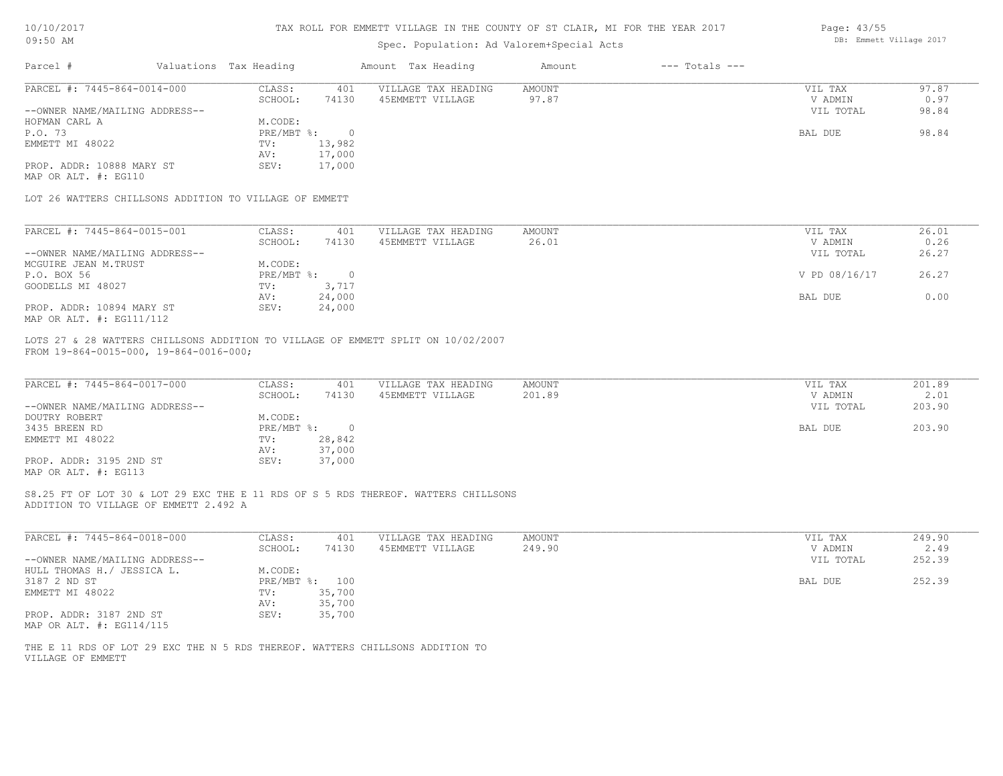|  | 10/10/2017 |  |  |  |  |
|--|------------|--|--|--|--|
|--|------------|--|--|--|--|

| $\pm$ $\vee$ $\prime$ $\pm$ $\vee$ $\pm$              |                                                        |              |                | things a strategy that the course of the content has foll the following the state of the state of the state of |               |                    | DB: Emmett Village 2017 |        |  |
|-------------------------------------------------------|--------------------------------------------------------|--------------|----------------|----------------------------------------------------------------------------------------------------------------|---------------|--------------------|-------------------------|--------|--|
| $09:50$ AM                                            |                                                        |              |                |                                                                                                                |               |                    |                         |        |  |
| Parcel #                                              | Valuations Tax Heading                                 |              |                | Amount Tax Heading                                                                                             | Amount        | $---$ Totals $---$ |                         |        |  |
| PARCEL #: 7445-864-0014-000                           |                                                        | CLASS:       | 401            | VILLAGE TAX HEADING                                                                                            | <b>AMOUNT</b> |                    | VIL TAX                 | 97.87  |  |
|                                                       |                                                        | SCHOOL:      | 74130          | 45EMMETT VILLAGE                                                                                               | 97.87         |                    | V ADMIN                 | 0.97   |  |
| --OWNER NAME/MAILING ADDRESS--                        |                                                        |              |                |                                                                                                                |               |                    | VIL TOTAL               | 98.84  |  |
| HOFMAN CARL A                                         |                                                        | M.CODE:      |                |                                                                                                                |               |                    |                         |        |  |
| P.O. 73                                               |                                                        | $PRE/MBT$ %: | $\circ$        |                                                                                                                |               |                    | BAL DUE                 | 98.84  |  |
| EMMETT MI 48022                                       |                                                        | TV:          | 13,982         |                                                                                                                |               |                    |                         |        |  |
|                                                       |                                                        | AV:          | 17,000         |                                                                                                                |               |                    |                         |        |  |
| PROP. ADDR: 10888 MARY ST                             |                                                        | SEV:         | 17,000         |                                                                                                                |               |                    |                         |        |  |
| MAP OR ALT. #: EG110                                  |                                                        |              |                |                                                                                                                |               |                    |                         |        |  |
|                                                       | LOT 26 WATTERS CHILLSONS ADDITION TO VILLAGE OF EMMETT |              |                |                                                                                                                |               |                    |                         |        |  |
|                                                       |                                                        |              |                |                                                                                                                |               |                    |                         |        |  |
| PARCEL #: 7445-864-0015-001                           |                                                        | CLASS:       | 401            | VILLAGE TAX HEADING                                                                                            | <b>AMOUNT</b> |                    | VIL TAX                 | 26.01  |  |
|                                                       |                                                        | SCHOOL:      | 74130          | 45EMMETT VILLAGE                                                                                               | 26.01         |                    | V ADMIN                 | 0.26   |  |
| --OWNER NAME/MAILING ADDRESS--                        |                                                        |              |                |                                                                                                                |               |                    | VIL TOTAL               | 26.27  |  |
| MCGUIRE JEAN M.TRUST                                  |                                                        | M.CODE:      |                |                                                                                                                |               |                    |                         |        |  |
| P.O. BOX 56                                           |                                                        | $PRE/MBT$ %: | $\overline{0}$ |                                                                                                                |               |                    | V PD 08/16/17           | 26.27  |  |
| GOODELLS MI 48027                                     |                                                        | TV:          | 3,717          |                                                                                                                |               |                    |                         |        |  |
|                                                       |                                                        | AV:          | 24,000         |                                                                                                                |               |                    | BAL DUE                 | 0.00   |  |
| PROP. ADDR: 10894 MARY ST<br>MAP OR ALT. #: EG111/112 |                                                        | SEV:         | 24,000         |                                                                                                                |               |                    |                         |        |  |
| FROM 19-864-0015-000, 19-864-0016-000;                |                                                        |              |                | LOTS 27 & 28 WATTERS CHILLSONS ADDITION TO VILLAGE OF EMMETT SPLIT ON 10/02/2007                               |               |                    |                         |        |  |
| PARCEL #: 7445-864-0017-000                           |                                                        | CLASS:       | 401            | VILLAGE TAX HEADING                                                                                            | <b>AMOUNT</b> |                    | VIL TAX                 | 201.89 |  |
|                                                       |                                                        | SCHOOL:      | 74130          | 45EMMETT VILLAGE                                                                                               | 201.89        |                    | V ADMIN                 | 2.01   |  |
| --OWNER NAME/MAILING ADDRESS--                        |                                                        |              |                |                                                                                                                |               |                    | VIL TOTAL               | 203.90 |  |
| DOUTRY ROBERT                                         |                                                        | M.CODE:      |                |                                                                                                                |               |                    |                         |        |  |
| 3435 BREEN RD                                         |                                                        |              | PRE/MBT %: 0   |                                                                                                                |               |                    | BAL DUE                 | 203.90 |  |
| EMMETT MI 48022                                       |                                                        | TV:          | 28,842         |                                                                                                                |               |                    |                         |        |  |
|                                                       |                                                        | AV:          | 37,000         |                                                                                                                |               |                    |                         |        |  |
| PROP. ADDR: 3195 2ND ST                               |                                                        | SEV:         | 37,000         |                                                                                                                |               |                    |                         |        |  |
| MAP OR ALT. #: EG113                                  |                                                        |              |                |                                                                                                                |               |                    |                         |        |  |
|                                                       |                                                        |              |                |                                                                                                                |               |                    |                         |        |  |
|                                                       |                                                        |              |                | S8.25 FT OF LOT 30 & LOT 29 EXC THE E 11 RDS OF S 5 RDS THEREOF. WATTERS CHILLSONS                             |               |                    |                         |        |  |

ADDITION TO VILLAGE OF EMMETT 2.492 A

| PARCEL #: 7445-864-0018-000    | CLASS:       | 401    | VILLAGE TAX HEADING | AMOUNT | 249.90<br>VIL TAX   |
|--------------------------------|--------------|--------|---------------------|--------|---------------------|
|                                | SCHOOL:      | 74130  | 45EMMETT VILLAGE    | 249.90 | 2.49<br>V ADMIN     |
| --OWNER NAME/MAILING ADDRESS-- |              |        |                     |        | 252.39<br>VIL TOTAL |
| HULL THOMAS H./ JESSICA L.     | M.CODE:      |        |                     |        |                     |
| 3187 2 ND ST                   | $PRE/MBT$ %: | 100    |                     |        | 252.39<br>BAL DUE   |
| EMMETT MI 48022                | TV:          | 35,700 |                     |        |                     |
|                                | AV:          | 35,700 |                     |        |                     |
| PROP. ADDR: 3187 2ND ST        | SEV:         | 35,700 |                     |        |                     |
| MAP OR ALT. #: EG114/115       |              |        |                     |        |                     |

VILLAGE OF EMMETT THE E 11 RDS OF LOT 29 EXC THE N 5 RDS THEREOF. WATTERS CHILLSONS ADDITION TO Page: 43/55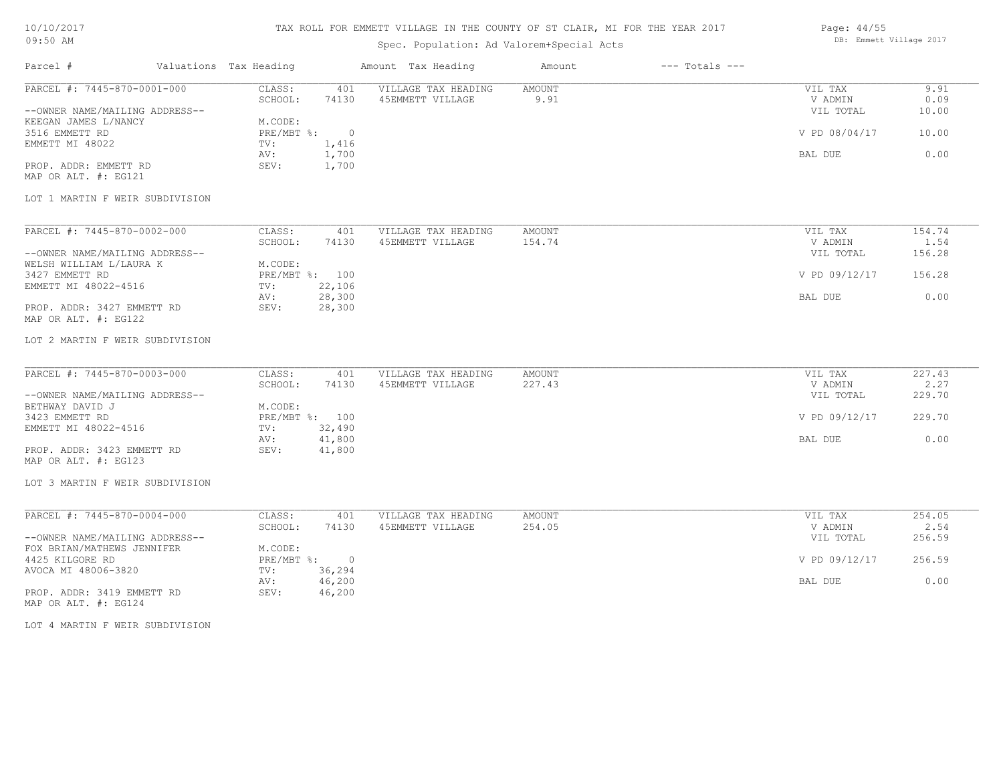## TAX ROLL FOR EMMETT VILLAGE IN THE COUNTY OF ST CLAIR, MI FOR THE YEAR 2017

## Spec. Population: Ad Valorem+Special Acts

| Page: 44/55 |                         |  |
|-------------|-------------------------|--|
|             | DB: Emmett Village 2017 |  |

| Parcel #                                                      | Valuations Tax Heading                                  | Amount Tax Heading                      | Amount           | $---$ Totals $---$ |                                 |                       |
|---------------------------------------------------------------|---------------------------------------------------------|-----------------------------------------|------------------|--------------------|---------------------------------|-----------------------|
| PARCEL #: 7445-870-0001-000<br>--OWNER NAME/MAILING ADDRESS-- | CLASS:<br>401<br>SCHOOL:<br>74130                       | VILLAGE TAX HEADING<br>45EMMETT VILLAGE | AMOUNT<br>9.91   |                    | VIL TAX<br>V ADMIN<br>VIL TOTAL | 9.91<br>0.09<br>10.00 |
| KEEGAN JAMES L/NANCY<br>3516 EMMETT RD<br>EMMETT MI 48022     | M.CODE:<br>PRE/MBT %:<br>$\overline{0}$<br>1,416<br>TV: |                                         |                  |                    | V PD 08/04/17                   | 10.00                 |
| PROP. ADDR: EMMETT RD<br>MAP OR ALT. #: EG121                 | AV:<br>1,700<br>SEV:<br>1,700                           |                                         |                  |                    | BAL DUE                         | 0.00                  |
| LOT 1 MARTIN F WEIR SUBDIVISION                               |                                                         |                                         |                  |                    |                                 |                       |
| PARCEL #: 7445-870-0002-000                                   | CLASS:<br>401<br>SCHOOL:<br>74130                       | VILLAGE TAX HEADING<br>45EMMETT VILLAGE | AMOUNT<br>154.74 |                    | VIL TAX<br>V ADMIN              | 154.74<br>1.54        |
| --OWNER NAME/MAILING ADDRESS--<br>WELSH WILLIAM L/LAURA K     | M.CODE:                                                 |                                         |                  |                    | VIL TOTAL                       | 156.28                |
| 3427 EMMETT RD<br>EMMETT MI 48022-4516                        | PRE/MBT %: 100<br>22,106<br>TV:                         |                                         |                  |                    | V PD 09/12/17                   | 156.28                |
| PROP. ADDR: 3427 EMMETT RD<br>MAP OR ALT. #: EG122            | 28,300<br>AV:<br>SEV:<br>28,300                         |                                         |                  |                    | BAL DUE                         | 0.00                  |
| LOT 2 MARTIN F WEIR SUBDIVISION                               |                                                         |                                         |                  |                    |                                 |                       |
| PARCEL #: 7445-870-0003-000                                   | CLASS:<br>401<br>SCHOOL:<br>74130                       | VILLAGE TAX HEADING<br>45EMMETT VILLAGE | AMOUNT<br>227.43 |                    | VIL TAX<br>V ADMIN              | 227.43<br>2.27        |
| --OWNER NAME/MAILING ADDRESS--<br>BETHWAY DAVID J             | M.CODE:                                                 |                                         |                  |                    | VIL TOTAL                       | 229.70                |
| 3423 EMMETT RD<br>EMMETT MI 48022-4516                        | PRE/MBT %: 100<br>32,490<br>TV:                         |                                         |                  |                    | V PD 09/12/17                   | 229.70                |
| PROP. ADDR: 3423 EMMETT RD<br>MAP OR ALT. #: EG123            | 41,800<br>AV:<br>41,800<br>SEV:                         |                                         |                  |                    | <b>BAL DUE</b>                  | 0.00                  |
| LOT 3 MARTIN F WEIR SUBDIVISION                               |                                                         |                                         |                  |                    |                                 |                       |
| PARCEL #: 7445-870-0004-000                                   | CLASS:<br>401<br>SCHOOL:<br>74130                       | VILLAGE TAX HEADING<br>45EMMETT VILLAGE | AMOUNT<br>254.05 |                    | VIL TAX<br>V ADMIN              | 254.05<br>2.54        |
| --OWNER NAME/MAILING ADDRESS--<br>FOX BRIAN/MATHEWS JENNIFER  | M.CODE:                                                 |                                         |                  |                    | VIL TOTAL                       | 256.59                |
| 4425 KILGORE RD<br>AVOCA MI 48006-3820                        | PRE/MBT %: 0<br>36,294<br>TV:                           |                                         |                  |                    | V PD 09/12/17                   | 256.59                |
| PROP. ADDR: 3419 EMMETT RD<br>MAP OR ALT. #: EG124            | 46,200<br>AV:<br>SEV:<br>46,200                         |                                         |                  |                    | BAL DUE                         | 0.00                  |
| LOT 4 MARTIN F WEIR SUBDIVISION                               |                                                         |                                         |                  |                    |                                 |                       |
|                                                               |                                                         |                                         |                  |                    |                                 |                       |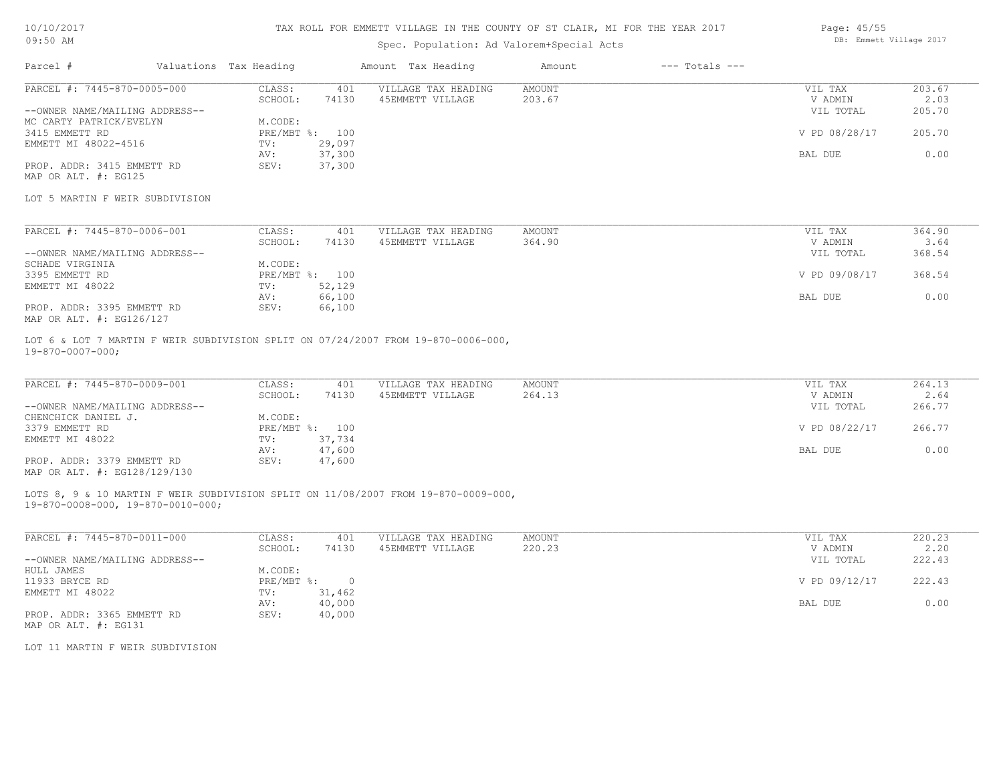#### TAX ROLL FOR EMMETT VILLAGE IN THE COUNTY OF ST CLAIR, MI FOR THE YEAR 2017

### Spec. Population: Ad Valorem+Special Acts

| Page: 45/55 |                         |  |
|-------------|-------------------------|--|
|             | DB: Emmett Village 2017 |  |

| Parcel #                        | Valuations Tax Heading |                | Amount Tax Heading  | Amount | $---$ Totals $---$ |               |        |
|---------------------------------|------------------------|----------------|---------------------|--------|--------------------|---------------|--------|
| PARCEL #: 7445-870-0005-000     | CLASS:                 | 401            | VILLAGE TAX HEADING | AMOUNT |                    | VIL TAX       | 203.67 |
|                                 | SCHOOL:                | 74130          | 45EMMETT VILLAGE    | 203.67 |                    | V ADMIN       | 2.03   |
| --OWNER NAME/MAILING ADDRESS--  |                        |                |                     |        |                    | VIL TOTAL     | 205.70 |
| MC CARTY PATRICK/EVELYN         | M.CODE:                |                |                     |        |                    |               |        |
| 3415 EMMETT RD                  |                        | PRE/MBT %: 100 |                     |        |                    | V PD 08/28/17 | 205.70 |
| EMMETT MI 48022-4516            | TV:                    | 29,097         |                     |        |                    |               |        |
|                                 | AV:                    | 37,300         |                     |        |                    | BAL DUE       | 0.00   |
| PROP. ADDR: 3415 EMMETT RD      | SEV:                   | 37,300         |                     |        |                    |               |        |
| MAP OR ALT. #: EG125            |                        |                |                     |        |                    |               |        |
| LOT 5 MARTIN F WEIR SUBDIVISION |                        |                |                     |        |                    |               |        |
|                                 |                        |                |                     |        |                    |               |        |

| PARCEL #: 7445-870-0006-001    | CLASS:  | 401            | VILLAGE TAX HEADING | AMOUNT | VIL TAX       | 364.90 |
|--------------------------------|---------|----------------|---------------------|--------|---------------|--------|
|                                | SCHOOL: | 74130          | 45EMMETT VILLAGE    | 364.90 | V ADMIN       | 3.64   |
| --OWNER NAME/MAILING ADDRESS-- |         |                |                     |        | VIL TOTAL     | 368.54 |
| SCHADE VIRGINIA                | M.CODE: |                |                     |        |               |        |
| 3395 EMMETT RD                 |         | PRE/MBT %: 100 |                     |        | V PD 09/08/17 | 368.54 |
| EMMETT MI 48022                | TV:     | 52,129         |                     |        |               |        |
|                                | AV:     | 66,100         |                     |        | BAL DUE       | 0.00   |
| PROP. ADDR: 3395 EMMETT RD     | SEV:    | 66,100         |                     |        |               |        |
| MAP OR ALT. #: EG126/127       |         |                |                     |        |               |        |

19-870-0007-000; LOT 6 & LOT 7 MARTIN F WEIR SUBDIVISION SPLIT ON 07/24/2007 FROM 19-870-0006-000,

| PARCEL #: 7445-870-0009-001    | CLASS:  | 401            | VILLAGE TAX HEADING | AMOUNT | VIL TAX       | 264.13 |
|--------------------------------|---------|----------------|---------------------|--------|---------------|--------|
|                                | SCHOOL: | 74130          | 45EMMETT VILLAGE    | 264.13 | V ADMIN       | 2.64   |
| --OWNER NAME/MAILING ADDRESS-- |         |                |                     |        | VIL TOTAL     | 266.77 |
| CHENCHICK DANIEL J.            | M.CODE: |                |                     |        |               |        |
| 3379 EMMETT RD                 |         | PRE/MBT %: 100 |                     |        | V PD 08/22/17 | 266.77 |
| EMMETT MI 48022                | TV:     | 37,734         |                     |        |               |        |
|                                | AV:     | 47,600         |                     |        | BAL DUE       | 0.00   |
| PROP. ADDR: 3379 EMMETT RD     | SEV:    | 47,600         |                     |        |               |        |
| MAP OR ALT. #: EG128/129/130   |         |                |                     |        |               |        |

LOTS 8, 9 & 10 MARTIN F WEIR SUBDIVISION SPLIT ON 11/08/2007 FROM 19-870-0009-000,

19-870-0008-000, 19-870-0010-000;

| PARCEL #: 7445-870-0011-000    | CLASS:     | 401    | VILLAGE TAX HEADING | AMOUNT | VIL TAX       | 220.23 |
|--------------------------------|------------|--------|---------------------|--------|---------------|--------|
|                                | SCHOOL:    | 74130  | 45EMMETT VILLAGE    | 220.23 | V ADMIN       | 2.20   |
| --OWNER NAME/MAILING ADDRESS-- |            |        |                     |        | VIL TOTAL     | 222.43 |
| HULL JAMES                     | M.CODE:    |        |                     |        |               |        |
| 11933 BRYCE RD                 | PRE/MBT %: |        |                     |        | V PD 09/12/17 | 222.43 |
| EMMETT MI 48022                | TV:        | 31,462 |                     |        |               |        |
|                                | AV:        | 40,000 |                     |        | BAL DUE       | 0.00   |
| PROP. ADDR: 3365 EMMETT RD     | SEV:       | 40,000 |                     |        |               |        |
| MAP OR ALT. #: EG131           |            |        |                     |        |               |        |

LOT 11 MARTIN F WEIR SUBDIVISION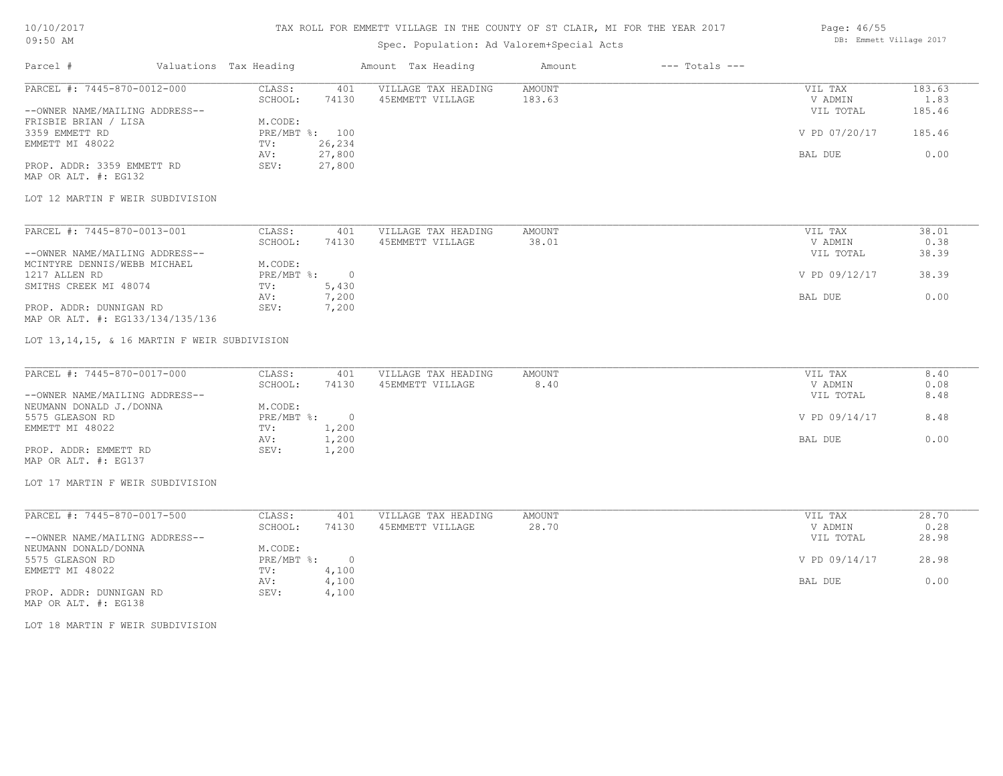### TAX ROLL FOR EMMETT VILLAGE IN THE COUNTY OF ST CLAIR, MI FOR THE YEAR 2017

## Spec. Population: Ad Valorem+Special Acts

| Page: 46/55 |                         |  |
|-------------|-------------------------|--|
|             | DB: Emmett Village 2017 |  |

| Parcel #                       | Valuations Tax Heading |        | Amount Tax Heading  | Amount | $---$ Totals $---$ |               |        |
|--------------------------------|------------------------|--------|---------------------|--------|--------------------|---------------|--------|
| PARCEL #: 7445-870-0012-000    | CLASS:                 | 401    | VILLAGE TAX HEADING | AMOUNT |                    | VIL TAX       | 183.63 |
|                                | SCHOOL:                | 74130  | 45EMMETT VILLAGE    | 183.63 |                    | V ADMIN       | 1.83   |
| --OWNER NAME/MAILING ADDRESS-- |                        |        |                     |        |                    | VIL TOTAL     | 185.46 |
| FRISBIE BRIAN / LISA           | M.CODE:                |        |                     |        |                    |               |        |
| 3359 EMMETT RD                 | PRE/MBT %: 100         |        |                     |        |                    | V PD 07/20/17 | 185.46 |
| EMMETT MI 48022                | TV:                    | 26,234 |                     |        |                    |               |        |
|                                | AV:                    | 27,800 |                     |        |                    | BAL DUE       | 0.00   |
| PROP. ADDR: 3359 EMMETT RD     | SEV:                   | 27,800 |                     |        |                    |               |        |
| MAP OR ALT. #: EG132           |                        |        |                     |        |                    |               |        |

#### LOT 12 MARTIN F WEIR SUBDIVISION

| PARCEL #: 7445-870-0013-001      | CLASS:     | 401   | VILLAGE TAX HEADING | AMOUNT | VIL TAX       | 38.01 |
|----------------------------------|------------|-------|---------------------|--------|---------------|-------|
|                                  | SCHOOL:    | 74130 | 45EMMETT VILLAGE    | 38.01  | V ADMIN       | 0.38  |
| --OWNER NAME/MAILING ADDRESS--   |            |       |                     |        | VIL TOTAL     | 38.39 |
| MCINTYRE DENNIS/WEBB MICHAEL     | M.CODE:    |       |                     |        |               |       |
| 1217 ALLEN RD                    | PRE/MBT %: |       |                     |        | V PD 09/12/17 | 38.39 |
| SMITHS CREEK MI 48074            | TV:        | 5,430 |                     |        |               |       |
|                                  | AV:        | 7,200 |                     |        | BAL DUE       | 0.00  |
| PROP. ADDR: DUNNIGAN RD          | SEV:       | 7,200 |                     |        |               |       |
| MAP OR ALT. #: EG133/134/135/136 |            |       |                     |        |               |       |

#### LOT 13,14,15, & 16 MARTIN F WEIR SUBDIVISION

| PARCEL #: 7445-870-0017-000    | CLASS:     | 401   | VILLAGE TAX HEADING | AMOUNT | VIL TAX       | 8.40 |
|--------------------------------|------------|-------|---------------------|--------|---------------|------|
|                                | SCHOOL:    | 74130 | 45EMMETT VILLAGE    | 8.40   | V ADMIN       | 0.08 |
| --OWNER NAME/MAILING ADDRESS-- |            |       |                     |        | VIL TOTAL     | 8.48 |
| NEUMANN DONALD J./DONNA        | M.CODE:    |       |                     |        |               |      |
| 5575 GLEASON RD                | PRE/MBT %: |       |                     |        | V PD 09/14/17 | 8.48 |
| EMMETT MI 48022                | TV:        | 1,200 |                     |        |               |      |
|                                | AV:        | 1,200 |                     |        | BAL DUE       | 0.00 |
| PROP. ADDR: EMMETT RD          | SEV:       | 1,200 |                     |        |               |      |
| MAP OR ALT. #: EG137           |            |       |                     |        |               |      |

#### LOT 17 MARTIN F WEIR SUBDIVISION

| PARCEL #: 7445-870-0017-500    | CLASS:     | 401   | VILLAGE TAX HEADING | AMOUNT | VIL TAX       | 28.70 |
|--------------------------------|------------|-------|---------------------|--------|---------------|-------|
|                                | SCHOOL:    | 74130 | 45EMMETT VILLAGE    | 28.70  | V ADMIN       | 0.28  |
| --OWNER NAME/MAILING ADDRESS-- |            |       |                     |        | VIL TOTAL     | 28.98 |
| NEUMANN DONALD/DONNA           | M.CODE:    |       |                     |        |               |       |
| 5575 GLEASON RD                | PRE/MBT %: |       |                     |        | V PD 09/14/17 | 28.98 |
| EMMETT MI 48022                | TV:        | ,100  |                     |        |               |       |
|                                | AV:        | 4,100 |                     |        | BAL DUE       | 0.00  |
| PROP. ADDR: DUNNIGAN RD        | SEV:       | 4,100 |                     |        |               |       |

MAP OR ALT. #: EG138

LOT 18 MARTIN F WEIR SUBDIVISION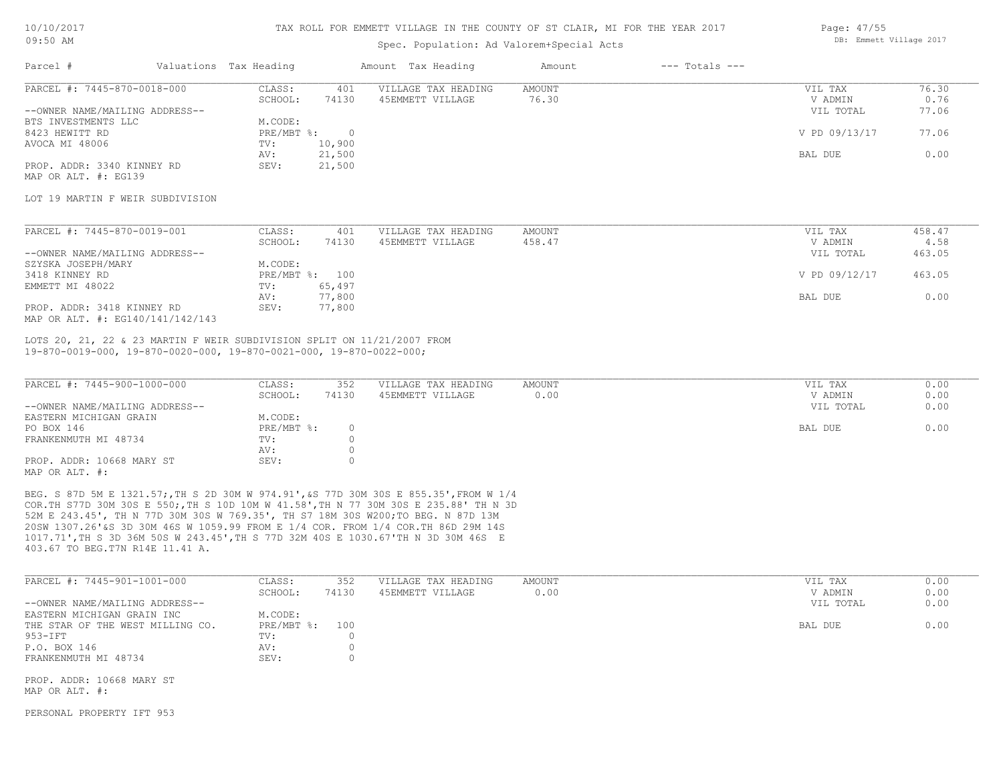#### TAX ROLL FOR EMMETT VILLAGE IN THE COUNTY OF ST CLAIR, MI FOR THE YEAR 2017

### Spec. Population: Ad Valorem+Special Acts

| Page: 47/55 |                         |  |
|-------------|-------------------------|--|
|             | DB: Emmett Village 2017 |  |

| Parcel #                       | Valuations Tax Heading |        | Amount Tax Heading  | Amount | $---$ Totals $---$ |               |       |
|--------------------------------|------------------------|--------|---------------------|--------|--------------------|---------------|-------|
| PARCEL #: 7445-870-0018-000    | CLASS:                 | 401    | VILLAGE TAX HEADING | AMOUNT |                    | VIL TAX       | 76.30 |
|                                | SCHOOL:                | 74130  | 45EMMETT VILLAGE    | 76.30  |                    | V ADMIN       | 0.76  |
| --OWNER NAME/MAILING ADDRESS-- |                        |        |                     |        |                    | VIL TOTAL     | 77.06 |
| BTS INVESTMENTS LLC            | M.CODE:                |        |                     |        |                    |               |       |
| 8423 HEWITT RD                 | PRE/MBT %:             |        |                     |        |                    | V PD 09/13/17 | 77.06 |
| AVOCA MI 48006                 | TV:                    | 10,900 |                     |        |                    |               |       |
|                                | AV:                    | 21,500 |                     |        |                    | BAL DUE       | 0.00  |
| PROP. ADDR: 3340 KINNEY RD     | SEV:                   | 21,500 |                     |        |                    |               |       |
| MAP OR ALT. #: EG139           |                        |        |                     |        |                    |               |       |

LOT 19 MARTIN F WEIR SUBDIVISION

| PARCEL #: 7445-870-0019-001      | CLASS:  | 401            | VILLAGE TAX HEADING | AMOUNT | VIL TAX       | 458.47 |
|----------------------------------|---------|----------------|---------------------|--------|---------------|--------|
|                                  | SCHOOL: | 74130          | 45EMMETT VILLAGE    | 458.47 | V ADMIN       | 4.58   |
| --OWNER NAME/MAILING ADDRESS--   |         |                |                     |        | VIL TOTAL     | 463.05 |
| SZYSKA JOSEPH/MARY               | M.CODE: |                |                     |        |               |        |
| 3418 KINNEY RD                   |         | PRE/MBT %: 100 |                     |        | V PD 09/12/17 | 463.05 |
| EMMETT MI 48022                  | TV:     | 65,497         |                     |        |               |        |
|                                  | AV:     | 77,800         |                     |        | BAL DUE       | 0.00   |
| PROP. ADDR: 3418 KINNEY RD       | SEV:    | 77,800         |                     |        |               |        |
| MAP OR ALT. #: EG140/141/142/143 |         |                |                     |        |               |        |

19-870-0019-000, 19-870-0020-000, 19-870-0021-000, 19-870-0022-000; LOTS 20, 21, 22 & 23 MARTIN F WEIR SUBDIVISION SPLIT ON 11/21/2007 FROM

| PARCEL #: 7445-900-1000-000    | CLASS:     | 352   | VILLAGE TAX HEADING | AMOUNT | VIL TAX   | 0.00 |
|--------------------------------|------------|-------|---------------------|--------|-----------|------|
|                                | SCHOOL:    | 74130 | 45EMMETT VILLAGE    | 0.00   | V ADMIN   | 0.00 |
| --OWNER NAME/MAILING ADDRESS-- |            |       |                     |        | VIL TOTAL | 0.00 |
| EASTERN MICHIGAN GRAIN         | M.CODE:    |       |                     |        |           |      |
| PO BOX 146                     | PRE/MBT %: |       |                     |        | BAL DUE   | 0.00 |
| FRANKENMUTH MI 48734           | TV:        |       |                     |        |           |      |
|                                | AV:        |       |                     |        |           |      |
| PROP. ADDR: 10668 MARY ST      | SEV:       |       |                     |        |           |      |
| MAP OR ALT. #:                 |            |       |                     |        |           |      |

403.67 TO BEG.T7N R14E 11.41 A. 1017.71',TH S 3D 36M 50S W 243.45',TH S 77D 32M 40S E 1030.67'TH N 3D 30M 46S E 20SW 1307.26'&S 3D 30M 46S W 1059.99 FROM E 1/4 COR. FROM 1/4 COR.TH 86D 29M 14S 52M E 243.45', TH N 77D 30M 30S W 769.35', TH S7 18M 30S W200;TO BEG. N 87D 13M COR.TH S77D 30M 30S E 550;,TH S 10D 10M W 41.58',TH N 77 30M 30S E 235.88' TH N 3D BEG. S 87D 5M E 1321.57;,TH S 2D 30M W 974.91',&S 77D 30M 30S E 855.35',FROM W 1/4

| PARCEL #: 7445-901-1001-000      | CLASS:         | 352   | VILLAGE TAX HEADING | AMOUNT | VIL TAX   | 0.00 |
|----------------------------------|----------------|-------|---------------------|--------|-----------|------|
|                                  | SCHOOL:        | 74130 | 45EMMETT VILLAGE    | 0.00   | V ADMIN   | 0.00 |
| --OWNER NAME/MAILING ADDRESS--   |                |       |                     |        | VIL TOTAL | 0.00 |
| EASTERN MICHIGAN GRAIN INC       | M.CODE:        |       |                     |        |           |      |
| THE STAR OF THE WEST MILLING CO. | PRE/MBT %: 100 |       |                     |        | BAL DUE   | 0.00 |
| 953-IFT                          | TV:            |       |                     |        |           |      |
| P.O. BOX 146                     | AV:            |       |                     |        |           |      |
| FRANKENMUTH MI 48734             | SEV:           |       |                     |        |           |      |

MAP OR ALT. #:

PERSONAL PROPERTY IFT 953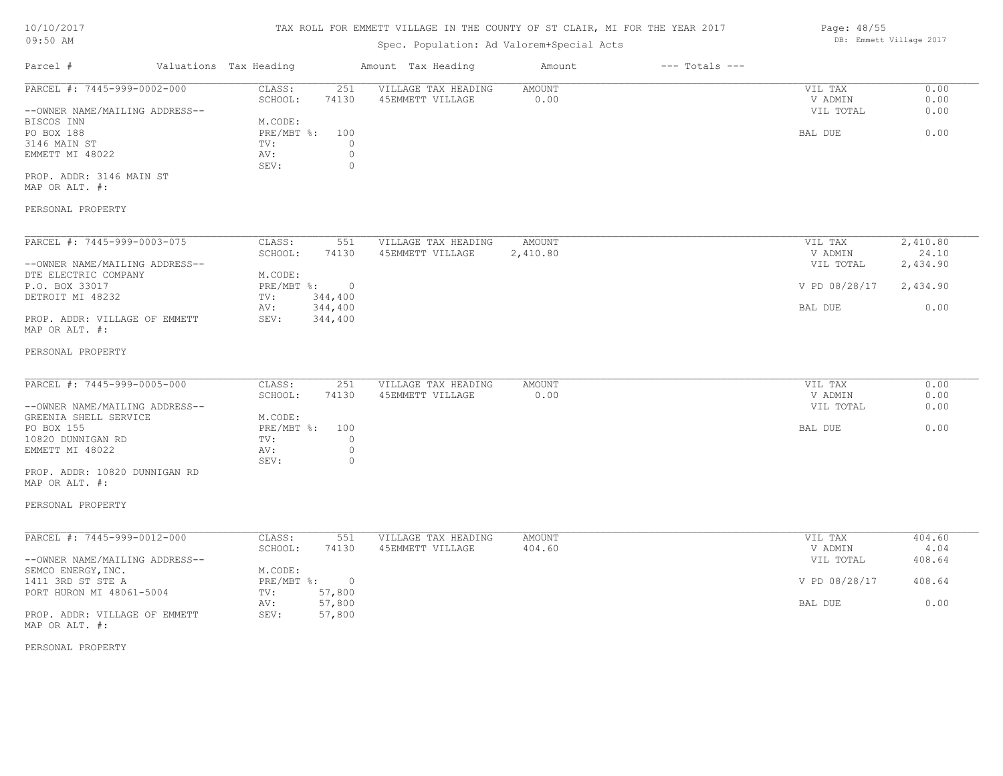## TAX ROLL FOR EMMETT VILLAGE IN THE COUNTY OF ST CLAIR, MI FOR THE YEAR 2017

## Spec. Population: Ad Valorem+Special Acts

| Parcel #                       | Valuations Tax Heading |                | Amount Tax Heading  | Amount   | $---$ Totals $---$ |               |          |
|--------------------------------|------------------------|----------------|---------------------|----------|--------------------|---------------|----------|
| PARCEL #: 7445-999-0002-000    | CLASS:                 | 251            | VILLAGE TAX HEADING | AMOUNT   |                    | VIL TAX       | 0.00     |
|                                | SCHOOL:                | 74130          | 45EMMETT VILLAGE    | 0.00     |                    | V ADMIN       | 0.00     |
| --OWNER NAME/MAILING ADDRESS-- |                        |                |                     |          |                    | VIL TOTAL     | 0.00     |
| BISCOS INN                     | M.CODE:                |                |                     |          |                    |               |          |
| PO BOX 188                     | $PRE/MBT$ %:           | 100            |                     |          |                    | BAL DUE       | 0.00     |
| 3146 MAIN ST                   | TV:                    |                |                     |          |                    |               |          |
| EMMETT MI 48022                | AV:                    |                |                     |          |                    |               |          |
|                                | SEV:                   | $\Omega$       |                     |          |                    |               |          |
| PROP. ADDR: 3146 MAIN ST       |                        |                |                     |          |                    |               |          |
| MAP OR ALT. #:                 |                        |                |                     |          |                    |               |          |
| PERSONAL PROPERTY              |                        |                |                     |          |                    |               |          |
| PARCEL #: 7445-999-0003-075    | CLASS:                 | 551            | VILLAGE TAX HEADING | AMOUNT   |                    | VIL TAX       | 2,410.80 |
|                                | SCHOOL:                | 74130          | 45EMMETT VILLAGE    | 2,410.80 |                    | V ADMIN       | 24.10    |
| --OWNER NAME/MAILING ADDRESS-- |                        |                |                     |          |                    | VIL TOTAL     | 2,434.90 |
| DTE ELECTRIC COMPANY           | M.CODE:                |                |                     |          |                    |               |          |
| P.O. BOX 33017                 | $PRE/MBT$ %:           | $\overline{0}$ |                     |          |                    | V PD 08/28/17 | 2,434.90 |
| DETROIT MI 48232               | TV:                    | 344,400        |                     |          |                    |               |          |
|                                | AV:                    | 344,400        |                     |          |                    | BAL DUE       | 0.00     |
| PROP. ADDR: VILLAGE OF EMMETT  | SEV:                   | 344,400        |                     |          |                    |               |          |
| MAP OR ALT. #:                 |                        |                |                     |          |                    |               |          |
| DEDOOMAT DRODERW               |                        |                |                     |          |                    |               |          |

#### PERSONAL PROPERTY

| PARCEL #: 7445-999-0005-000    | CLASS:     | 251   | VILLAGE TAX HEADING | AMOUNT | 0.00<br>VIL TAX   |
|--------------------------------|------------|-------|---------------------|--------|-------------------|
|                                | SCHOOL:    | 74130 | 45EMMETT VILLAGE    | 0.00   | 0.00<br>V ADMIN   |
| --OWNER NAME/MAILING ADDRESS-- |            |       |                     |        | 0.00<br>VIL TOTAL |
| GREENIA SHELL SERVICE          | M.CODE:    |       |                     |        |                   |
| PO BOX 155                     | PRE/MBT %: | 100   |                     |        | 0.00<br>BAL DUE   |
| 10820 DUNNIGAN RD              | TV:        |       |                     |        |                   |
| EMMETT MI 48022                | AV:        |       |                     |        |                   |
|                                | SEV:       |       |                     |        |                   |
| PROP. ADDR: 10820 DUNNIGAN RD  |            |       |                     |        |                   |

 $\_$  , and the state of the state of the state of the state of the state of the state of the state of the state of the state of the state of the state of the state of the state of the state of the state of the state of the

# MAP OR ALT. #:

### PERSONAL PROPERTY

| PARCEL #: 7445-999-0012-000    | CLASS:     | 551      | VILLAGE TAX HEADING | AMOUNT | VIL TAX       | 404.60 |
|--------------------------------|------------|----------|---------------------|--------|---------------|--------|
|                                | SCHOOL:    | 74130    | 45EMMETT VILLAGE    | 404.60 | V ADMIN       | 4.04   |
| --OWNER NAME/MAILING ADDRESS-- |            |          |                     |        | VIL TOTAL     | 408.64 |
| SEMCO ENERGY, INC.             | M.CODE:    |          |                     |        |               |        |
| 1411 3RD ST STE A              | PRE/MBT %: | $\Omega$ |                     |        | V PD 08/28/17 | 408.64 |
| PORT HURON MI 48061-5004       | TV:        | 57,800   |                     |        |               |        |
|                                | AV:        | 57,800   |                     |        | BAL DUE       | 0.00   |
| PROP. ADDR: VILLAGE OF EMMETT  | SEV:       | 57,800   |                     |        |               |        |
| MAP OR ALT. #:                 |            |          |                     |        |               |        |

PERSONAL PROPERTY

Page: 48/55 DB: Emmett Village 2017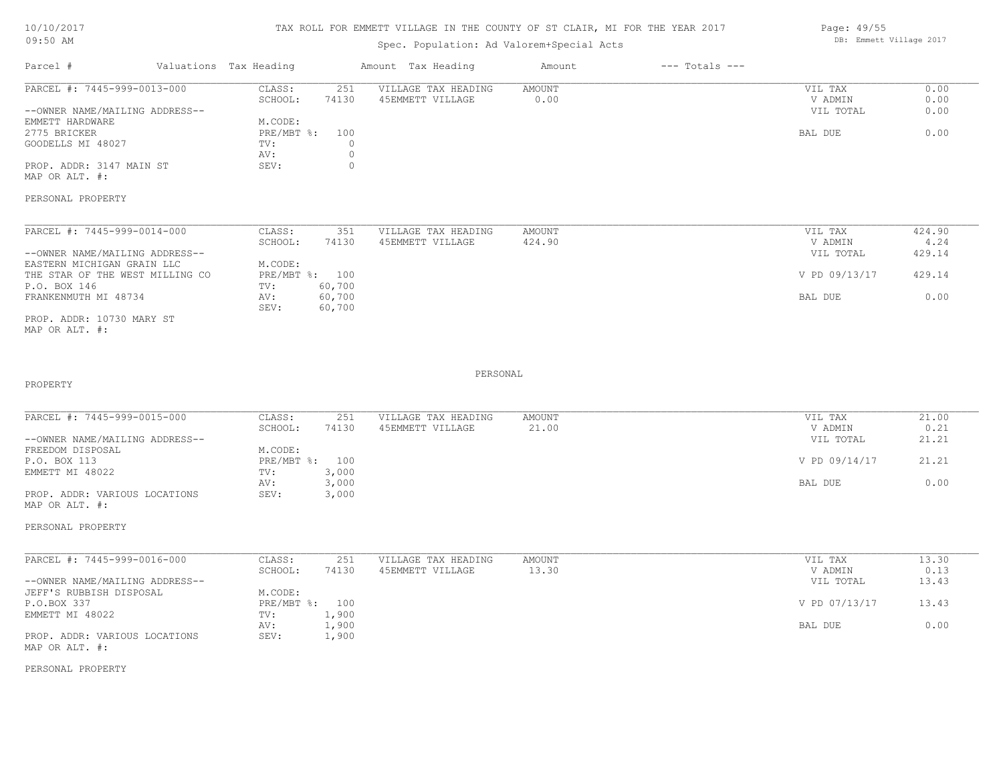## TAX ROLL FOR EMMETT VILLAGE IN THE COUNTY OF ST CLAIR, MI FOR THE YEAR 2017

## Spec. Population: Ad Valorem+Special Acts

| Parcel #                       | Valuations Tax Heading |       | Amount Tax Heading  | Amount | $---$ Totals $---$ |           |      |
|--------------------------------|------------------------|-------|---------------------|--------|--------------------|-----------|------|
| PARCEL #: 7445-999-0013-000    | CLASS:                 | 251   | VILLAGE TAX HEADING | AMOUNT |                    | VIL TAX   | 0.00 |
|                                | SCHOOL:                | 74130 | 45EMMETT VILLAGE    | 0.00   |                    | V ADMIN   | 0.00 |
| --OWNER NAME/MAILING ADDRESS-- |                        |       |                     |        |                    | VIL TOTAL | 0.00 |
| EMMETT HARDWARE                | M.CODE:                |       |                     |        |                    |           |      |
| 2775 BRICKER                   | PRE/MBT %: 100         |       |                     |        |                    | BAL DUE   | 0.00 |
| GOODELLS MI 48027              | TV:                    |       |                     |        |                    |           |      |
|                                | AV:                    |       |                     |        |                    |           |      |
| PROP. ADDR: 3147 MAIN ST       | SEV:                   |       |                     |        |                    |           |      |
|                                |                        |       |                     |        |                    |           |      |

MAP OR ALT. #:

PERSONAL PROPERTY

| PARCEL #: 7445-999-0014-000     | CLASS:     | 351    | VILLAGE TAX HEADING | AMOUNT | VIL TAX       | 424.90 |
|---------------------------------|------------|--------|---------------------|--------|---------------|--------|
|                                 | SCHOOL:    | 74130  | 45EMMETT VILLAGE    | 424.90 | V ADMIN       | 4.24   |
| --OWNER NAME/MAILING ADDRESS--  |            |        |                     |        | VIL TOTAL     | 429.14 |
| EASTERN MICHIGAN GRAIN LLC      | M.CODE:    |        |                     |        |               |        |
| THE STAR OF THE WEST MILLING CO | PRE/MBT %: | 100    |                     |        | V PD 09/13/17 | 429.14 |
| P.O. BOX 146                    | TV:        | 60,700 |                     |        |               |        |
| FRANKENMUTH MI 48734            | AV:        | 60,700 |                     |        | BAL DUE       | 0.00   |
|                                 | SEV:       | 60,700 |                     |        |               |        |
| PROP. ADDR: 10730 MARY ST       |            |        |                     |        |               |        |

MAP OR ALT. #:

PROPERTY

PERSONAL

 $\_$  , and the state of the state of the state of the state of the state of the state of the state of the state of the state of the state of the state of the state of the state of the state of the state of the state of the

| PARCEL #: 7445-999-0015-000    | CLASS:       | 251   | VILLAGE TAX HEADING | AMOUNT | VIL TAX       | 21.00 |
|--------------------------------|--------------|-------|---------------------|--------|---------------|-------|
|                                | SCHOOL:      | 74130 | 45EMMETT VILLAGE    | 21.00  | V ADMIN       | 0.21  |
| --OWNER NAME/MAILING ADDRESS-- |              |       |                     |        | VIL TOTAL     | 21.21 |
| FREEDOM DISPOSAL               | M.CODE:      |       |                     |        |               |       |
| P.O. BOX 113                   | $PRE/MBT$ %: | 100   |                     |        | V PD 09/14/17 | 21.21 |
| EMMETT MI 48022                | TV:          | 3,000 |                     |        |               |       |
|                                | AV:          | 3,000 |                     |        | BAL DUE       | 0.00  |
| PROP. ADDR: VARIOUS LOCATIONS  | SEV:         | 3,000 |                     |        |               |       |
| MAP OR ALT. #:                 |              |       |                     |        |               |       |

PERSONAL PROPERTY

| PARCEL #: 7445-999-0016-000    | CLASS:  | 251            | VILLAGE TAX HEADING | AMOUNT | VIL TAX       | 13.30 |
|--------------------------------|---------|----------------|---------------------|--------|---------------|-------|
|                                | SCHOOL: | 74130          | 45EMMETT VILLAGE    | 13.30  | V ADMIN       | 0.13  |
| --OWNER NAME/MAILING ADDRESS-- |         |                |                     |        | VIL TOTAL     | 13.43 |
| JEFF'S RUBBISH DISPOSAL        | M.CODE: |                |                     |        |               |       |
| P.O.BOX 337                    |         | PRE/MBT %: 100 |                     |        | V PD 07/13/17 | 13.43 |
| EMMETT MI 48022                | TV:     | 1,900          |                     |        |               |       |
|                                | AV:     | 1,900          |                     |        | BAL DUE       | 0.00  |
| PROP. ADDR: VARIOUS LOCATIONS  | SEV:    | 1,900          |                     |        |               |       |
| MAP OR ALT. #:                 |         |                |                     |        |               |       |

PERSONAL PROPERTY

Page: 49/55 DB: Emmett Village 2017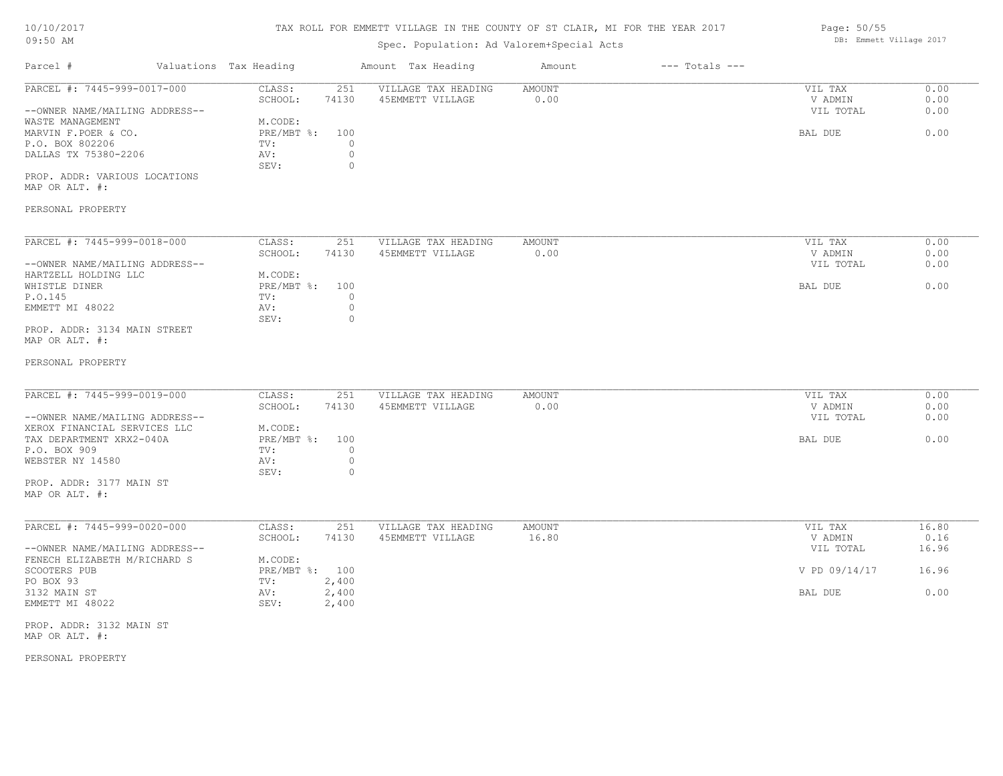## TAX ROLL FOR EMMETT VILLAGE IN THE COUNTY OF ST CLAIR, MI FOR THE YEAR 2017

## Spec. Population: Ad Valorem+Special Acts

| Parcel #                       | Valuations Tax Heading |       | Amount Tax Heading  | Amount | $---$ Totals $---$ |           |      |
|--------------------------------|------------------------|-------|---------------------|--------|--------------------|-----------|------|
| PARCEL #: 7445-999-0017-000    | CLASS:                 | 251   | VILLAGE TAX HEADING | AMOUNT |                    | VIL TAX   | 0.00 |
|                                | SCHOOL:                | 74130 | 45EMMETT VILLAGE    | 0.00   |                    | V ADMIN   | 0.00 |
| --OWNER NAME/MAILING ADDRESS-- |                        |       |                     |        |                    | VIL TOTAL | 0.00 |
| WASTE MANAGEMENT               | M.CODE:                |       |                     |        |                    |           |      |
| MARVIN F.POER & CO.            | $PRE/MBT$ %:           | 100   |                     |        |                    | BAL DUE   | 0.00 |
| P.O. BOX 802206                | TV:                    |       |                     |        |                    |           |      |
| DALLAS TX 75380-2206           | AV:                    |       |                     |        |                    |           |      |
|                                | SEV:                   |       |                     |        |                    |           |      |
| PROP. ADDR: VARIOUS LOCATIONS  |                        |       |                     |        |                    |           |      |

MAP OR ALT. #:

### PERSONAL PROPERTY

| PARCEL #: 7445-999-0018-000    | CLASS:     | 251   | VILLAGE TAX HEADING | AMOUNT | VIL TAX<br>0.00   |
|--------------------------------|------------|-------|---------------------|--------|-------------------|
|                                | SCHOOL:    | 74130 | 45EMMETT VILLAGE    | 0.00   | 0.00<br>V ADMIN   |
| --OWNER NAME/MAILING ADDRESS-- |            |       |                     |        | 0.00<br>VIL TOTAL |
| HARTZELL HOLDING LLC           | M.CODE:    |       |                     |        |                   |
| WHISTLE DINER                  | PRE/MBT %: | 100   |                     |        | 0.00<br>BAL DUE   |
| P.O.145                        | TV:        |       |                     |        |                   |
| EMMETT MI 48022                | AV:        |       |                     |        |                   |
|                                | SEV:       |       |                     |        |                   |
| PROP. ADDR: 3134 MAIN STREET   |            |       |                     |        |                   |

#### MAP OR ALT. #:

#### PERSONAL PROPERTY

| PARCEL #: 7445-999-0019-000    | CLASS:         | 251   | VILLAGE TAX HEADING | AMOUNT | VIL TAX   | 0.00 |
|--------------------------------|----------------|-------|---------------------|--------|-----------|------|
|                                | SCHOOL:        | 74130 | 45EMMETT VILLAGE    | 0.00   | V ADMIN   | 0.00 |
| --OWNER NAME/MAILING ADDRESS-- |                |       |                     |        | VIL TOTAL | 0.00 |
| XEROX FINANCIAL SERVICES LLC   | M.CODE:        |       |                     |        |           |      |
| TAX DEPARTMENT XRX2-040A       | PRE/MBT %: 100 |       |                     |        | BAL DUE   | 0.00 |
| P.O. BOX 909                   | TV:            |       |                     |        |           |      |
| WEBSTER NY 14580               | AV:            |       |                     |        |           |      |
|                                | SEV:           |       |                     |        |           |      |
|                                |                |       |                     |        |           |      |

MAP OR ALT. #: PROP. ADDR: 3177 MAIN ST

| PARCEL #: 7445-999-0020-000    | CLASS:         | 251   | VILLAGE TAX HEADING | AMOUNT | VIL TAX       | 16.80 |
|--------------------------------|----------------|-------|---------------------|--------|---------------|-------|
|                                | SCHOOL:        | 74130 | 45EMMETT VILLAGE    | 16.80  | V ADMIN       | 0.16  |
| --OWNER NAME/MAILING ADDRESS-- |                |       |                     |        | VIL TOTAL     | 16.96 |
| FENECH ELIZABETH M/RICHARD S   | M.CODE:        |       |                     |        |               |       |
| SCOOTERS PUB                   | PRE/MBT %: 100 |       |                     |        | V PD 09/14/17 | 16.96 |
| PO BOX 93                      | TV:            | 2,400 |                     |        |               |       |
| 3132 MAIN ST                   | AV:            | 2,400 |                     |        | BAL DUE       | 0.00  |
| EMMETT MI 48022                | SEV:           | 2,400 |                     |        |               |       |

MAP OR ALT. #: PROP. ADDR: 3132 MAIN ST

PERSONAL PROPERTY

Page: 50/55 DB: Emmett Village 2017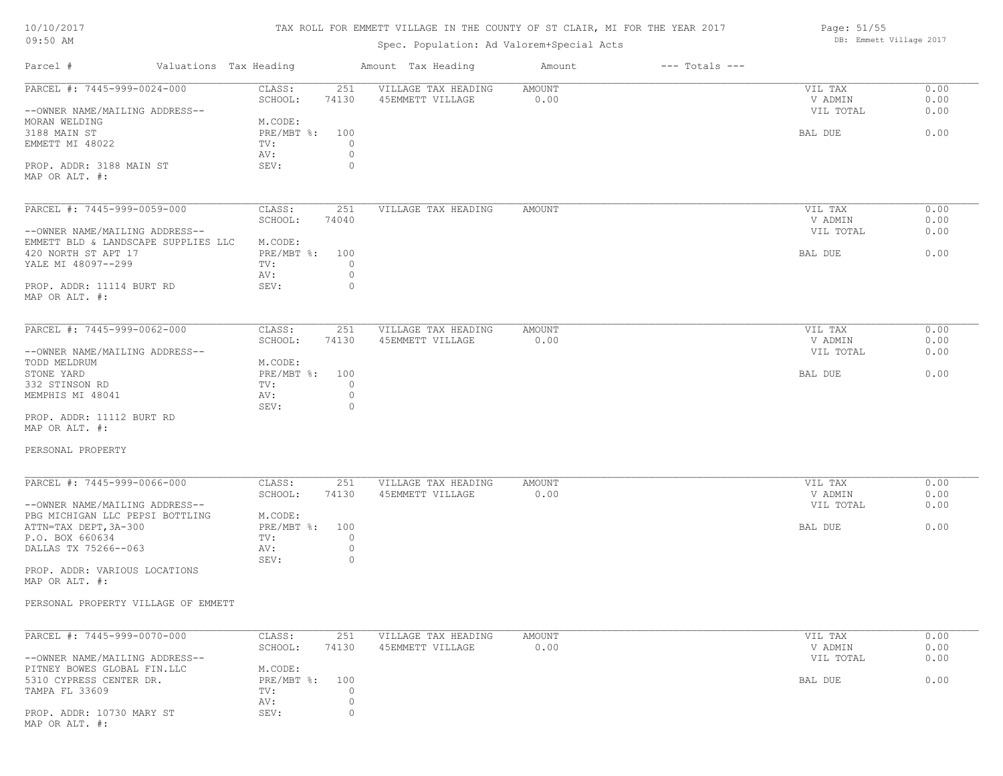#### TAX ROLL FOR EMMETT VILLAGE IN THE COUNTY OF ST CLAIR, MI FOR THE YEAR 2017

Page: 51/55

| 09:50 AM                            |                                   | Spec. Population: Ad Valorem+Special Acts |                              | DB: Emmett Village 2017 |              |
|-------------------------------------|-----------------------------------|-------------------------------------------|------------------------------|-------------------------|--------------|
| Parcel #                            | Valuations Tax Heading            | Amount Tax Heading                        | $---$ Totals $---$<br>Amount |                         |              |
| PARCEL #: 7445-999-0024-000         | CLASS:<br>251<br>SCHOOL:<br>74130 | VILLAGE TAX HEADING<br>45EMMETT VILLAGE   | AMOUNT<br>0.00               | VIL TAX<br>V ADMIN      | 0.00<br>0.00 |
| --OWNER NAME/MAILING ADDRESS--      |                                   |                                           |                              | VIL TOTAL               | 0.00         |
| MORAN WELDING                       | M.CODE:                           |                                           |                              |                         |              |
| 3188 MAIN ST                        | PRE/MBT %:<br>100                 |                                           |                              | BAL DUE                 | 0.00         |
| EMMETT MI 48022                     | $\circ$<br>TV:                    |                                           |                              |                         |              |
|                                     | $\circ$<br>AV:                    |                                           |                              |                         |              |
|                                     | $\circ$                           |                                           |                              |                         |              |
| PROP. ADDR: 3188 MAIN ST            | SEV:                              |                                           |                              |                         |              |
| MAP OR ALT. #:                      |                                   |                                           |                              |                         |              |
| PARCEL #: 7445-999-0059-000         | CLASS:<br>251                     | VILLAGE TAX HEADING                       | AMOUNT                       | VIL TAX                 | 0.00         |
|                                     | SCHOOL:<br>74040                  |                                           |                              | V ADMIN                 | 0.00         |
| --OWNER NAME/MAILING ADDRESS--      |                                   |                                           |                              | VIL TOTAL               | 0.00         |
| EMMETT BLD & LANDSCAPE SUPPLIES LLC | M.CODE:                           |                                           |                              |                         |              |
|                                     | PRE/MBT %:<br>100                 |                                           |                              | BAL DUE                 | 0.00         |
| 420 NORTH ST APT 17                 |                                   |                                           |                              |                         |              |
| YALE MI 48097--299                  | $\circ$<br>TV:                    |                                           |                              |                         |              |
|                                     | $\circ$<br>AV:                    |                                           |                              |                         |              |
| PROP. ADDR: 11114 BURT RD           | $\circ$<br>SEV:                   |                                           |                              |                         |              |
| MAP OR ALT. #:                      |                                   |                                           |                              |                         |              |
| PARCEL #: 7445-999-0062-000         | CLASS:<br>251                     | VILLAGE TAX HEADING                       | AMOUNT                       | VIL TAX                 | 0.00         |
|                                     |                                   | 45EMMETT VILLAGE                          |                              |                         |              |
|                                     | SCHOOL:<br>74130                  |                                           | 0.00                         | V ADMIN                 | 0.00         |
| --OWNER NAME/MAILING ADDRESS--      |                                   |                                           |                              | VIL TOTAL               | 0.00         |
| TODD MELDRUM                        | M.CODE:                           |                                           |                              |                         |              |
| STONE YARD                          | $PRE/MBT$ $\div$ :<br>100         |                                           |                              | BAL DUE                 | 0.00         |
| 332 STINSON RD                      | $\circ$<br>TV:                    |                                           |                              |                         |              |
| MEMPHIS MI 48041                    | $\circ$<br>AV:                    |                                           |                              |                         |              |
|                                     | SEV:<br>$\circ$                   |                                           |                              |                         |              |
| PROP. ADDR: 11112 BURT RD           |                                   |                                           |                              |                         |              |
| MAP OR ALT. #:                      |                                   |                                           |                              |                         |              |
| PERSONAL PROPERTY                   |                                   |                                           |                              |                         |              |
|                                     |                                   |                                           |                              |                         |              |
| PARCEL #: 7445-999-0066-000         | CLASS:<br>251                     | VILLAGE TAX HEADING                       | AMOUNT                       | VIL TAX                 | 0.00         |
|                                     | SCHOOL:<br>74130                  | 45EMMETT VILLAGE                          | 0.00                         | V ADMIN                 | 0.00         |
| --OWNER NAME/MAILING ADDRESS--      |                                   |                                           |                              | VIL TOTAL               | 0.00         |
| PBG MICHIGAN LLC PEPSI BOTTLING     | M.CODE:                           |                                           |                              |                         |              |
| ATTN=TAX DEPT, 3A-300               | PRE/MBT %:<br>100                 |                                           |                              | BAL DUE                 | 0.00         |
| P.O. BOX 660634                     | TV:<br>$\circ$                    |                                           |                              |                         |              |
| DALLAS TX 75266--063                | $\circ$<br>AV:                    |                                           |                              |                         |              |
|                                     | SEV:<br>$\circ$                   |                                           |                              |                         |              |
| PROP. ADDR: VARIOUS LOCATIONS       |                                   |                                           |                              |                         |              |
| MAP OR ALT. #:                      |                                   |                                           |                              |                         |              |
|                                     |                                   |                                           |                              |                         |              |
| PERSONAL PROPERTY VILLAGE OF EMMETT |                                   |                                           |                              |                         |              |
|                                     |                                   |                                           |                              |                         |              |
| PARCEL #: 7445-999-0070-000         | CLASS:<br>251                     | VILLAGE TAX HEADING                       | AMOUNT                       | VIL TAX                 | 0.00         |
|                                     | SCHOOL:<br>74130                  | 45EMMETT VILLAGE                          | 0.00                         | V ADMIN                 | 0.00         |
| --OWNER NAME/MAILING ADDRESS--      |                                   |                                           |                              | VIL TOTAL               | 0.00         |
| PITNEY BOWES GLOBAL FIN.LLC         | M.CODE:                           |                                           |                              |                         |              |
| 5310 CYPRESS CENTER DR.             | $PRE/MBT$ %:<br>100               |                                           |                              | BAL DUE                 | 0.00         |
| TAMPA FL 33609                      | $\circ$<br>TV:                    |                                           |                              |                         |              |
|                                     | $\circ$<br>AV:                    |                                           |                              |                         |              |
|                                     |                                   |                                           |                              |                         |              |

MAP OR ALT. #: PROP. ADDR: 10730 MARY ST SEV: SEV: 0

AV: 0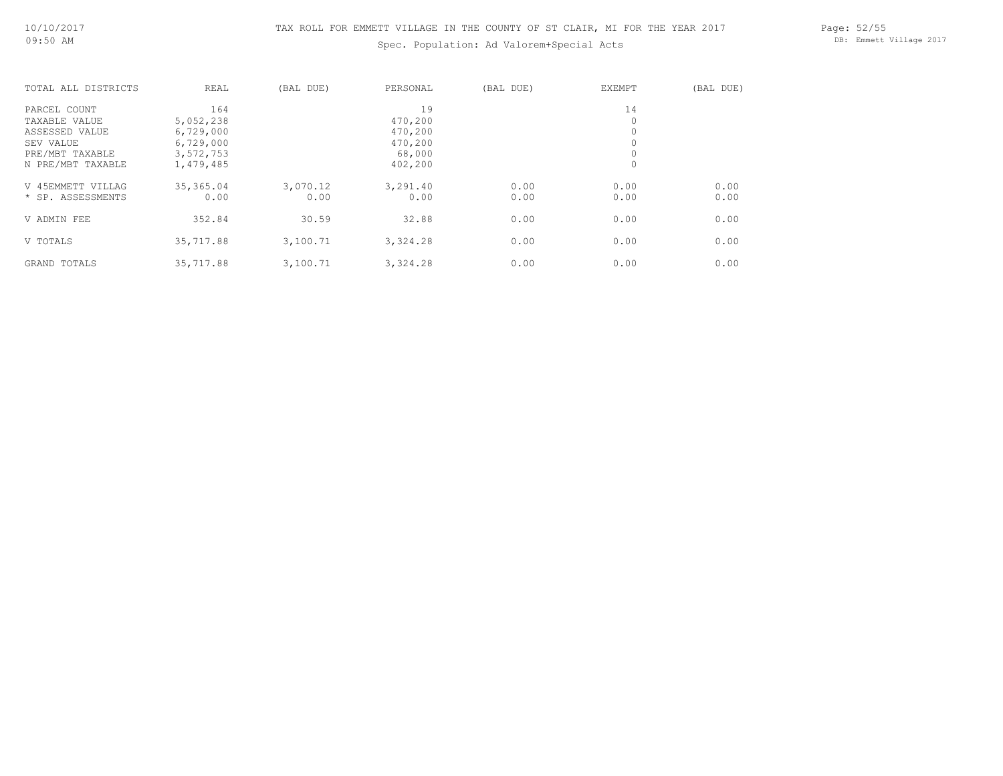## Spec. Population: Ad Valorem+Special Acts

Page: 52/55 DB: Emmett Village 2017

| TOTAL ALL DISTRICTS | REAL      | (BAL DUE) | PERSONAL | (BAL DUE) | EXEMPT   | (BAL DUE) |
|---------------------|-----------|-----------|----------|-----------|----------|-----------|
| PARCEL COUNT        | 164       |           | 19       |           | 14       |           |
| TAXABLE VALUE       | 5,052,238 |           | 470,200  |           | $\Omega$ |           |
| ASSESSED VALUE      | 6,729,000 |           | 470,200  |           | 0        |           |
| SEV VALUE           | 6,729,000 |           | 470,200  |           |          |           |
| PRE/MBT TAXABLE     | 3,572,753 |           | 68,000   |           |          |           |
| N PRE/MBT TAXABLE   | 1,479,485 |           | 402,200  |           | 0        |           |
| V 45EMMETT VILLAG   | 35,365.04 | 3,070.12  | 3,291.40 | 0.00      | 0.00     | 0.00      |
| * SP. ASSESSMENTS   | 0.00      | 0.00      | 0.00     | 0.00      | 0.00     | 0.00      |
| V ADMIN FEE         | 352.84    | 30.59     | 32.88    | 0.00      | 0.00     | 0.00      |
| V TOTALS            | 35,717.88 | 3,100.71  | 3,324.28 | 0.00      | 0.00     | 0.00      |
| GRAND TOTALS        | 35,717.88 | 3,100.71  | 3,324.28 | 0.00      | 0.00     | 0.00      |
|                     |           |           |          |           |          |           |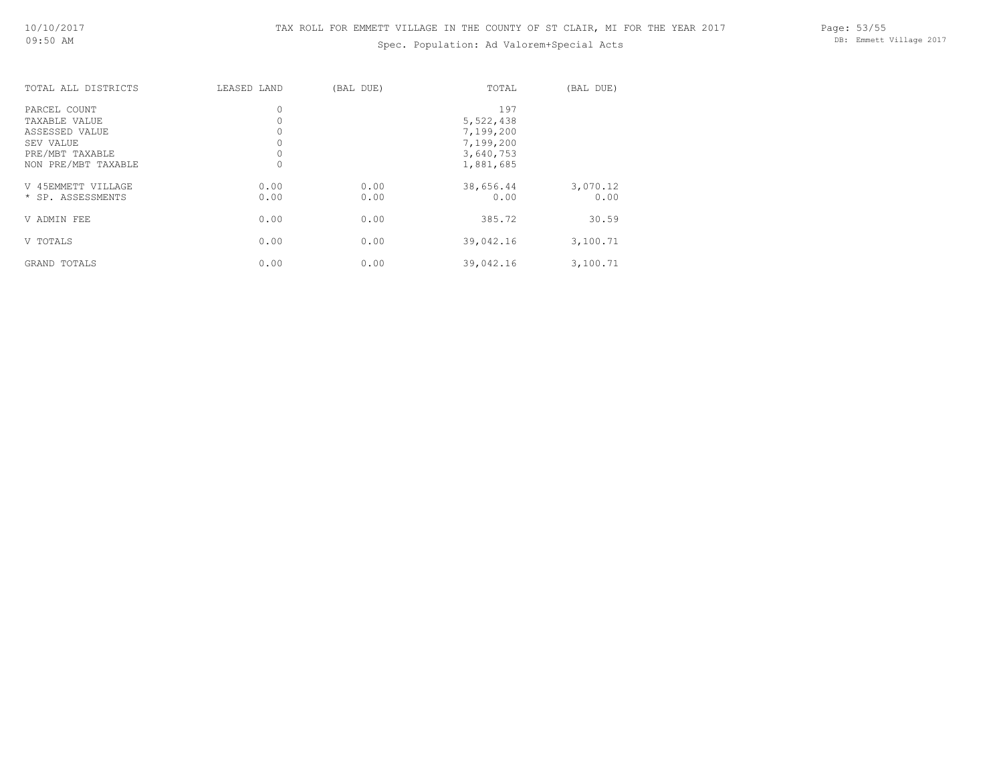## Spec. Population: Ad Valorem+Special Acts

Page: 53/55 DB: Emmett Village 2017

| TOTAL ALL DISTRICTS | LEASED LAND | (BAL DUE) | TOTAL     | (BAL DUE) |
|---------------------|-------------|-----------|-----------|-----------|
| PARCEL COUNT        | $\circ$     |           | 197       |           |
| TAXABLE VALUE       |             |           | 5,522,438 |           |
| ASSESSED VALUE      |             |           | 7,199,200 |           |
| SEV VALUE           |             |           | 7,199,200 |           |
| PRE/MBT TAXABLE     |             |           | 3,640,753 |           |
| NON PRE/MBT TAXABLE |             |           | 1,881,685 |           |
| V 45EMMETT VILLAGE  | 0.00        | 0.00      | 38,656.44 | 3,070.12  |
| * SP. ASSESSMENTS   | 0.00        | 0.00      | 0.00      | 0.00      |
| V ADMIN FEE         | 0.00        | 0.00      | 385.72    | 30.59     |
| V TOTALS            | 0.00        | 0.00      | 39,042.16 | 3,100.71  |
| GRAND TOTALS        | 0.00        | 0.00      | 39,042.16 | 3,100.71  |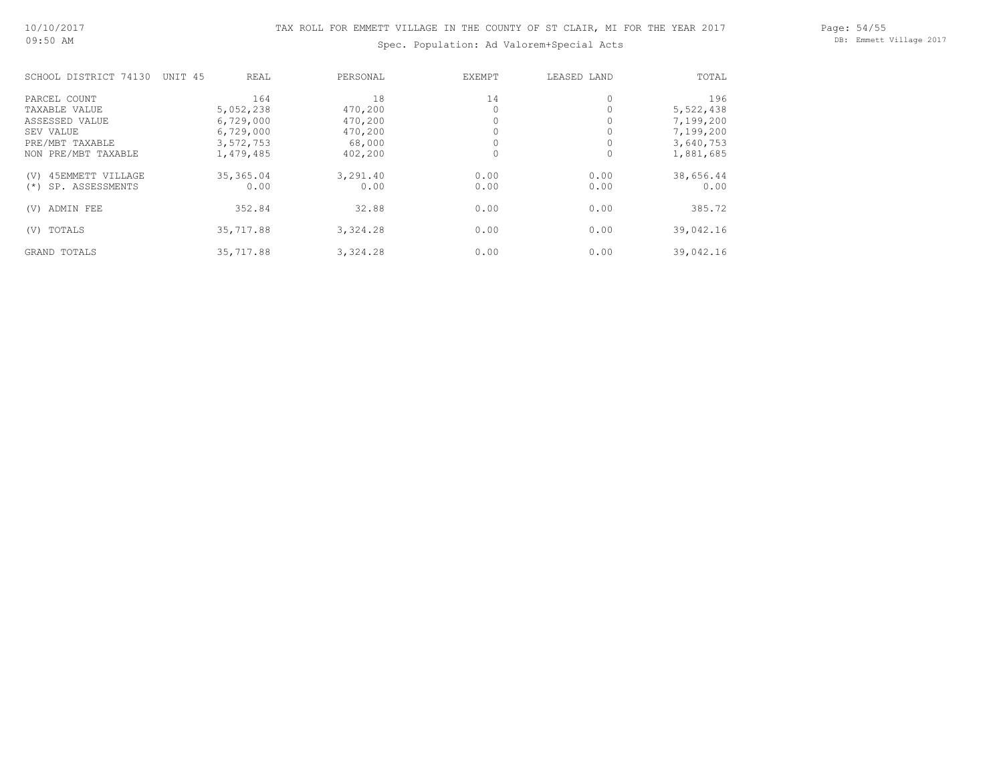Page: 54/55 DB: Emmett Village 2017

## Spec. Population: Ad Valorem+Special Acts

| SCHOOL DISTRICT 74130     | UNIT 45<br>REAL | PERSONAL | EXEMPT | LEASED LAND | TOTAL     |
|---------------------------|-----------------|----------|--------|-------------|-----------|
| PARCEL COUNT              | 164             | 18       | 14     | $\circ$     | 196       |
| TAXABLE VALUE             | 5,052,238       | 470,200  |        |             | 5,522,438 |
| ASSESSED VALUE            | 6,729,000       | 470,200  |        |             | 7,199,200 |
| SEV VALUE                 | 6,729,000       | 470,200  |        |             | 7,199,200 |
| PRE/MBT TAXABLE           | 3,572,753       | 68,000   |        |             | 3,640,753 |
| NON PRE/MBT TAXABLE       | 1,479,485       | 402,200  |        | $\Omega$    | 1,881,685 |
| 45EMMETT VILLAGE<br>(V)   | 35,365.04       | 3,291.40 | 0.00   | 0.00        | 38,656.44 |
| SP. ASSESSMENTS<br>$(* )$ | 0.00            | 0.00     | 0.00   | 0.00        | 0.00      |
| ADMIN FEE<br>(V)          | 352.84          | 32.88    | 0.00   | 0.00        | 385.72    |
| TOTALS<br>(V)             | 35,717.88       | 3,324.28 | 0.00   | 0.00        | 39,042.16 |
| GRAND TOTALS              | 35,717.88       | 3,324.28 | 0.00   | 0.00        | 39,042.16 |